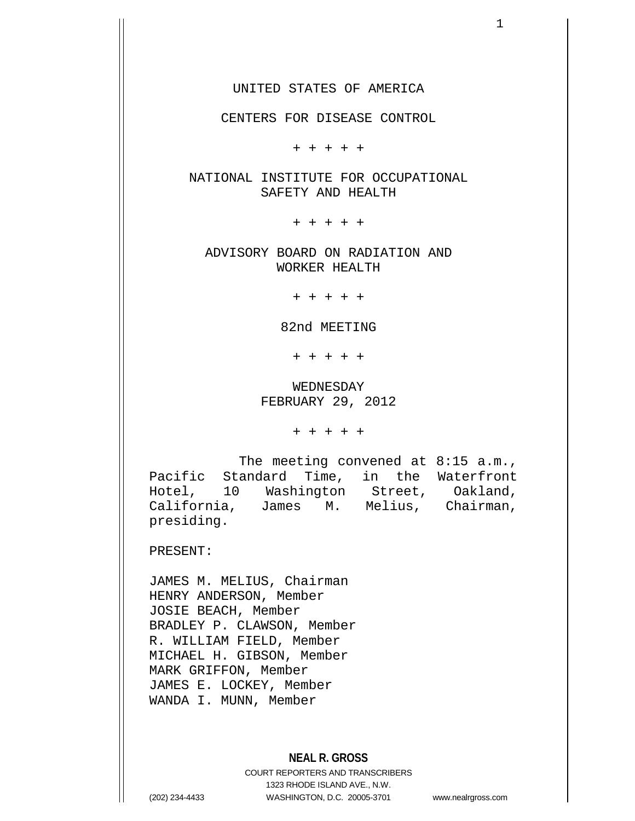UNITED STATES OF AMERICA

CENTERS FOR DISEASE CONTROL

+ + + + +

NATIONAL INSTITUTE FOR OCCUPATIONAL SAFETY AND HEALTH

+ + + + +

ADVISORY BOARD ON RADIATION AND WORKER HEALTH

+ + + + +

82nd MEETING

+ + + + +

WEDNESDAY FEBRUARY 29, 2012

+ + + + +

The meeting convened at 8:15 a.m., Pacific Standard Time, in the Waterfront Hotel, 10 Washington Street, Oakland, California, James M. Melius, Chairman, presiding.

PRESENT:

JAMES M. MELIUS, Chairman HENRY ANDERSON, Member JOSIE BEACH, Member BRADLEY P. CLAWSON, Member R. WILLIAM FIELD, Member MICHAEL H. GIBSON, Member MARK GRIFFON, Member JAMES E. LOCKEY, Member WANDA I. MUNN, Member

# **NEAL R. GROSS**

COURT REPORTERS AND TRANSCRIBERS 1323 RHODE ISLAND AVE., N.W. (202) 234-4433 WASHINGTON, D.C. 20005-3701 www.nealrgross.com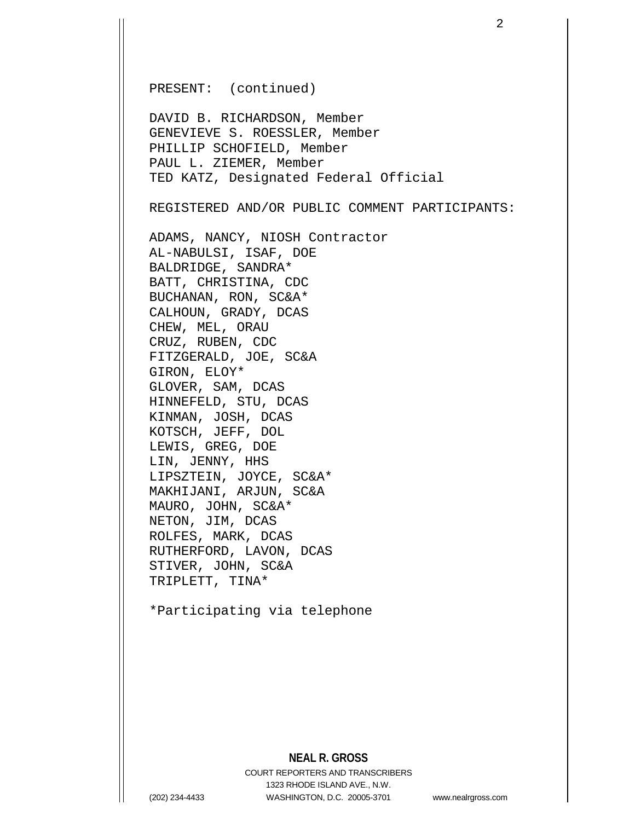PRESENT: (continued)

DAVID B. RICHARDSON, Member GENEVIEVE S. ROESSLER, Member PHILLIP SCHOFIELD, Member PAUL L. ZIEMER, Member TED KATZ, Designated Federal Official

REGISTERED AND/OR PUBLIC COMMENT PARTICIPANTS:

ADAMS, NANCY, NIOSH Contractor AL-NABULSI, ISAF, DOE BALDRIDGE, SANDRA\* BATT, CHRISTINA, CDC BUCHANAN, RON, SC&A\* CALHOUN, GRADY, DCAS CHEW, MEL, ORAU CRUZ, RUBEN, CDC FITZGERALD, JOE, SC&A GIRON, ELOY\* GLOVER, SAM, DCAS HINNEFELD, STU, DCAS KINMAN, JOSH, DCAS KOTSCH, JEFF, DOL LEWIS, GREG, DOE LIN, JENNY, HHS LIPSZTEIN, JOYCE, SC&A\* MAKHIJANI, ARJUN, SC&A MAURO, JOHN, SC&A\* NETON, JIM, DCAS ROLFES, MARK, DCAS RUTHERFORD, LAVON, DCAS STIVER, JOHN, SC&A TRIPLETT, TINA\*

\*Participating via telephone

## **NEAL R. GROSS**

COURT REPORTERS AND TRANSCRIBERS 1323 RHODE ISLAND AVE., N.W. (202) 234-4433 WASHINGTON, D.C. 20005-3701 www.nealrgross.com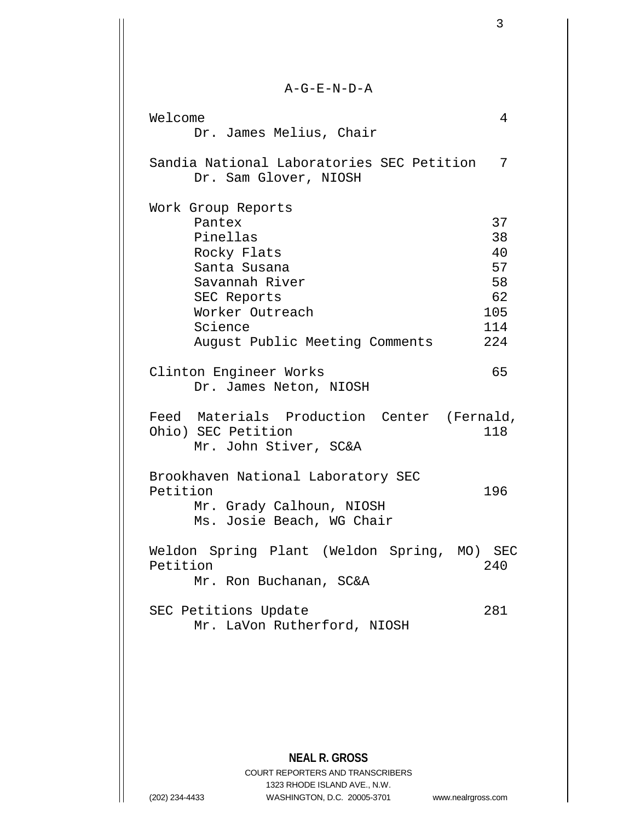| $A-G-E-N-D-A$                                                                                                                          |                                                |
|----------------------------------------------------------------------------------------------------------------------------------------|------------------------------------------------|
| Welcome<br>Dr. James Melius, Chair                                                                                                     | 4                                              |
| Sandia National Laboratories SEC Petition<br>Dr. Sam Glover, NIOSH                                                                     | 7                                              |
| Work Group Reports<br>Pantex<br>Pinellas<br>Rocky Flats<br>Santa Susana<br>Savannah River<br>SEC Reports<br>Worker Outreach<br>Science | 37<br>38<br>40<br>57<br>58<br>62<br>105<br>114 |
| August Public Meeting Comments<br>Clinton Engineer Works<br>Dr. James Neton, NIOSH                                                     | 224<br>65                                      |
| Feed Materials Production Center (Fernald,<br>Ohio) SEC Petition<br>Mr. John Stiver, SC&A                                              | 118                                            |
| Brookhaven National Laboratory SEC<br>Petition<br>Mr. Grady Calhoun, NIOSH<br>Ms. Josie Beach, WG Chair                                | 196                                            |
| Weldon Spring Plant (Weldon Spring, MO) SEC<br>Petition<br>Mr. Ron Buchanan, SC&A                                                      | 240                                            |
| SEC Petitions Update<br>Mr. LaVon Rutherford, NIOSH                                                                                    | 281                                            |
|                                                                                                                                        |                                                |

**NEAL R. GROSS** COURT REPORTERS AND TRANSCRIBERS 1323 RHODE ISLAND AVE., N.W. (202) 234-4433 WASHINGTON, D.C. 20005-3701 www.nealrgross.com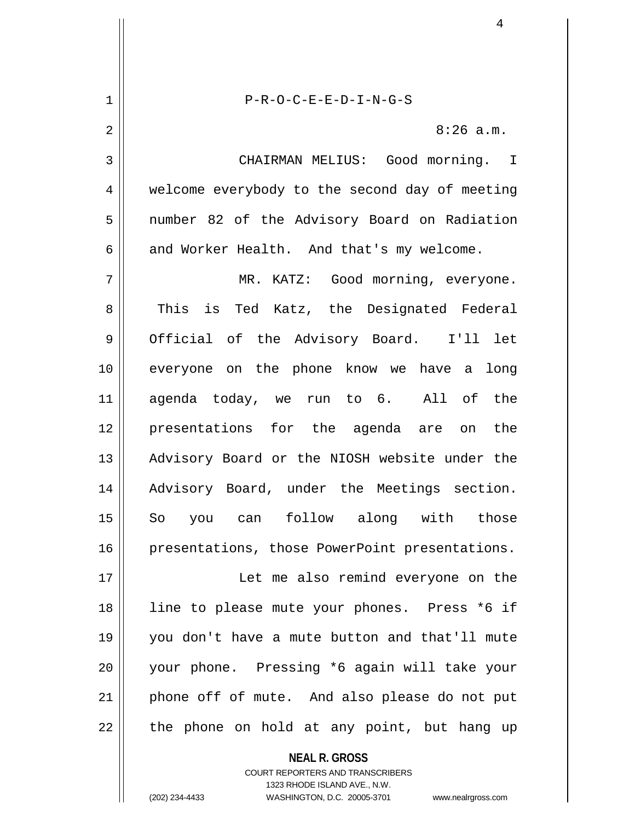**NEAL R. GROSS** 1 P-R-O-C-E-E-D-I-N-G-S 2  $\parallel$  8:26 a.m. 3 CHAIRMAN MELIUS: Good morning. I 4 welcome everybody to the second day of meeting 5 number 82 of the Advisory Board on Radiation  $6 \parallel$  and Worker Health. And that's my welcome. 7 MR. KATZ: Good morning, everyone. 8 This is Ted Katz, the Designated Federal 9 Official of the Advisory Board. I'll let 10 everyone on the phone know we have a long 11 agenda today, we run to 6. All of the 12 presentations for the agenda are on the 13 || Advisory Board or the NIOSH website under the 14 || Advisory Board, under the Meetings section. 15 So you can follow along with those 16 presentations, those PowerPoint presentations. 17 Let me also remind everyone on the 18 || line to please mute your phones. Press \*6 if 19 you don't have a mute button and that'll mute 20 your phone. Pressing \*6 again will take your 21 || phone off of mute. And also please do not put  $22$  || the phone on hold at any point, but hang up

> COURT REPORTERS AND TRANSCRIBERS 1323 RHODE ISLAND AVE., N.W.

(202) 234-4433 WASHINGTON, D.C. 20005-3701 www.nealrgross.com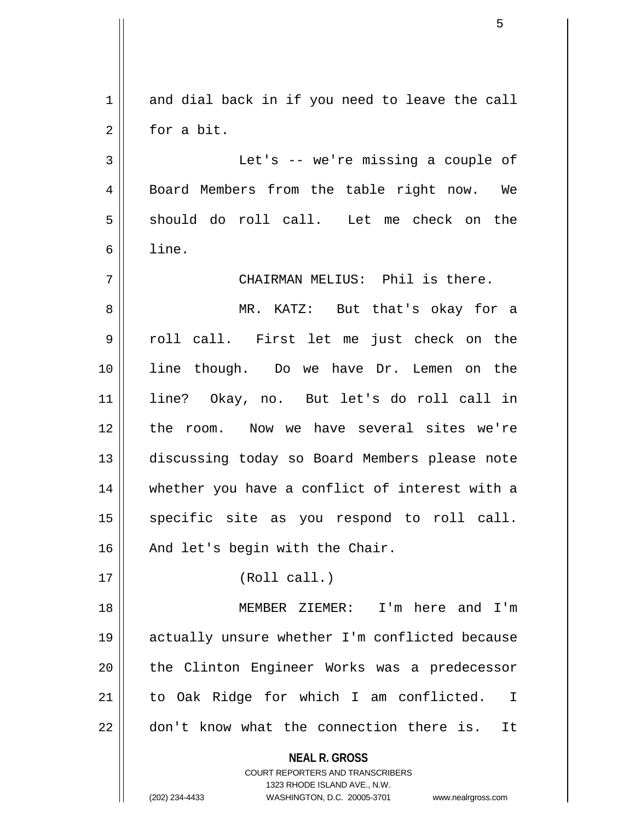|                | 5                                                                       |
|----------------|-------------------------------------------------------------------------|
|                |                                                                         |
| $\mathbf 1$    | and dial back in if you need to leave the call                          |
| $\overline{2}$ | for a bit.                                                              |
| $\mathfrak{Z}$ | Let's -- we're missing a couple of                                      |
| $\overline{4}$ | Board Members from the table right now. We                              |
| 5              | should do roll call. Let me check on the                                |
| 6              | line.                                                                   |
| 7              | CHAIRMAN MELIUS: Phil is there.                                         |
| 8              | MR. KATZ: But that's okay for a                                         |
| 9              | roll call. First let me just check on the                               |
| 10             | line though. Do we have Dr. Lemen on the                                |
| 11             | line? Okay, no. But let's do roll call in                               |
| 12             | the room. Now we have several sites we're                               |
| 13             | discussing today so Board Members please note                           |
| 14             | whether you have a conflict of interest with a                          |
| 15             | specific site as you respond to roll call.                              |
| 16             | And let's begin with the Chair.                                         |
| 17             | (Roll call.)                                                            |
| 18             | MEMBER ZIEMER: I'm here and I'm                                         |
| 19             | actually unsure whether I'm conflicted because                          |
| 20             | the Clinton Engineer Works was a predecessor                            |
| 21             | to Oak Ridge for which I am conflicted.<br>$\mathbb{I}$                 |
| 22             | don't know what the connection there is.<br>It                          |
|                | <b>NEAL R. GROSS</b>                                                    |
|                | <b>COURT REPORTERS AND TRANSCRIBERS</b><br>1323 RHODE ISLAND AVE., N.W. |
|                | (202) 234-4433<br>WASHINGTON, D.C. 20005-3701<br>www.nealrgross.com     |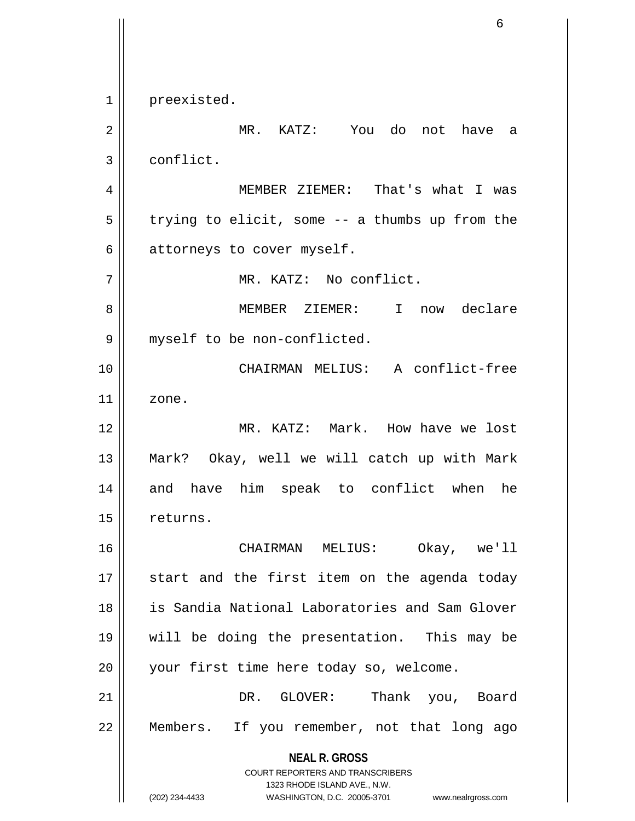**NEAL R. GROSS** COURT REPORTERS AND TRANSCRIBERS 1323 RHODE ISLAND AVE., N.W. (202) 234-4433 WASHINGTON, D.C. 20005-3701 www.nealrgross.com 1 | preexisted. 2 MR. KATZ: You do not have a 3 | conflict. 4 MEMBER ZIEMER: That's what I was  $5 \parallel$  trying to elicit, some -- a thumbs up from the  $6 \parallel$  attorneys to cover myself. 7 MR. KATZ: No conflict. 8 MEMBER ZIEMER: I now declare 9 | myself to be non-conflicted. 10 CHAIRMAN MELIUS: A conflict-free  $11$  zone. 12 || MR. KATZ: Mark. How have we lost 13 Mark? Okay, well we will catch up with Mark 14 and have him speak to conflict when he 15 | returns. 16 CHAIRMAN MELIUS: Okay, we'll 17 start and the first item on the agenda today 18 is Sandia National Laboratories and Sam Glover 19 will be doing the presentation. This may be 20 || your first time here today so, welcome. 21 DR. GLOVER: Thank you, Board 22 Members. If you remember, not that long ago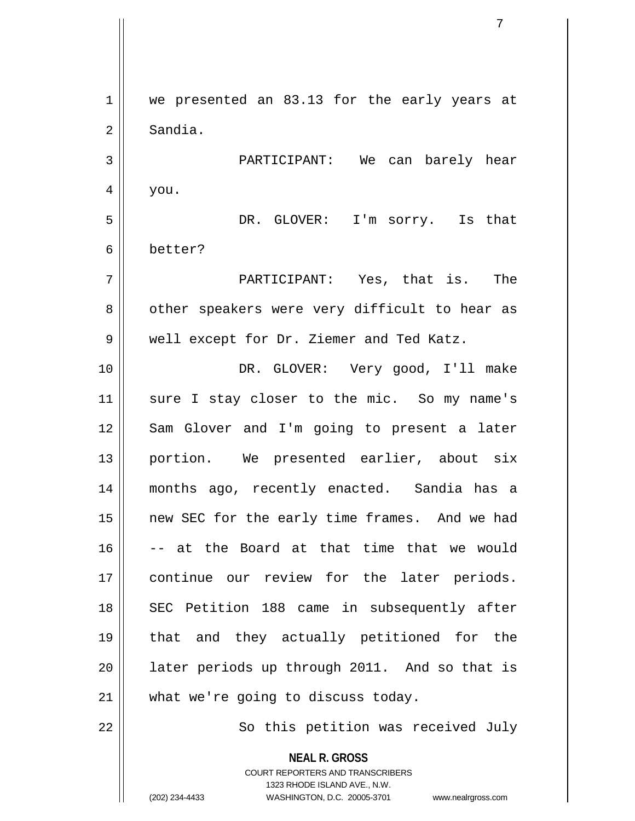**NEAL R. GROSS** COURT REPORTERS AND TRANSCRIBERS 1 || we presented an 83.13 for the early years at 2 Sandia. 3 PARTICIPANT: We can barely hear  $4 \mid$  you. 5 DR. GLOVER: I'm sorry. Is that 6 better? 7 PARTICIPANT: Yes, that is. The 8 | other speakers were very difficult to hear as 9 Well except for Dr. Ziemer and Ted Katz. 10 || DR. GLOVER: Very good, I'll make 11 || sure I stay closer to the mic. So my name's 12 Sam Glover and I'm going to present a later 13 || portion. We presented earlier, about six 14 months ago, recently enacted. Sandia has a 15 || new SEC for the early time frames. And we had  $16$   $\vert$  -- at the Board at that time that we would 17 continue our review for the later periods. 18 || SEC Petition 188 came in subsequently after 19 that and they actually petitioned for the  $20$  || later periods up through 2011. And so that is 21 || what we're going to discuss today. 22 || So this petition was received July

1323 RHODE ISLAND AVE., N.W.

7

(202) 234-4433 WASHINGTON, D.C. 20005-3701 www.nealrgross.com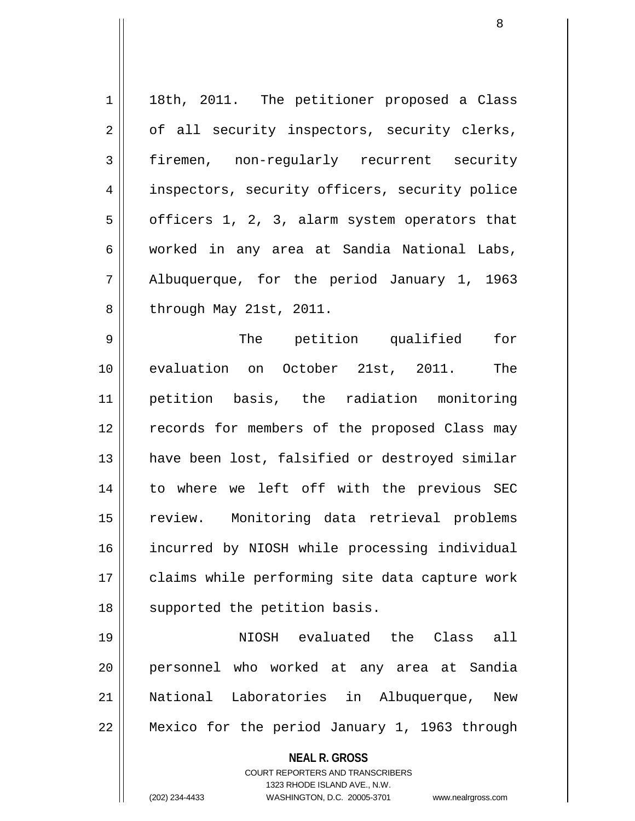1 || 18th, 2011. The petitioner proposed a Class  $2 \parallel$  of all security inspectors, security clerks, 3 firemen, non-regularly recurrent security 4 || inspectors, security officers, security police  $5 \parallel$  officers 1, 2, 3, alarm system operators that 6 worked in any area at Sandia National Labs, 7 Albuquerque, for the period January 1, 1963  $8 \parallel$  through May 21st, 2011. 9 The petition qualified for 10 || evaluation on October 21st, 2011. The 11 petition basis, the radiation monitoring 12 || records for members of the proposed Class may 13 || have been lost, falsified or destroyed similar 14 to where we left off with the previous SEC 15 || review. Monitoring data retrieval problems 16 incurred by NIOSH while processing individual 17 || claims while performing site data capture work 18 || supported the petition basis. 19 NIOSH evaluated the Class all

20 personnel who worked at any area at Sandia 21 National Laboratories in Albuquerque, New 22 || Mexico for the period January 1, 1963 through

> **NEAL R. GROSS** COURT REPORTERS AND TRANSCRIBERS 1323 RHODE ISLAND AVE., N.W. (202) 234-4433 WASHINGTON, D.C. 20005-3701 www.nealrgross.com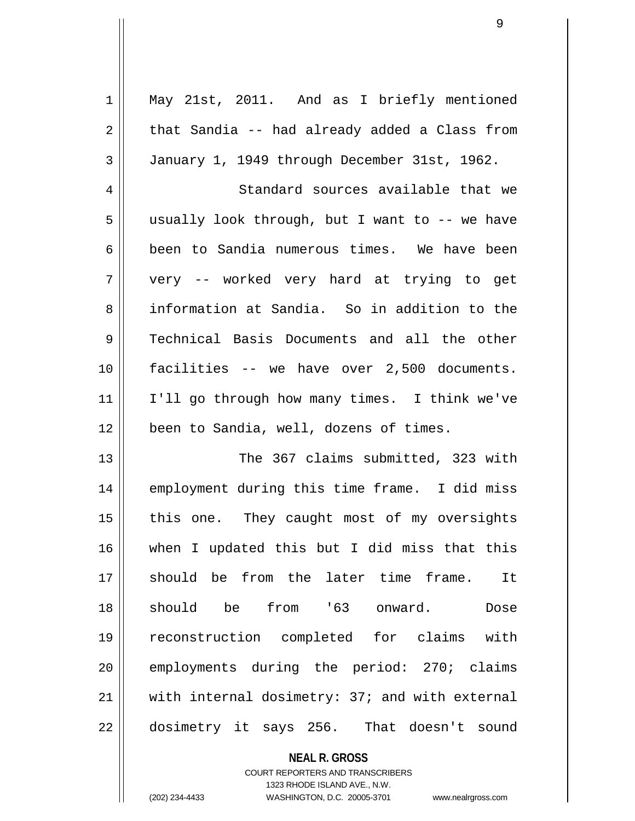| $\mathbf 1$ | May 21st, 2011. And as I briefly mentioned        |
|-------------|---------------------------------------------------|
| 2           | that Sandia -- had already added a Class from     |
| 3           | January 1, 1949 through December 31st, 1962.      |
| 4           | Standard sources available that we                |
| 5           | usually look through, but I want to -- we have    |
| 6           | been to Sandia numerous times. We have been       |
| 7           | very -- worked very hard at trying to get         |
| 8           | information at Sandia. So in addition to the      |
| $\mathsf 9$ | Technical Basis Documents and all the other       |
| 10          | facilities -- we have over 2,500 documents.       |
| 11          | I'll go through how many times. I think we've     |
| 12          | been to Sandia, well, dozens of times.            |
| 13          | The 367 claims submitted, 323 with                |
| 14          | employment during this time frame. I did miss     |
| 15          | this one. They caught most of my oversights       |
| 16          | when I updated this but I did miss that this      |
| 17          | should be from the later time frame.<br><b>It</b> |
| 18          | should be from '63 onward. Dose                   |
| 19          | reconstruction completed for claims with          |
| 20          | employments during the period: 270; claims        |
| 21          | with internal dosimetry: 37; and with external    |
| 22          | dosimetry it says 256. That doesn't sound         |
|             |                                                   |
|             | <b>NEAL R. GROSS</b>                              |

COURT REPORTERS AND TRANSCRIBERS 1323 RHODE ISLAND AVE., N.W.

 $\mathbf{I}$ 

(202) 234-4433 WASHINGTON, D.C. 20005-3701 www.nealrgross.com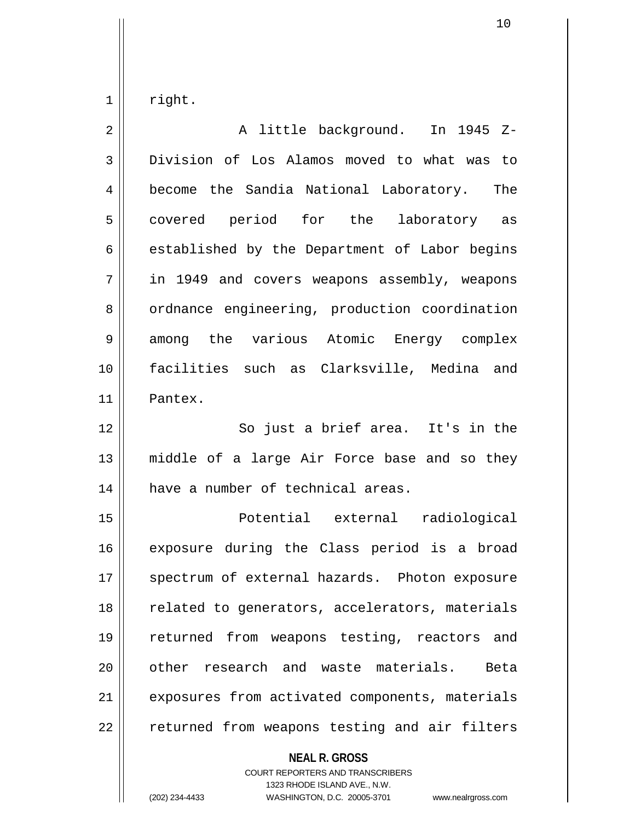$1 \parallel$  right.

| $\overline{2}$ | A little background. In 1945 Z-                |
|----------------|------------------------------------------------|
| $\mathfrak{Z}$ | Division of Los Alamos moved to what was to    |
| $\overline{4}$ | become the Sandia National Laboratory. The     |
| 5              | covered period for the laboratory as           |
| 6              | established by the Department of Labor begins  |
| 7              | in 1949 and covers weapons assembly, weapons   |
| 8              | ordnance engineering, production coordination  |
| 9              | among the various Atomic Energy complex        |
| 10             | facilities such as Clarksville, Medina and     |
| 11             | Pantex.                                        |
| 12             | So just a brief area. It's in the              |
| 13             | middle of a large Air Force base and so they   |
| 14             | have a number of technical areas.              |
| 15             | Potential external radiological                |
| 16             | exposure during the Class period is a broad    |
| 17             | spectrum of external hazards. Photon exposure  |
| 18             | related to generators, accelerators, materials |
| 19             | returned from weapons testing, reactors and    |
| 20             | other research and waste materials. Beta       |
| 21             | exposures from activated components, materials |
| 22             | returned from weapons testing and air filters  |
|                | <b>NEAL R. GROSS</b>                           |

COURT REPORTERS AND TRANSCRIBERS 1323 RHODE ISLAND AVE., N.W.

(202) 234-4433 WASHINGTON, D.C. 20005-3701 www.nealrgross.com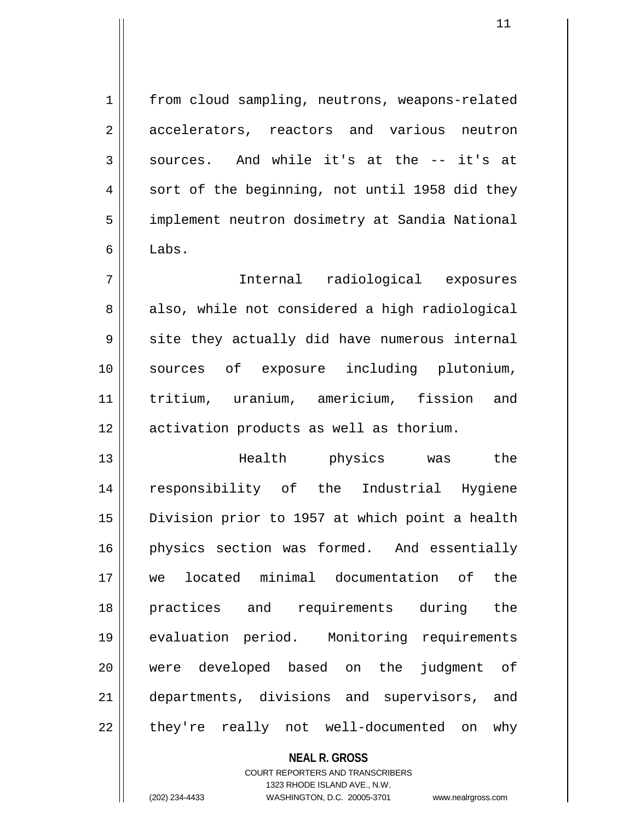1 | from cloud sampling, neutrons, weapons-related 2 accelerators, reactors and various neutron  $3 \parallel$  sources. And while it's at the -- it's at 4 || sort of the beginning, not until 1958 did they 5 | implement neutron dosimetry at Sandia National  $6 \parallel$  Labs. 7 Internal radiological exposures

8 || also, while not considered a high radiological  $9 \parallel$  site they actually did have numerous internal 10 sources of exposure including plutonium, 11 tritium, uranium, americium, fission and 12 | activation products as well as thorium.

13 Health physics was the 14 responsibility of the Industrial Hygiene 15 Division prior to 1957 at which point a health 16 physics section was formed. And essentially 17 we located minimal documentation of the 18 practices and requirements during the 19 evaluation period. Monitoring requirements 20 were developed based on the judgment of 21 departments, divisions and supervisors, and 22 || they're really not well-documented on why

## **NEAL R. GROSS** COURT REPORTERS AND TRANSCRIBERS 1323 RHODE ISLAND AVE., N.W. (202) 234-4433 WASHINGTON, D.C. 20005-3701 www.nealrgross.com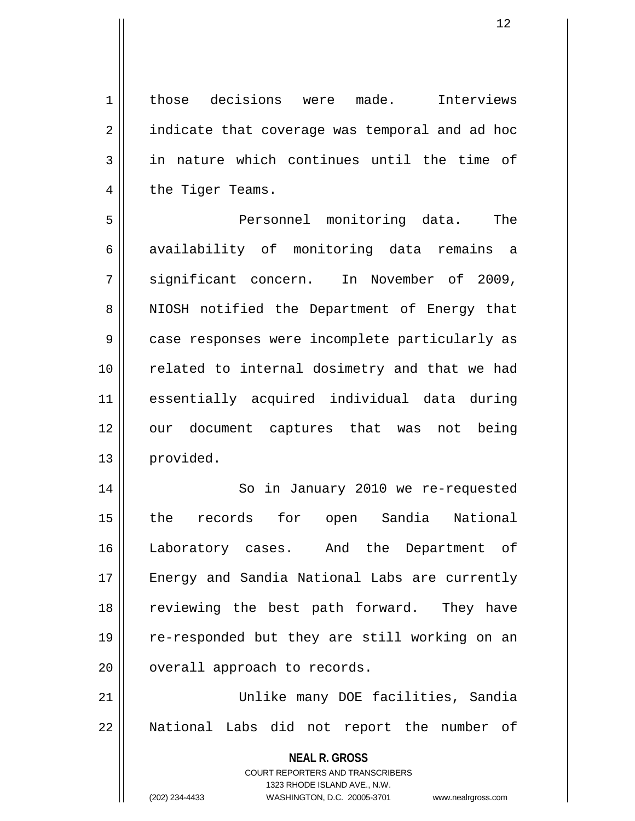1 | those decisions were made. Interviews 2 | indicate that coverage was temporal and ad hoc  $3$  in nature which continues until the time of 4 | the Tiger Teams.

5 Personnel monitoring data. The 6 availability of monitoring data remains a 7 significant concern. In November of 2009, 8 || NIOSH notified the Department of Energy that 9 || case responses were incomplete particularly as 10 || related to internal dosimetry and that we had 11 essentially acquired individual data during 12 our document captures that was not being 13 provided.

14 || So in January 2010 we re-requested 15 the records for open Sandia National 16 Laboratory cases. And the Department of 17 || Energy and Sandia National Labs are currently 18 || reviewing the best path forward. They have 19 re-responded but they are still working on an 20 | overall approach to records.

21 Unlike many DOE facilities, Sandia 22 || National Labs did not report the number of

> **NEAL R. GROSS** COURT REPORTERS AND TRANSCRIBERS 1323 RHODE ISLAND AVE., N.W.

(202) 234-4433 WASHINGTON, D.C. 20005-3701 www.nealrgross.com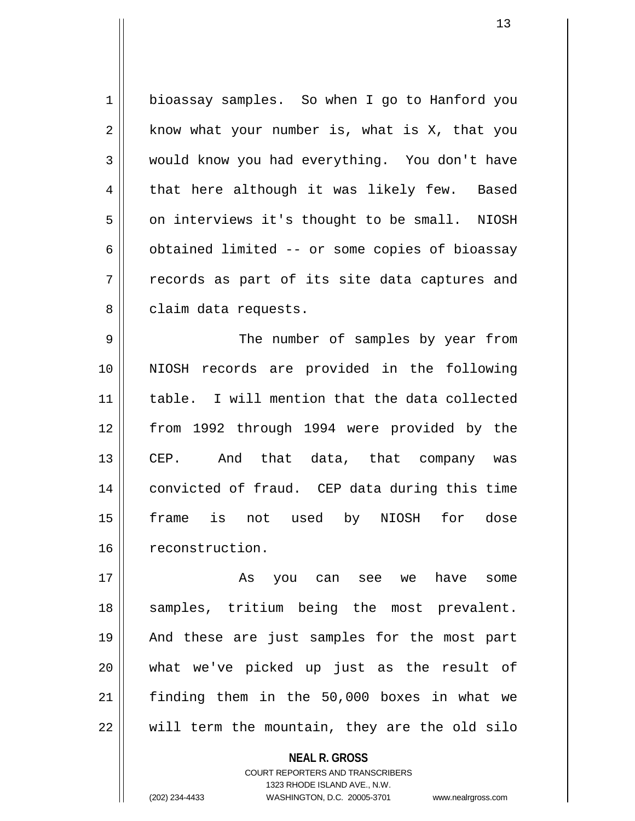1 | bioassay samples. So when I go to Hanford you  $2 \parallel$  know what your number is, what is X, that you 3 would know you had everything. You don't have  $4 \parallel$  that here although it was likely few. Based 5 | on interviews it's thought to be small. NIOSH  $6 \parallel$  obtained limited -- or some copies of bioassay  $7 \parallel$  records as part of its site data captures and 8 | claim data requests.

9 The number of samples by year from 10 NIOSH records are provided in the following 11 table. I will mention that the data collected 12 from 1992 through 1994 were provided by the 13 || CEP. And that data, that company was 14 convicted of fraud. CEP data during this time 15 frame is not used by NIOSH for dose 16 | reconstruction.

17 As you can see we have some 18 || samples, tritium being the most prevalent. 19 And these are just samples for the most part 20 what we've picked up just as the result of 21 finding them in the 50,000 boxes in what we  $22$   $\parallel$  will term the mountain, they are the old silo

> **NEAL R. GROSS** COURT REPORTERS AND TRANSCRIBERS 1323 RHODE ISLAND AVE., N.W. (202) 234-4433 WASHINGTON, D.C. 20005-3701 www.nealrgross.com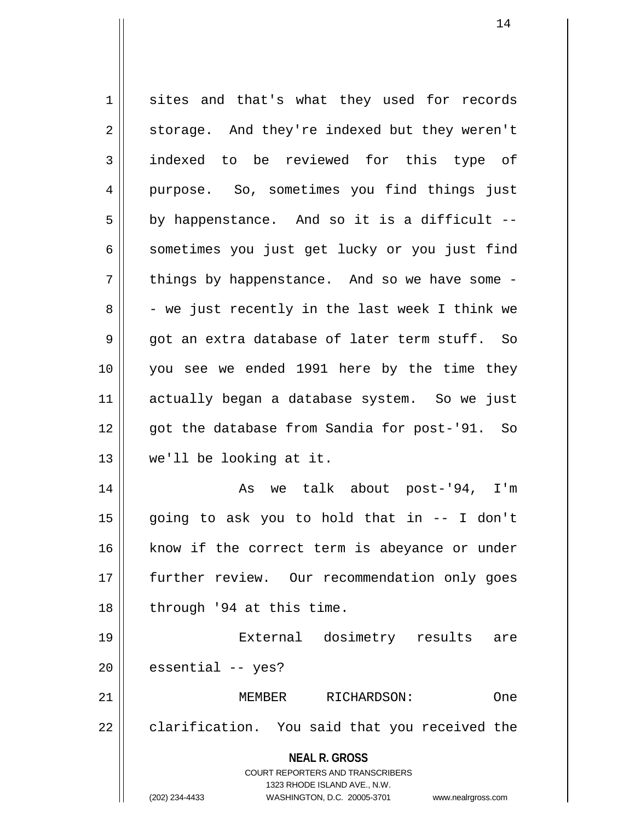**NEAL R. GROSS** COURT REPORTERS AND TRANSCRIBERS 1323 RHODE ISLAND AVE., N.W. (202) 234-4433 WASHINGTON, D.C. 20005-3701 www.nealrgross.com 1 sites and that's what they used for records 2 || storage. And they're indexed but they weren't 3 || indexed to be reviewed for this type of 4 purpose. So, sometimes you find things just  $5 \parallel$  by happenstance. And so it is a difficult --6 || sometimes you just get lucky or you just find  $7 \parallel$  things by happenstance. And so we have some - $8 \parallel$  - we just recently in the last week I think we  $9 \parallel$  got an extra database of later term stuff. So 10 you see we ended 1991 here by the time they 11 actually began a database system. So we just 12 || qot the database from Sandia for post-'91. So 13 we'll be looking at it. 14 || As we talk about post-'94, I'm  $15$  || going to ask you to hold that in  $-$ - I don't 16 || know if the correct term is abeyance or under 17 further review. Our recommendation only goes 18 || through '94 at this time. 19 External dosimetry results are  $20$  | essential -- yes? 21 MEMBER RICHARDSON: One  $22 \parallel$  clarification. You said that you received the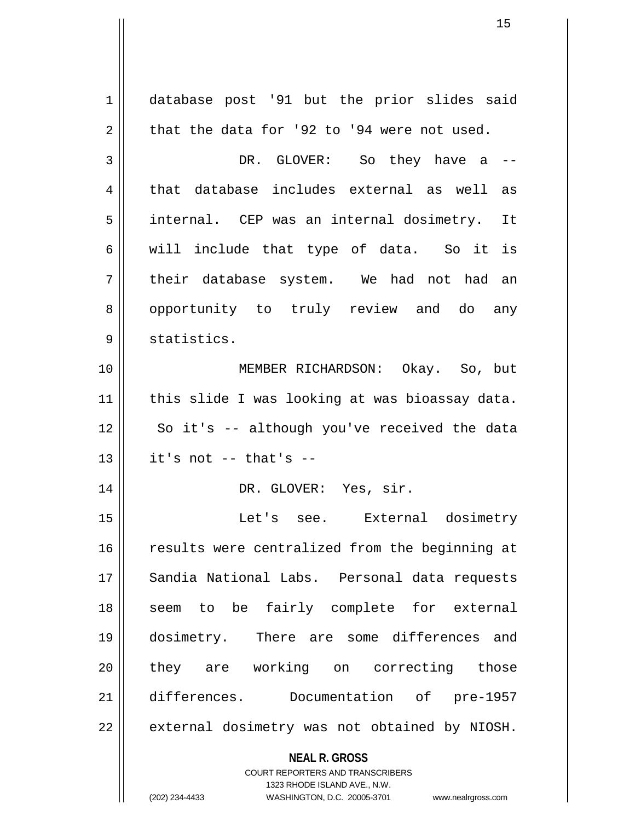**NEAL R. GROSS** COURT REPORTERS AND TRANSCRIBERS 1323 RHODE ISLAND AVE., N.W. (202) 234-4433 WASHINGTON, D.C. 20005-3701 www.nealrgross.com 1 database post '91 but the prior slides said  $2 \parallel$  that the data for '92 to '94 were not used. 3 DR. GLOVER: So they have a  $-$ 4 that database includes external as well as 5 || internal. CEP was an internal dosimetry. It 6 || will include that type of data. So it is  $7 \parallel$  their database system. We had not had an 8 || opportunity to truly review and do any 9 || statistics. 10 MEMBER RICHARDSON: Okay. So, but 11 || this slide I was looking at was bioassay data. 12 || So it's -- although you've received the data  $13$  | it's not -- that's --14 || DR. GLOVER: Yes, sir. 15 Let's see. External dosimetry 16 || results were centralized from the beginning at 17 || Sandia National Labs. Personal data requests 18 || seem to be fairly complete for external 19 dosimetry. There are some differences and 20 they are working on correcting those 21 differences. Documentation of pre-1957 22 || external dosimetry was not obtained by NIOSH.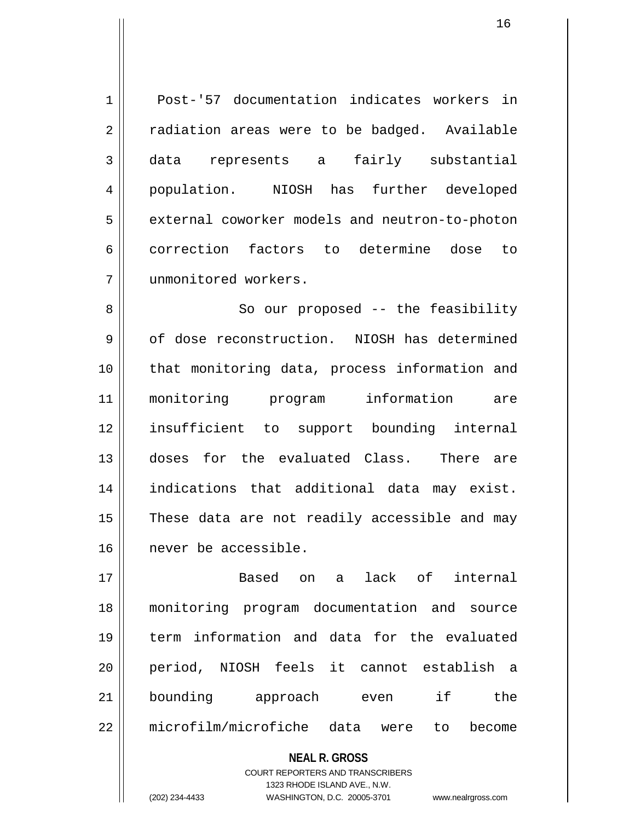1 Post-'57 documentation indicates workers in  $2 \parallel$  radiation areas were to be badged. Available 3 data represents a fairly substantial 4 population. NIOSH has further developed 5 | external coworker models and neutron-to-photon 6 correction factors to determine dose to 7 unmonitored workers.

8 || So our proposed -- the feasibility 9 of dose reconstruction. NIOSH has determined 10 || that monitoring data, process information and 11 monitoring program information are 12 insufficient to support bounding internal 13 doses for the evaluated Class. There are 14 indications that additional data may exist.  $15$  These data are not readily accessible and may 16 never be accessible.

17 Based on a lack of internal 18 monitoring program documentation and source 19 term information and data for the evaluated 20 period, NIOSH feels it cannot establish a 21 bounding approach even if the 22 microfilm/microfiche data were to become

**NEAL R. GROSS**

COURT REPORTERS AND TRANSCRIBERS 1323 RHODE ISLAND AVE., N.W. (202) 234-4433 WASHINGTON, D.C. 20005-3701 www.nealrgross.com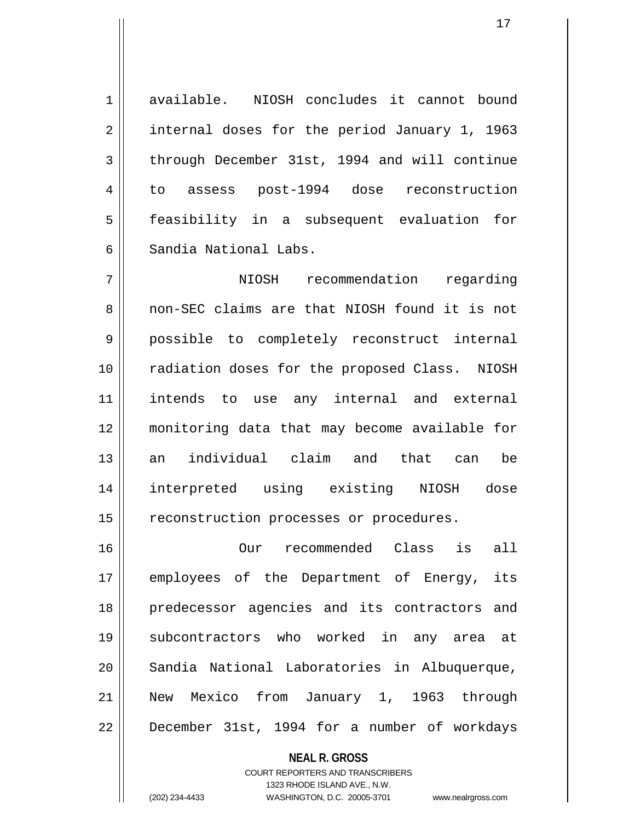1 available. NIOSH concludes it cannot bound 2 | internal doses for the period January 1, 1963 3 through December 31st, 1994 and will continue 4 to assess post-1994 dose reconstruction 5 || feasibility in a subsequent evaluation for 6 Sandia National Labs.

7 NIOSH recommendation regarding 8 non-SEC claims are that NIOSH found it is not 9 possible to completely reconstruct internal 10 radiation doses for the proposed Class. NIOSH 11 intends to use any internal and external 12 monitoring data that may become available for 13 an individual claim and that can be 14 interpreted using existing NIOSH dose 15 | reconstruction processes or procedures.

16 Our recommended Class is all 17 || employees of the Department of Energy, its 18 predecessor agencies and its contractors and 19 subcontractors who worked in any area at 20 Sandia National Laboratories in Albuquerque, 21 New Mexico from January 1, 1963 through 22 | December 31st, 1994 for a number of workdays

> **NEAL R. GROSS** COURT REPORTERS AND TRANSCRIBERS 1323 RHODE ISLAND AVE., N.W. (202) 234-4433 WASHINGTON, D.C. 20005-3701 www.nealrgross.com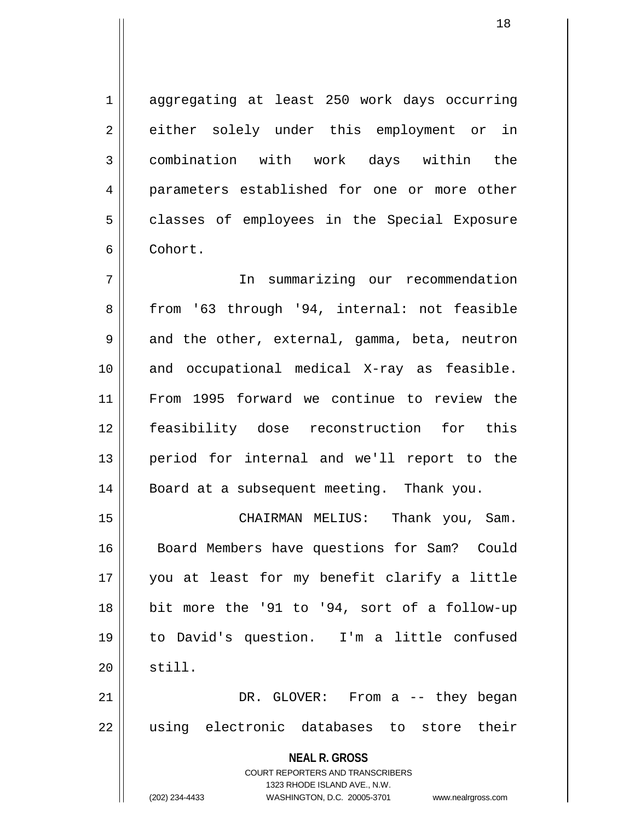1 aggregating at least 250 work days occurring 2 either solely under this employment or in 3 combination with work days within the 4 parameters established for one or more other 5 || classes of employees in the Special Exposure 6 Cohort.

7 In summarizing our recommendation 8 || from '63 through '94, internal: not feasible  $9 \parallel$  and the other, external, gamma, beta, neutron 10 and occupational medical X-ray as feasible. 11 From 1995 forward we continue to review the 12 feasibility dose reconstruction for this 13 period for internal and we'll report to the 14 | Board at a subsequent meeting. Thank you.

15 CHAIRMAN MELIUS: Thank you, Sam. 16 || Board Members have questions for Sam? Could 17 you at least for my benefit clarify a little 18 bit more the '91 to '94, sort of a follow-up 19 to David's question. I'm a little confused  $20$   $\parallel$  still. 21 DR. GLOVER: From a -- they began

22 || using electronic databases to store their

**NEAL R. GROSS** COURT REPORTERS AND TRANSCRIBERS 1323 RHODE ISLAND AVE., N.W. (202) 234-4433 WASHINGTON, D.C. 20005-3701 www.nealrgross.com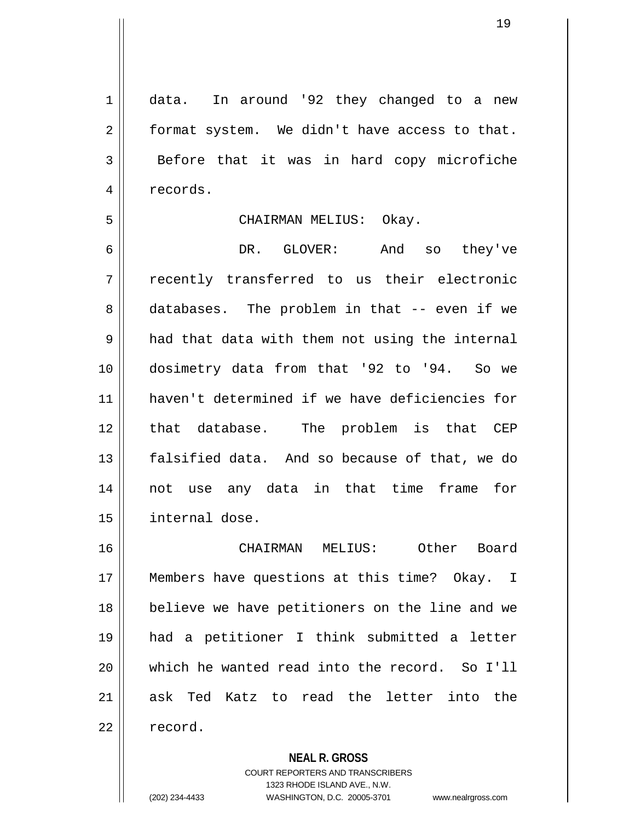1 data. In around '92 they changed to a new  $2 \parallel$  format system. We didn't have access to that. 3 Before that it was in hard copy microfiche 4 | records.

#### 5 CHAIRMAN MELIUS: Okay.

6 DR. GLOVER: And so they've 7 recently transferred to us their electronic 8 databases. The problem in that -- even if we  $9 \parallel$  had that data with them not using the internal 10 dosimetry data from that '92 to '94. So we 11 haven't determined if we have deficiencies for 12 || that database. The problem is that CEP 13 || falsified data. And so because of that, we do 14 not use any data in that time frame for 15 | internal dose.

16 CHAIRMAN MELIUS: Other Board 17 || Members have questions at this time? Okay. I 18 believe we have petitioners on the line and we 19 had a petitioner I think submitted a letter 20 which he wanted read into the record. So I'll 21 ask Ted Katz to read the letter into the 22 ll record.

**NEAL R. GROSS**

COURT REPORTERS AND TRANSCRIBERS 1323 RHODE ISLAND AVE., N.W. (202) 234-4433 WASHINGTON, D.C. 20005-3701 www.nealrgross.com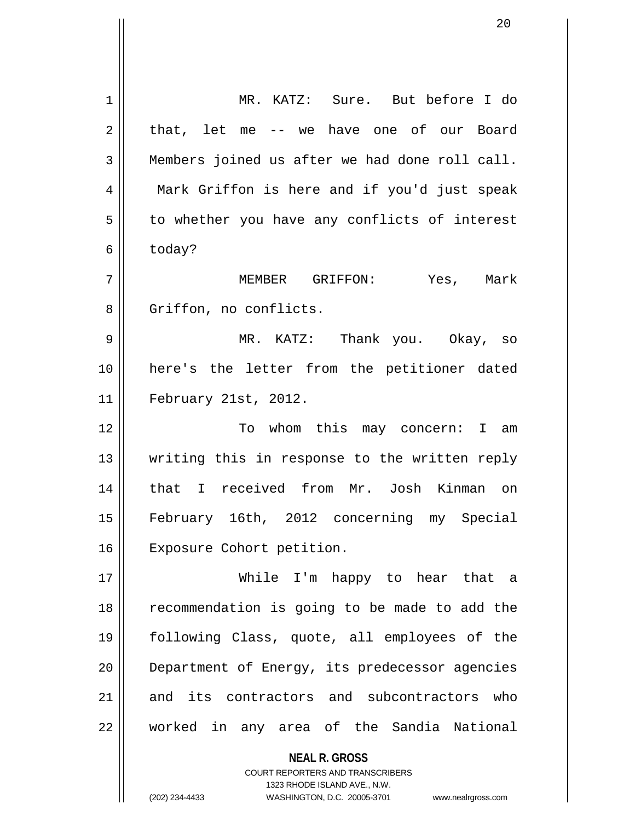| 1  | MR. KATZ: Sure. But before I do                          |
|----|----------------------------------------------------------|
| 2  | that, let me -- we have one of our Board                 |
| 3  | Members joined us after we had done roll call.           |
| 4  | Mark Griffon is here and if you'd just speak             |
| 5  | to whether you have any conflicts of interest            |
| 6  | today?                                                   |
| 7  | MEMBER GRIFFON:<br>Yes, Mark                             |
| 8  | Griffon, no conflicts.                                   |
| 9  | MR. KATZ: Thank you. Okay, so                            |
| 10 | here's the letter from the petitioner dated              |
| 11 | February 21st, 2012.                                     |
| 12 | To whom this may concern: I am                           |
| 13 | writing this in response to the written reply            |
| 14 | that I received from Mr. Josh Kinman on                  |
| 15 | February 16th, 2012 concerning my Special                |
| 16 | Exposure Cohort petition.                                |
| 17 | While I'm happy to hear that a                           |
| 18 | recommendation is going to be made to add the            |
| 19 | following Class, quote, all employees of the             |
| 20 |                                                          |
|    | Department of Energy, its predecessor agencies           |
| 21 | and its contractors and subcontractors who               |
| 22 | worked in any area of the Sandia National                |
|    | <b>NEAL R. GROSS</b><br>COURT REPORTERS AND TRANSCRIBERS |

1323 RHODE ISLAND AVE., N.W.

20

 $\prod$ 

(202) 234-4433 WASHINGTON, D.C. 20005-3701 www.nealrgross.com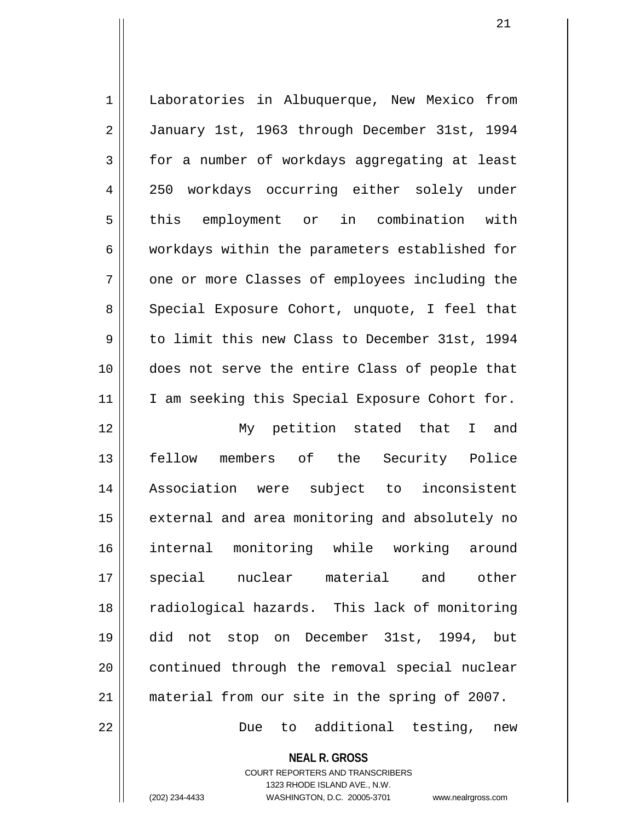| $\mathbf 1$ | Laboratories in Albuquerque, New Mexico from   |
|-------------|------------------------------------------------|
| $\sqrt{2}$  | January 1st, 1963 through December 31st, 1994  |
| 3           | for a number of workdays aggregating at least  |
| 4           | 250 workdays occurring either solely under     |
| 5           | this employment or in combination with         |
| 6           | workdays within the parameters established for |
| 7           | one or more Classes of employees including the |
| 8           | Special Exposure Cohort, unquote, I feel that  |
| 9           | to limit this new Class to December 31st, 1994 |
| 10          | does not serve the entire Class of people that |
| 11          | I am seeking this Special Exposure Cohort for. |
| 12          | My petition stated that I and                  |
| 13          | fellow members of the Security Police          |
| 14          | Association were subject to inconsistent       |
| 15          | external and area monitoring and absolutely no |
| 16          | internal monitoring while working around       |
| 17          | special nuclear material and<br>other          |
| 18          | radiological hazards. This lack of monitoring  |
| 19          | did not stop on December 31st, 1994, but       |
| 20          | continued through the removal special nuclear  |
| 21          | material from our site in the spring of 2007.  |
| 22          | additional testing,<br>Due<br>to<br>new        |

**NEAL R. GROSS** COURT REPORTERS AND TRANSCRIBERS 1323 RHODE ISLAND AVE., N.W. (202) 234-4433 WASHINGTON, D.C. 20005-3701 www.nealrgross.com

 $\prod$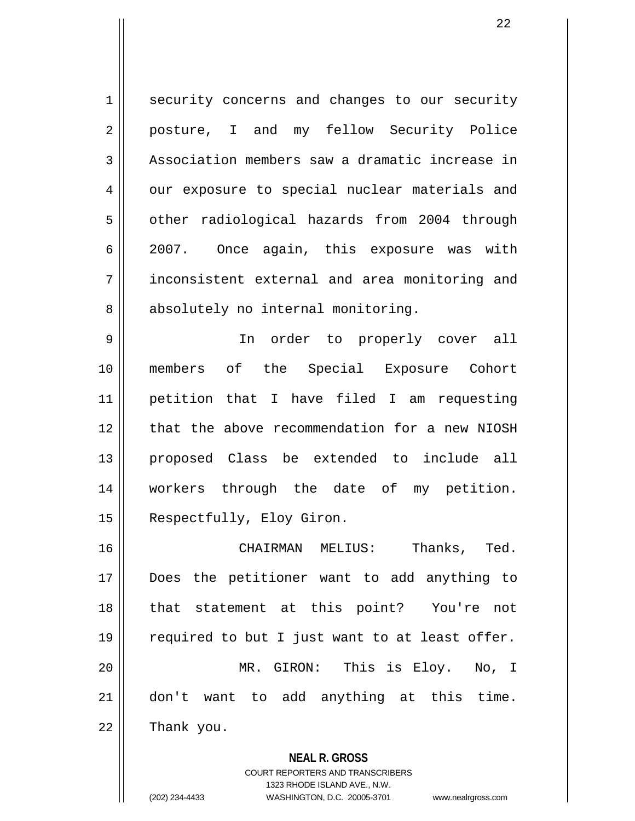1 | security concerns and changes to our security 2 posture, I and my fellow Security Police 3 | Association members saw a dramatic increase in 4 | our exposure to special nuclear materials and 5 | other radiological hazards from 2004 through 6 2007. Once again, this exposure was with 7 inconsistent external and area monitoring and 8 absolutely no internal monitoring.

9 In order to properly cover all 10 members of the Special Exposure Cohort 11 petition that I have filed I am requesting 12 that the above recommendation for a new NIOSH 13 proposed Class be extended to include all 14 workers through the date of my petition. 15 | Respectfully, Eloy Giron.

16 CHAIRMAN MELIUS: Thanks, Ted. 17 Does the petitioner want to add anything to 18 that statement at this point? You're not 19  $\parallel$  required to but I just want to at least offer. 20 MR. GIRON: This is Eloy. No, I 21 don't want to add anything at this time.  $22$  | Thank you.

> **NEAL R. GROSS** COURT REPORTERS AND TRANSCRIBERS 1323 RHODE ISLAND AVE., N.W. (202) 234-4433 WASHINGTON, D.C. 20005-3701 www.nealrgross.com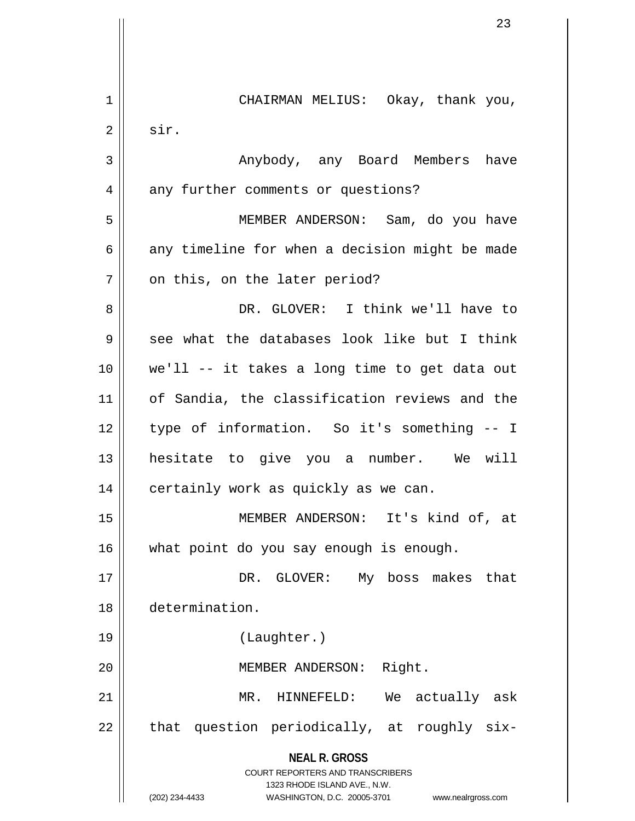| 1              | CHAIRMAN MELIUS: Okay, thank you,                                   |
|----------------|---------------------------------------------------------------------|
| $\overline{2}$ | sir.                                                                |
| 3              | Anybody, any Board Members have                                     |
| 4              | any further comments or questions?                                  |
| 5              | MEMBER ANDERSON: Sam, do you have                                   |
| 6              | any timeline for when a decision might be made                      |
| 7              | on this, on the later period?                                       |
| 8              | DR. GLOVER: I think we'll have to                                   |
| 9              | see what the databases look like but I think                        |
| 10             | we'll -- it takes a long time to get data out                       |
| 11             | of Sandia, the classification reviews and the                       |
| 12             | type of information. So it's something -- I                         |
| 13             | hesitate to give you a number. We will                              |
| 14             | certainly work as quickly as we can.                                |
| 15             | MEMBER ANDERSON: It's kind of, at                                   |
| 16             | what point do you say enough is enough.                             |
| 17             | DR. GLOVER: My boss makes that                                      |
| 18             | determination.                                                      |
| 19             | (Laughter.)                                                         |
| 20             | MEMBER ANDERSON: Right.                                             |
| 21             | MR.<br>HINNEFELD:<br>We actually ask                                |
| 22             | that question periodically, at roughly six-                         |
|                | <b>NEAL R. GROSS</b><br><b>COURT REPORTERS AND TRANSCRIBERS</b>     |
|                | 1323 RHODE ISLAND AVE., N.W.                                        |
|                | (202) 234-4433<br>WASHINGTON, D.C. 20005-3701<br>www.nealrgross.com |

Ħ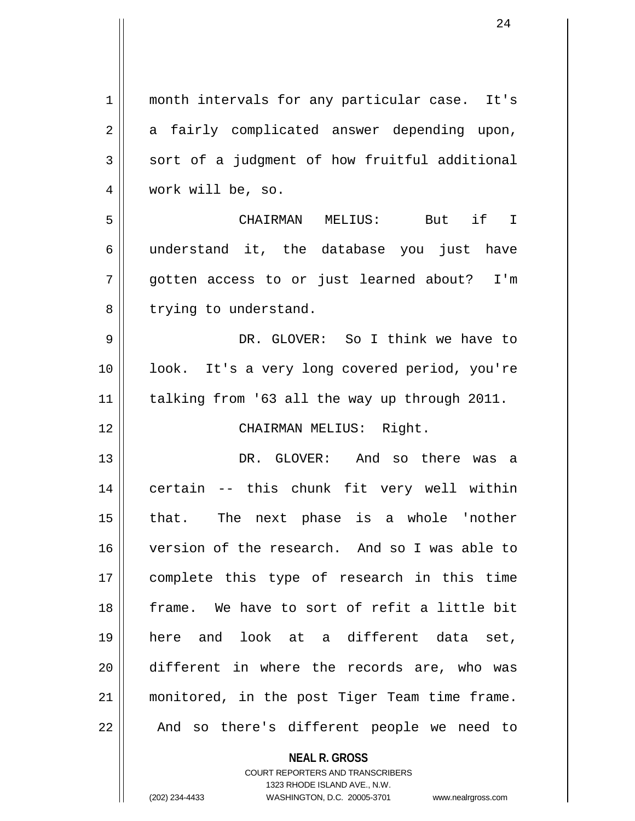| $\mathbf 1$ | month intervals for any particular case. It's |
|-------------|-----------------------------------------------|
| 2           | a fairly complicated answer depending upon,   |
| 3           | sort of a judgment of how fruitful additional |
| 4           | work will be, so.                             |
| 5           | CHAIRMAN MELIUS: But if I                     |
| 6           | understand it, the database you just have     |
| 7           | gotten access to or just learned about? I'm   |
| 8           | trying to understand.                         |
| 9           | DR. GLOVER: So I think we have to             |
| 10          | look. It's a very long covered period, you're |
| 11          | talking from '63 all the way up through 2011. |
| 12          | CHAIRMAN MELIUS: Right.                       |
| 13          | DR. GLOVER: And so there was a                |
| 14          | certain -- this chunk fit very well within    |
| 15          | that. The next phase is a whole 'nother       |
| 16          | version of the research. And so I was able to |
| 17          | complete this type of research in this time   |
| 18          | frame. We have to sort of refit a little bit  |
| 19          | here and look at a different data set,        |
| 20          | different in where the records are, who was   |
| 21          | monitored, in the post Tiger Team time frame. |
| 22          | And so there's different people we need to    |
|             |                                               |

**NEAL R. GROSS** COURT REPORTERS AND TRANSCRIBERS

1323 RHODE ISLAND AVE., N.W.

(202) 234-4433 WASHINGTON, D.C. 20005-3701 www.nealrgross.com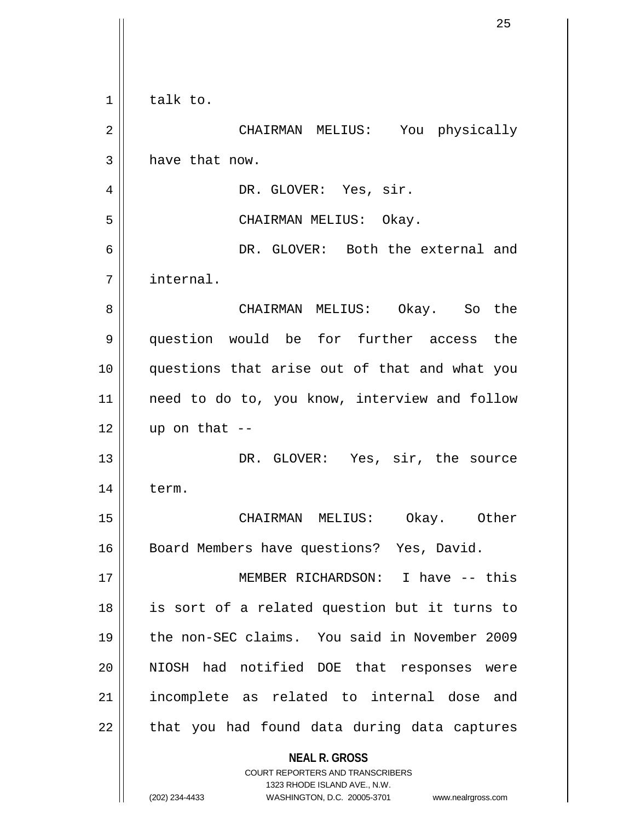| 1  | talk to.                                                                                            |
|----|-----------------------------------------------------------------------------------------------------|
| 2  | CHAIRMAN MELIUS: You physically                                                                     |
| 3  | have that now.                                                                                      |
| 4  | DR. GLOVER: Yes, sir.                                                                               |
| 5  | CHAIRMAN MELIUS: Okay.                                                                              |
| 6  | DR. GLOVER: Both the external and                                                                   |
| 7  | internal.                                                                                           |
| 8  | CHAIRMAN MELIUS: Okay. So the                                                                       |
| 9  | question would be for further access the                                                            |
| 10 | questions that arise out of that and what you                                                       |
| 11 | need to do to, you know, interview and follow                                                       |
| 12 | up on that $--$                                                                                     |
| 13 | DR. GLOVER: Yes, sir, the source                                                                    |
| 14 | term.                                                                                               |
| 15 | CHAIRMAN MELIUS:<br>Okay. Other                                                                     |
| 16 | Board Members have questions? Yes, David.                                                           |
| 17 | MEMBER RICHARDSON: I have -- this                                                                   |
| 18 | is sort of a related question but it turns to                                                       |
| 19 | the non-SEC claims. You said in November 2009                                                       |
| 20 | NIOSH had notified DOE that responses were                                                          |
| 21 | incomplete as related to internal dose and                                                          |
| 22 | that you had found data during data captures                                                        |
|    | <b>NEAL R. GROSS</b><br><b>COURT REPORTERS AND TRANSCRIBERS</b>                                     |
|    | 1323 RHODE ISLAND AVE., N.W.<br>(202) 234-4433<br>WASHINGTON, D.C. 20005-3701<br>www.nealrgross.com |
|    |                                                                                                     |

 $\overline{\mathsf{I}}$  $\mathbf{\mathcal{L}}$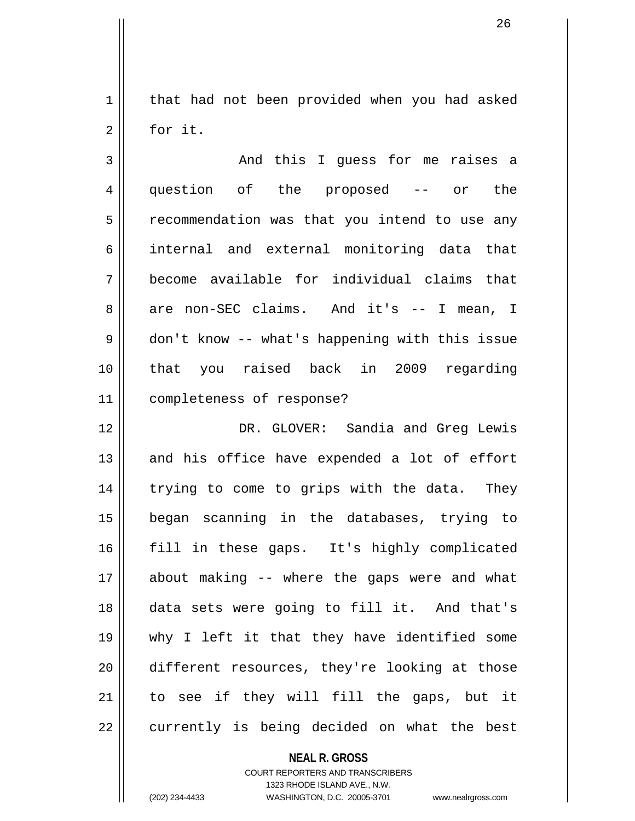1 | that had not been provided when you had asked 2 | for it.

3 And this I guess for me raises a 4 question of the proposed -- or the 5 | recommendation was that you intend to use any 6 internal and external monitoring data that 7 become available for individual claims that 8 are non-SEC claims. And it's -- I mean, I 9 don't know -- what's happening with this issue 10 that you raised back in 2009 regarding 11 completeness of response?

12 DR. GLOVER: Sandia and Greg Lewis  $13$  and his office have expended a lot of effort 14 || trying to come to grips with the data. They 15 began scanning in the databases, trying to 16 fill in these gaps. It's highly complicated 17 about making -- where the gaps were and what 18 data sets were going to fill it. And that's 19 why I left it that they have identified some 20 different resources, they're looking at those  $21$  to see if they will fill the gaps, but it  $22$  || currently is being decided on what the best

> **NEAL R. GROSS** COURT REPORTERS AND TRANSCRIBERS

> > 1323 RHODE ISLAND AVE., N.W.

(202) 234-4433 WASHINGTON, D.C. 20005-3701 www.nealrgross.com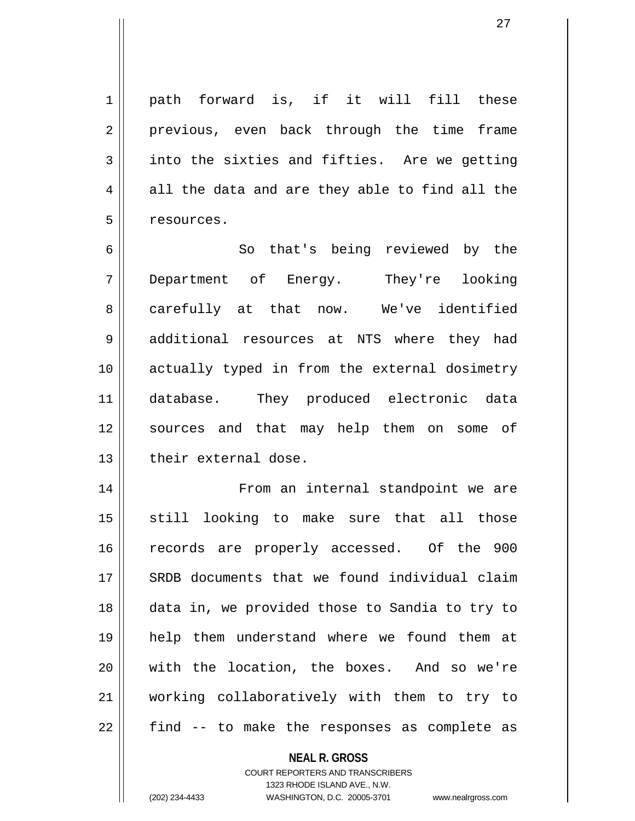1 | path forward is, if it will fill these 2 || previous, even back through the time frame  $3 \parallel$  into the sixties and fifties. Are we getting  $4 \parallel$  all the data and are they able to find all the 5 | resources.

6 || So that's being reviewed by the 7 Department of Energy. They're looking 8 || carefully at that now. We've identified 9 additional resources at NTS where they had 10 actually typed in from the external dosimetry 11 database. They produced electronic data 12 || sources and that may help them on some of  $13$   $\parallel$  their external dose.

14 || From an internal standpoint we are 15 || still looking to make sure that all those 16 || records are properly accessed. Of the 900 17 || SRDB documents that we found individual claim 18 data in, we provided those to Sandia to try to 19 help them understand where we found them at 20 With the location, the boxes. And so we're 21 working collaboratively with them to try to  $22$   $\parallel$  find  $-$  to make the responses as complete as

### **NEAL R. GROSS** COURT REPORTERS AND TRANSCRIBERS

1323 RHODE ISLAND AVE., N.W.

(202) 234-4433 WASHINGTON, D.C. 20005-3701 www.nealrgross.com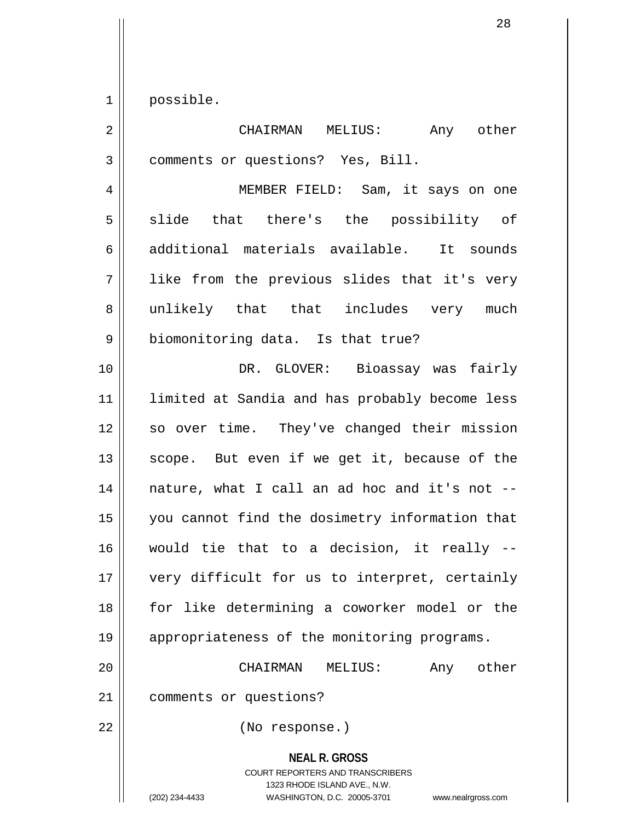$1 \parallel$  possible.

| $\overline{2}$ | CHAIRMAN MELIUS:<br>Any other                                                                                                                                          |
|----------------|------------------------------------------------------------------------------------------------------------------------------------------------------------------------|
| 3              | comments or questions? Yes, Bill.                                                                                                                                      |
| 4              | MEMBER FIELD: Sam, it says on one                                                                                                                                      |
| 5              | slide that there's the possibility of                                                                                                                                  |
| 6              | additional materials available. It sounds                                                                                                                              |
| 7              | like from the previous slides that it's very                                                                                                                           |
| 8              | unlikely that that includes very much                                                                                                                                  |
| $\mathsf 9$    | biomonitoring data. Is that true?                                                                                                                                      |
| 10             | DR. GLOVER: Bioassay was fairly                                                                                                                                        |
| 11             | limited at Sandia and has probably become less                                                                                                                         |
| 12             | so over time. They've changed their mission                                                                                                                            |
| 13             | scope. But even if we get it, because of the                                                                                                                           |
| 14             | nature, what I call an ad hoc and it's not --                                                                                                                          |
| 15             | you cannot find the dosimetry information that                                                                                                                         |
| 16             | would tie that to a decision, it really --                                                                                                                             |
| 17             | very difficult for us to interpret, certainly                                                                                                                          |
| 18             | for like determining a coworker model or the                                                                                                                           |
| 19             | appropriateness of the monitoring programs.                                                                                                                            |
| 20             | other<br>CHAIRMAN<br>Any<br>MELIUS:                                                                                                                                    |
| 21             | comments or questions?                                                                                                                                                 |
| 22             | (No response.)                                                                                                                                                         |
|                | <b>NEAL R. GROSS</b><br><b>COURT REPORTERS AND TRANSCRIBERS</b><br>1323 RHODE ISLAND AVE., N.W.<br>WASHINGTON, D.C. 20005-3701<br>(202) 234-4433<br>www.nealrgross.com |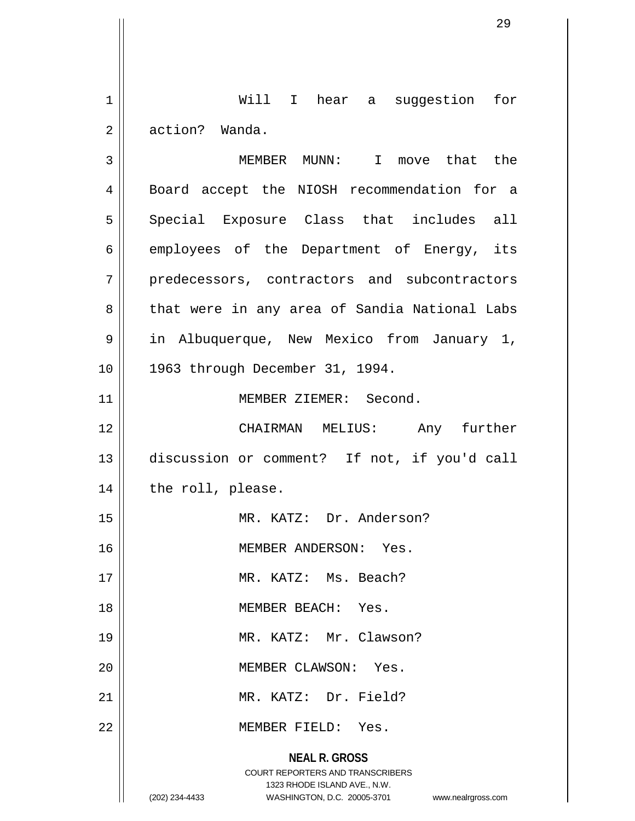1 || Will I hear a suggestion for 2 action? Wanda.

**NEAL R. GROSS** COURT REPORTERS AND TRANSCRIBERS 1323 RHODE ISLAND AVE., N.W. (202) 234-4433 WASHINGTON, D.C. 20005-3701 www.nealrgross.com 3 MEMBER MUNN: I move that the 4 || Board accept the NIOSH recommendation for a 5 || Special Exposure Class that includes all  $6 \parallel$  employees of the Department of Energy, its 7 || predecessors, contractors and subcontractors 8 || that were in any area of Sandia National Labs 9 in Albuquerque, New Mexico from January 1, 10 1963 through December 31, 1994. 11 || MEMBER ZIEMER: Second. 12 CHAIRMAN MELIUS: Any further 13 discussion or comment? If not, if you'd call 14 | the roll, please. 15 || MR. KATZ: Dr. Anderson? 16 MEMBER ANDERSON: Yes. 17 || MR. KATZ: Ms. Beach? 18 MEMBER BEACH: Yes. 19 || MR. KATZ: Mr. Clawson? 20 MEMBER CLAWSON: Yes. 21 MR. KATZ: Dr. Field? 22 MEMBER FIELD: Yes.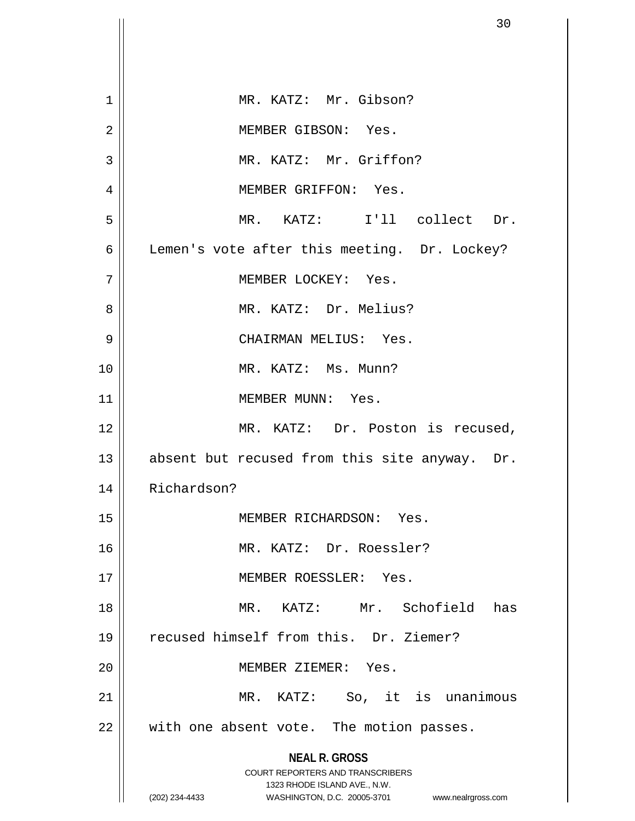|             | 30                                                                                                  |
|-------------|-----------------------------------------------------------------------------------------------------|
|             |                                                                                                     |
| $\mathbf 1$ | MR. KATZ: Mr. Gibson?                                                                               |
| 2           | MEMBER GIBSON: Yes.                                                                                 |
| 3           | MR. KATZ: Mr. Griffon?                                                                              |
| 4           | MEMBER GRIFFON: Yes.                                                                                |
| 5           | MR. KATZ: I'll collect Dr.                                                                          |
| 6           | Lemen's vote after this meeting. Dr. Lockey?                                                        |
| 7           | MEMBER LOCKEY: Yes.                                                                                 |
| 8           | MR. KATZ: Dr. Melius?                                                                               |
| 9           | CHAIRMAN MELIUS: Yes.                                                                               |
| 10          | MR. KATZ: Ms. Munn?                                                                                 |
| 11          | MEMBER MUNN: Yes.                                                                                   |
| 12          | MR. KATZ: Dr. Poston is recused,                                                                    |
| 13          | absent but recused from this site anyway. Dr.                                                       |
| 14          | Richardson?                                                                                         |
| 15          | MEMBER RICHARDSON: Yes.                                                                             |
| 16          | MR. KATZ: Dr. Roessler?                                                                             |
| 17          | MEMBER ROESSLER: Yes.                                                                               |
| 18          | MR. KATZ: Mr. Schofield<br>has                                                                      |
| 19          | recused himself from this. Dr. Ziemer?                                                              |
| 20          | MEMBER ZIEMER: Yes.                                                                                 |
| 21          | MR. KATZ: So, it is unanimous                                                                       |
| 22          | with one absent vote. The motion passes.                                                            |
|             | <b>NEAL R. GROSS</b>                                                                                |
|             | <b>COURT REPORTERS AND TRANSCRIBERS</b>                                                             |
|             | 1323 RHODE ISLAND AVE., N.W.<br>(202) 234-4433<br>WASHINGTON, D.C. 20005-3701<br>www.nealrgross.com |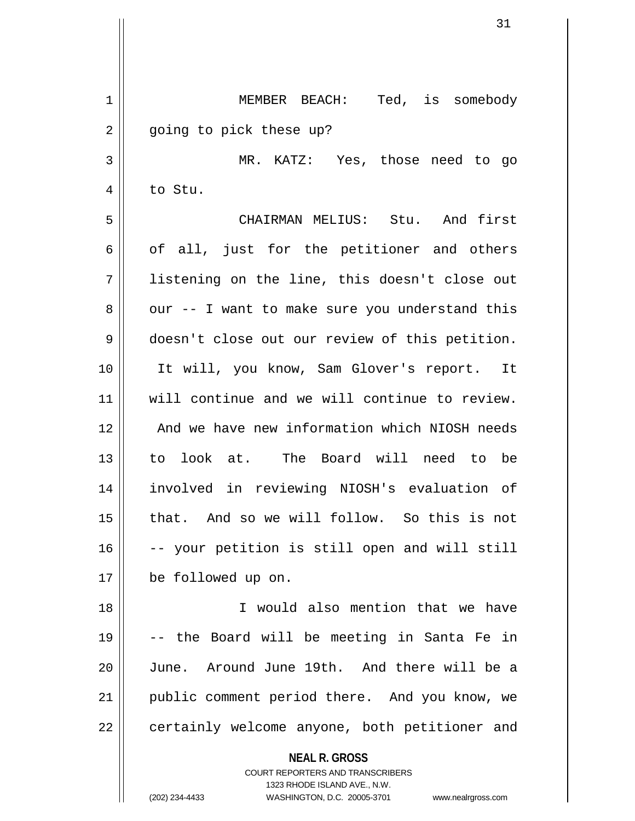| 1  | MEMBER BEACH: Ted, is somebody                                          |
|----|-------------------------------------------------------------------------|
| 2  | going to pick these up?                                                 |
| 3  | MR. KATZ: Yes, those need to go                                         |
| 4  | to Stu.                                                                 |
| 5  | CHAIRMAN MELIUS: Stu. And first                                         |
| 6  | of all, just for the petitioner and others                              |
| 7  | listening on the line, this doesn't close out                           |
| 8  | our -- I want to make sure you understand this                          |
| 9  | doesn't close out our review of this petition.                          |
| 10 | It will, you know, Sam Glover's report. It                              |
| 11 | will continue and we will continue to review.                           |
| 12 | And we have new information which NIOSH needs                           |
| 13 | to look at. The Board will need to be                                   |
| 14 | involved in reviewing NIOSH's evaluation of                             |
| 15 | that. And so we will follow. So this is not                             |
| 16 | -- your petition is still open and will still                           |
| 17 | be followed up on.                                                      |
| 18 | I would also mention that we have                                       |
| 19 | -- the Board will be meeting in Santa Fe in                             |
| 20 | June. Around June 19th. And there will be a                             |
| 21 | public comment period there. And you know, we                           |
| 22 | certainly welcome anyone, both petitioner and                           |
|    | <b>NEAL R. GROSS</b>                                                    |
|    | <b>COURT REPORTERS AND TRANSCRIBERS</b><br>1323 RHODE ISLAND AVE., N.W. |
|    | (202) 234-4433<br>WASHINGTON, D.C. 20005-3701<br>www.nealrgross.com     |

 $\mathsf{I}$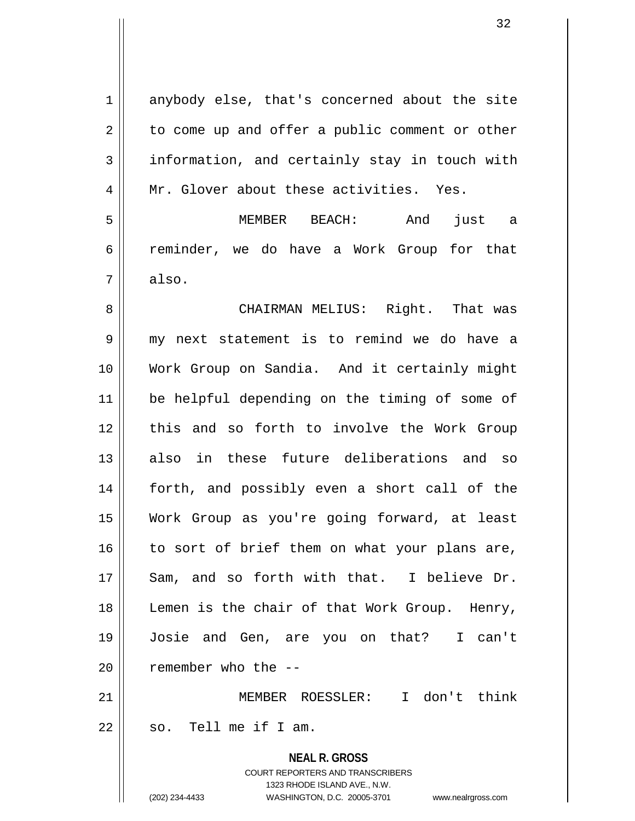**NEAL R. GROSS** COURT REPORTERS AND TRANSCRIBERS 1323 RHODE ISLAND AVE., N.W. 1 anybody else, that's concerned about the site  $2 \parallel$  to come up and offer a public comment or other  $3 \parallel$  information, and certainly stay in touch with 4 || Mr. Glover about these activities. Yes. 5 MEMBER BEACH: And just a 6 reminder, we do have a Work Group for that  $7 \parallel$  also. 8 CHAIRMAN MELIUS: Right. That was 9 my next statement is to remind we do have a 10 Work Group on Sandia. And it certainly might 11 be helpful depending on the timing of some of 12 || this and so forth to involve the Work Group 13 also in these future deliberations and so 14 forth, and possibly even a short call of the 15 Work Group as you're going forward, at least  $16$  to sort of brief them on what your plans are, 17 || Sam, and so forth with that. I believe Dr. 18 || Lemen is the chair of that Work Group. Henry, 19 Josie and Gen, are you on that? I can't  $20$  | remember who the  $-$ 21 MEMBER ROESSLER: I don't think  $22$   $\parallel$  so. Tell me if I am.

(202) 234-4433 WASHINGTON, D.C. 20005-3701 www.nealrgross.com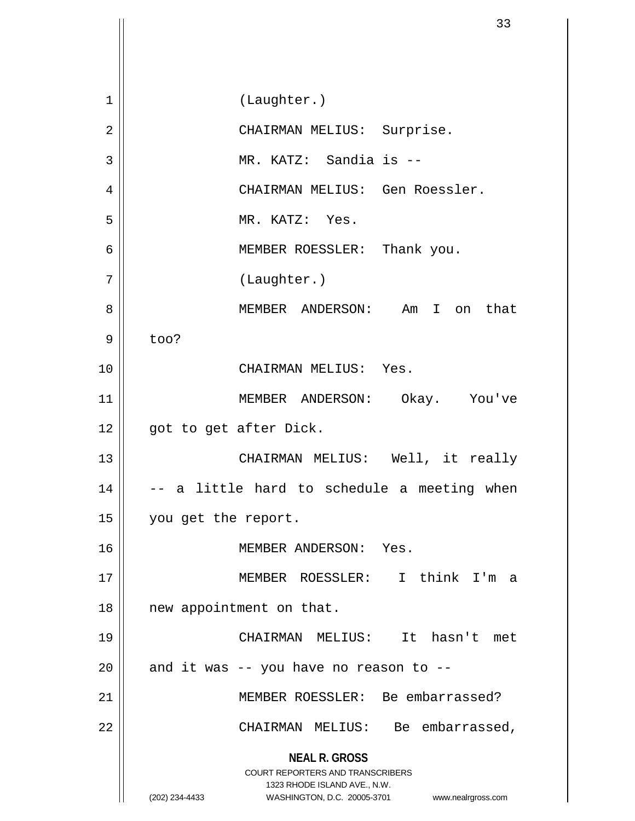**NEAL R. GROSS** COURT REPORTERS AND TRANSCRIBERS 1323 RHODE ISLAND AVE., N.W. (202) 234-4433 WASHINGTON, D.C. 20005-3701 www.nealrgross.com 1 | (Laughter.) 2 || CHAIRMAN MELIUS: Surprise. 3 || MR. KATZ: Sandia is --4 CHAIRMAN MELIUS: Gen Roessler. 5 || MR. KATZ: Yes. 6 MEMBER ROESSLER: Thank you. 7 | (Laughter.) 8 MEMBER ANDERSON: Am I on that  $9 \parallel$  too? 10 CHAIRMAN MELIUS: Yes. 11 MEMBER ANDERSON: Okay. You've 12 || got to get after Dick. 13 CHAIRMAN MELIUS: Well, it really  $14 \parallel$  -- a little hard to schedule a meeting when 15 | you get the report. 16 || MEMBER ANDERSON: Yes. 17 MEMBER ROESSLER: I think I'm a 18 || new appointment on that. 19 CHAIRMAN MELIUS: It hasn't met  $20$  | and it was -- you have no reason to --21 MEMBER ROESSLER: Be embarrassed? 22 | CHAIRMAN MELIUS: Be embarrassed,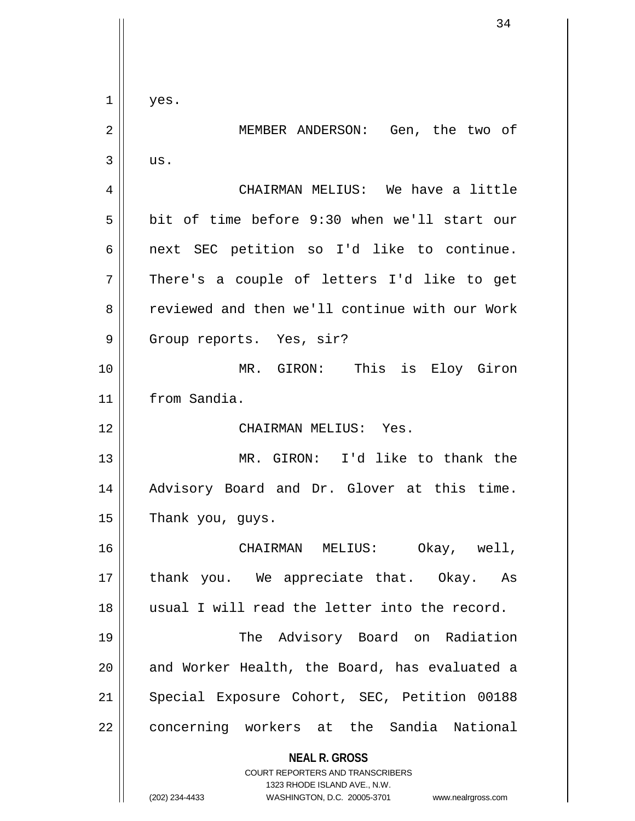**NEAL R. GROSS** COURT REPORTERS AND TRANSCRIBERS 1323 RHODE ISLAND AVE., N.W. (202) 234-4433 WASHINGTON, D.C. 20005-3701 www.nealrgross.com  $1 \parallel$  yes. 2 MEMBER ANDERSON: Gen, the two of  $3 \parallel$  us. 4 CHAIRMAN MELIUS: We have a little 5 bit of time before 9:30 when we'll start our 6 || next SEC petition so I'd like to continue.  $7 \parallel$  There's a couple of letters I'd like to get 8 Feviewed and then we'll continue with our Work 9 || Group reports. Yes, sir? 10 || MR. GIRON: This is Eloy Giron 11 from Sandia. 12 CHAIRMAN MELIUS: Yes. 13 MR. GIRON: I'd like to thank the 14 || Advisory Board and Dr. Glover at this time.  $15$  | Thank you, guys. 16 CHAIRMAN MELIUS: Okay, well, 17 || thank you. We appreciate that. Okay. As 18 usual I will read the letter into the record. 19 The Advisory Board on Radiation 20 || and Worker Health, the Board, has evaluated a 21 || Special Exposure Cohort, SEC, Petition 00188 22 | concerning workers at the Sandia National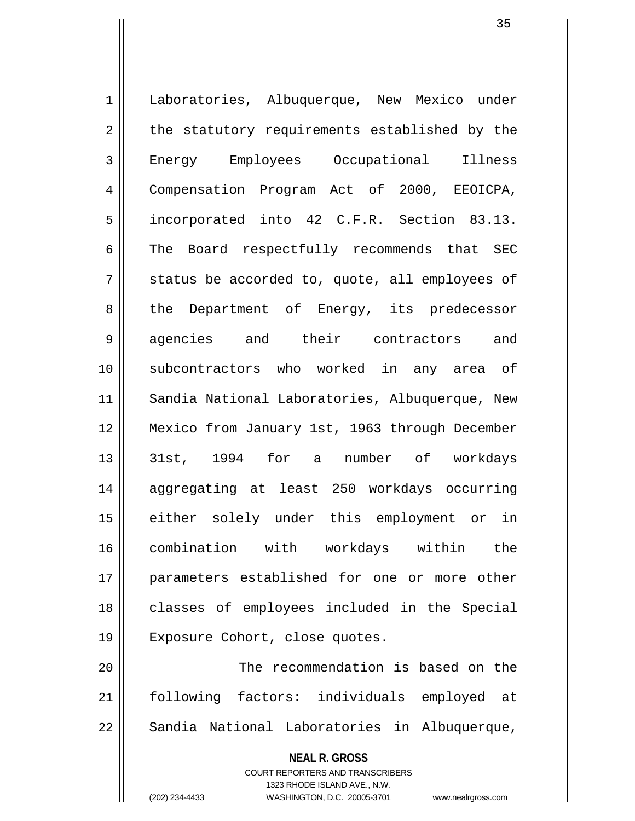1 | Laboratories, Albuquerque, New Mexico under  $2 \parallel$  the statutory requirements established by the 3 Energy Employees Occupational Illness 4 Compensation Program Act of 2000, EEOICPA, 5 || incorporated into 42 C.F.R. Section 83.13. 6 The Board respectfully recommends that SEC  $7 \parallel$  status be accorded to, quote, all employees of 8 the Department of Energy, its predecessor 9 agencies and their contractors and 10 subcontractors who worked in any area of 11 Sandia National Laboratories, Albuquerque, New 12 Mexico from January 1st, 1963 through December 13 31st, 1994 for a number of workdays 14 || aggregating at least 250 workdays occurring 15 either solely under this employment or in 16 combination with workdays within the 17 parameters established for one or more other 18 || classes of employees included in the Special 19 Exposure Cohort, close quotes. 20 || The recommendation is based on the

21 following factors: individuals employed at 22 | Sandia National Laboratories in Albuquerque,

> **NEAL R. GROSS** COURT REPORTERS AND TRANSCRIBERS 1323 RHODE ISLAND AVE., N.W.

(202) 234-4433 WASHINGTON, D.C. 20005-3701 www.nealrgross.com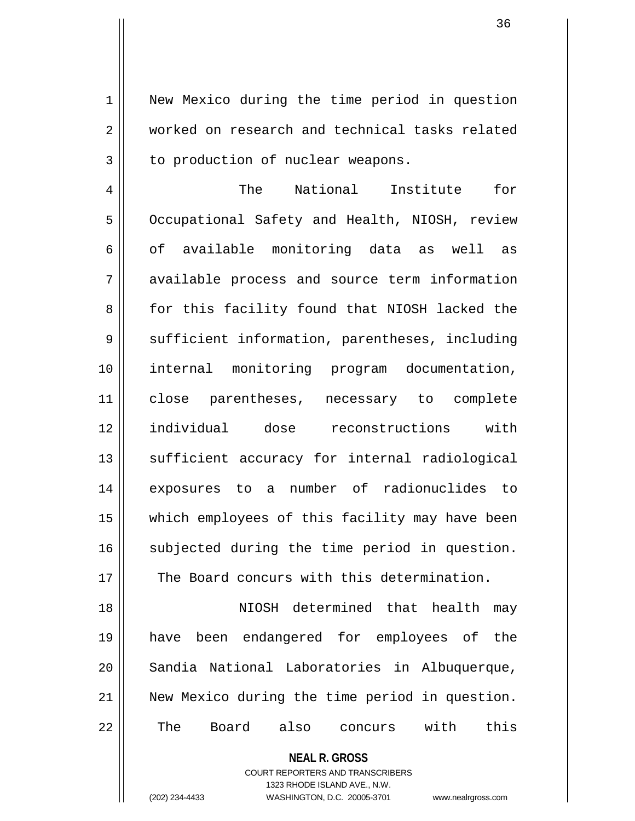1 || New Mexico during the time period in question 2 worked on research and technical tasks related  $3 \parallel$  to production of nuclear weapons.

4 The National Institute for 5 | Occupational Safety and Health, NIOSH, review 6 of available monitoring data as well as 7 available process and source term information 8 for this facility found that NIOSH lacked the 9 | sufficient information, parentheses, including 10 internal monitoring program documentation, 11 close parentheses, necessary to complete 12 individual dose reconstructions with 13 || sufficient accuracy for internal radiological 14 exposures to a number of radionuclides to 15 which employees of this facility may have been 16 subjected during the time period in question. 17 || The Board concurs with this determination.

18 NIOSH determined that health may 19 have been endangered for employees of the 20 Sandia National Laboratories in Albuquerque, 21 New Mexico during the time period in question. 22 || The Board also concurs with this

**NEAL R. GROSS**

COURT REPORTERS AND TRANSCRIBERS 1323 RHODE ISLAND AVE., N.W. (202) 234-4433 WASHINGTON, D.C. 20005-3701 www.nealrgross.com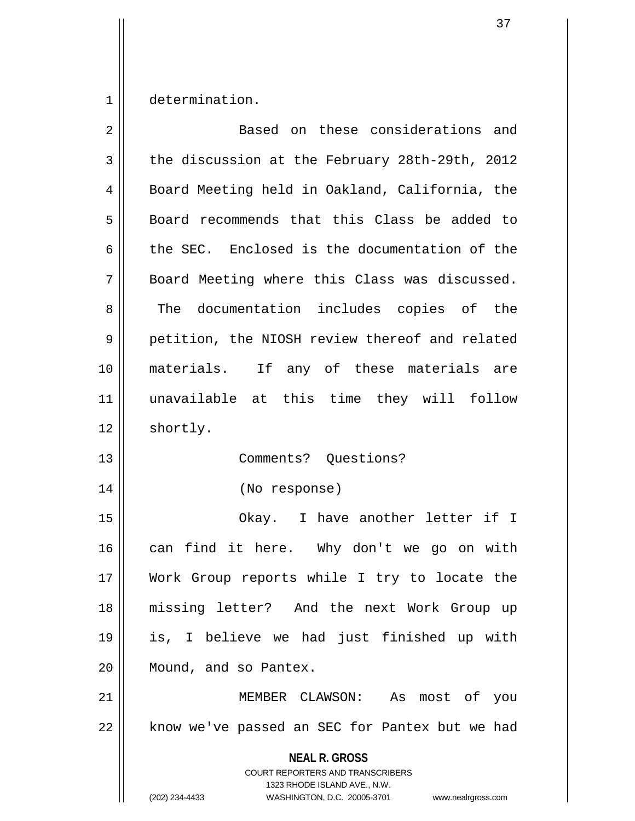1 determination.

| $\overline{2}$ | Based on these considerations and                                                                                                                               |
|----------------|-----------------------------------------------------------------------------------------------------------------------------------------------------------------|
| 3              | the discussion at the February 28th-29th, 2012                                                                                                                  |
| 4              | Board Meeting held in Oakland, California, the                                                                                                                  |
| 5              | Board recommends that this Class be added to                                                                                                                    |
| 6              | the SEC. Enclosed is the documentation of the                                                                                                                   |
| 7              | Board Meeting where this Class was discussed.                                                                                                                   |
| 8              | The documentation includes copies of the                                                                                                                        |
| 9              | petition, the NIOSH review thereof and related                                                                                                                  |
| 10             | materials. If any of these materials are                                                                                                                        |
| 11             | unavailable at this time they will follow                                                                                                                       |
| 12             | shortly.                                                                                                                                                        |
| 13             | Comments? Questions?                                                                                                                                            |
| 14             | (No response)                                                                                                                                                   |
| 15             | Okay. I have another letter if I                                                                                                                                |
| 16             | can find it here. Why don't we go on with                                                                                                                       |
| 17             | Work Group reports while I try to locate the                                                                                                                    |
| 18             | missing letter? And the next Work Group up                                                                                                                      |
| 19             | is, I believe we had just finished up with                                                                                                                      |
| 20             | Mound, and so Pantex.                                                                                                                                           |
| 21             | MEMBER CLAWSON: As most of you                                                                                                                                  |
| 22             | know we've passed an SEC for Pantex but we had                                                                                                                  |
|                | <b>NEAL R. GROSS</b><br>COURT REPORTERS AND TRANSCRIBERS<br>1323 RHODE ISLAND AVE., N.W.<br>(202) 234-4433<br>WASHINGTON, D.C. 20005-3701<br>www.nealrgross.com |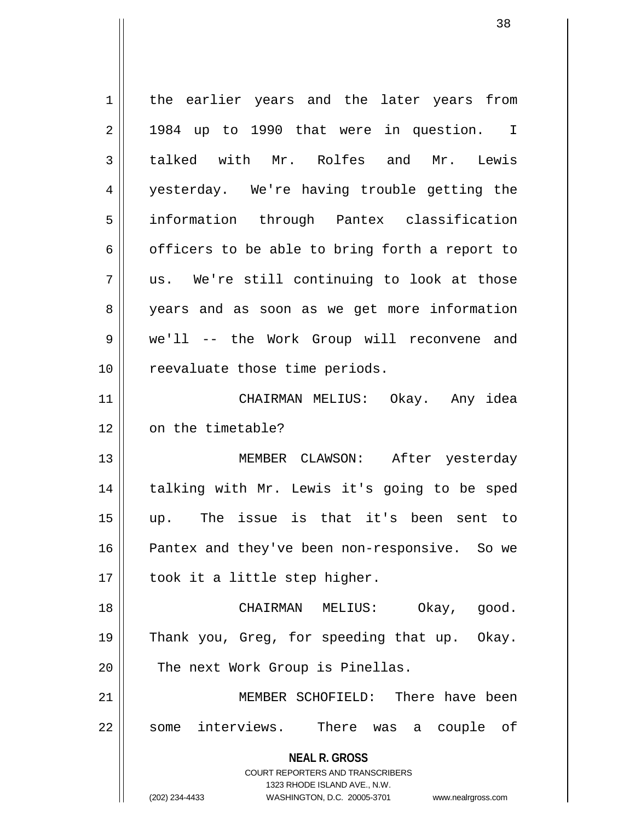**NEAL R. GROSS** COURT REPORTERS AND TRANSCRIBERS 1323 RHODE ISLAND AVE., N.W. (202) 234-4433 WASHINGTON, D.C. 20005-3701 www.nealrgross.com 1 || the earlier years and the later years from  $2 \parallel$  1984 up to 1990 that were in question. I 3 talked with Mr. Rolfes and Mr. Lewis 4 yesterday. We're having trouble getting the 5 information through Pantex classification  $6 \parallel$  officers to be able to bring forth a report to  $7 \parallel$  us. We're still continuing to look at those 8 years and as soon as we get more information 9 we'll -- the Work Group will reconvene and 10 || reevaluate those time periods. 11 CHAIRMAN MELIUS: Okay. Any idea 12 | on the timetable? 13 MEMBER CLAWSON: After yesterday 14 || talking with Mr. Lewis it's going to be sped 15 up. The issue is that it's been sent to 16 Pantex and they've been non-responsive. So we  $17 \parallel$  took it a little step higher. 18 CHAIRMAN MELIUS: Okay, good. 19 Thank you, Greg, for speeding that up. Okay. 20 || The next Work Group is Pinellas. 21 MEMBER SCHOFIELD: There have been 22 || some interviews. There was a couple of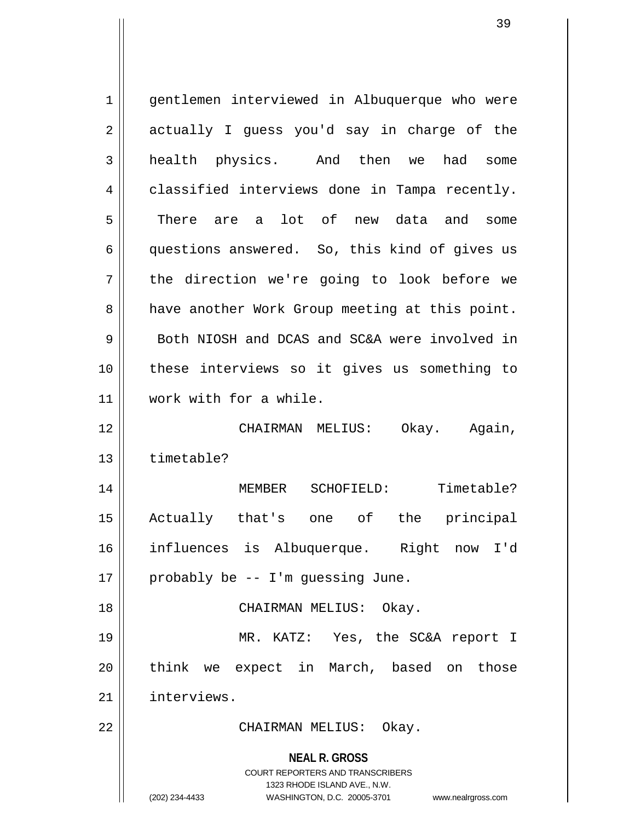**NEAL R. GROSS** COURT REPORTERS AND TRANSCRIBERS 1323 RHODE ISLAND AVE., N.W. (202) 234-4433 WASHINGTON, D.C. 20005-3701 www.nealrgross.com 1 || gentlemen interviewed in Albuquerque who were  $2 \parallel$  actually I guess you'd say in charge of the 3 health physics. And then we had some 4 classified interviews done in Tampa recently. 5 There are a lot of new data and some 6 questions answered. So, this kind of gives us 7 || the direction we're going to look before we 8 | have another Work Group meeting at this point. 9 || Both NIOSH and DCAS and SC&A were involved in 10 these interviews so it gives us something to 11 work with for a while. 12 CHAIRMAN MELIUS: Okay. Again, 13 timetable? 14 || MEMBER SCHOFIELD: Timetable? 15 Actually that's one of the principal 16 influences is Albuquerque. Right now I'd  $17 \parallel$  probably be -- I'm guessing June. 18 CHAIRMAN MELIUS: Okay. 19 MR. KATZ: Yes, the SC&A report I 20 || think we expect in March, based on those 21 interviews. 22 CHAIRMAN MELIUS: Okay.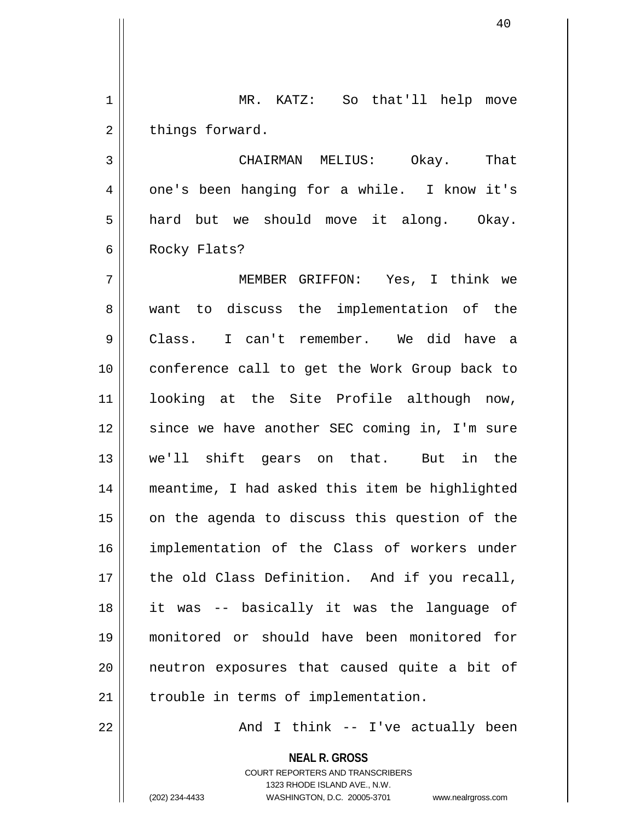1 MR. KATZ: So that'll help move  $2 \parallel$  things forward.

3 CHAIRMAN MELIUS: Okay. That 4 || one's been hanging for a while. I know it's  $5 \parallel$  hard but we should move it along. Okay. 6 || Rocky Flats?

7 MEMBER GRIFFON: Yes, I think we 8 || want to discuss the implementation of the 9 Class. I can't remember. We did have a 10 || conference call to get the Work Group back to 11 looking at the Site Profile although now, 12 || since we have another SEC coming in, I'm sure 13 we'll shift gears on that. But in the 14 meantime, I had asked this item be highlighted  $15$  on the agenda to discuss this question of the 16 implementation of the Class of workers under 17 || the old Class Definition. And if you recall, 18 it was -- basically it was the language of 19 monitored or should have been monitored for 20 || neutron exposures that caused quite a bit of  $21$  | trouble in terms of implementation.

 $22$  ||  $\qquad \qquad$  And I think -- I've actually been

**NEAL R. GROSS** COURT REPORTERS AND TRANSCRIBERS 1323 RHODE ISLAND AVE., N.W. (202) 234-4433 WASHINGTON, D.C. 20005-3701 www.nealrgross.com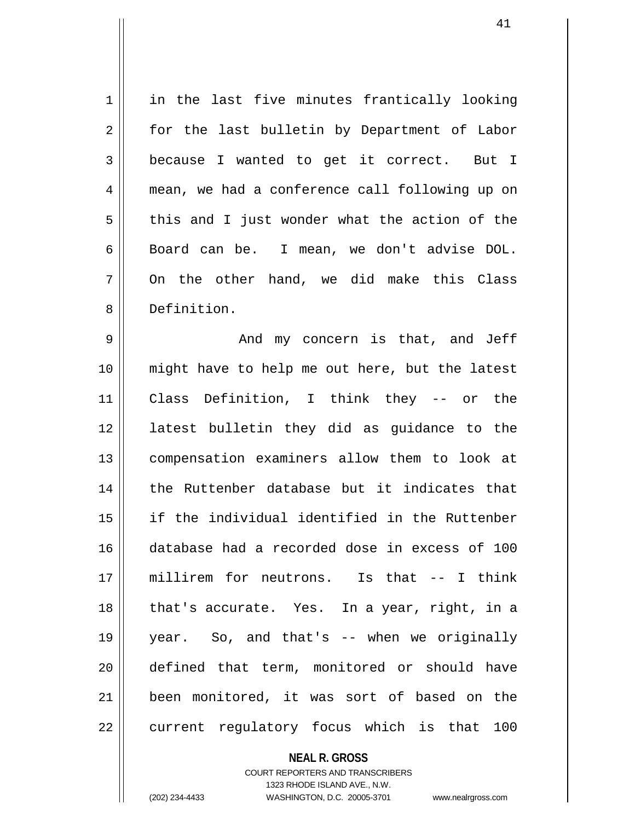1 || in the last five minutes frantically looking 2 || for the last bulletin by Department of Labor 3 because I wanted to get it correct. But I 4 mean, we had a conference call following up on  $5 \parallel$  this and I just wonder what the action of the 6 Board can be. I mean, we don't advise DOL.  $7 \parallel$  On the other hand, we did make this Class 8 Definition.

9 And my concern is that, and Jeff 10 might have to help me out here, but the latest 11 Class Definition, I think they -- or the 12 latest bulletin they did as guidance to the 13 compensation examiners allow them to look at 14 || the Ruttenber database but it indicates that 15 if the individual identified in the Ruttenber 16 database had a recorded dose in excess of 100 17 millirem for neutrons. Is that -- I think 18 || that's accurate. Yes. In a year, right, in a 19 year. So, and that's -- when we originally 20 defined that term, monitored or should have 21 || been monitored, it was sort of based on the  $22$  || current regulatory focus which is that 100

> **NEAL R. GROSS** COURT REPORTERS AND TRANSCRIBERS 1323 RHODE ISLAND AVE., N.W. (202) 234-4433 WASHINGTON, D.C. 20005-3701 www.nealrgross.com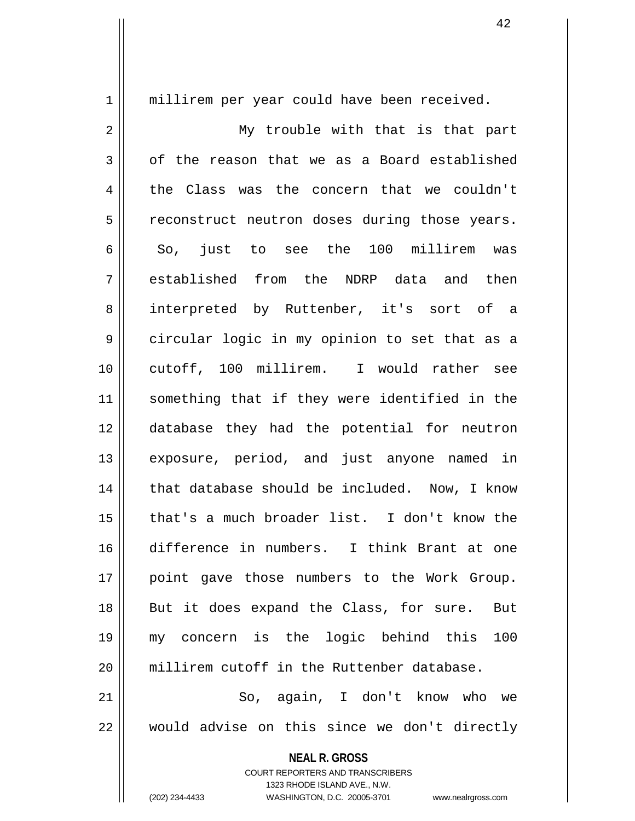1 || millirem per year could have been received. 2 || My trouble with that is that part  $3 \parallel$  of the reason that we as a Board established 4 the Class was the concern that we couldn't 5 | reconstruct neutron doses during those years. 6 So, just to see the 100 millirem was 7 established from the NDRP data and then 8 || interpreted by Ruttenber, it's sort of a 9 circular logic in my opinion to set that as a 10 cutoff, 100 millirem. I would rather see 11 something that if they were identified in the 12 database they had the potential for neutron 13 exposure, period, and just anyone named in 14 || that database should be included. Now, I know 15 that's a much broader list. I don't know the 16 difference in numbers. I think Brant at one 17 point gave those numbers to the Work Group. 18 || But it does expand the Class, for sure. But 19 my concern is the logic behind this 100 20 || millirem cutoff in the Ruttenber database. 21 So, again, I don't know who we  $22$   $\parallel$  would advise on this since we don't directly

> **NEAL R. GROSS** COURT REPORTERS AND TRANSCRIBERS

> > 1323 RHODE ISLAND AVE., N.W.

(202) 234-4433 WASHINGTON, D.C. 20005-3701 www.nealrgross.com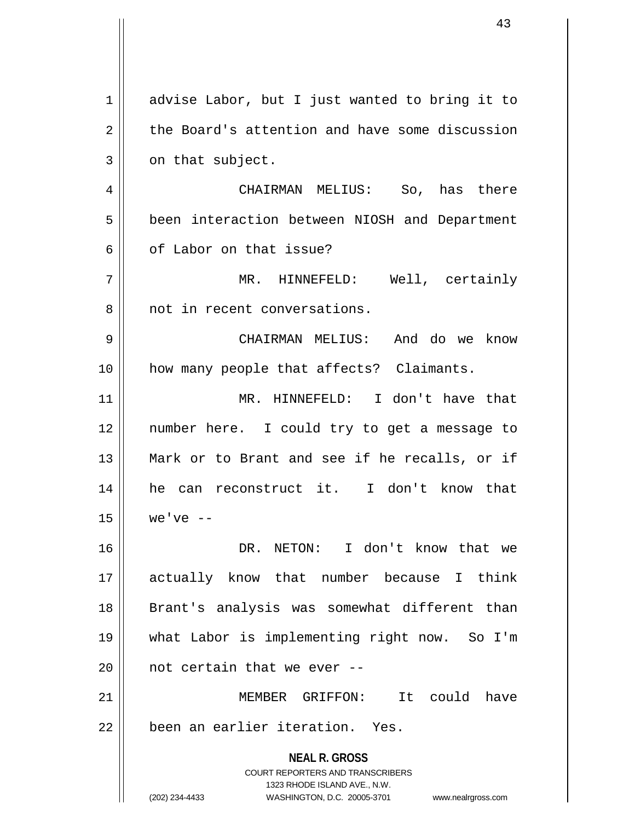**NEAL R. GROSS** COURT REPORTERS AND TRANSCRIBERS 1323 RHODE ISLAND AVE., N.W. (202) 234-4433 WASHINGTON, D.C. 20005-3701 www.nealrgross.com 1 advise Labor, but I just wanted to bring it to  $2 \parallel$  the Board's attention and have some discussion  $3 \parallel$  on that subject. 4 CHAIRMAN MELIUS: So, has there 5 | been interaction between NIOSH and Department 6 of Labor on that issue? 7 MR. HINNEFELD: Well, certainly 8 || not in recent conversations. 9 CHAIRMAN MELIUS: And do we know 10 || how many people that affects? Claimants. 11 MR. HINNEFELD: I don't have that 12 number here. I could try to get a message to 13 Mark or to Brant and see if he recalls, or if 14 || he can reconstruct it. I don't know that  $15$  we've  $-$ 16 DR. NETON: I don't know that we 17 actually know that number because I think 18 || Brant's analysis was somewhat different than 19 what Labor is implementing right now. So I'm  $20$  | not certain that we ever  $-$ 21 MEMBER GRIFFON: It could have 22 Deen an earlier iteration. Yes.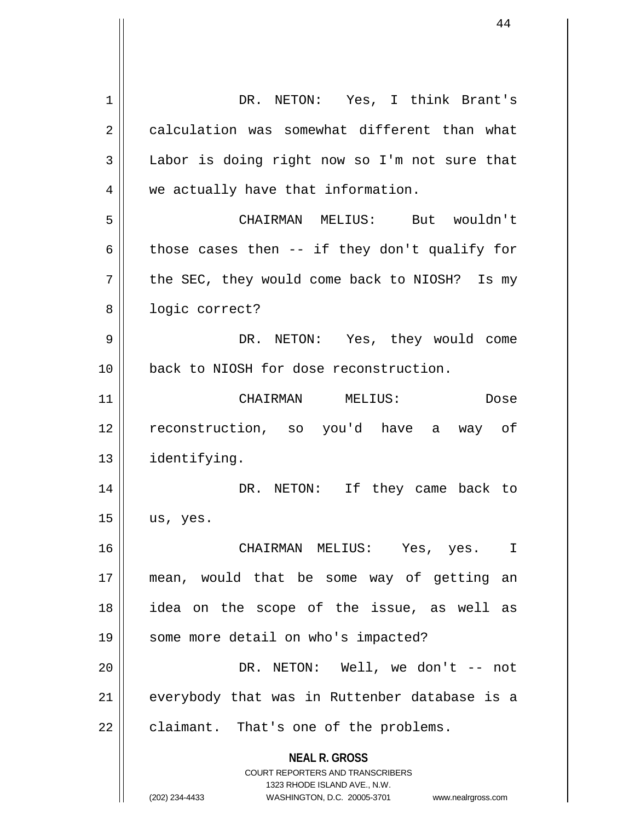**NEAL R. GROSS** COURT REPORTERS AND TRANSCRIBERS 1323 RHODE ISLAND AVE., N.W. (202) 234-4433 WASHINGTON, D.C. 20005-3701 www.nealrgross.com 1 DR. NETON: Yes, I think Brant's 2 calculation was somewhat different than what 3 || Labor is doing right now so I'm not sure that 4 | we actually have that information. 5 CHAIRMAN MELIUS: But wouldn't 6  $\parallel$  those cases then -- if they don't qualify for  $7 \parallel$  the SEC, they would come back to NIOSH? Is my 8 | logic correct? 9 DR. NETON: Yes, they would come 10 **back** to NIOSH for dose reconstruction. 11 CHAIRMAN MELIUS: Dose 12 reconstruction, so you'd have a way of 13 identifying. 14 DR. NETON: If they came back to  $15$  us, yes. 16 CHAIRMAN MELIUS: Yes, yes. I 17 mean, would that be some way of getting an 18 idea on the scope of the issue, as well as 19 || some more detail on who's impacted? 20 DR. NETON: Well, we don't -- not 21 || everybody that was in Ruttenber database is a  $22$  | claimant. That's one of the problems.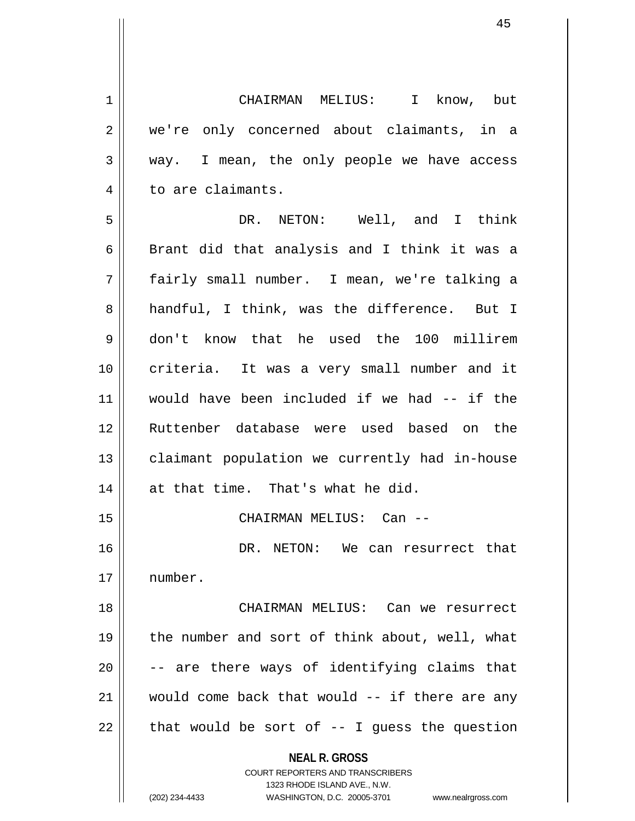1 CHAIRMAN MELIUS: I know, but 2 we're only concerned about claimants, in a 3 way. I mean, the only people we have access 4 | to are claimants.

5 DR. NETON: Well, and I think 6  $\parallel$  Brant did that analysis and I think it was a 7 fairly small number. I mean, we're talking a 8 handful, I think, was the difference. But I 9 don't know that he used the 100 millirem 10 criteria. It was a very small number and it 11 would have been included if we had -- if the 12 Ruttenber database were used based on the 13 || claimant population we currently had in-house  $14$  | at that time. That's what he did. 15 CHAIRMAN MELIUS: Can -- 16 DR. NETON: We can resurrect that 17 number. 18 CHAIRMAN MELIUS: Can we resurrect 19 || the number and sort of think about, well, what  $20$   $\vert$  -- are there ways of identifying claims that

21 would come back that would -- if there are any  $22$  | that would be sort of  $-$ - I guess the question

**NEAL R. GROSS**

COURT REPORTERS AND TRANSCRIBERS 1323 RHODE ISLAND AVE., N.W. (202) 234-4433 WASHINGTON, D.C. 20005-3701 www.nealrgross.com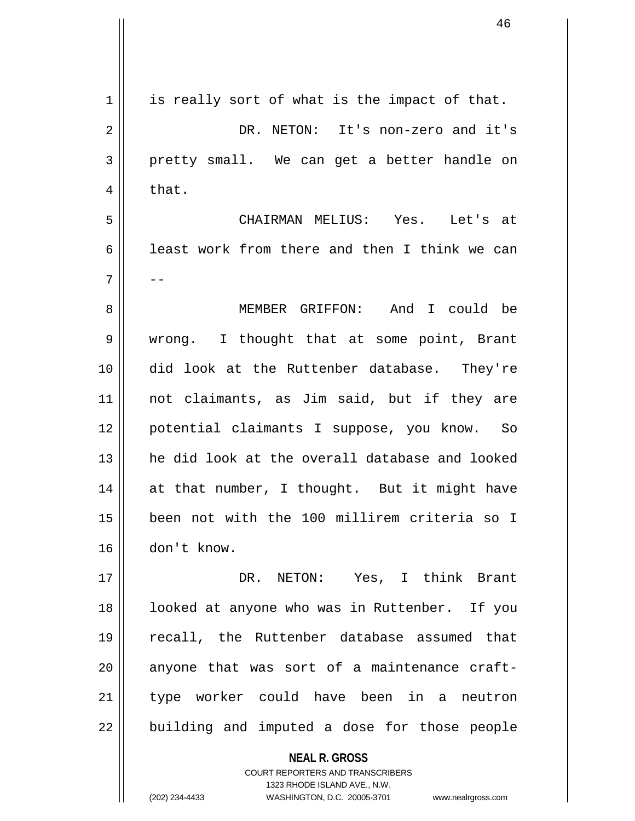| 1  | is really sort of what is the impact of that.                                                       |
|----|-----------------------------------------------------------------------------------------------------|
| 2  | DR. NETON: It's non-zero and it's                                                                   |
| 3  | pretty small. We can get a better handle on                                                         |
| 4  | that.                                                                                               |
| 5  | CHAIRMAN MELIUS: Yes. Let's at                                                                      |
| 6  | least work from there and then I think we can                                                       |
| 7  | --                                                                                                  |
| 8  | MEMBER GRIFFON: And I could be                                                                      |
| 9  | wrong. I thought that at some point, Brant                                                          |
| 10 | did look at the Ruttenber database. They're                                                         |
| 11 | not claimants, as Jim said, but if they are                                                         |
| 12 | potential claimants I suppose, you know. So                                                         |
| 13 | he did look at the overall database and looked                                                      |
| 14 | at that number, I thought. But it might have                                                        |
| 15 | been not with the 100 millirem criteria so I                                                        |
| 16 | don't know.                                                                                         |
| 17 | DR. NETON: Yes, I think Brant                                                                       |
| 18 | looked at anyone who was in Ruttenber. If you                                                       |
| 19 | recall, the Ruttenber database assumed that                                                         |
| 20 | anyone that was sort of a maintenance craft-                                                        |
| 21 | type worker could have been in a neutron                                                            |
| 22 | building and imputed a dose for those people                                                        |
|    | <b>NEAL R. GROSS</b>                                                                                |
|    | <b>COURT REPORTERS AND TRANSCRIBERS</b>                                                             |
|    | 1323 RHODE ISLAND AVE., N.W.<br>(202) 234-4433<br>WASHINGTON, D.C. 20005-3701<br>www.nealrgross.com |
|    |                                                                                                     |

 $\mathsf{I}$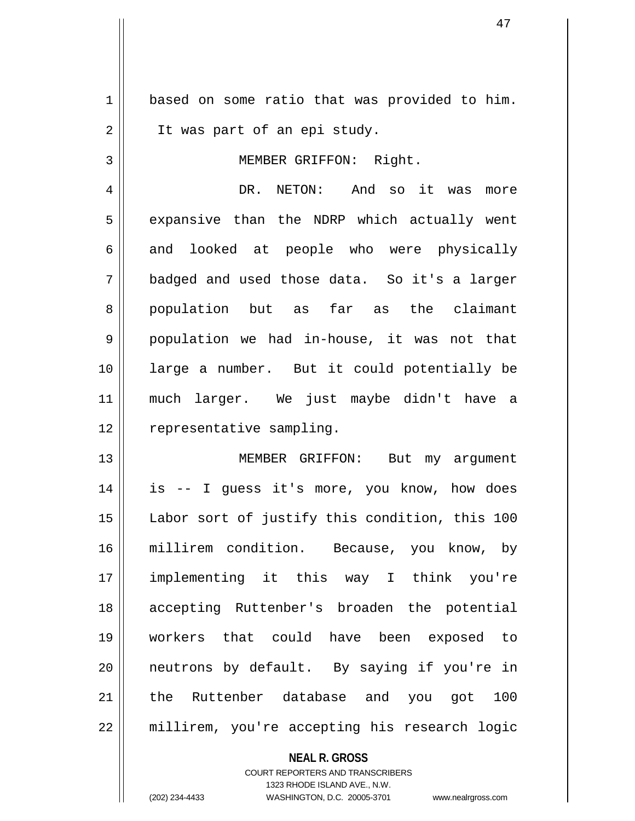1 based on some ratio that was provided to him. 2 | It was part of an epi study.

3 || MEMBER GRIFFON: Right.

4 DR. NETON: And so it was more  $5 \parallel$  expansive than the NDRP which actually went 6 and looked at people who were physically 7 badged and used those data. So it's a larger 8 population but as far as the claimant 9 || population we had in-house, it was not that 10 large a number. But it could potentially be 11 much larger. We just maybe didn't have a 12 | representative sampling.

13 MEMBER GRIFFON: But my argument 14 is -- I guess it's more, you know, how does 15 Labor sort of justify this condition, this 100 16 millirem condition. Because, you know, by 17 implementing it this way I think you're 18 accepting Ruttenber's broaden the potential 19 workers that could have been exposed to 20 || neutrons by default. By saying if you're in 21 the Ruttenber database and you got 100 22 millirem, you're accepting his research logic

> **NEAL R. GROSS** COURT REPORTERS AND TRANSCRIBERS 1323 RHODE ISLAND AVE., N.W. (202) 234-4433 WASHINGTON, D.C. 20005-3701 www.nealrgross.com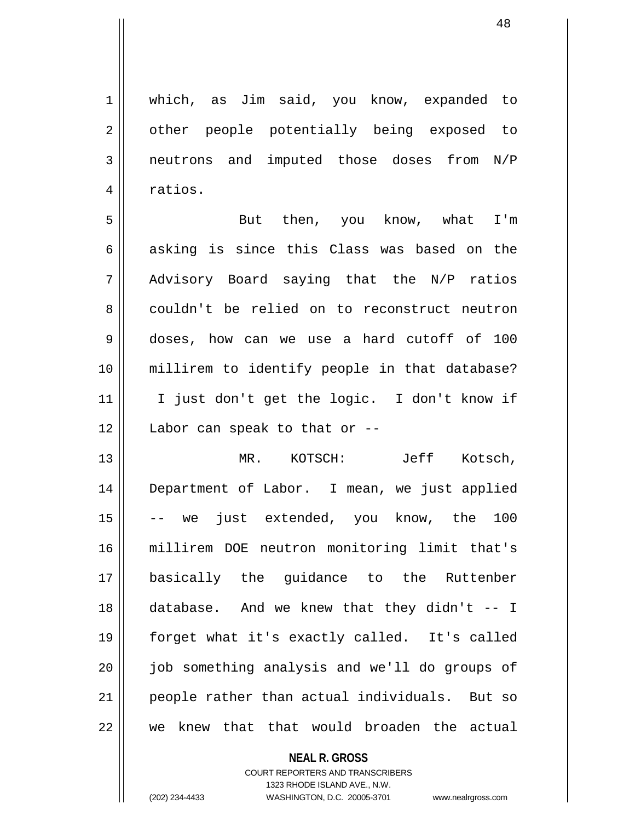1 | which, as Jim said, you know, expanded to 2 || other people potentially being exposed to 3 | neutrons and imputed those doses from N/P 4 | ratios.

5 But then, you know, what I'm 6 asking is since this Class was based on the  $7 \parallel$  Advisory Board saying that the N/P ratios 8 couldn't be relied on to reconstruct neutron 9 doses, how can we use a hard cutoff of 100 10 millirem to identify people in that database? 11 || I just don't get the logic. I don't know if  $12$  | Labor can speak to that or  $-$ 

13 MR. KOTSCH: Jeff Kotsch, 14 Department of Labor. I mean, we just applied 15 -- we just extended, you know, the 100 16 millirem DOE neutron monitoring limit that's 17 basically the guidance to the Ruttenber 18 database. And we knew that they didn't -- I 19 forget what it's exactly called. It's called 20 || job something analysis and we'll do groups of 21 || people rather than actual individuals. But so 22 we knew that that would broaden the actual

> **NEAL R. GROSS** COURT REPORTERS AND TRANSCRIBERS 1323 RHODE ISLAND AVE., N.W. (202) 234-4433 WASHINGTON, D.C. 20005-3701 www.nealrgross.com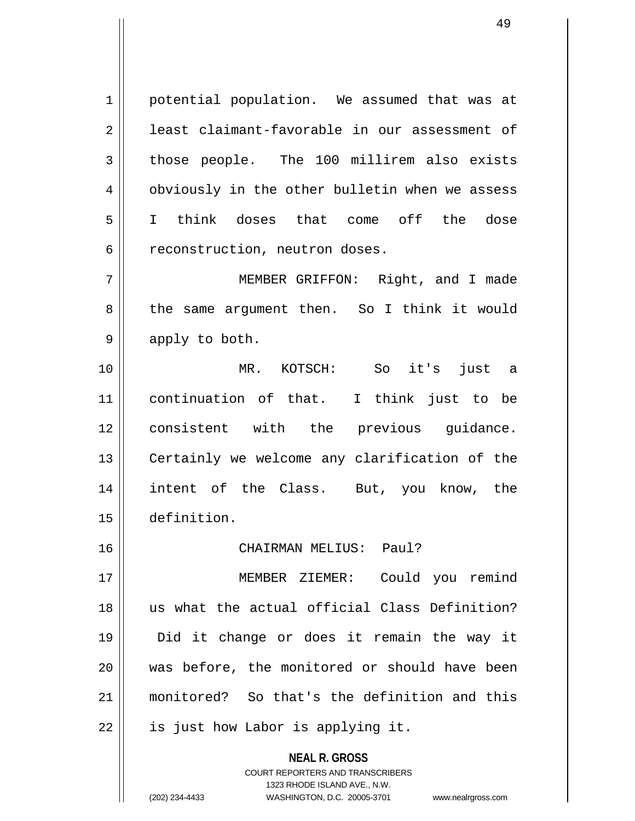1 || potential population. We assumed that was at 2 | least claimant-favorable in our assessment of  $3$  those people. The 100 millirem also exists 4 | obviously in the other bulletin when we assess 5 I think doses that come off the dose 6 || reconstruction, neutron doses.

7 MEMBER GRIFFON: Right, and I made 8 || the same argument then. So I think it would  $9 \parallel$  apply to both.

10 MR. KOTSCH: So it's just a 11 continuation of that. I think just to be 12 consistent with the previous guidance. 13 || Certainly we welcome any clarification of the 14 intent of the Class. But, you know, the 15 definition.

16 CHAIRMAN MELIUS: Paul?

17 MEMBER ZIEMER: Could you remind 18 us what the actual official Class Definition? 19 Did it change or does it remain the way it 20 was before, the monitored or should have been 21 monitored? So that's the definition and this  $22$  | is just how Labor is applying it.

> **NEAL R. GROSS** COURT REPORTERS AND TRANSCRIBERS

1323 RHODE ISLAND AVE., N.W.

(202) 234-4433 WASHINGTON, D.C. 20005-3701 www.nealrgross.com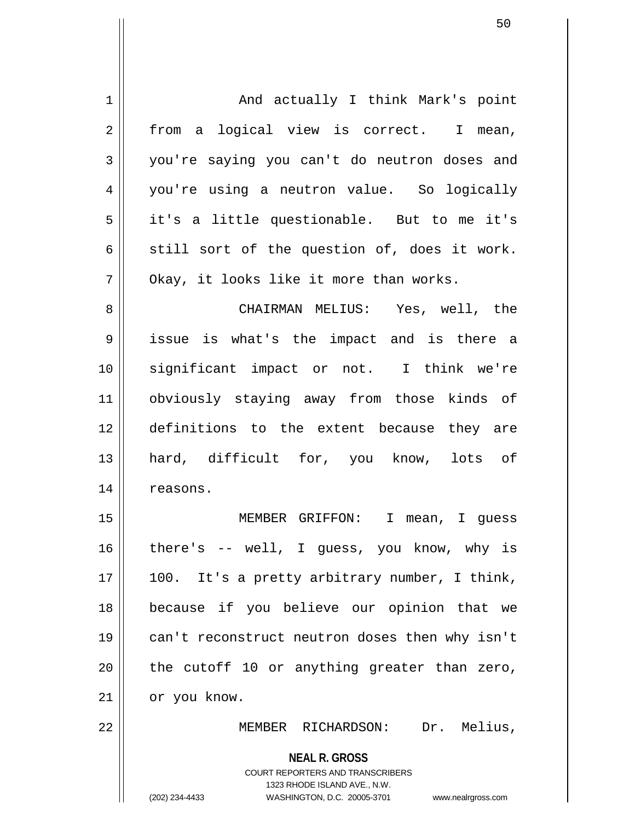| $\mathbf 1$    | And actually I think Mark's point                                       |
|----------------|-------------------------------------------------------------------------|
| $\overline{2}$ | from a logical view is correct. I mean,                                 |
| 3              | you're saying you can't do neutron doses and                            |
| 4              | you're using a neutron value. So logically                              |
| 5              | it's a little questionable. But to me it's                              |
| 6              | still sort of the question of, does it work.                            |
| 7              | Okay, it looks like it more than works.                                 |
| 8              | CHAIRMAN MELIUS: Yes, well, the                                         |
| 9              | issue is what's the impact and is there a                               |
| 10             | significant impact or not. I think we're                                |
| 11             | obviously staying away from those kinds of                              |
| 12             | definitions to the extent because they are                              |
| 13             | hard, difficult for, you know, lots of                                  |
| 14             | reasons.                                                                |
| 15             | MEMBER GRIFFON: I mean, I guess                                         |
| 16             | there's -- well, I guess, you know, why is                              |
|                |                                                                         |
| 17             | 100. It's a pretty arbitrary number, I think,                           |
| 18             | because if you believe our opinion that we                              |
| 19             | can't reconstruct neutron doses then why isn't                          |
| 20             | the cutoff 10 or anything greater than zero,                            |
| 21             | or you know.                                                            |
| 22             | Dr. Melius,<br>MEMBER RICHARDSON:                                       |
|                | <b>NEAL R. GROSS</b>                                                    |
|                | <b>COURT REPORTERS AND TRANSCRIBERS</b><br>1323 RHODE ISLAND AVE., N.W. |
|                | (202) 234-4433<br>WASHINGTON, D.C. 20005-3701<br>www.nealrgross.com     |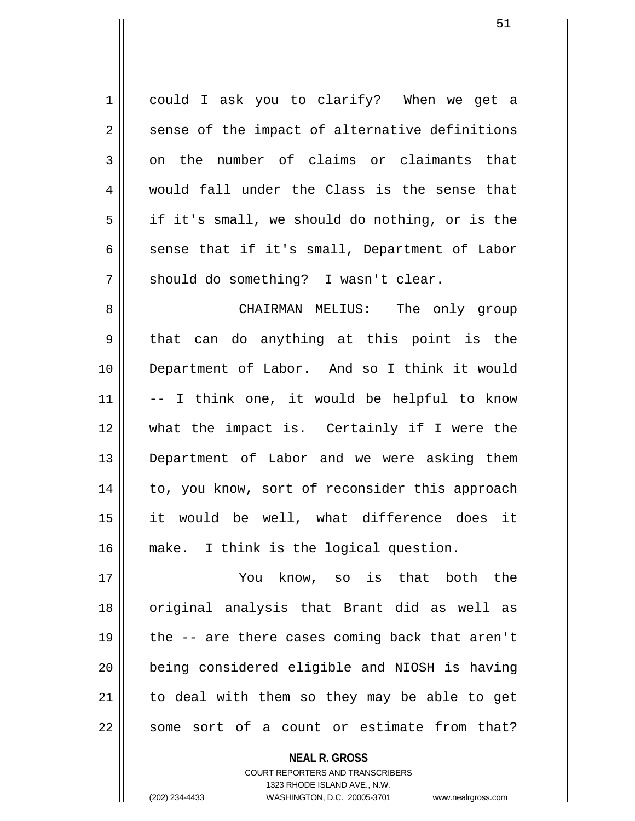1 could I ask you to clarify? When we get a  $2 \parallel$  sense of the impact of alternative definitions  $3 \parallel$  on the number of claims or claimants that 4 would fall under the Class is the sense that  $5 \parallel$  if it's small, we should do nothing, or is the 6 sense that if it's small, Department of Labor  $7 \parallel$  should do something? I wasn't clear.

8 CHAIRMAN MELIUS: The only group 9 || that can do anything at this point is the 10 Department of Labor. And so I think it would  $11$   $\vert$  -- I think one, it would be helpful to know 12 what the impact is. Certainly if I were the 13 Department of Labor and we were asking them 14 || to, you know, sort of reconsider this approach 15 it would be well, what difference does it 16 make. I think is the logical question.

17 You know, so is that both the 18 original analysis that Brant did as well as 19  $\parallel$  the -- are there cases coming back that aren't 20 being considered eligible and NIOSH is having  $21$  to deal with them so they may be able to get  $22$  some sort of a count or estimate from that?

> **NEAL R. GROSS** COURT REPORTERS AND TRANSCRIBERS 1323 RHODE ISLAND AVE., N.W. (202) 234-4433 WASHINGTON, D.C. 20005-3701 www.nealrgross.com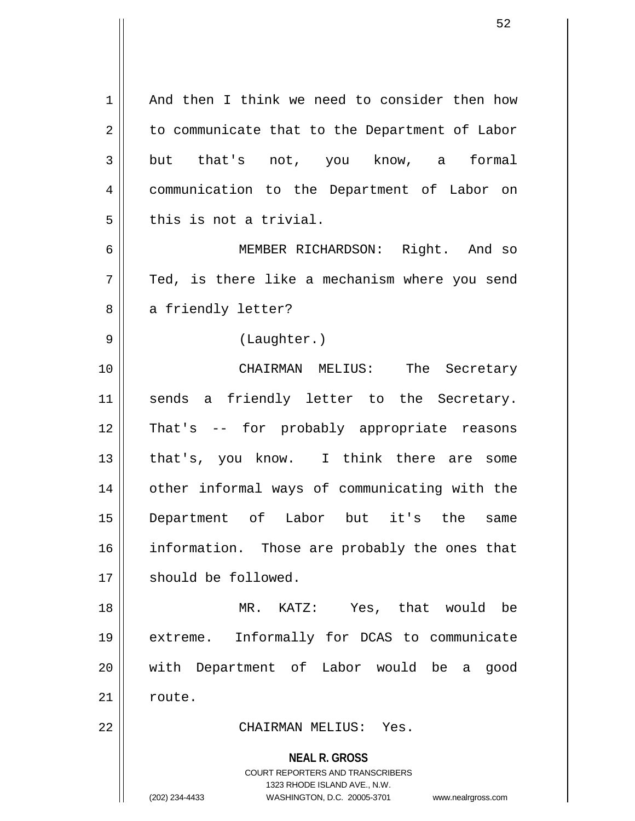**NEAL R. GROSS** COURT REPORTERS AND TRANSCRIBERS 1323 RHODE ISLAND AVE., N.W. (202) 234-4433 WASHINGTON, D.C. 20005-3701 www.nealrgross.com 1 | And then I think we need to consider then how  $2 \parallel$  to communicate that to the Department of Labor 3|| but that's not, you know, a formal 4 communication to the Department of Labor on  $5$   $\parallel$  this is not a trivial. 6 MEMBER RICHARDSON: Right. And so  $7 \parallel$  Ted, is there like a mechanism where you send 8 a friendly letter? 9 || (Laughter.) 10 CHAIRMAN MELIUS: The Secretary 11 || sends a friendly letter to the Secretary. 12 That's -- for probably appropriate reasons 13 || that's, you know. I think there are some 14 || other informal ways of communicating with the 15 Department of Labor but it's the same 16 || information. Those are probably the ones that 17 | should be followed. 18 MR. KATZ: Yes, that would be 19 extreme. Informally for DCAS to communicate 20 with Department of Labor would be a good 21 | route. 22 CHAIRMAN MELIUS: Yes.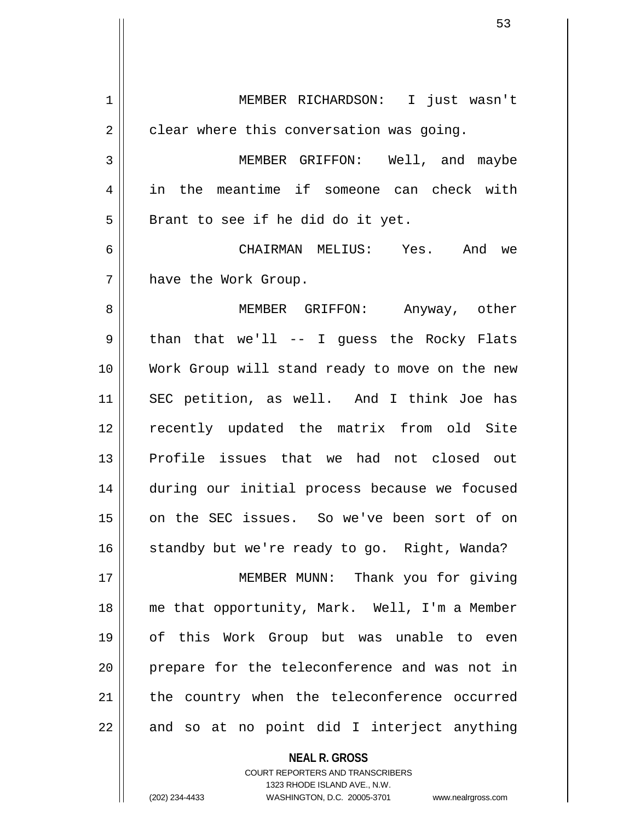1 MEMBER RICHARDSON: I just wasn't  $2 \parallel$  clear where this conversation was going. 3 MEMBER GRIFFON: Well, and maybe 4 in the meantime if someone can check with  $5 \parallel$  Brant to see if he did do it yet. 6 CHAIRMAN MELIUS: Yes. And we 7 | have the Work Group. 8 MEMBER GRIFFON: Anyway, other  $9 \parallel$  than that we'll -- I guess the Rocky Flats 10 Work Group will stand ready to move on the new 11 SEC petition, as well. And I think Joe has 12 || recently updated the matrix from old Site 13 Profile issues that we had not closed out 14 during our initial process because we focused 15 on the SEC issues. So we've been sort of on 16 || standby but we're ready to go. Right, Wanda? 17 || MEMBER MUNN: Thank you for giving 18 || me that opportunity, Mark. Well, I'm a Member 19 of this Work Group but was unable to even 20 || prepare for the teleconference and was not in 21 || the country when the teleconference occurred  $22$  || and so at no point did I interject anything

> **NEAL R. GROSS** COURT REPORTERS AND TRANSCRIBERS 1323 RHODE ISLAND AVE., N.W. (202) 234-4433 WASHINGTON, D.C. 20005-3701 www.nealrgross.com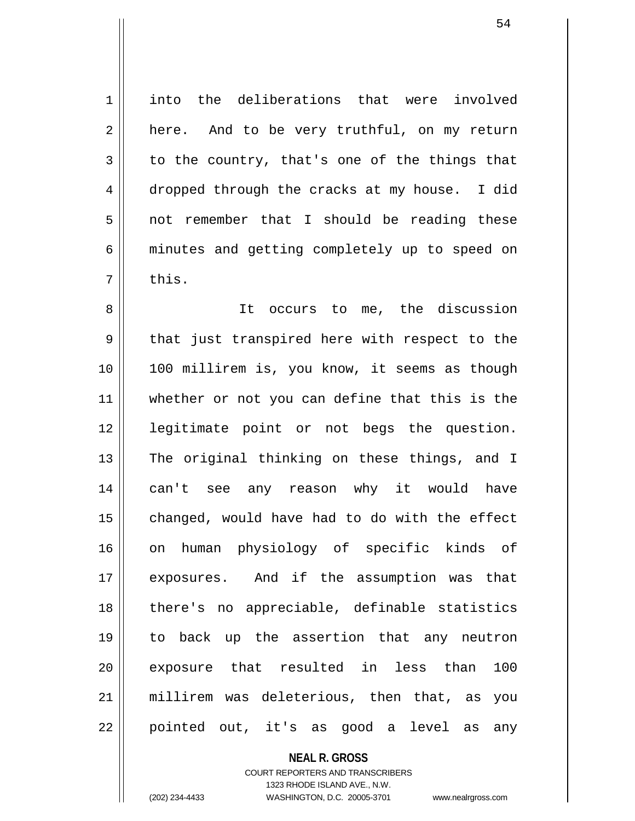1 | into the deliberations that were involved  $2 \parallel$  here. And to be very truthful, on my return  $3 \parallel$  to the country, that's one of the things that 4 dropped through the cracks at my house. I did 5 not remember that I should be reading these 6 minutes and getting completely up to speed on  $7 \parallel$  this. 8 || It occurs to me, the discussion 9 || that just transpired here with respect to the 10 || 100 millirem is, you know, it seems as though 11 whether or not you can define that this is the 12 legitimate point or not begs the question. 13 || The original thinking on these things, and I 14 can't see any reason why it would have  $15$  || changed, would have had to do with the effect 16 on human physiology of specific kinds of 17 exposures. And if the assumption was that 18 || there's no appreciable, definable statistics 19 to back up the assertion that any neutron 20 exposure that resulted in less than 100 21 millirem was deleterious, then that, as you  $22$  || pointed out, it's as good a level as any

> **NEAL R. GROSS** COURT REPORTERS AND TRANSCRIBERS 1323 RHODE ISLAND AVE., N.W. (202) 234-4433 WASHINGTON, D.C. 20005-3701 www.nealrgross.com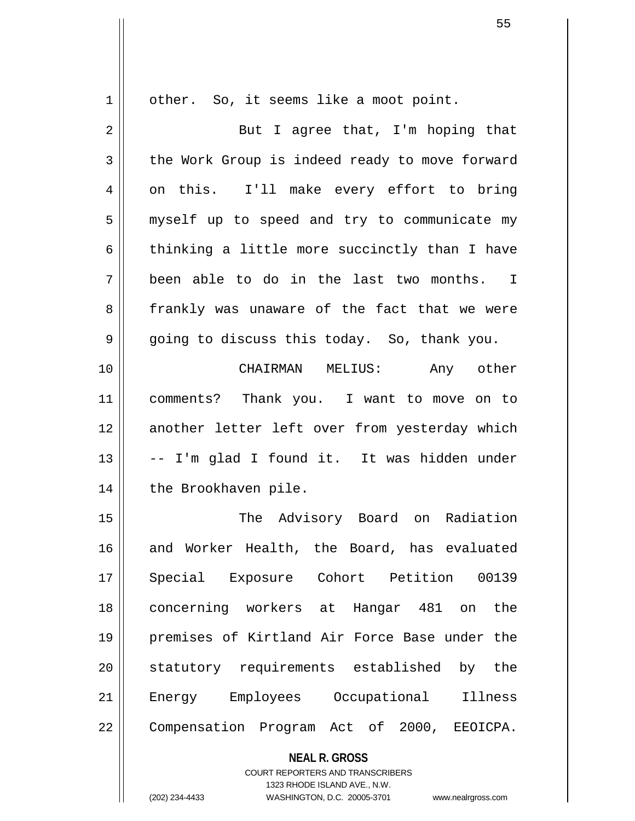$1 \parallel$  other. So, it seems like a moot point.

| $\overline{2}$ | But I agree that, I'm hoping that              |
|----------------|------------------------------------------------|
| 3              | the Work Group is indeed ready to move forward |
| 4              | on this. I'll make every effort to bring       |
| 5              | myself up to speed and try to communicate my   |
| 6              | thinking a little more succinctly than I have  |
| 7              | been able to do in the last two months. I      |
| 8              | frankly was unaware of the fact that we were   |
| 9              | going to discuss this today. So, thank you.    |
| 10             | CHAIRMAN MELIUS:<br>Any other                  |
| 11             | comments? Thank you. I want to move on to      |
| 12             | another letter left over from yesterday which  |
| 13             | -- I'm glad I found it. It was hidden under    |
| 14             | the Brookhaven pile.                           |
| 15             | The Advisory Board on Radiation                |
| 16             | and Worker Health, the Board, has evaluated    |
| 17             | 00139<br>Special Exposure Cohort Petition      |
| 18             | concerning workers at Hangar 481 on<br>the     |
| 19             | premises of Kirtland Air Force Base under the  |
| 20             | statutory requirements established by the      |
| 21             | Energy Employees Occupational<br>Illness       |
| 22             | Compensation Program Act of 2000, EEOICPA.     |

**NEAL R. GROSS** COURT REPORTERS AND TRANSCRIBERS

1323 RHODE ISLAND AVE., N.W. (202) 234-4433 WASHINGTON, D.C. 20005-3701 www.nealrgross.com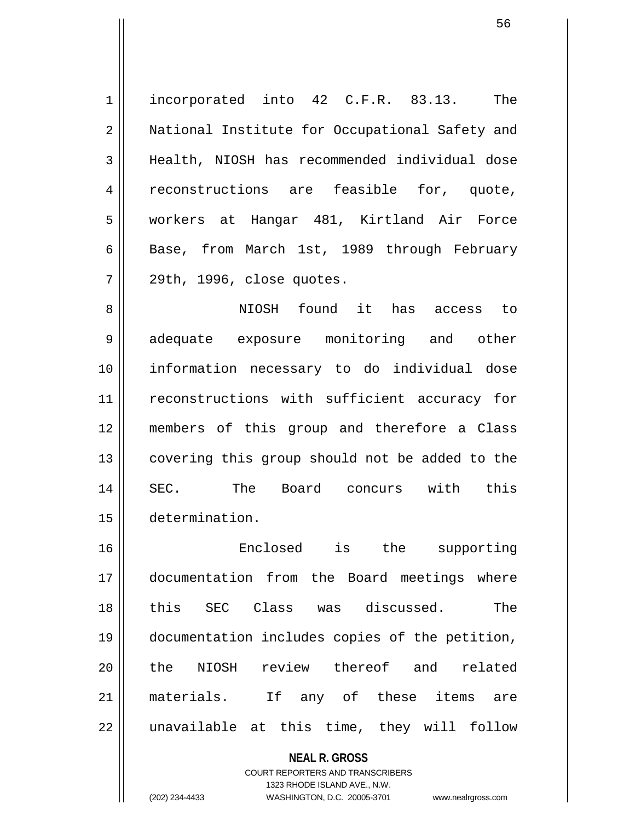1 | incorporated into 42 C.F.R. 83.13. The 2 || National Institute for Occupational Safety and 3 Health, NIOSH has recommended individual dose 4 || reconstructions are feasible for, quote, 5 || workers at Hangar 481, Kirtland Air Force 6 || Base, from March 1st, 1989 through February  $7 \parallel 29$ th, 1996, close quotes.

8 NIOSH found it has access to 9 adequate exposure monitoring and other 10 information necessary to do individual dose 11 || reconstructions with sufficient accuracy for 12 members of this group and therefore a Class 13 || covering this group should not be added to the 14 SEC. The Board concurs with this 15 determination.

16 Enclosed is the supporting 17 documentation from the Board meetings where 18 this SEC Class was discussed. The 19 documentation includes copies of the petition, 20 || the NIOSH review thereof and related 21 materials. If any of these items are  $22$  || unavailable at this time, they will follow

> **NEAL R. GROSS** COURT REPORTERS AND TRANSCRIBERS 1323 RHODE ISLAND AVE., N.W. (202) 234-4433 WASHINGTON, D.C. 20005-3701 www.nealrgross.com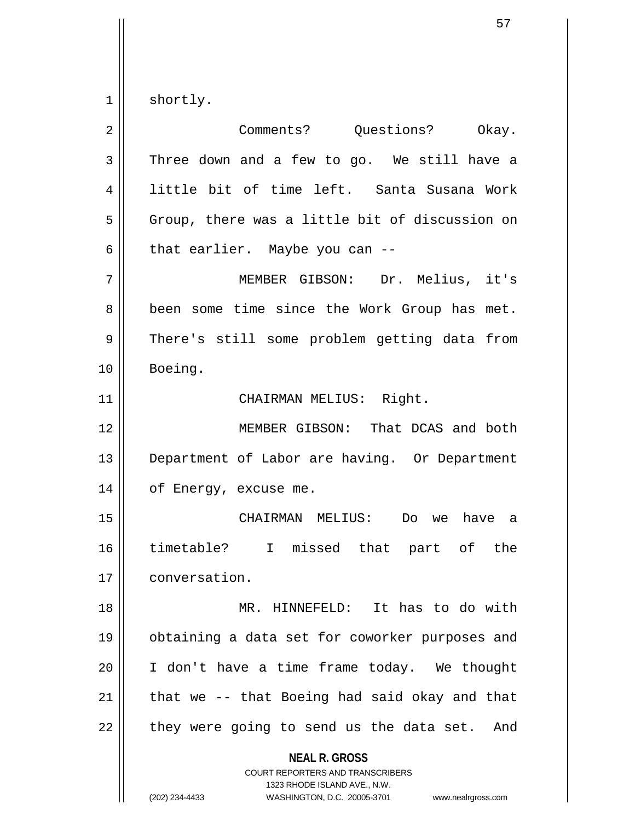$1 \parallel$  shortly.

| 2  | Comments? Questions? Okay.                                                                                                                                             |
|----|------------------------------------------------------------------------------------------------------------------------------------------------------------------------|
| 3  | Three down and a few to go. We still have a                                                                                                                            |
| 4  | little bit of time left. Santa Susana Work                                                                                                                             |
| 5  | Group, there was a little bit of discussion on                                                                                                                         |
| 6  | that earlier. Maybe you can --                                                                                                                                         |
| 7  | MEMBER GIBSON: Dr. Melius, it's                                                                                                                                        |
| 8  | been some time since the Work Group has met.                                                                                                                           |
| 9  | There's still some problem getting data from                                                                                                                           |
| 10 | Boeing.                                                                                                                                                                |
| 11 | CHAIRMAN MELIUS: Right.                                                                                                                                                |
| 12 | MEMBER GIBSON: That DCAS and both                                                                                                                                      |
| 13 | Department of Labor are having. Or Department                                                                                                                          |
| 14 | of Energy, excuse me.                                                                                                                                                  |
| 15 | CHAIRMAN MELIUS: Do we<br>have a                                                                                                                                       |
| 16 | timetable? I missed that part of the                                                                                                                                   |
| 17 | conversation.                                                                                                                                                          |
| 18 | MR. HINNEFELD: It has to do with                                                                                                                                       |
| 19 | obtaining a data set for coworker purposes and                                                                                                                         |
| 20 | I don't have a time frame today. We thought                                                                                                                            |
| 21 | that we -- that Boeing had said okay and that                                                                                                                          |
| 22 | they were going to send us the data set. And                                                                                                                           |
|    | <b>NEAL R. GROSS</b><br><b>COURT REPORTERS AND TRANSCRIBERS</b><br>1323 RHODE ISLAND AVE., N.W.<br>(202) 234-4433<br>WASHINGTON, D.C. 20005-3701<br>www.nealrgross.com |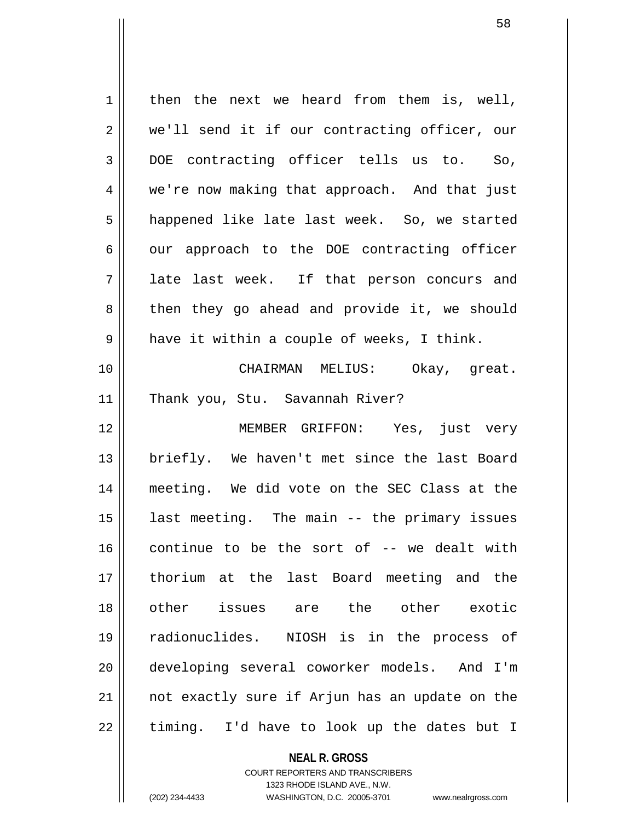$1 \parallel$  then the next we heard from them is, well, 2 || we'll send it if our contracting officer, our 3 DOE contracting officer tells us to. So, 4 we're now making that approach. And that just 5 | happened like late last week. So, we started  $6 \parallel$  our approach to the DOE contracting officer 7 || late last week. If that person concurs and 8 || then they go ahead and provide it, we should  $9 \parallel$  have it within a couple of weeks, I think. 10 CHAIRMAN MELIUS: Okay, great. 11 || Thank you, Stu. Savannah River? 12 || MEMBER GRIFFON: Yes, just very 13 briefly. We haven't met since the last Board 14 meeting. We did vote on the SEC Class at the 15 last meeting. The main -- the primary issues 16 continue to be the sort of -- we dealt with 17 thorium at the last Board meeting and the 18 other issues are the other exotic 19 radionuclides. NIOSH is in the process of 20 developing several coworker models. And I'm 21 || not exactly sure if Arjun has an update on the  $22$  || timing. I'd have to look up the dates but I

> COURT REPORTERS AND TRANSCRIBERS 1323 RHODE ISLAND AVE., N.W.

**NEAL R. GROSS**

(202) 234-4433 WASHINGTON, D.C. 20005-3701 www.nealrgross.com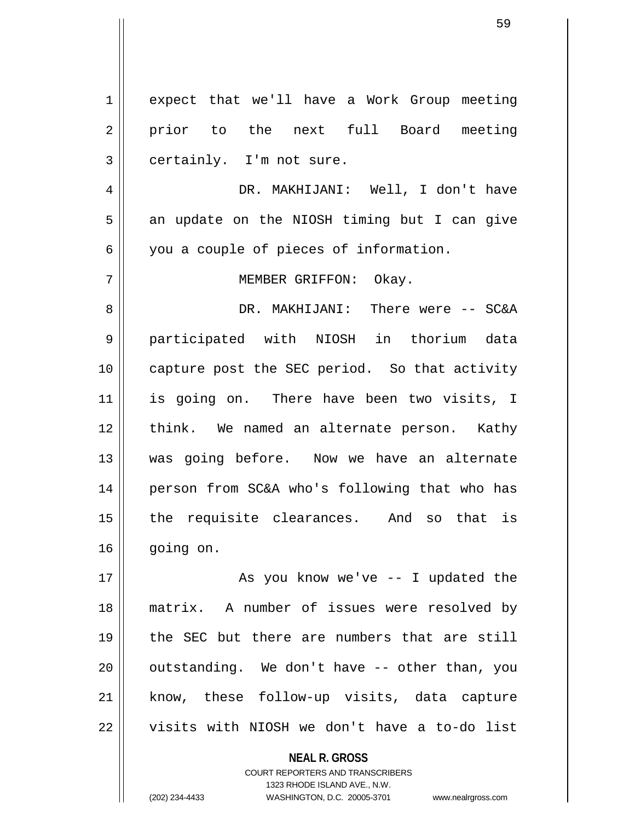1 expect that we'll have a Work Group meeting 2 || prior to the next full Board meeting  $3 \parallel$  certainly. I'm not sure. 4 DR. MAKHIJANI: Well, I don't have  $5 \parallel$  an update on the NIOSH timing but I can give 6 you a couple of pieces of information. 7 MEMBER GRIFFON: Okay. 8 DR. MAKHIJANI: There were -- SC&A 9 participated with NIOSH in thorium data 10 || capture post the SEC period. So that activity 11 is going on. There have been two visits, I 12 || think. We named an alternate person. Kathy 13 Was going before. Now we have an alternate 14 person from SC&A who's following that who has 15 || the requisite clearances. And so that is 16 going on. 17 || As you know we've -- I updated the 18 matrix. A number of issues were resolved by 19 the SEC but there are numbers that are still  $20$  || outstanding. We don't have  $-$  other than, you 21 || know, these follow-up visits, data capture

22 || visits with NIOSH we don't have a to-do list

**NEAL R. GROSS**

COURT REPORTERS AND TRANSCRIBERS 1323 RHODE ISLAND AVE., N.W. (202) 234-4433 WASHINGTON, D.C. 20005-3701 www.nealrgross.com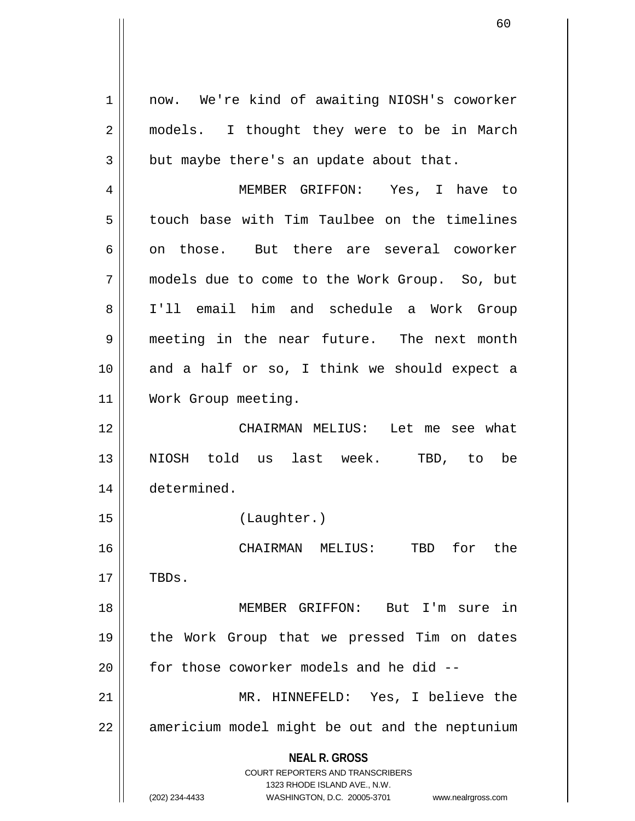**NEAL R. GROSS** COURT REPORTERS AND TRANSCRIBERS 1323 RHODE ISLAND AVE., N.W. (202) 234-4433 WASHINGTON, D.C. 20005-3701 www.nealrgross.com 1 | now. We're kind of awaiting NIOSH's coworker 2 || models. I thought they were to be in March  $3 \parallel$  but maybe there's an update about that. 4 MEMBER GRIFFON: Yes, I have to 5 | touch base with Tim Taulbee on the timelines 6 on those. But there are several coworker 7 models due to come to the Work Group. So, but 8 I'll email him and schedule a Work Group 9 meeting in the near future. The next month  $10$  and a half or so, I think we should expect a 11 | Work Group meeting. 12 CHAIRMAN MELIUS: Let me see what 13 NIOSH told us last week. TBD, to be 14 determined. 15 (Laughter.) 16 CHAIRMAN MELIUS: TBD for the  $17$  || TBDs. 18 MEMBER GRIFFON: But I'm sure in 19 the Work Group that we pressed Tim on dates  $20$  | for those coworker models and he did  $-$ 21 MR. HINNEFELD: Yes, I believe the 22 || americium model might be out and the neptunium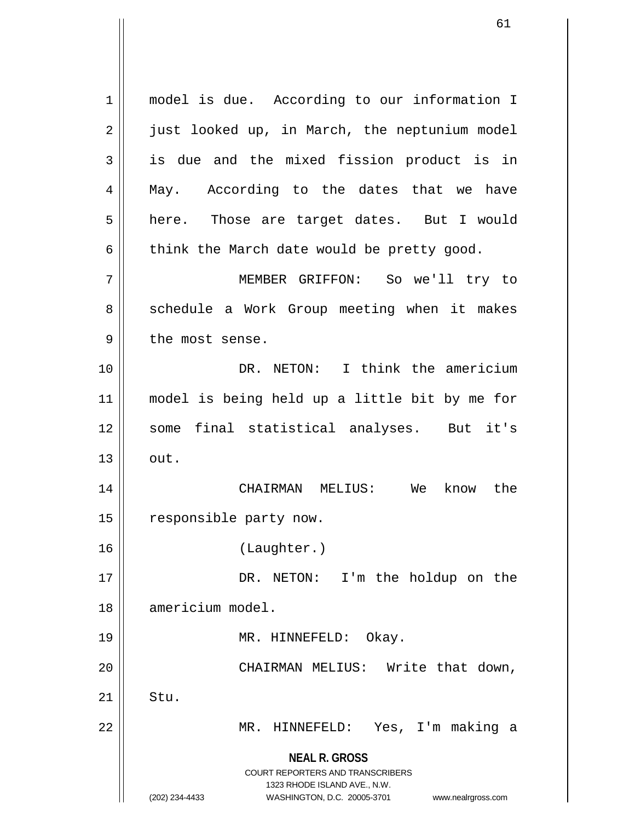**NEAL R. GROSS** COURT REPORTERS AND TRANSCRIBERS 1323 RHODE ISLAND AVE., N.W. (202) 234-4433 WASHINGTON, D.C. 20005-3701 www.nealrgross.com 1 || model is due. According to our information I 2 | just looked up, in March, the neptunium model  $3 \parallel$  is due and the mixed fission product is in 4 || May. According to the dates that we have 5 | here. Those are target dates. But I would  $6 \parallel$  think the March date would be pretty good. 7 MEMBER GRIFFON: So we'll try to 8 || schedule a Work Group meeting when it makes  $9$  | the most sense. 10 DR. NETON: I think the americium 11 model is being held up a little bit by me for 12 || some final statistical analyses. But it's  $13 \parallel \quad out.$ 14 CHAIRMAN MELIUS: We know the 15 | responsible party now. 16 (Laughter.) 17 || DR. NETON: I'm the holdup on the 18 americium model. 19 || MR. HINNEFELD: Okay. 20 || CHAIRMAN MELIUS: Write that down,  $21$  Stu. 22 MR. HINNEFELD: Yes, I'm making a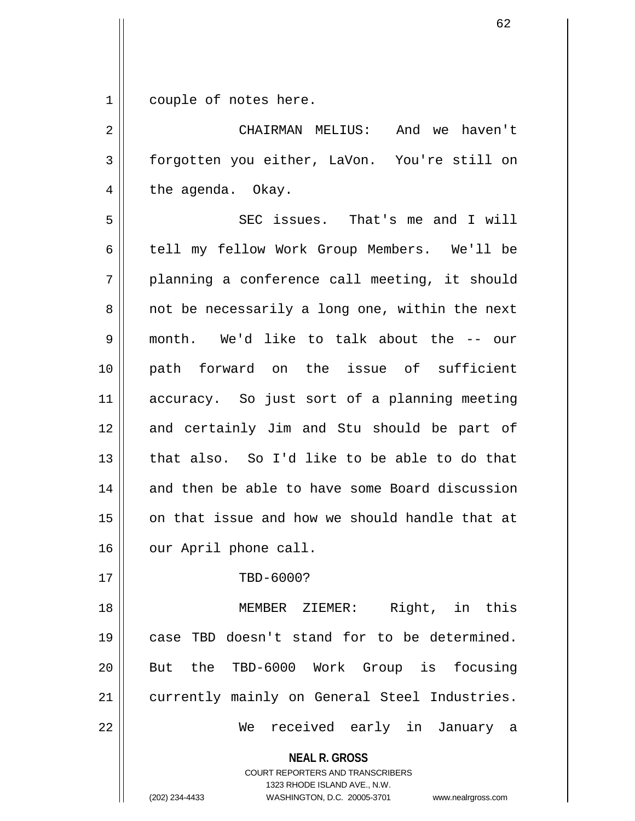1 couple of notes here.

2 CHAIRMAN MELIUS: And we haven't 3 forgotten you either, LaVon. You're still on  $4 \parallel$  the agenda. Okay. 5 SEC issues. That's me and I will 6 | tell my fellow Work Group Members. We'll be

 $7 \parallel$  planning a conference call meeting, it should  $8 \parallel$  not be necessarily a long one, within the next 9 month. We'd like to talk about the -- our 10 path forward on the issue of sufficient 11 accuracy. So just sort of a planning meeting 12 and certainly Jim and Stu should be part of 13 that also. So I'd like to be able to do that 14 and then be able to have some Board discussion 15 || on that issue and how we should handle that at 16 | our April phone call.

17 || TBD-6000?

18 MEMBER ZIEMER: Right, in this 19 case TBD doesn't stand for to be determined. 20 || But the TBD-6000 Work Group is focusing 21 || currently mainly on General Steel Industries. 22 We received early in January a

**NEAL R. GROSS**

COURT REPORTERS AND TRANSCRIBERS 1323 RHODE ISLAND AVE., N.W. (202) 234-4433 WASHINGTON, D.C. 20005-3701 www.nealrgross.com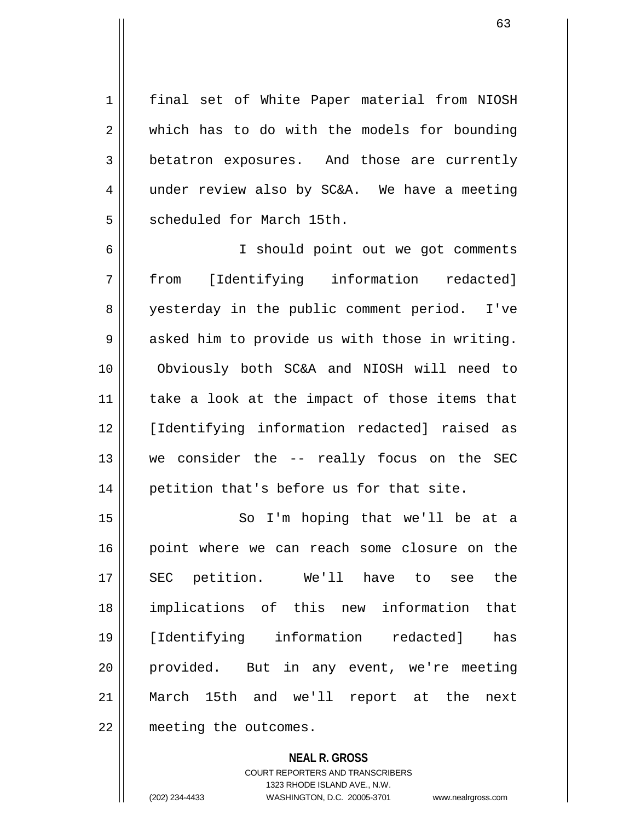1 | final set of White Paper material from NIOSH 2 || which has to do with the models for bounding 3 betatron exposures. And those are currently 4 under review also by SC&A. We have a meeting 5 Socheduled for March 15th.

6 I should point out we got comments 7 from [Identifying information redacted] 8 || yesterday in the public comment period. I've  $9 \parallel$  asked him to provide us with those in writing. 10 Obviously both SC&A and NIOSH will need to 11 || take a look at the impact of those items that 12 [Identifying information redacted] raised as 13 we consider the -- really focus on the SEC 14 || petition that's before us for that site.

15 || So I'm hoping that we'll be at a 16 || point where we can reach some closure on the 17 SEC petition. We'll have to see the 18 implications of this new information that 19 [Identifying information redacted] has 20 || provided. But in any event, we're meeting 21 March 15th and we'll report at the next 22 | meeting the outcomes.

> **NEAL R. GROSS** COURT REPORTERS AND TRANSCRIBERS 1323 RHODE ISLAND AVE., N.W. (202) 234-4433 WASHINGTON, D.C. 20005-3701 www.nealrgross.com

<sup>63</sup>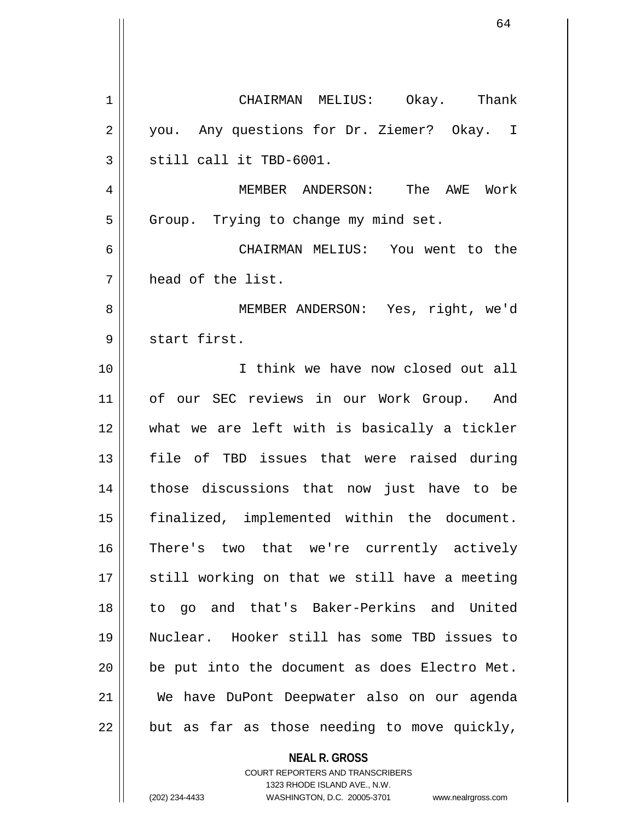1 CHAIRMAN MELIUS: Okay. Thank 2 || you. Any questions for Dr. Ziemer? Okay. I  $3 \parallel$  still call it TBD-6001. 4 MEMBER ANDERSON: The AWE Work  $5 \parallel$  Group. Trying to change my mind set. 6 CHAIRMAN MELIUS: You went to the 7 head of the list. 8 || MEMBER ANDERSON: Yes, right, we'd 9 || start first. 10 I think we have now closed out all 11 || of our SEC reviews in our Work Group. And 12 what we are left with is basically a tickler 13 file of TBD issues that were raised during 14 those discussions that now just have to be 15 || finalized, implemented within the document. 16 There's two that we're currently actively  $17$   $\parallel$  still working on that we still have a meeting 18 to go and that's Baker-Perkins and United 19 Nuclear. Hooker still has some TBD issues to  $20$  | be put into the document as does Electro Met. 21 We have DuPont Deepwater also on our agenda  $22$  | but as far as those needing to move quickly,

> **NEAL R. GROSS** COURT REPORTERS AND TRANSCRIBERS 1323 RHODE ISLAND AVE., N.W.

(202) 234-4433 WASHINGTON, D.C. 20005-3701 www.nealrgross.com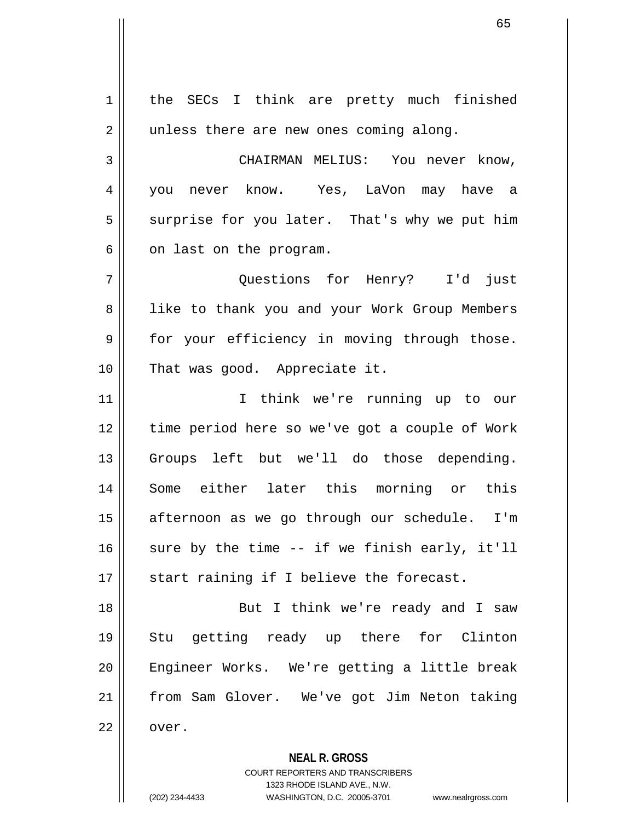**NEAL R. GROSS** COURT REPORTERS AND TRANSCRIBERS 1323 RHODE ISLAND AVE., N.W. 1 | the SECs I think are pretty much finished 2 || unless there are new ones coming along. 3 | CHAIRMAN MELIUS: You never know, 4 you never know. Yes, LaVon may have a  $5 \parallel$  surprise for you later. That's why we put him  $6 \parallel$  on last on the program. 7 Questions for Henry? I'd just 8 || like to thank you and your Work Group Members 9 || for your efficiency in moving through those. 10 || That was good. Appreciate it. 11 I think we're running up to our 12 time period here so we've got a couple of Work 13 || Groups left but we'll do those depending. 14 Some either later this morning or this 15 || afternoon as we go through our schedule. I'm 16  $\parallel$  sure by the time -- if we finish early, it'll  $17$   $\parallel$  start raining if I believe the forecast. 18 || But I think we're ready and I saw 19 Stu getting ready up there for Clinton 20 Engineer Works. We're getting a little break 21 from Sam Glover. We've got Jim Neton taking  $22 \parallel$  over.

(202) 234-4433 WASHINGTON, D.C. 20005-3701 www.nealrgross.com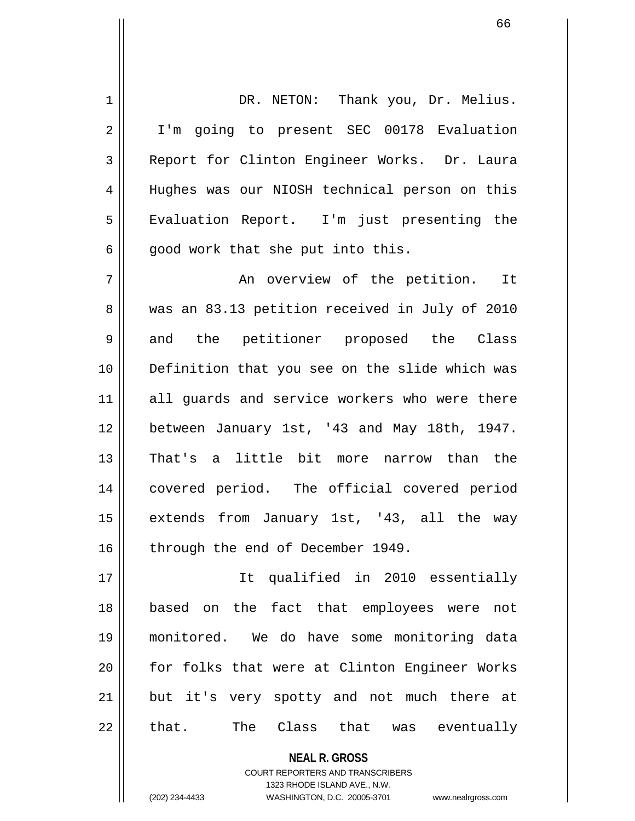1 | DR. NETON: Thank you, Dr. Melius. 2 || I'm going to present SEC 00178 Evaluation 3 Report for Clinton Engineer Works. Dr. Laura 4 Hughes was our NIOSH technical person on this 5 | Evaluation Report. I'm just presenting the  $6 \parallel$  good work that she put into this. 7 An overview of the petition. It 8 || was an 83.13 petition received in July of 2010 9 and the petitioner proposed the Class 10 Definition that you see on the slide which was 11 || all guards and service workers who were there 12 | between January 1st, '43 and May 18th, 1947. 13 That's a little bit more narrow than the 14 covered period. The official covered period

15 || extends from January 1st, '43, all the way 16 | through the end of December 1949.

17 It qualified in 2010 essentially 18 based on the fact that employees were not 19 monitored. We do have some monitoring data 20 || for folks that were at Clinton Engineer Works 21 || but it's very spotty and not much there at  $22 \parallel$  that. The Class that was eventually

> **NEAL R. GROSS** COURT REPORTERS AND TRANSCRIBERS 1323 RHODE ISLAND AVE., N.W. (202) 234-4433 WASHINGTON, D.C. 20005-3701 www.nealrgross.com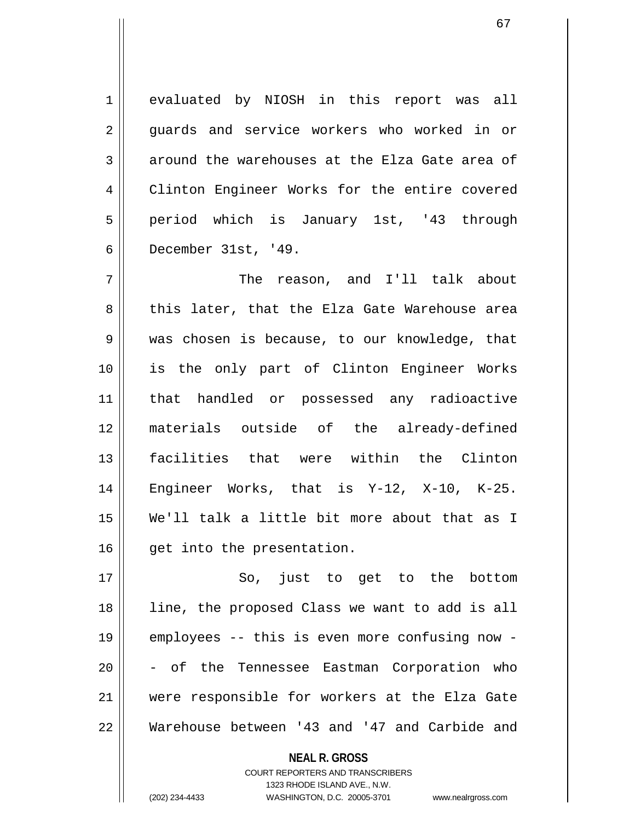1 evaluated by NIOSH in this report was all 2 guards and service workers who worked in or  $3$  | around the warehouses at the Elza Gate area of 4 Clinton Engineer Works for the entire covered 5 period which is January 1st, '43 through 6 December 31st, '49.

7 The reason, and I'll talk about 8 this later, that the Elza Gate Warehouse area 9 || was chosen is because, to our knowledge, that 10 is the only part of Clinton Engineer Works 11 that handled or possessed any radioactive 12 materials outside of the already-defined 13 facilities that were within the Clinton 14 Engineer Works, that is Y-12, X-10, K-25. 15 We'll talk a little bit more about that as I 16 | get into the presentation.

17 || So, just to get to the bottom 18 line, the proposed Class we want to add is all 19 employees -- this is even more confusing now - 20 || - of the Tennessee Eastman Corporation who 21 were responsible for workers at the Elza Gate 22 Warehouse between '43 and '47 and Carbide and

> **NEAL R. GROSS** COURT REPORTERS AND TRANSCRIBERS 1323 RHODE ISLAND AVE., N.W. (202) 234-4433 WASHINGTON, D.C. 20005-3701 www.nealrgross.com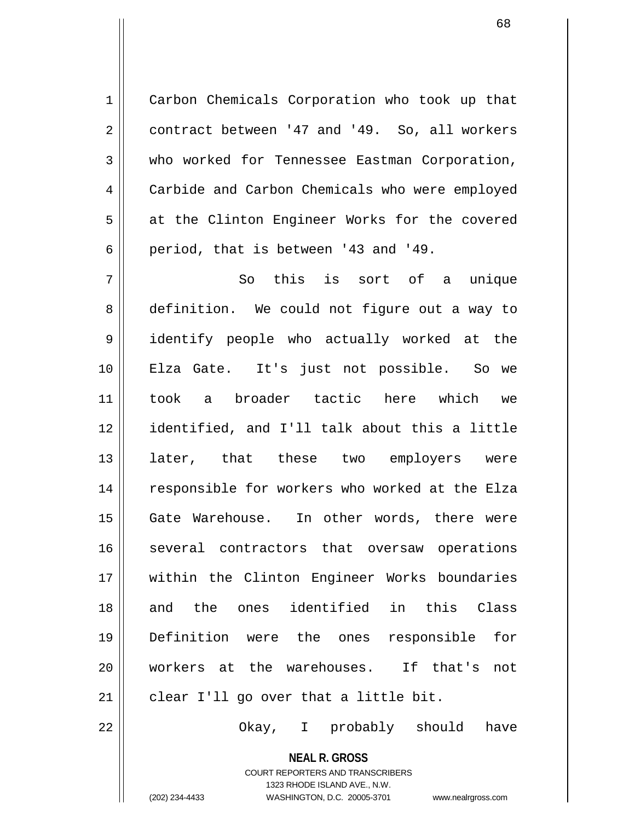1 | Carbon Chemicals Corporation who took up that 2 contract between '47 and '49. So, all workers 3 who worked for Tennessee Eastman Corporation, 4 Carbide and Carbon Chemicals who were employed  $5 \parallel$  at the Clinton Engineer Works for the covered 6 || period, that is between '43 and '49.

7 So this is sort of a unique 8 definition. We could not figure out a way to 9 identify people who actually worked at the 10 Elza Gate. It's just not possible. So we 11 took a broader tactic here which we 12 identified, and I'll talk about this a little 13 || later, that these two employers were 14 || responsible for workers who worked at the Elza 15 Gate Warehouse. In other words, there were 16 || several contractors that oversaw operations 17 within the Clinton Engineer Works boundaries 18 and the ones identified in this Class 19 Definition were the ones responsible for 20 workers at the warehouses. If that's not  $21$  | clear I'll go over that a little bit.

22 Okay, I probably should have

**NEAL R. GROSS** COURT REPORTERS AND TRANSCRIBERS

1323 RHODE ISLAND AVE., N.W. (202) 234-4433 WASHINGTON, D.C. 20005-3701 www.nealrgross.com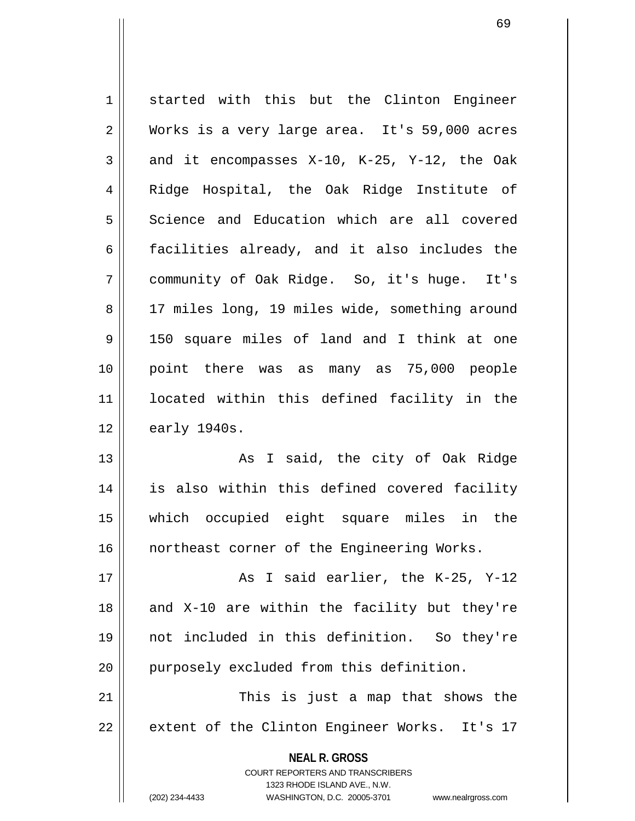1 started with this but the Clinton Engineer 2 | Works is a very large area. It's 59,000 acres  $3 \parallel$  and it encompasses X-10, K-25, Y-12, the Oak 4 || Ridge Hospital, the Oak Ridge Institute of 5 Science and Education which are all covered 6  $\parallel$  facilities already, and it also includes the 7 community of Oak Ridge. So, it's huge. It's 8 | 17 miles long, 19 miles wide, something around 9 150 square miles of land and I think at one 10 point there was as many as 75,000 people 11 located within this defined facility in the 12 | early 1940s. 13 || As I said, the city of Oak Ridge 14 is also within this defined covered facility

15 which occupied eight square miles in the 16 || northeast corner of the Engineering Works.

 $17$   $\parallel$   $\qquad$  As I said earlier, the K-25, Y-12 18  $\parallel$  and X-10 are within the facility but they're 19 not included in this definition. So they're 20 || purposely excluded from this definition.

21 || This is just a map that shows the 22 || extent of the Clinton Engineer Works. It's 17

> **NEAL R. GROSS** COURT REPORTERS AND TRANSCRIBERS 1323 RHODE ISLAND AVE., N.W. (202) 234-4433 WASHINGTON, D.C. 20005-3701 www.nealrgross.com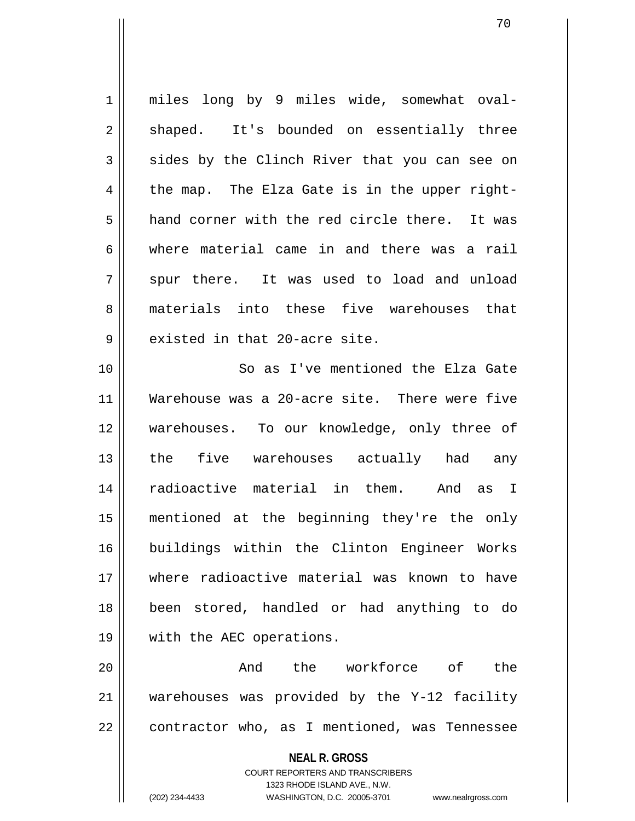1 || miles long by 9 miles wide, somewhat oval-2 shaped. It's bounded on essentially three  $3 \parallel$  sides by the Clinch River that you can see on  $4 \parallel$  the map. The Elza Gate is in the upper right-5 || hand corner with the red circle there. It was 6 where material came in and there was a rail  $7 \parallel$  spur there. It was used to load and unload 8 materials into these five warehouses that 9 || existed in that 20-acre site. 10 So as I've mentioned the Elza Gate

11 Warehouse was a 20-acre site. There were five 12 warehouses. To our knowledge, only three of 13 || the five warehouses actually had any 14 radioactive material in them. And as I 15 mentioned at the beginning they're the only 16 buildings within the Clinton Engineer Works 17 where radioactive material was known to have 18 been stored, handled or had anything to do 19 with the AEC operations.

20 And the workforce of the 21 warehouses was provided by the Y-12 facility  $22$  | contractor who, as I mentioned, was Tennessee

> **NEAL R. GROSS** COURT REPORTERS AND TRANSCRIBERS 1323 RHODE ISLAND AVE., N.W. (202) 234-4433 WASHINGTON, D.C. 20005-3701 www.nealrgross.com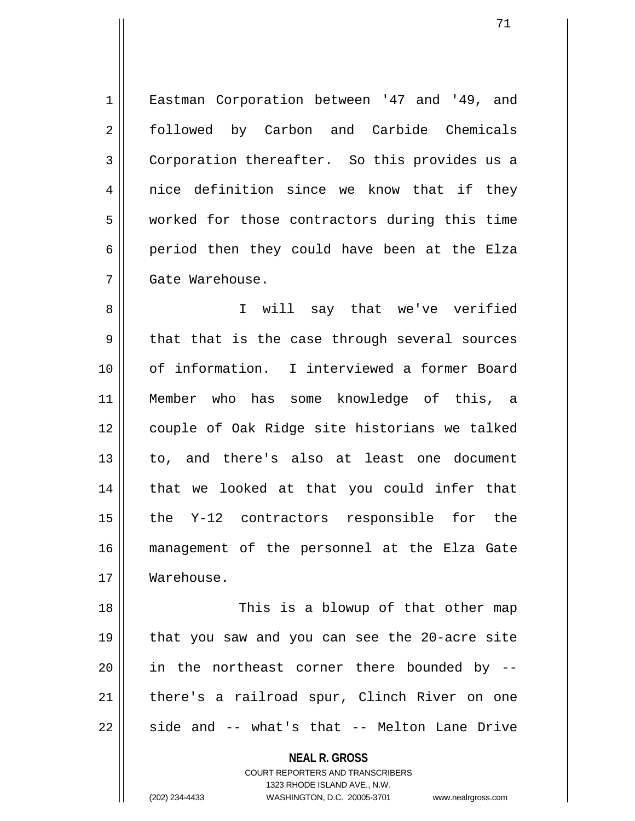1 || Eastman Corporation between '47 and '49, and 2 followed by Carbon and Carbide Chemicals 3 Corporation thereafter. So this provides us a  $4 \parallel$  nice definition since we know that if they 5 worked for those contractors during this time  $6 \parallel$  period then they could have been at the Elza 7 Gate Warehouse.

8 || I will say that we've verified  $9 \parallel$  that that is the case through several sources 10 of information. I interviewed a former Board 11 Member who has some knowledge of this, a 12 couple of Oak Ridge site historians we talked 13 || to, and there's also at least one document 14 || that we looked at that you could infer that  $15$  || the Y-12 contractors responsible for the 16 management of the personnel at the Elza Gate 17 Warehouse.

18 || This is a blowup of that other map 19 that you saw and you can see the 20-acre site  $20$  || in the northeast corner there bounded by  $-$ 21 || there's a railroad spur, Clinch River on one  $22 \parallel$  side and -- what's that -- Melton Lane Drive

> **NEAL R. GROSS** COURT REPORTERS AND TRANSCRIBERS

1323 RHODE ISLAND AVE., N.W. (202) 234-4433 WASHINGTON, D.C. 20005-3701 www.nealrgross.com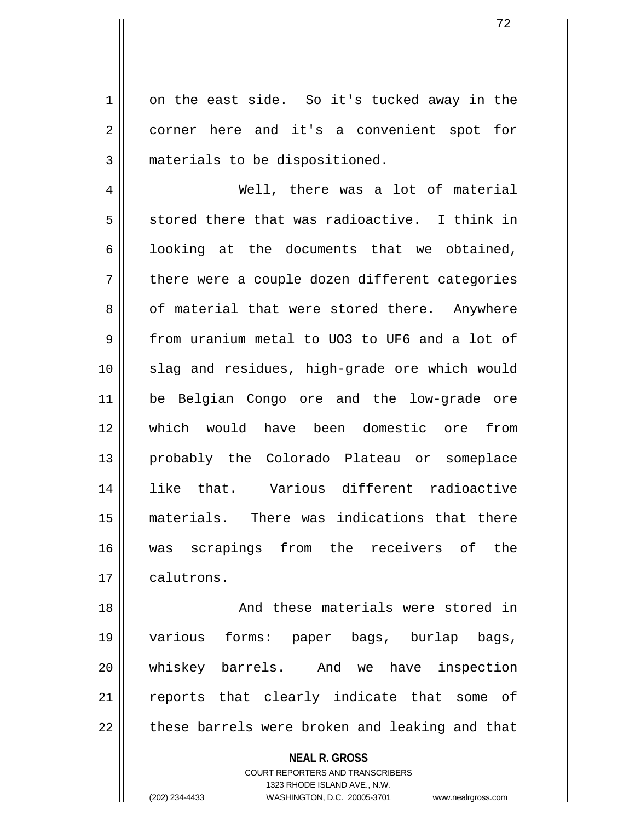1 on the east side. So it's tucked away in the 2 corner here and it's a convenient spot for 3 || materials to be dispositioned.

4 Well, there was a lot of material  $5 \parallel$  stored there that was radioactive. I think in 6 | looking at the documents that we obtained,  $7 \parallel$  there were a couple dozen different categories 8 | of material that were stored there. Anywhere 9 From uranium metal to UO3 to UF6 and a lot of 10 || slag and residues, high-grade ore which would 11 be Belgian Congo ore and the low-grade ore 12 which would have been domestic ore from 13 || probably the Colorado Plateau or someplace 14 like that. Various different radioactive 15 materials. There was indications that there 16 was scrapings from the receivers of the 17 | calutrons.

18 || And these materials were stored in 19 various forms: paper bags, burlap bags, 20 whiskey barrels. And we have inspection 21 || reports that clearly indicate that some of  $22$   $\parallel$  these barrels were broken and leaking and that

## **NEAL R. GROSS** COURT REPORTERS AND TRANSCRIBERS

1323 RHODE ISLAND AVE., N.W. (202) 234-4433 WASHINGTON, D.C. 20005-3701 www.nealrgross.com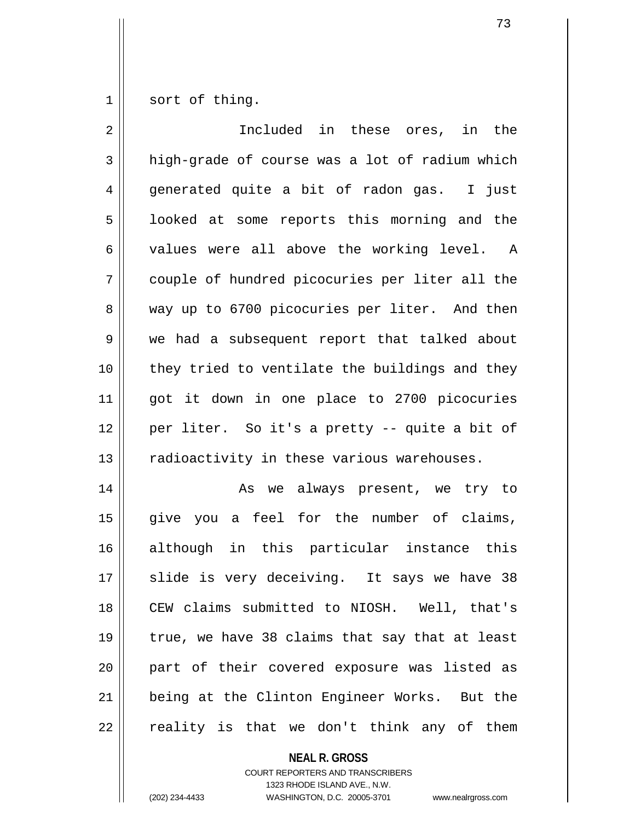$1 \parallel$  sort of thing.

| 2  | Included in these ores,<br>in the              |
|----|------------------------------------------------|
| 3  | high-grade of course was a lot of radium which |
| 4  | generated quite a bit of radon gas. I just     |
| 5  | looked at some reports this morning and the    |
| 6  | values were all above the working level. A     |
| 7  | couple of hundred picocuries per liter all the |
| 8  | way up to 6700 picocuries per liter. And then  |
| 9  | we had a subsequent report that talked about   |
| 10 | they tried to ventilate the buildings and they |
| 11 | got it down in one place to 2700 picocuries    |
| 12 | per liter. So it's a pretty -- quite a bit of  |
| 13 | radioactivity in these various warehouses.     |
| 14 | As we always present, we try to                |
| 15 | give you a feel for the number of claims,      |
| 16 | although in this particular instance this      |
| 17 | slide is very deceiving. It says we have 38    |
| 18 | CEW claims submitted to NIOSH. Well, that's    |
| 19 | true, we have 38 claims that say that at least |
| 20 | part of their covered exposure was listed as   |
| 21 | being at the Clinton Engineer Works. But the   |
| 22 | reality is that we don't think any of them     |

**NEAL R. GROSS** COURT REPORTERS AND TRANSCRIBERS

1323 RHODE ISLAND AVE., N.W.

(202) 234-4433 WASHINGTON, D.C. 20005-3701 www.nealrgross.com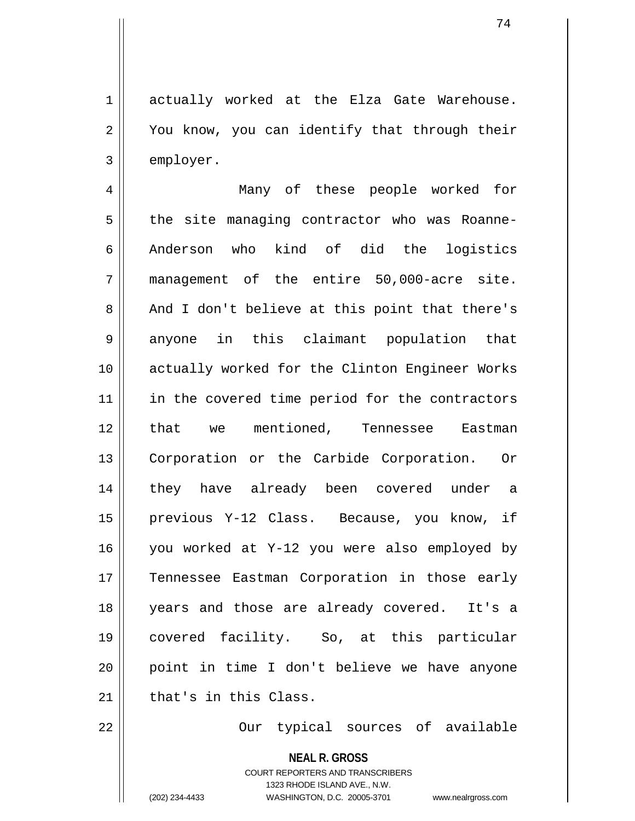1 actually worked at the Elza Gate Warehouse. 2 || You know, you can identify that through their  $3 \parallel$  employer.

4 Many of these people worked for  $5 \parallel$  the site managing contractor who was Roanne-6 Anderson who kind of did the logistics 7 || management of the entire 50,000-acre site. 8 and I don't believe at this point that there's 9 anyone in this claimant population that 10 || actually worked for the Clinton Engineer Works 11 || in the covered time period for the contractors 12 || that we mentioned, Tennessee Eastman 13 || Corporation or the Carbide Corporation. Or 14 || they have already been covered under a 15 previous Y-12 Class. Because, you know, if 16 you worked at Y-12 you were also employed by 17 Tennessee Eastman Corporation in those early 18 years and those are already covered. It's a 19 covered facility. So, at this particular 20 point in time I don't believe we have anyone  $21$  that's in this Class.

22 Our typical sources of available

**NEAL R. GROSS** COURT REPORTERS AND TRANSCRIBERS 1323 RHODE ISLAND AVE., N.W. (202) 234-4433 WASHINGTON, D.C. 20005-3701 www.nealrgross.com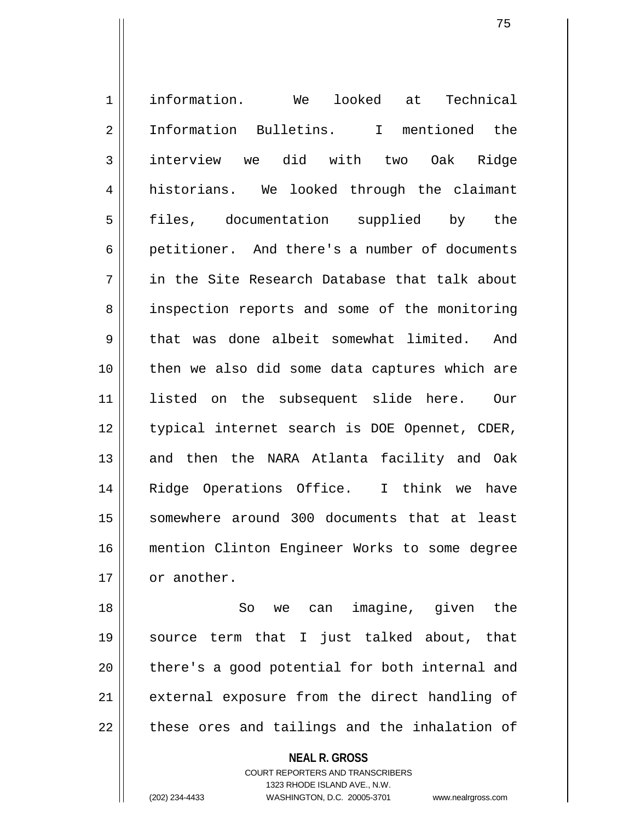1 information. We looked at Technical 2 || Information Bulletins. I mentioned the 3 | interview we did with two Oak Ridge 4 historians. We looked through the claimant 5 || files, documentation supplied by the 6 || petitioner. And there's a number of documents 7 in the Site Research Database that talk about 8 || inspection reports and some of the monitoring 9 that was done albeit somewhat limited. And 10 || then we also did some data captures which are 11 listed on the subsequent slide here. Our 12 || typical internet search is DOE Opennet, CDER, 13 || and then the NARA Atlanta facility and Oak 14 Ridge Operations Office. I think we have 15 somewhere around 300 documents that at least 16 mention Clinton Engineer Works to some degree  $17 \parallel$  or another.

18 || So we can imagine, given the 19 source term that I just talked about, that 20 || there's a good potential for both internal and 21 || external exposure from the direct handling of  $22$  || these ores and tailings and the inhalation of

> **NEAL R. GROSS** COURT REPORTERS AND TRANSCRIBERS 1323 RHODE ISLAND AVE., N.W. (202) 234-4433 WASHINGTON, D.C. 20005-3701 www.nealrgross.com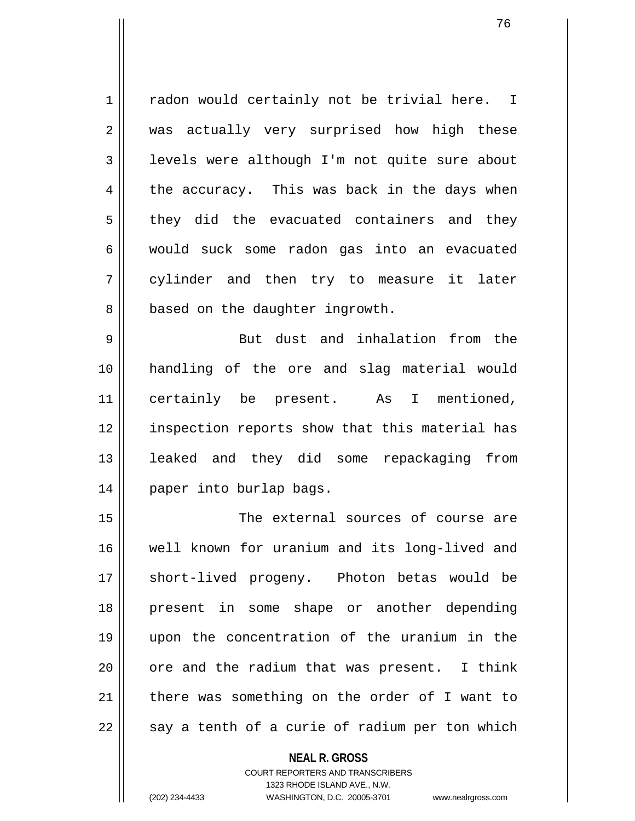1 | radon would certainly not be trivial here. I 2 || was actually very surprised how high these 3 | levels were although I'm not quite sure about  $4 \parallel$  the accuracy. This was back in the days when  $5 \parallel$  they did the evacuated containers and they 6 would suck some radon gas into an evacuated 7 || cylinder and then try to measure it later 8 | based on the daughter ingrowth.

9 || But dust and inhalation from the 10 handling of the ore and slag material would 11 certainly be present. As I mentioned, 12 || inspection reports show that this material has 13 leaked and they did some repackaging from 14 paper into burlap bags.

15 The external sources of course are 16 well known for uranium and its long-lived and 17 || short-lived progeny. Photon betas would be 18 present in some shape or another depending 19 upon the concentration of the uranium in the  $20$  | ore and the radium that was present. I think 21 there was something on the order of I want to  $22 \parallel$  say a tenth of a curie of radium per ton which

## **NEAL R. GROSS** COURT REPORTERS AND TRANSCRIBERS 1323 RHODE ISLAND AVE., N.W.

(202) 234-4433 WASHINGTON, D.C. 20005-3701 www.nealrgross.com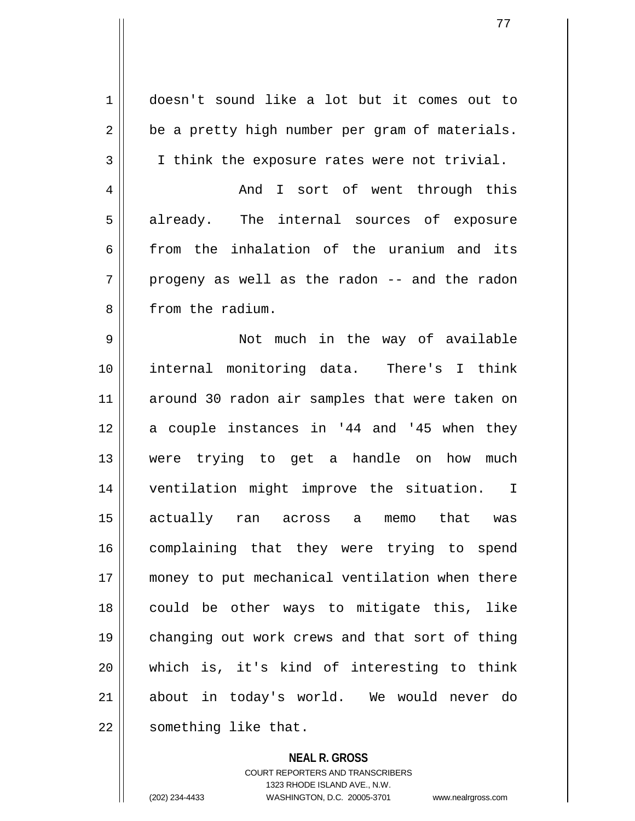| 1              | doesn't sound like a lot but it comes out to    |
|----------------|-------------------------------------------------|
| $\overline{2}$ | be a pretty high number per gram of materials.  |
| 3              | I think the exposure rates were not trivial.    |
| 4              | And I sort of went through this                 |
| 5              | already. The internal sources of exposure       |
| 6              | from the inhalation of the uranium and its      |
| 7              | progeny as well as the radon -- and the radon   |
| 8              | from the radium.                                |
| 9              | Not much in the way of available                |
| 10             | internal monitoring data. There's I think       |
| 11             | around 30 radon air samples that were taken on  |
| 12             | a couple instances in '44 and '45 when they     |
| 13             | were trying to get a handle on how<br>much      |
| 14             | ventilation might improve the situation. I      |
| 15             | actually ran across<br>that<br>a<br>memo<br>was |
| 16             | complaining that they were trying to spend      |
| 17             | money to put mechanical ventilation when there  |
| 18             | could be other ways to mitigate this, like      |
| 19             | changing out work crews and that sort of thing  |
| 20             | which is, it's kind of interesting to think     |
| 21             | about in today's world. We would never do       |
| 22             | something like that.                            |

**NEAL R. GROSS** COURT REPORTERS AND TRANSCRIBERS

1323 RHODE ISLAND AVE., N.W.

(202) 234-4433 WASHINGTON, D.C. 20005-3701 www.nealrgross.com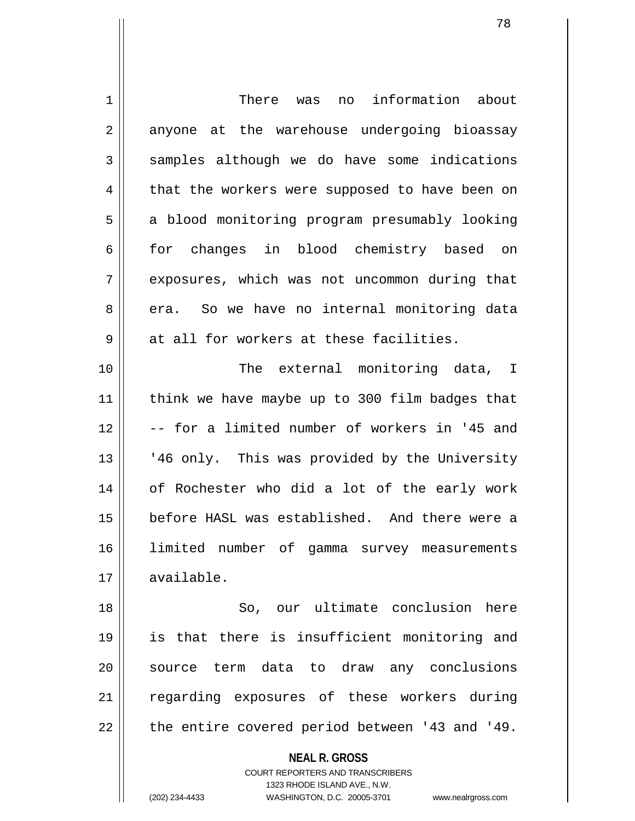| 1  | information about<br>There was<br>no                                |
|----|---------------------------------------------------------------------|
| 2  | anyone at the warehouse undergoing bioassay                         |
| 3  | samples although we do have some indications                        |
| 4  | that the workers were supposed to have been on                      |
| 5  | a blood monitoring program presumably looking                       |
| 6  | for changes in blood chemistry based on                             |
| 7  | exposures, which was not uncommon during that                       |
| 8  | era. So we have no internal monitoring data                         |
| 9  | at all for workers at these facilities.                             |
| 10 | The external monitoring data, I                                     |
| 11 | think we have maybe up to 300 film badges that                      |
| 12 | -- for a limited number of workers in '45 and                       |
| 13 | '46 only. This was provided by the University                       |
| 14 | of Rochester who did a lot of the early work                        |
| 15 | before HASL was established. And there were a                       |
| 16 | limited number of gamma survey measurements                         |
| 17 | available.                                                          |
| 18 | So, our ultimate conclusion<br>here                                 |
| 19 | is that there is insufficient monitoring and                        |
| 20 | source term data to draw any conclusions                            |
| 21 | regarding exposures of these workers during                         |
| 22 | the entire covered period between '43 and '49.                      |
|    |                                                                     |
|    | <b>NEAL R. GROSS</b><br>COURT REPORTERS AND TRANSCRIBERS            |
|    | 1323 RHODE ISLAND AVE., N.W.                                        |
|    | (202) 234-4433<br>WASHINGTON, D.C. 20005-3701<br>www.nealrgross.com |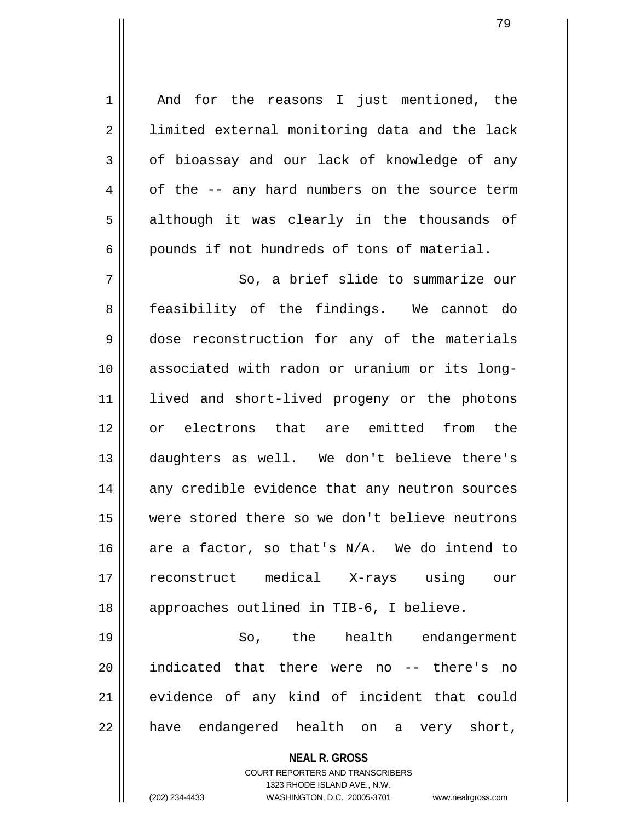**NEAL R. GROSS** COURT REPORTERS AND TRANSCRIBERS 1323 RHODE ISLAND AVE., N.W. 1 || And for the reasons I just mentioned, the 2 || limited external monitoring data and the lack  $3 \parallel$  of bioassay and our lack of knowledge of any  $4 \parallel$  of the  $-$  any hard numbers on the source term 5 || although it was clearly in the thousands of  $6 \parallel$  pounds if not hundreds of tons of material. 7 || So, a brief slide to summarize our 8 || feasibility of the findings. We cannot do 9 dose reconstruction for any of the materials 10 associated with radon or uranium or its long-11 || lived and short-lived progeny or the photons 12 or electrons that are emitted from the 13 daughters as well. We don't believe there's 14 any credible evidence that any neutron sources 15 were stored there so we don't believe neutrons 16 are a factor, so that's  $N/A$ . We do intend to 17 reconstruct medical X-rays using our 18 || approaches outlined in TIB-6, I believe. 19 So, the health endangerment 20 indicated that there were no -- there's no 21 evidence of any kind of incident that could 22 || have endangered health on a very short,

(202) 234-4433 WASHINGTON, D.C. 20005-3701 www.nealrgross.com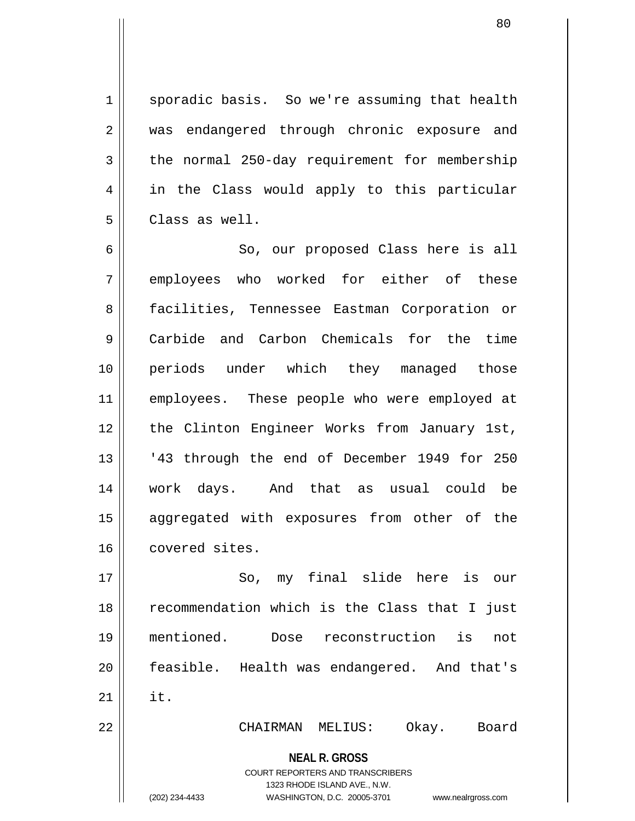1 | sporadic basis. So we're assuming that health 2 || was endangered through chronic exposure and  $3 \parallel$  the normal 250-day requirement for membership 4 | in the Class would apply to this particular 5 Class as well.

6 || So, our proposed Class here is all 7 || employees who worked for either of these 8 | facilities, Tennessee Eastman Corporation or 9 Carbide and Carbon Chemicals for the time 10 periods under which they managed those 11 || employees. These people who were employed at 12 || the Clinton Engineer Works from January 1st, 13 || '43 through the end of December 1949 for 250 14 work days. And that as usual could be 15 aggregated with exposures from other of the 16 covered sites.

17 || So, my final slide here is our 18 || recommendation which is the Class that I just 19 mentioned. Dose reconstruction is not 20 feasible. Health was endangered. And that's  $21$   $\parallel$  it. 22 CHAIRMAN MELIUS: Okay. Board

**NEAL R. GROSS**

COURT REPORTERS AND TRANSCRIBERS 1323 RHODE ISLAND AVE., N.W.

(202) 234-4433 WASHINGTON, D.C. 20005-3701 www.nealrgross.com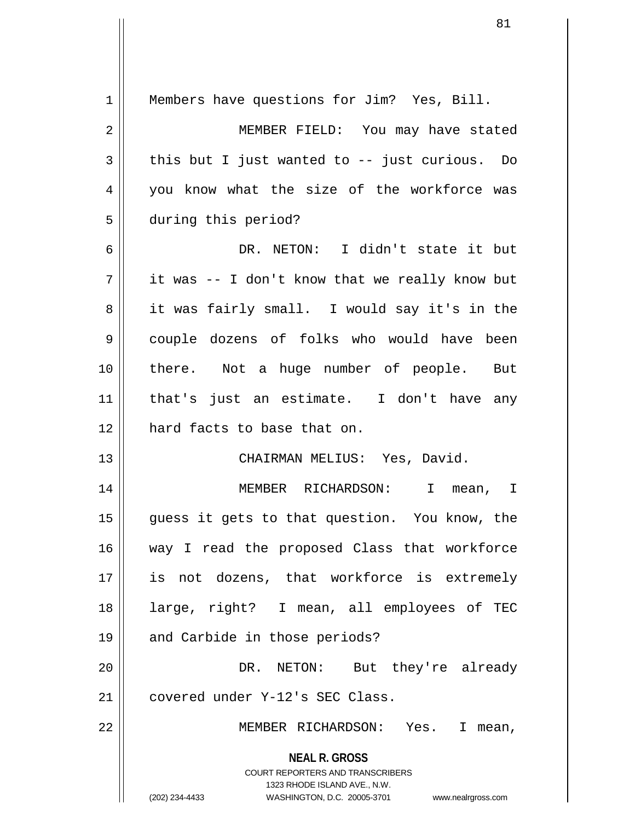| $\mathbf 1$    | Members have questions for Jim? Yes, Bill.                                                                                                                      |
|----------------|-----------------------------------------------------------------------------------------------------------------------------------------------------------------|
| $\overline{2}$ | MEMBER FIELD: You may have stated                                                                                                                               |
| 3              | this but I just wanted to $-$ just curious. Do                                                                                                                  |
| 4              | you know what the size of the workforce was                                                                                                                     |
| 5              | during this period?                                                                                                                                             |
| 6              | DR. NETON: I didn't state it but                                                                                                                                |
| 7              | it was -- I don't know that we really know but                                                                                                                  |
| 8              | it was fairly small. I would say it's in the                                                                                                                    |
| 9              | couple dozens of folks who would have been                                                                                                                      |
| 10             | there. Not a huge number of people. But                                                                                                                         |
| 11             | that's just an estimate. I don't have any                                                                                                                       |
| 12             | hard facts to base that on.                                                                                                                                     |
| 13             | CHAIRMAN MELIUS: Yes, David.                                                                                                                                    |
| 14             | MEMBER RICHARDSON: I<br>mean, I                                                                                                                                 |
| 15             | guess it gets to that question. You know, the                                                                                                                   |
| 16             | way I read the proposed Class that workforce                                                                                                                    |
| 17             | is not dozens, that workforce is extremely                                                                                                                      |
| 18             | large, right? I mean, all employees of TEC                                                                                                                      |
| 19             | and Carbide in those periods?                                                                                                                                   |
| 20             | DR. NETON: But they're already                                                                                                                                  |
| 21             | covered under Y-12's SEC Class.                                                                                                                                 |
| 22             | MEMBER RICHARDSON: Yes. I mean,                                                                                                                                 |
|                | <b>NEAL R. GROSS</b><br>COURT REPORTERS AND TRANSCRIBERS<br>1323 RHODE ISLAND AVE., N.W.<br>(202) 234-4433<br>WASHINGTON, D.C. 20005-3701<br>www.nealrgross.com |

 $\overline{1}$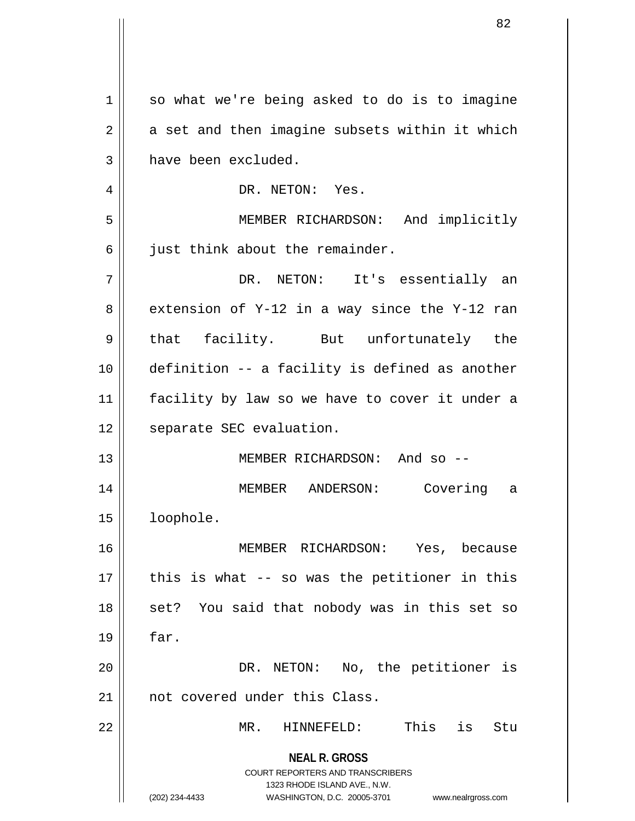|    | 82                                                                                                  |
|----|-----------------------------------------------------------------------------------------------------|
|    |                                                                                                     |
| 1  | so what we're being asked to do is to imagine                                                       |
| 2  | a set and then imagine subsets within it which                                                      |
| 3  | have been excluded.                                                                                 |
| 4  | DR. NETON: Yes.                                                                                     |
| 5  | MEMBER RICHARDSON: And implicitly                                                                   |
| 6  | just think about the remainder.                                                                     |
| 7  | DR. NETON: It's essentially an                                                                      |
| 8  | extension of Y-12 in a way since the Y-12 ran                                                       |
| 9  | that facility. But unfortunately the                                                                |
|    |                                                                                                     |
| 10 | definition -- a facility is defined as another                                                      |
| 11 | facility by law so we have to cover it under a                                                      |
| 12 | separate SEC evaluation.                                                                            |
| 13 | MEMBER RICHARDSON: And so --                                                                        |
| 14 | MEMBER<br>ANDERSON:<br>Covering<br>а                                                                |
| 15 | loophole.                                                                                           |
| 16 | MEMBER RICHARDSON:<br>Yes,<br>because                                                               |
| 17 | this is what -- so was the petitioner in this                                                       |
| 18 | set? You said that nobody was in this set so                                                        |
| 19 | far.                                                                                                |
| 20 | DR. NETON: No, the petitioner is                                                                    |
| 21 | not covered under this Class.                                                                       |
| 22 | MR.<br>HINNEFELD:<br>This<br>is<br>Stu                                                              |
|    | <b>NEAL R. GROSS</b>                                                                                |
|    | <b>COURT REPORTERS AND TRANSCRIBERS</b>                                                             |
|    | 1323 RHODE ISLAND AVE., N.W.<br>(202) 234-4433<br>WASHINGTON, D.C. 20005-3701<br>www.nealrgross.com |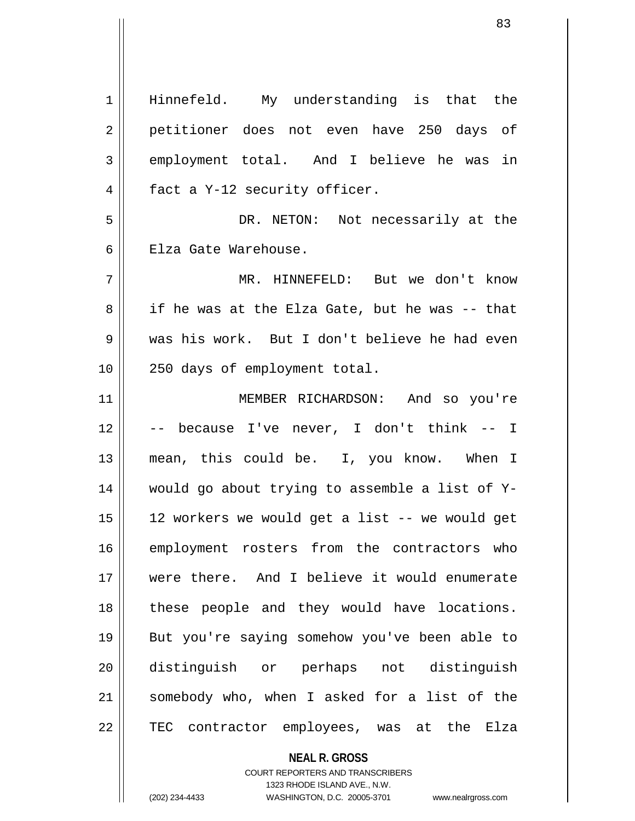**NEAL R. GROSS** 1 Hinnefeld. My understanding is that the 2 || petitioner does not even have 250 days of 3 employment total. And I believe he was in 4 || fact a Y-12 security officer. 5 DR. NETON: Not necessarily at the 6 H Elza Gate Warehouse. 7 MR. HINNEFELD: But we don't know  $8 \parallel$  if he was at the Elza Gate, but he was -- that 9 was his work. But I don't believe he had even 10 250 days of employment total. 11 MEMBER RICHARDSON: And so you're 12 -- because I've never, I don't think -- I 13 || mean, this could be. I, you know. When I 14 would go about trying to assemble a list of Y-15 12 workers we would get a list -- we would get 16 employment rosters from the contractors who 17 were there. And I believe it would enumerate 18 || these people and they would have locations. 19 But you're saying somehow you've been able to 20 distinguish or perhaps not distinguish 21 somebody who, when I asked for a list of the 22 || TEC contractor employees, was at the Elza

> COURT REPORTERS AND TRANSCRIBERS 1323 RHODE ISLAND AVE., N.W.

(202) 234-4433 WASHINGTON, D.C. 20005-3701 www.nealrgross.com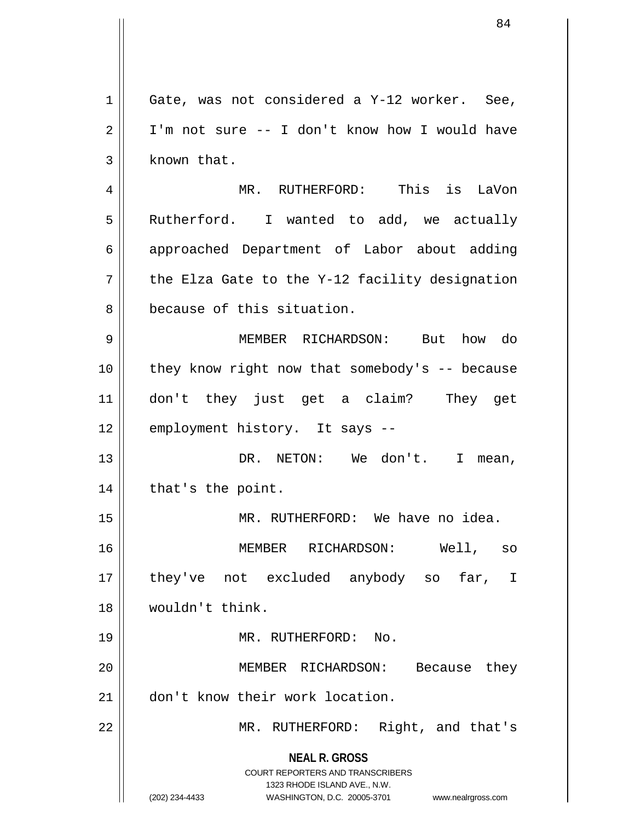**NEAL R. GROSS** COURT REPORTERS AND TRANSCRIBERS 1323 RHODE ISLAND AVE., N.W. (202) 234-4433 WASHINGTON, D.C. 20005-3701 www.nealrgross.com  $1 \parallel$  Gate, was not considered a Y-12 worker. See,  $2 \parallel$  I'm not sure -- I don't know how I would have  $3$  | known that. 4 MR. RUTHERFORD: This is LaVon 5 | Rutherford. I wanted to add, we actually 6 approached Department of Labor about adding  $7 \parallel$  the Elza Gate to the Y-12 facility designation 8 because of this situation. 9 MEMBER RICHARDSON: But how do  $10$  | they know right now that somebody's -- because 11 don't they just get a claim? They get 12 || employment history. It says --13 DR. NETON: We don't. I mean,  $14$  | that's the point. 15 MR. RUTHERFORD: We have no idea. 16 MEMBER RICHARDSON: Well, so 17 || they've not excluded anybody so far, I 18 wouldn't think. 19 MR. RUTHERFORD: No. 20 MEMBER RICHARDSON: Because they 21 don't know their work location. 22 || MR. RUTHERFORD: Right, and that's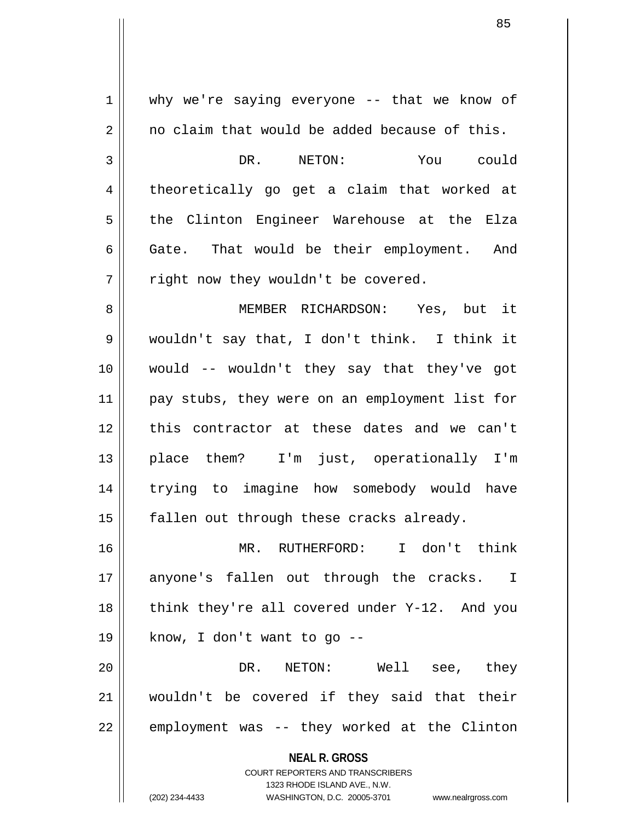**NEAL R. GROSS** COURT REPORTERS AND TRANSCRIBERS 1323 RHODE ISLAND AVE., N.W.  $1 \parallel$  why we're saying everyone -- that we know of  $2 \parallel$  no claim that would be added because of this. 3 DR. NETON: You could 4 || theoretically go get a claim that worked at 5 || the Clinton Engineer Warehouse at the Elza  $6 \parallel$  Gate. That would be their employment. And  $7 \parallel$  right now they wouldn't be covered. 8 MEMBER RICHARDSON: Yes, but it 9 wouldn't say that, I don't think. I think it 10 would -- wouldn't they say that they've got 11 || pay stubs, they were on an employment list for 12 this contractor at these dates and we can't 13 place them? I'm just, operationally I'm 14 trying to imagine how somebody would have  $15$  || fallen out through these cracks already. 16 MR. RUTHERFORD: I don't think 17 || anyone's fallen out through the cracks. I 18  $\parallel$  think they're all covered under Y-12. And you 19 || know, I don't want to go  $-$ -20 DR. NETON: Well see, they 21 wouldn't be covered if they said that their  $22$  | employment was -- they worked at the Clinton

(202) 234-4433 WASHINGTON, D.C. 20005-3701 www.nealrgross.com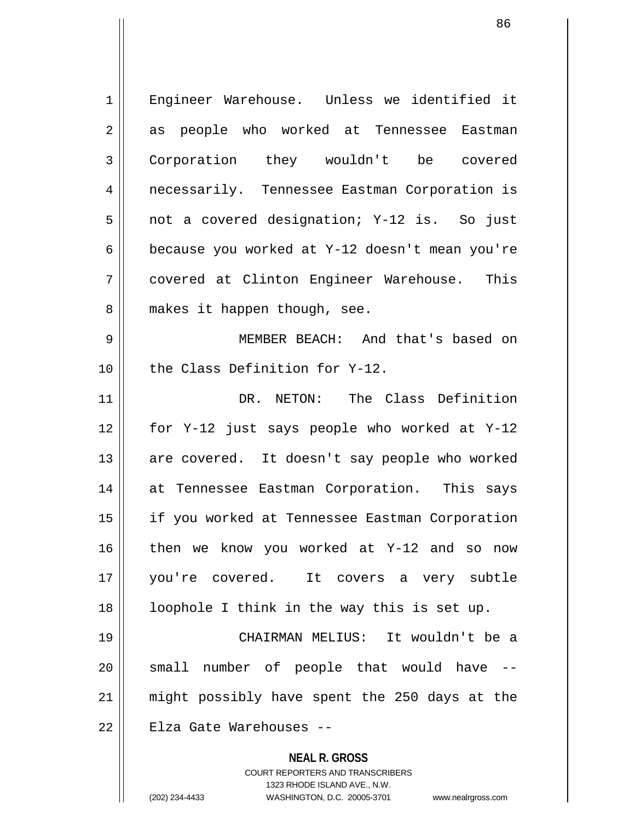| 1  | Engineer Warehouse. Unless we identified it              |
|----|----------------------------------------------------------|
| 2  | as people who worked at Tennessee Eastman                |
| 3  | Corporation they wouldn't be covered                     |
| 4  | necessarily. Tennessee Eastman Corporation is            |
| 5  | not a covered designation; Y-12 is. So just              |
| 6  | because you worked at Y-12 doesn't mean you're           |
| 7  | covered at Clinton Engineer Warehouse. This              |
| 8  | makes it happen though, see.                             |
| 9  | MEMBER BEACH: And that's based on                        |
| 10 | the Class Definition for Y-12.                           |
| 11 | DR. NETON: The Class Definition                          |
| 12 | for Y-12 just says people who worked at Y-12             |
| 13 | are covered. It doesn't say people who worked            |
| 14 | at Tennessee Eastman Corporation. This says              |
| 15 | if you worked at Tennessee Eastman Corporation           |
| 16 | then we know you worked at Y-12 and so now               |
| 17 | you're covered. It covers a very subtle                  |
| 18 | loophole I think in the way this is set up.              |
| 19 | CHAIRMAN MELIUS: It wouldn't be a                        |
| 20 | small number of people that would have                   |
| 21 | might possibly have spent the 250 days at the            |
| 22 | Elza Gate Warehouses --                                  |
|    | <b>NEAL R. GROSS</b><br>COURT REPORTERS AND TRANSCRIBERS |

1323 RHODE ISLAND AVE., N.W.

 $\begin{array}{c} \hline \end{array}$ 

(202) 234-4433 WASHINGTON, D.C. 20005-3701 www.nealrgross.com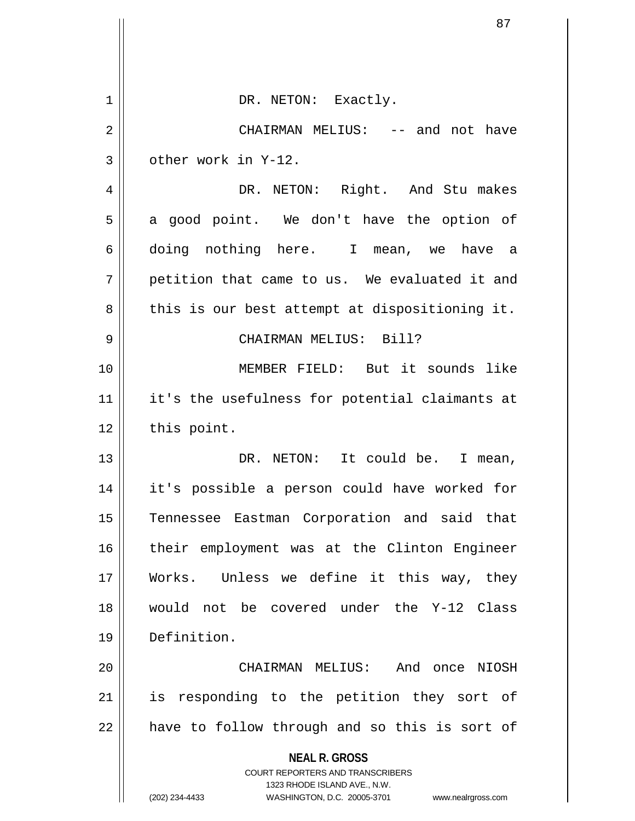|    | 87                                                                  |
|----|---------------------------------------------------------------------|
|    |                                                                     |
| 1  | DR. NETON: Exactly.                                                 |
| 2  | CHAIRMAN MELIUS: -- and not have                                    |
| 3  | other work in Y-12.                                                 |
| 4  | DR. NETON: Right. And Stu makes                                     |
| 5  | a good point. We don't have the option of                           |
| 6  | doing nothing here. I mean, we have a                               |
| 7  | petition that came to us. We evaluated it and                       |
| 8  | this is our best attempt at dispositioning it.                      |
| 9  | CHAIRMAN MELIUS: Bill?                                              |
| 10 | MEMBER FIELD: But it sounds like                                    |
| 11 | it's the usefulness for potential claimants at                      |
| 12 | this point.                                                         |
| 13 | DR. NETON: It could be. I mean,                                     |
| 14 | it's possible a person could have worked for                        |
| 15 | Tennessee Eastman Corporation and said that                         |
| 16 | their employment was at the Clinton Engineer                        |
| 17 | Works. Unless we define it this way, they                           |
| 18 | would not be covered under the Y-12 Class                           |
| 19 | Definition.                                                         |
| 20 | CHAIRMAN MELIUS: And once NIOSH                                     |
| 21 | responding to the petition they sort of<br>is                       |
| 22 | have to follow through and so this is sort of                       |
|    | <b>NEAL R. GROSS</b><br>COURT REPORTERS AND TRANSCRIBERS            |
|    | 1323 RHODE ISLAND AVE., N.W.                                        |
|    | (202) 234-4433<br>WASHINGTON, D.C. 20005-3701<br>www.nealrgross.com |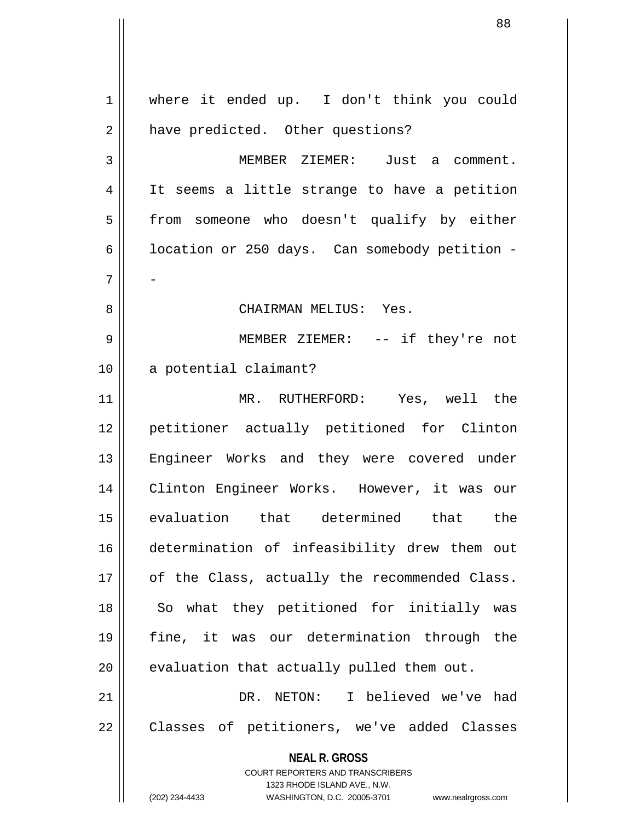**NEAL R. GROSS** COURT REPORTERS AND TRANSCRIBERS 1323 RHODE ISLAND AVE., N.W. (202) 234-4433 WASHINGTON, D.C. 20005-3701 www.nealrgross.com 1 || where it ended up. I don't think you could 2 | have predicted. Other questions? 3 MEMBER ZIEMER: Just a comment. 4 || It seems a little strange to have a petition 5 | from someone who doesn't qualify by either 6 |  $\vert$  location or 250 days. Can somebody petition - $7 \parallel -$ 8 CHAIRMAN MELIUS: Yes. 9 MEMBER ZIEMER: -- if they're not 10 a potential claimant? 11 MR. RUTHERFORD: Yes, well the 12 petitioner actually petitioned for Clinton 13 || Engineer Works and they were covered under 14 Clinton Engineer Works. However, it was our 15 evaluation that determined that the 16 determination of infeasibility drew them out 17 | of the Class, actually the recommended Class. 18 || So what they petitioned for initially was 19 fine, it was our determination through the  $20$  | evaluation that actually pulled them out. 21 DR. NETON: I believed we've had 22 | Classes of petitioners, we've added Classes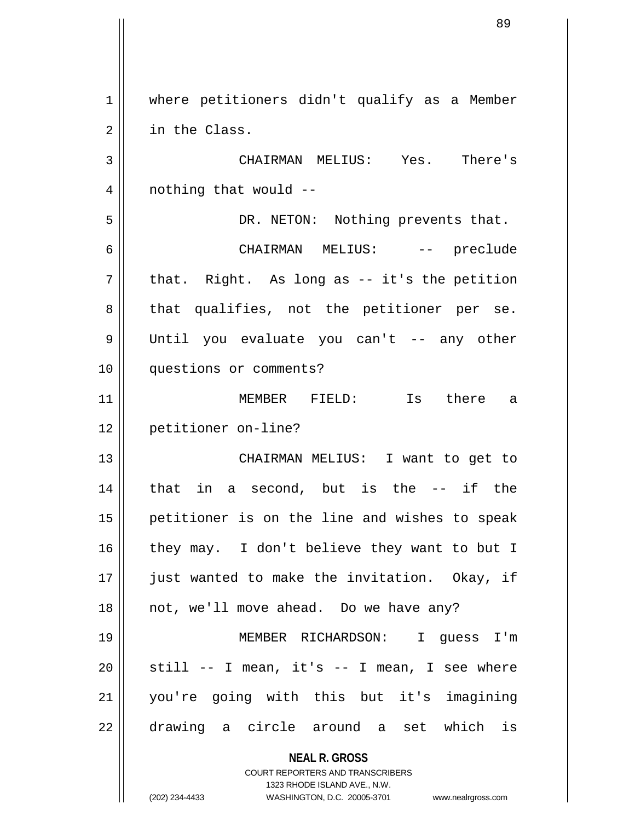**NEAL R. GROSS** COURT REPORTERS AND TRANSCRIBERS 1 | where petitioners didn't qualify as a Member 2 | in the Class. 3 CHAIRMAN MELIUS: Yes. There's  $4 \parallel$  nothing that would  $-$ 5 DR. NETON: Nothing prevents that. 6 CHAIRMAN MELIUS: -- preclude  $7 \parallel$  that. Right. As long as -- it's the petition  $8 \parallel$  that qualifies, not the petitioner per se. 9 Until you evaluate you can't -- any other 10 questions or comments? 11 MEMBER FIELD: Is there a 12 petitioner on-line? 13 || CHAIRMAN MELIUS: I want to get to 14 that in a second, but is the -- if the 15 || petitioner is on the line and wishes to speak 16 || they may. I don't believe they want to but I 17 || just wanted to make the invitation. Okay, if 18 || not, we'll move ahead. Do we have any? 19 MEMBER RICHARDSON: I guess I'm  $20$  || still -- I mean, it's -- I mean, I see where 21 you're going with this but it's imagining 22 drawing a circle around a set which is

1323 RHODE ISLAND AVE., N.W.

89

(202) 234-4433 WASHINGTON, D.C. 20005-3701 www.nealrgross.com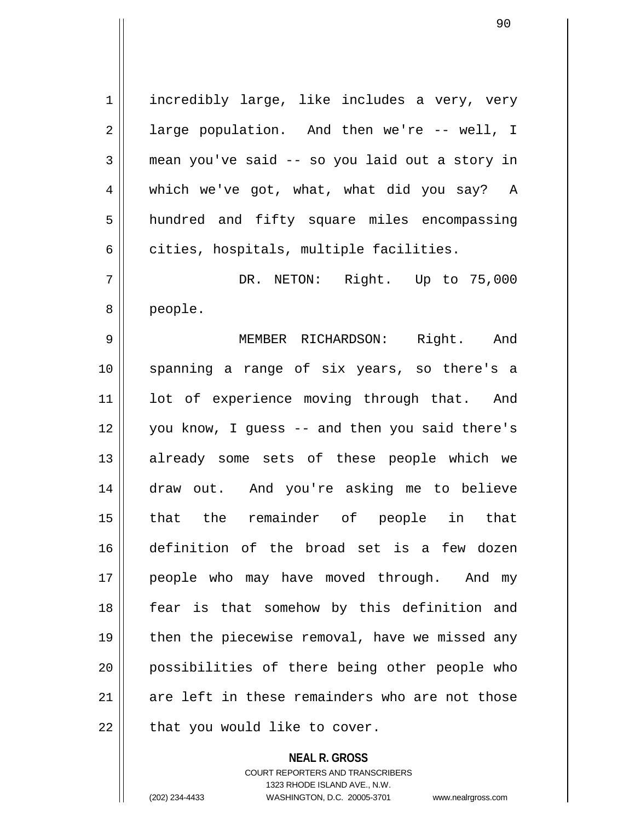1 || incredibly large, like includes a very, very 2 || large population. And then we're -- well, I  $3 \parallel$  mean you've said -- so you laid out a story in 4 which we've got, what, what did you say? A 5 || hundred and fifty square miles encompassing  $6 \parallel$  cities, hospitals, multiple facilities. 7 DR. NETON: Right. Up to 75,000 8 people. 9 MEMBER RICHARDSON: Right. And 10 spanning a range of six years, so there's a 11 || lot of experience moving through that. And 12 you know, I guess -- and then you said there's 13 || already some sets of these people which we 14 draw out. And you're asking me to believe 15 that the remainder of people in that 16 definition of the broad set is a few dozen 17 || people who may have moved through. And my 18 || fear is that somehow by this definition and 19 || then the piecewise removal, have we missed any 20 possibilities of there being other people who  $21$  are left in these remainders who are not those  $22$  | that you would like to cover.

> **NEAL R. GROSS** COURT REPORTERS AND TRANSCRIBERS 1323 RHODE ISLAND AVE., N.W.

<sup>(202) 234-4433</sup> WASHINGTON, D.C. 20005-3701 www.nealrgross.com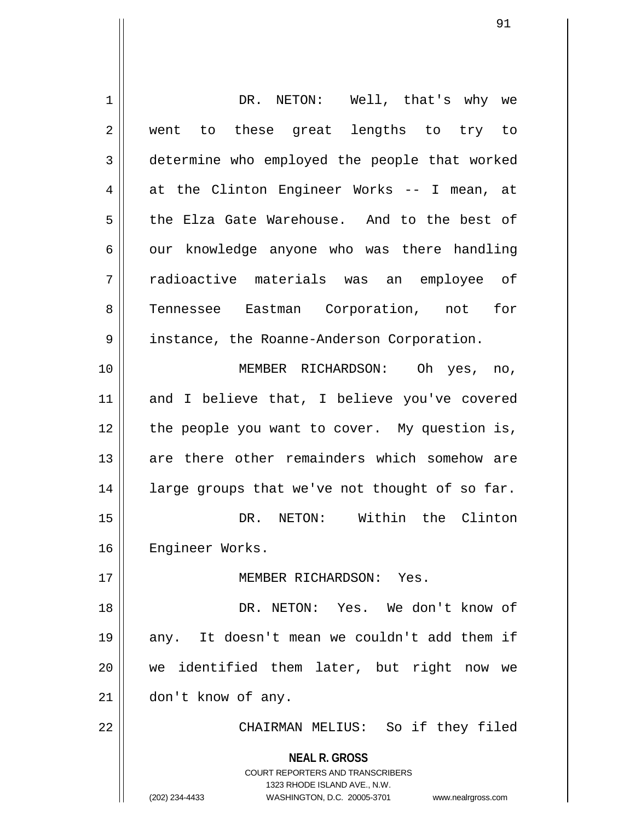| 1  | DR. NETON: Well, that's why we                                          |
|----|-------------------------------------------------------------------------|
| 2  | went to these great lengths to try to                                   |
| 3  | determine who employed the people that worked                           |
| 4  | at the Clinton Engineer Works -- I mean, at                             |
| 5  | the Elza Gate Warehouse. And to the best of                             |
| 6  | our knowledge anyone who was there handling                             |
| 7  | radioactive materials was an employee of                                |
| 8  | Tennessee Eastman Corporation, not for                                  |
| 9  | instance, the Roanne-Anderson Corporation.                              |
| 10 | MEMBER RICHARDSON: Oh yes, no,                                          |
| 11 | and I believe that, I believe you've covered                            |
| 12 | the people you want to cover. My question is,                           |
| 13 | are there other remainders which somehow are                            |
| 14 | large groups that we've not thought of so far.                          |
| 15 | DR. NETON: Within the Clinton                                           |
| 16 | Engineer Works.                                                         |
| 17 | MEMBER RICHARDSON: Yes.                                                 |
| 18 | DR. NETON: Yes. We don't know of                                        |
| 19 | It doesn't mean we couldn't add them if<br>any.                         |
| 20 | we identified them later, but right now we                              |
| 21 | don't know of any.                                                      |
| 22 | CHAIRMAN MELIUS: So if they filed                                       |
|    | <b>NEAL R. GROSS</b>                                                    |
|    | <b>COURT REPORTERS AND TRANSCRIBERS</b><br>1323 RHODE ISLAND AVE., N.W. |
|    | (202) 234-4433<br>WASHINGTON, D.C. 20005-3701<br>www.nealrgross.com     |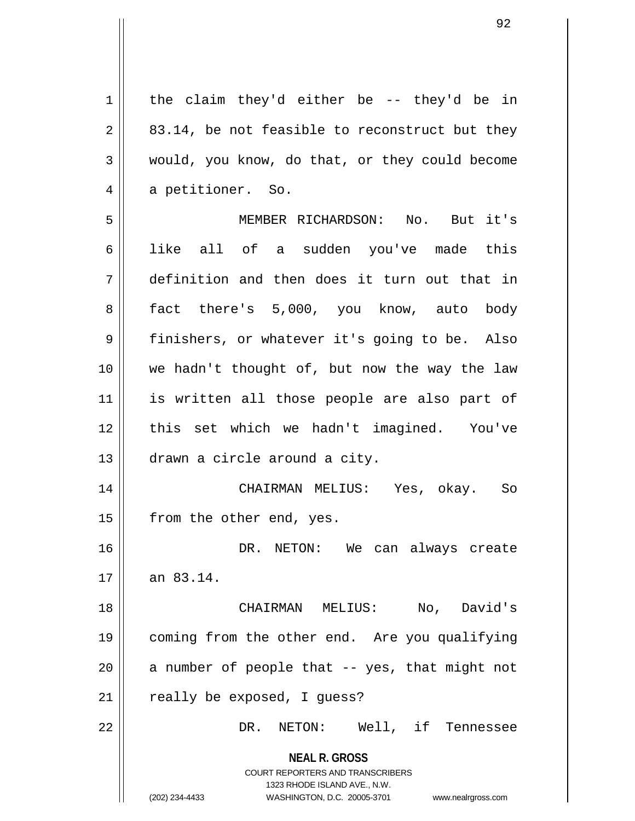**NEAL R. GROSS** COURT REPORTERS AND TRANSCRIBERS 1323 RHODE ISLAND AVE., N.W. (202) 234-4433 WASHINGTON, D.C. 20005-3701 www.nealrgross.com  $1 \parallel$  the claim they'd either be -- they'd be in  $2 \parallel 83.14$ , be not feasible to reconstruct but they 3 would, you know, do that, or they could become 4 a petitioner. So. 5 MEMBER RICHARDSON: No. But it's 6 || like all of a sudden you've made this 7 definition and then does it turn out that in 8 || fact there's 5,000, you know, auto body 9 || finishers, or whatever it's going to be. Also 10 we hadn't thought of, but now the way the law 11 || is written all those people are also part of 12 || this set which we hadn't imagined. You've 13 drawn a circle around a city. 14 CHAIRMAN MELIUS: Yes, okay. So 15 | from the other end, yes. 16 DR. NETON: We can always create  $17 \parallel \quad$  an 83.14. 18 CHAIRMAN MELIUS: No, David's 19 coming from the other end. Are you qualifying 20  $\parallel$  a number of people that -- yes, that might not  $21$  | really be exposed, I quess? 22 DR. NETON: Well, if Tennessee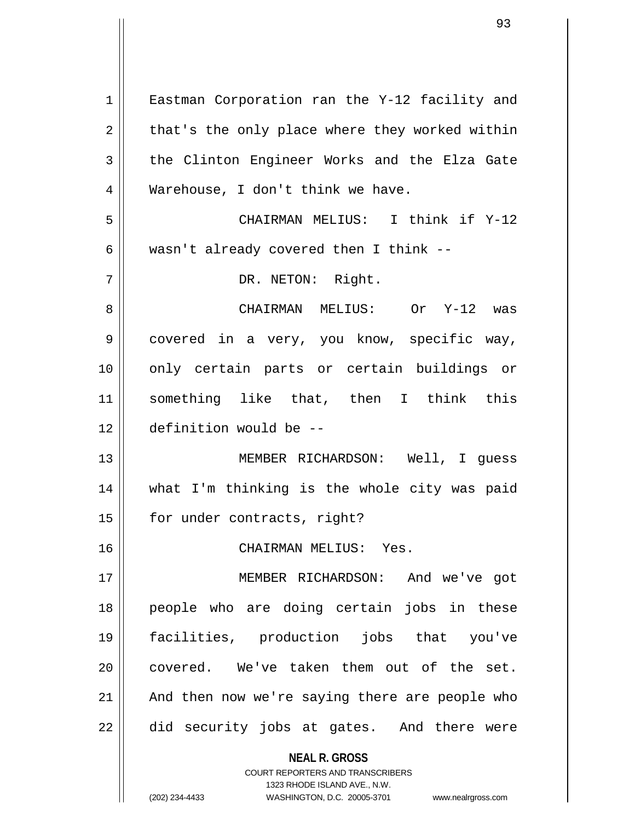**NEAL R. GROSS** COURT REPORTERS AND TRANSCRIBERS 1323 RHODE ISLAND AVE., N.W. 1 || Eastman Corporation ran the Y-12 facility and  $2 \parallel$  that's the only place where they worked within  $3 \parallel$  the Clinton Engineer Works and the Elza Gate 4 || Warehouse, I don't think we have. 5 CHAIRMAN MELIUS: I think if Y-12 6 | wasn't already covered then I think  $-$ -7 || DR. NETON: Right. 8 CHAIRMAN MELIUS: Or Y-12 was 9 covered in a very, you know, specific way, 10 only certain parts or certain buildings or 11 something like that, then I think this 12 definition would be -- 13 MEMBER RICHARDSON: Well, I guess 14 what I'm thinking is the whole city was paid 15 | for under contracts, right? 16 CHAIRMAN MELIUS: Yes. 17 MEMBER RICHARDSON: And we've got 18 people who are doing certain jobs in these 19 facilities, production jobs that you've 20 || covered. We've taken them out of the set.  $21$  | And then now we're saying there are people who  $22$   $\parallel$  did security jobs at gates. And there were

(202) 234-4433 WASHINGTON, D.C. 20005-3701 www.nealrgross.com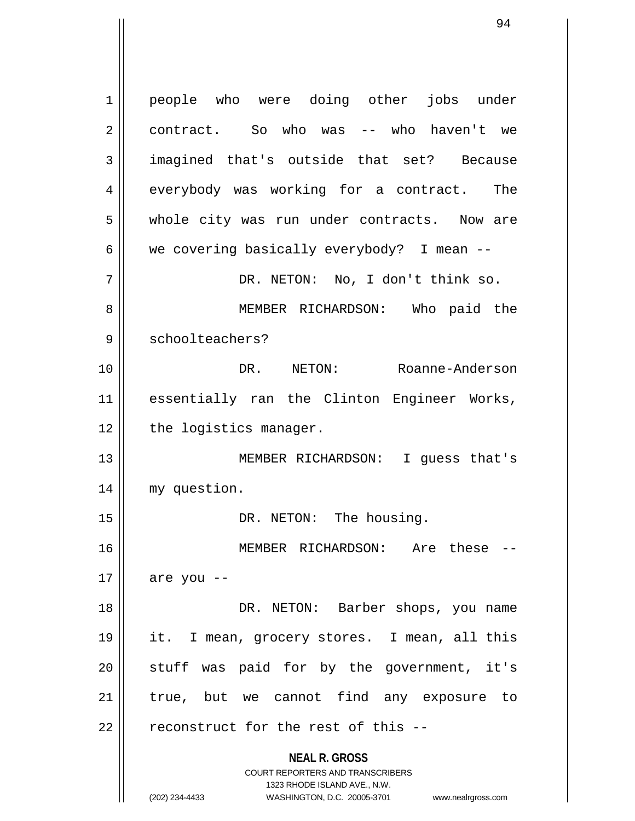**NEAL R. GROSS** COURT REPORTERS AND TRANSCRIBERS 1323 RHODE ISLAND AVE., N.W. 1 || people who were doing other jobs under 2 || contract. So who was -- who haven't we 3 imagined that's outside that set? Because 4 everybody was working for a contract. The 5 || whole city was run under contracts. Now are 6  $\parallel$  we covering basically everybody? I mean  $-$ 7 DR. NETON: No, I don't think so. 8 MEMBER RICHARDSON: Who paid the 9 || schoolteachers? 10 DR. NETON: Roanne-Anderson 11 essentially ran the Clinton Engineer Works, 12 | the logistics manager. 13 MEMBER RICHARDSON: I guess that's 14 my question. 15 || DR. NETON: The housing. 16 MEMBER RICHARDSON: Are these --  $17 \parallel$  are you --18 DR. NETON: Barber shops, you name 19 it. I mean, grocery stores. I mean, all this  $20$  stuff was paid for by the government, it's 21 || true, but we cannot find any exposure to  $22$  || reconstruct for the rest of this --

(202) 234-4433 WASHINGTON, D.C. 20005-3701 www.nealrgross.com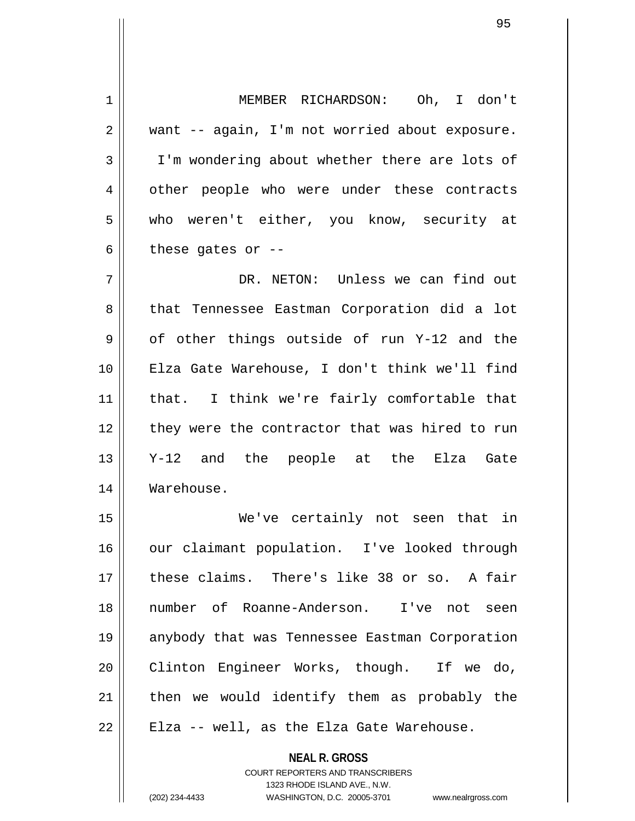| 1  | MEMBER RICHARDSON: Oh, I don't                 |
|----|------------------------------------------------|
| 2  | want -- again, I'm not worried about exposure. |
| 3  | I'm wondering about whether there are lots of  |
| 4  | other people who were under these contracts    |
| 5  | who weren't either, you know, security at      |
| 6  | these gates or $-$                             |
| 7  | DR. NETON: Unless we can find out              |
| 8  | that Tennessee Eastman Corporation did a lot   |
| 9  | of other things outside of run Y-12 and the    |
| 10 | Elza Gate Warehouse, I don't think we'll find  |
| 11 | that. I think we're fairly comfortable that    |
| 12 | they were the contractor that was hired to run |
| 13 | Y-12 and the people at the Elza Gate           |
| 14 | Warehouse.                                     |
| 15 | We've certainly not seen that in               |
| 16 | our claimant population. I've looked through   |
| 17 | these claims. There's like 38 or so. A fair    |
| 18 | number of Roanne-Anderson. I've not seen       |
| 19 | anybody that was Tennessee Eastman Corporation |
| 20 | Clinton Engineer Works, though. If we do,      |
| 21 | then we would identify them as probably the    |
| 22 | Elza -- well, as the Elza Gate Warehouse.      |
|    | <b>NEAL R. GROSS</b>                           |

COURT REPORTERS AND TRANSCRIBERS 1323 RHODE ISLAND AVE., N.W.

 $\mathsf{II}$ 

(202) 234-4433 WASHINGTON, D.C. 20005-3701 www.nealrgross.com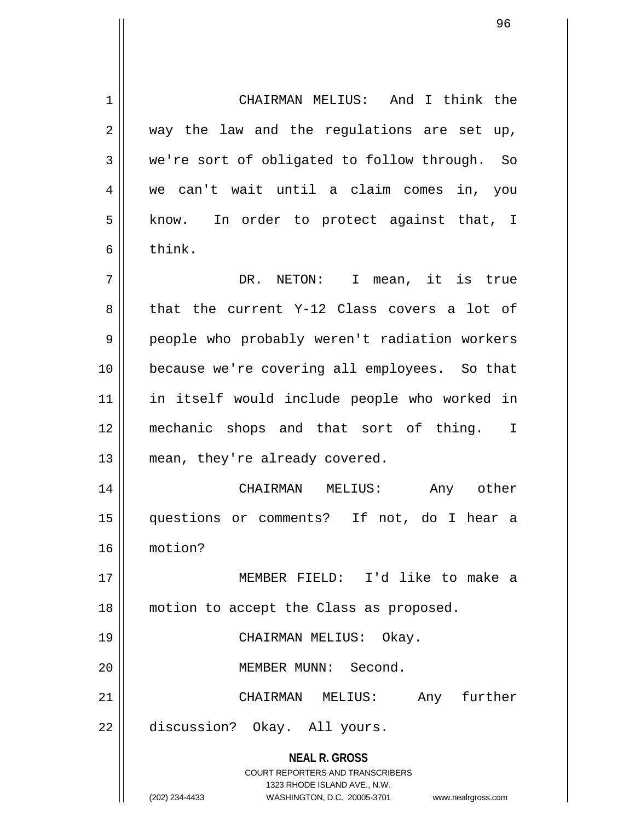**NEAL R. GROSS** COURT REPORTERS AND TRANSCRIBERS 1323 RHODE ISLAND AVE., N.W. 1 CHAIRMAN MELIUS: And I think the  $2 \parallel$  way the law and the regulations are set up, 3 we're sort of obligated to follow through. So 4 we can't wait until a claim comes in, you 5 || know. In order to protect against that, I 6 l think. 7 || DR. NETON: I mean, it is true 8 that the current Y-12 Class covers a lot of 9 || people who probably weren't radiation workers 10 because we're covering all employees. So that 11 in itself would include people who worked in 12 mechanic shops and that sort of thing. I 13 || mean, they're already covered. 14 CHAIRMAN MELIUS: Any other 15 questions or comments? If not, do I hear a 16 motion? 17 MEMBER FIELD: I'd like to make a 18 || motion to accept the Class as proposed. 19 CHAIRMAN MELIUS: Okay. 20 MEMBER MUNN: Second. 21 CHAIRMAN MELIUS: Any further 22 discussion? Okay. All yours.

(202) 234-4433 WASHINGTON, D.C. 20005-3701 www.nealrgross.com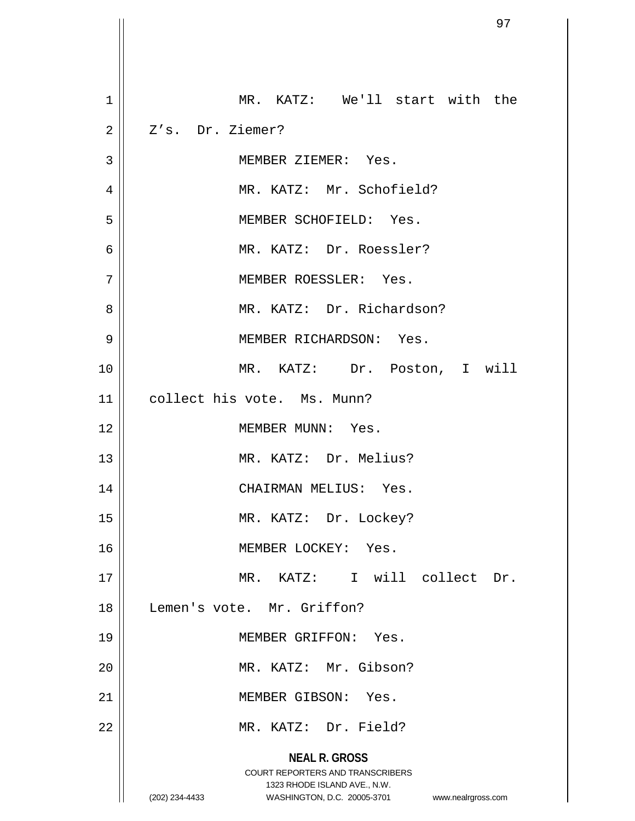|                | 97                                                                  |
|----------------|---------------------------------------------------------------------|
|                |                                                                     |
| $\mathbf 1$    | MR. KATZ: We'll start with the                                      |
| $\overline{2}$ | Z's. Dr. Ziemer?                                                    |
| 3              | MEMBER ZIEMER: Yes.                                                 |
| 4              | MR. KATZ: Mr. Schofield?                                            |
| 5              | MEMBER SCHOFIELD: Yes.                                              |
| $\overline{6}$ | MR. KATZ: Dr. Roessler?                                             |
| 7              | MEMBER ROESSLER: Yes.                                               |
| 8              | MR. KATZ: Dr. Richardson?                                           |
| 9              | MEMBER RICHARDSON: Yes.                                             |
| 10             | MR. KATZ: Dr. Poston, I will                                        |
| 11             | collect his vote. Ms. Munn?                                         |
| 12             | MEMBER MUNN: Yes.                                                   |
| 13             | MR. KATZ: Dr. Melius?                                               |
| 14             | CHAIRMAN MELIUS: Yes.                                               |
| 15             | MR. KATZ: Dr. Lockey?                                               |
| 16             | MEMBER LOCKEY: Yes.                                                 |
| 17             | MR. KATZ: I will collect Dr.                                        |
| 18             | Lemen's vote. Mr. Griffon?                                          |
| 19             | MEMBER GRIFFON: Yes.                                                |
| 20             | MR. KATZ: Mr. Gibson?                                               |
| 21             | MEMBER GIBSON: Yes.                                                 |
| 22             | MR. KATZ: Dr. Field?                                                |
|                | <b>NEAL R. GROSS</b><br>COURT REPORTERS AND TRANSCRIBERS            |
|                | 1323 RHODE ISLAND AVE., N.W.                                        |
|                | (202) 234-4433<br>WASHINGTON, D.C. 20005-3701<br>www.nealrgross.com |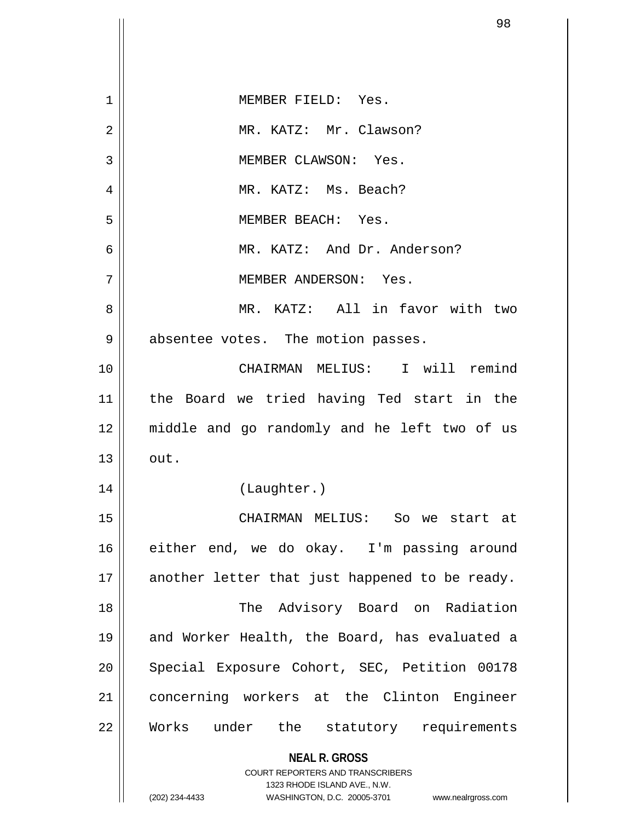| 1  | MEMBER FIELD: Yes.                                                      |
|----|-------------------------------------------------------------------------|
| 2  | MR. KATZ: Mr. Clawson?                                                  |
| 3  | MEMBER CLAWSON: Yes.                                                    |
| 4  | MR. KATZ: Ms. Beach?                                                    |
| 5  | MEMBER BEACH: Yes.                                                      |
| 6  | MR. KATZ: And Dr. Anderson?                                             |
| 7  | MEMBER ANDERSON: Yes.                                                   |
| 8  | MR. KATZ: All in favor with two                                         |
| 9  | absentee votes. The motion passes.                                      |
| 10 | CHAIRMAN MELIUS: I will remind                                          |
| 11 | the Board we tried having Ted start in the                              |
| 12 | middle and go randomly and he left two of us                            |
| 13 | out.                                                                    |
| 14 | (Laughter.)                                                             |
| 15 | CHAIRMAN MELIUS: So we start at                                         |
| 16 | either end, we do okay. I'm passing around                              |
| 17 | another letter that just happened to be ready.                          |
| 18 | The Advisory Board on Radiation                                         |
| 19 | and Worker Health, the Board, has evaluated a                           |
| 20 | Special Exposure Cohort, SEC, Petition 00178                            |
| 21 | concerning workers at the Clinton Engineer                              |
| 22 | Works under the statutory requirements                                  |
|    | <b>NEAL R. GROSS</b>                                                    |
|    | <b>COURT REPORTERS AND TRANSCRIBERS</b><br>1323 RHODE ISLAND AVE., N.W. |
|    | (202) 234-4433<br>WASHINGTON, D.C. 20005-3701 www.nealrgross.com        |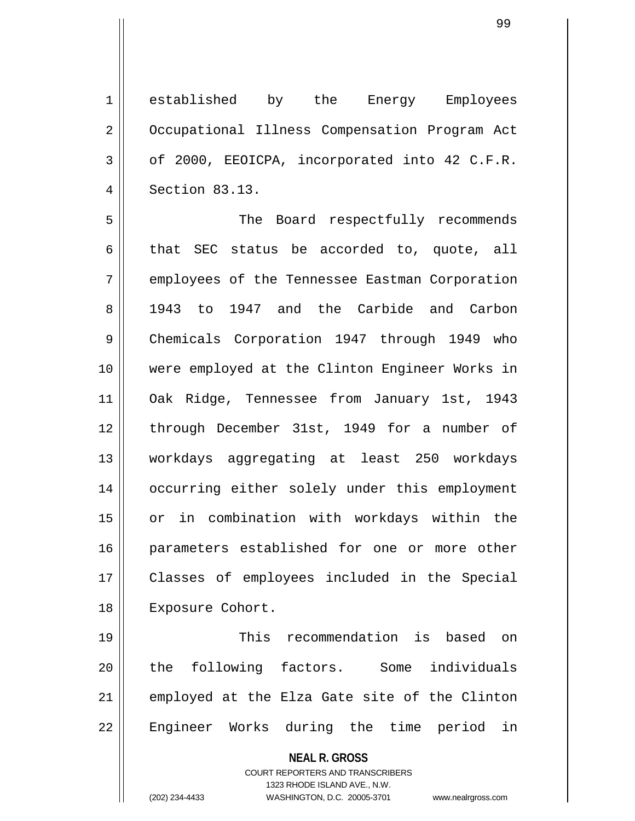1 established by the Energy Employees 2 | Occupational Illness Compensation Program Act  $3 \parallel$  of 2000, EEOICPA, incorporated into 42 C.F.R. 4 Section 83.13.

5 The Board respectfully recommends  $6 \parallel$  that SEC status be accorded to, quote, all 7 | employees of the Tennessee Eastman Corporation 8 1943 to 1947 and the Carbide and Carbon 9 Chemicals Corporation 1947 through 1949 who 10 were employed at the Clinton Engineer Works in 11 Oak Ridge, Tennessee from January 1st, 1943 12 || through December 31st, 1949 for a number of 13 workdays aggregating at least 250 workdays 14 occurring either solely under this employment 15 or in combination with workdays within the 16 || parameters established for one or more other 17 Classes of employees included in the Special 18 || Exposure Cohort.

19 This recommendation is based on 20 || the following factors. Some individuals 21 || employed at the Elza Gate site of the Clinton 22 || Engineer Works during the time period in

**NEAL R. GROSS**

COURT REPORTERS AND TRANSCRIBERS 1323 RHODE ISLAND AVE., N.W. (202) 234-4433 WASHINGTON, D.C. 20005-3701 www.nealrgross.com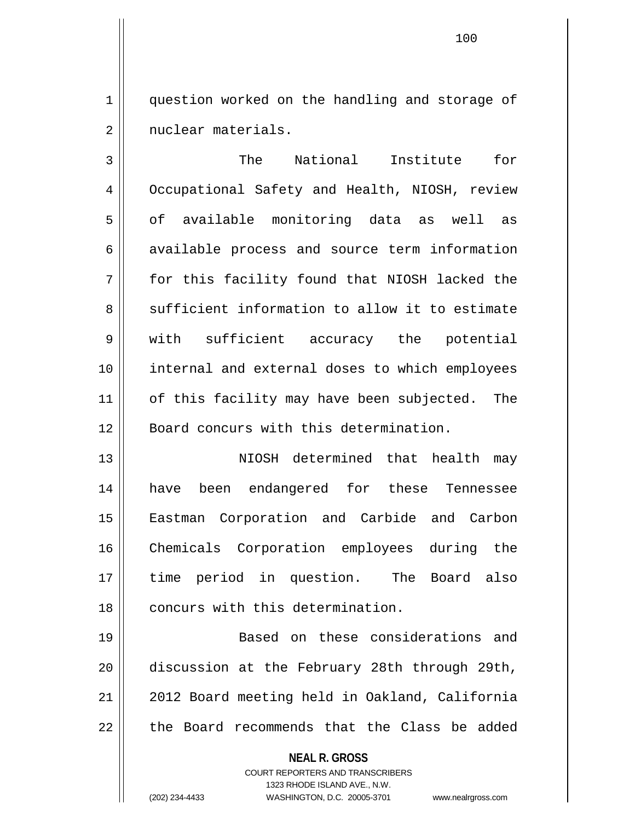1 | question worked on the handling and storage of 2 | nuclear materials.

3 || The National Institute for 4 Occupational Safety and Health, NIOSH, review  $5 \parallel$  of available monitoring data as well as 6 available process and source term information 7 for this facility found that NIOSH lacked the 8 Sufficient information to allow it to estimate 9 || with sufficient accuracy the potential 10 internal and external doses to which employees 11 || of this facility may have been subjected. The 12 || Board concurs with this determination.

13 NIOSH determined that health may 14 have been endangered for these Tennessee 15 Eastman Corporation and Carbide and Carbon 16 Chemicals Corporation employees during the 17 time period in question. The Board also 18 || concurs with this determination.

19 Based on these considerations and 20 discussion at the February 28th through 29th, 21 | 2012 Board meeting held in Oakland, California  $22$  || the Board recommends that the Class be added

**NEAL R. GROSS**

COURT REPORTERS AND TRANSCRIBERS 1323 RHODE ISLAND AVE., N.W. (202) 234-4433 WASHINGTON, D.C. 20005-3701 www.nealrgross.com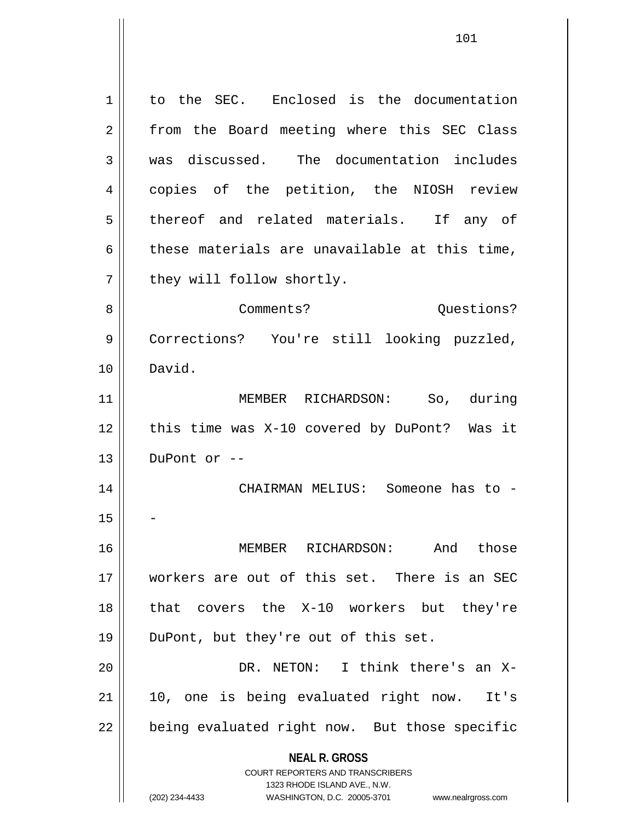**NEAL R. GROSS** COURT REPORTERS AND TRANSCRIBERS 1323 RHODE ISLAND AVE., N.W. (202) 234-4433 WASHINGTON, D.C. 20005-3701 www.nealrgross.com 1 | to the SEC. Enclosed is the documentation 2 || from the Board meeting where this SEC Class 3 was discussed. The documentation includes 4 || copies of the petition, the NIOSH review 5 || thereof and related materials. If any of  $6 \parallel$  these materials are unavailable at this time, 7 | they will follow shortly. 8 Comments? Questions? 9 Corrections? You're still looking puzzled, 10 David. 11 MEMBER RICHARDSON: So, during 12 || this time was X-10 covered by DuPont? Was it  $13$  || DuPont or  $-$ 14 CHAIRMAN MELIUS: Someone has to -  $15$ 16 MEMBER RICHARDSON: And those 17 workers are out of this set. There is an SEC 18 that covers the X-10 workers but they're 19 DuPont, but they're out of this set. 20 DR. NETON: I think there's an X-21 10, one is being evaluated right now. It's  $22$  | being evaluated right now. But those specific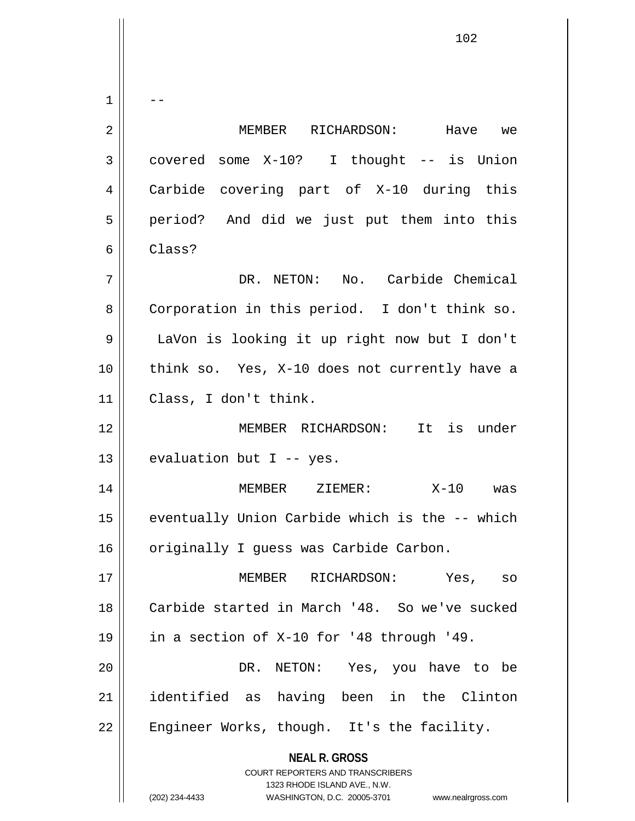**NEAL R. GROSS** COURT REPORTERS AND TRANSCRIBERS 1323 RHODE ISLAND AVE., N.W.  $1 \parallel - -$ 2 MEMBER RICHARDSON: Have we  $3 \parallel$  covered some X-10? I thought -- is Union 4 Carbide covering part of X-10 during this 5 || period? And did we just put them into this 6 Class? 7 DR. NETON: No. Carbide Chemical 8 | Corporation in this period. I don't think so. 9 LaVon is looking it up right now but I don't 10 || think so. Yes, X-10 does not currently have a 11 Class, I don't think. 12 MEMBER RICHARDSON: It is under 13  $\parallel$  evaluation but I -- yes. 14 MEMBER ZIEMER: X-10 was  $15$  eventually Union Carbide which is the  $-$ - which 16 | originally I guess was Carbide Carbon. 17 MEMBER RICHARDSON: Yes, so 18 Carbide started in March '48. So we've sucked 19 in a section of X-10 for '48 through '49. 20 DR. NETON: Yes, you have to be 21 identified as having been in the Clinton  $22$  | Engineer Works, though. It's the facility.

(202) 234-4433 WASHINGTON, D.C. 20005-3701 www.nealrgross.com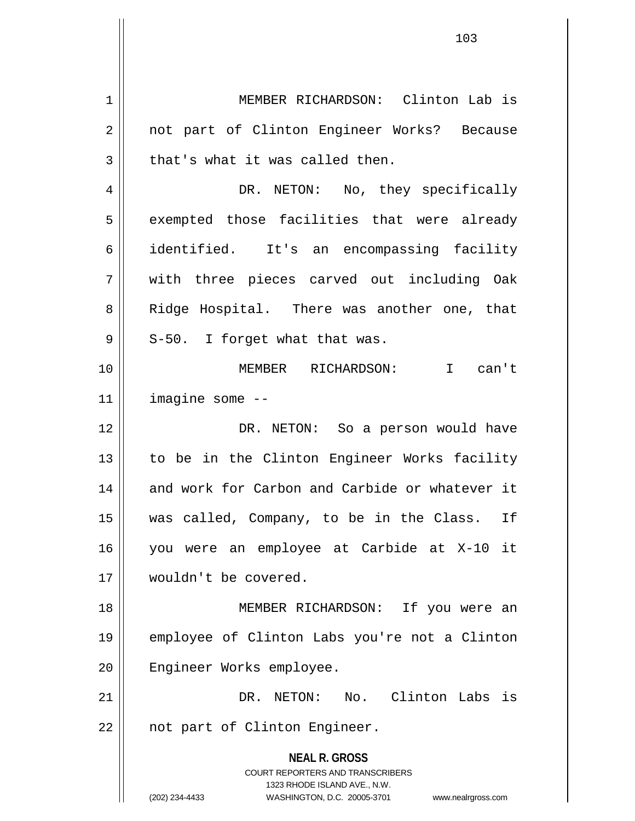**NEAL R. GROSS** COURT REPORTERS AND TRANSCRIBERS 1323 RHODE ISLAND AVE., N.W. (202) 234-4433 WASHINGTON, D.C. 20005-3701 www.nealrgross.com 1 MEMBER RICHARDSON: Clinton Lab is 2 || not part of Clinton Engineer Works? Because  $3 \parallel$  that's what it was called then. 4 || DR. NETON: No, they specifically 5 || exempted those facilities that were already 6 identified. It's an encompassing facility 7 with three pieces carved out including Oak 8 || Ridge Hospital. There was another one, that  $9 \parallel$  S-50. I forget what that was. 10 MEMBER RICHARDSON: I can't 11 imagine some -- 12 DR. NETON: So a person would have 13 || to be in the Clinton Engineer Works facility 14 || and work for Carbon and Carbide or whatever it 15 was called, Company, to be in the Class. If 16 you were an employee at Carbide at X-10 it 17 wouldn't be covered. 18 MEMBER RICHARDSON: If you were an 19 employee of Clinton Labs you're not a Clinton 20 || Engineer Works employee. 21 DR. NETON: No. Clinton Labs is 22 || not part of Clinton Engineer.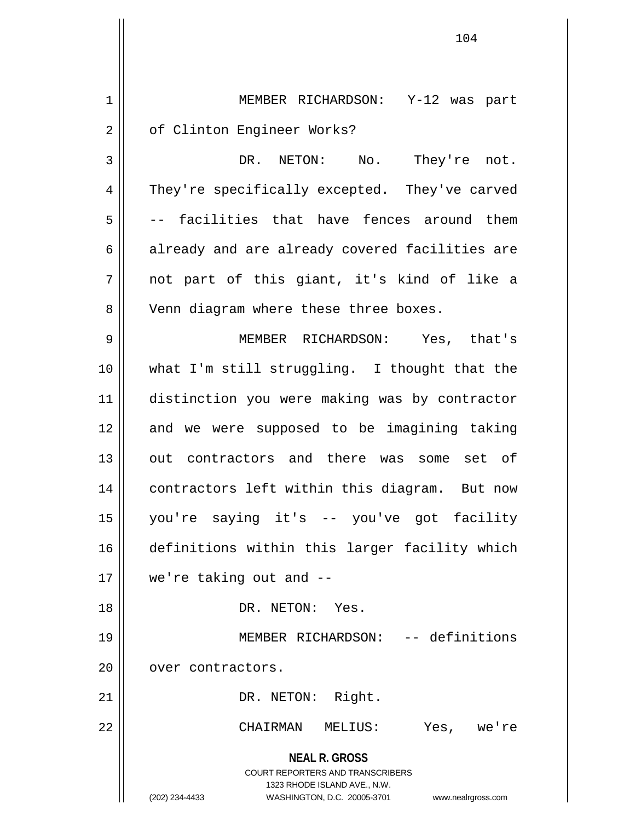**NEAL R. GROSS** COURT REPORTERS AND TRANSCRIBERS 1323 RHODE ISLAND AVE., N.W. (202) 234-4433 WASHINGTON, D.C. 20005-3701 www.nealrgross.com 1 MEMBER RICHARDSON: Y-12 was part 2 | of Clinton Engineer Works? 3 DR. NETON: No. They're not. 4 || They're specifically excepted. They've carved 5  $\vert$  -- facilities that have fences around them 6 already and are already covered facilities are 7 not part of this giant, it's kind of like a 8 || Venn diagram where these three boxes. 9 MEMBER RICHARDSON: Yes, that's 10 what I'm still struggling. I thought that the 11 distinction you were making was by contractor 12 and we were supposed to be imagining taking 13 || out contractors and there was some set of 14 contractors left within this diagram. But now 15 you're saying it's -- you've got facility 16 definitions within this larger facility which 17 we're taking out and -- 18 DR. NETON: Yes. 19 MEMBER RICHARDSON: -- definitions 20 | over contractors. 21 || DR. NETON: Right. 22 CHAIRMAN MELIUS: Yes, we're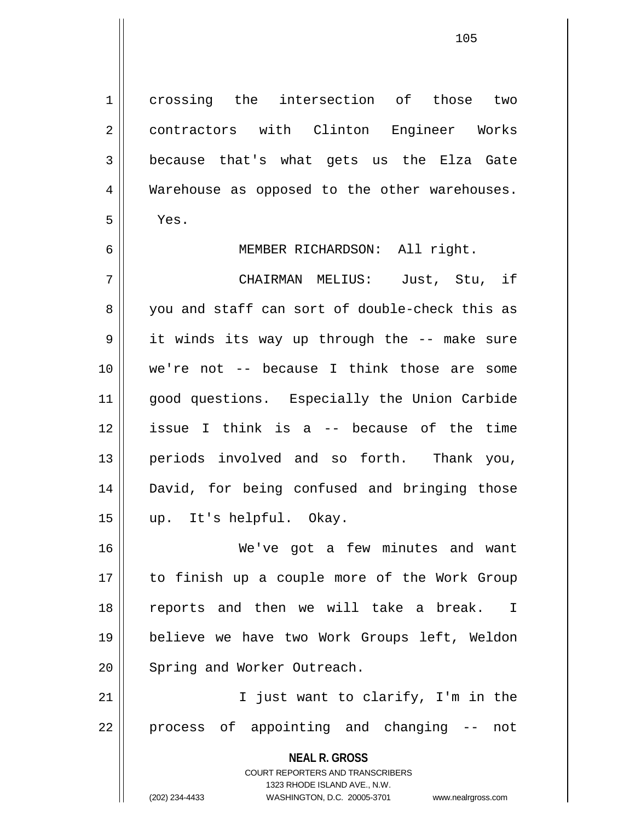1 crossing the intersection of those two 2 | contractors with Clinton Engineer Works 3 because that's what gets us the Elza Gate 4 || Warehouse as opposed to the other warehouses. 5 Yes.

6 || MEMBER RICHARDSON: All right.

7 CHAIRMAN MELIUS: Just, Stu, if 8 you and staff can sort of double-check this as 9 it winds its way up through the -- make sure 10 we're not -- because I think those are some 11 || good questions. Especially the Union Carbide 12 issue I think is a -- because of the time 13 periods involved and so forth. Thank you, 14 David, for being confused and bringing those 15 up. It's helpful. Okay.

16 We've got a few minutes and want 17 to finish up a couple more of the Work Group 18 reports and then we will take a break. I 19 believe we have two Work Groups left, Weldon 20 Spring and Worker Outreach.

21 || The I just want to clarify, I'm in the 22 || process of appointing and changing -- not

> **NEAL R. GROSS** COURT REPORTERS AND TRANSCRIBERS 1323 RHODE ISLAND AVE., N.W.

(202) 234-4433 WASHINGTON, D.C. 20005-3701 www.nealrgross.com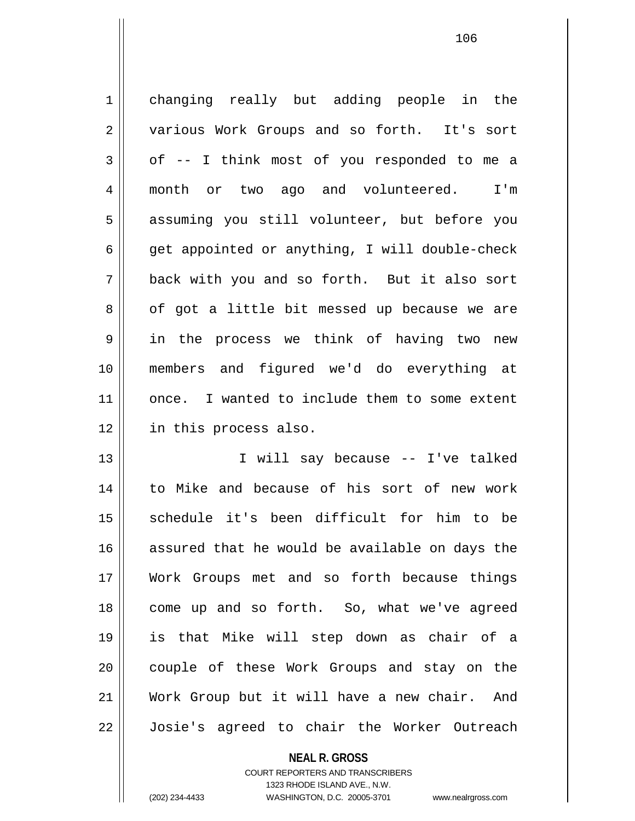1 changing really but adding people in the 2 || various Work Groups and so forth. It's sort  $3 \parallel$  of -- I think most of you responded to me a 4 || month or two ago and volunteered. I'm 5 || assuming you still volunteer, but before you  $6 \parallel$  get appointed or anything, I will double-check 7 back with you and so forth. But it also sort  $8 \parallel$  of got a little bit messed up because we are 9 in the process we think of having two new 10 members and figured we'd do everything at 11 || once. I wanted to include them to some extent 12 in this process also. 13 I will say because -- I've talked

14 to Mike and because of his sort of new work 15 || schedule it's been difficult for him to be 16 assured that he would be available on days the 17 Work Groups met and so forth because things 18 || come up and so forth. So, what we've agreed 19 is that Mike will step down as chair of a 20 || couple of these Work Groups and stay on the 21 Work Group but it will have a new chair. And 22 Josie's agreed to chair the Worker Outreach

**NEAL R. GROSS**

COURT REPORTERS AND TRANSCRIBERS 1323 RHODE ISLAND AVE., N.W. (202) 234-4433 WASHINGTON, D.C. 20005-3701 www.nealrgross.com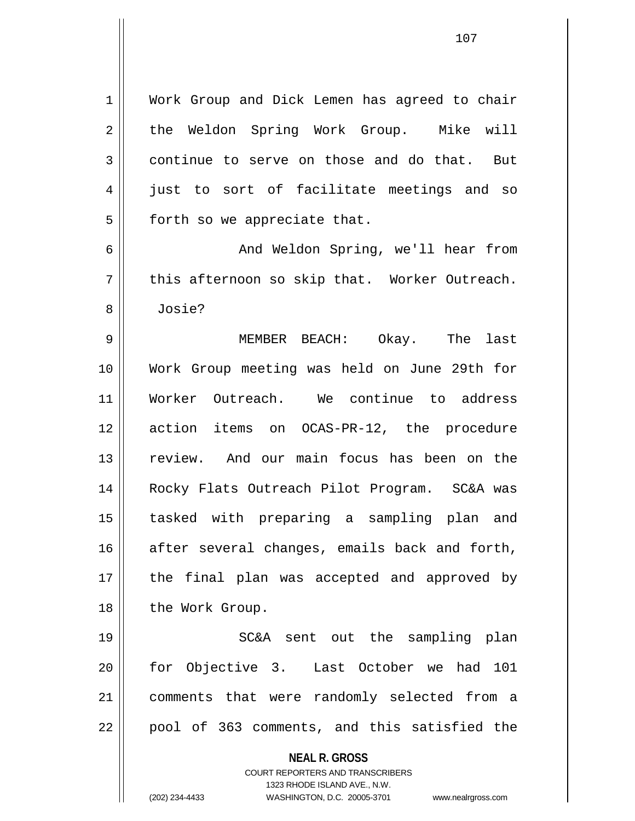1 | Work Group and Dick Lemen has agreed to chair 2 the Weldon Spring Work Group. Mike will 3 continue to serve on those and do that. But 4 iust to sort of facilitate meetings and so  $5$  || forth so we appreciate that.

6 And Weldon Spring, we'll hear from  $7 \parallel$  this afternoon so skip that. Worker Outreach. 8 Josie?

9 MEMBER BEACH: Okay. The last 10 Work Group meeting was held on June 29th for 11 Worker Outreach. We continue to address 12 action items on OCAS-PR-12, the procedure 13 review. And our main focus has been on the 14 Rocky Flats Outreach Pilot Program. SC&A was 15 tasked with preparing a sampling plan and  $16$  after several changes, emails back and forth, 17 || the final plan was accepted and approved by 18 || the Work Group.

19 SC&A sent out the sampling plan 20 for Objective 3. Last October we had 101 21 comments that were randomly selected from a  $22$  || pool of 363 comments, and this satisfied the

> **NEAL R. GROSS** COURT REPORTERS AND TRANSCRIBERS

1323 RHODE ISLAND AVE., N.W. (202) 234-4433 WASHINGTON, D.C. 20005-3701 www.nealrgross.com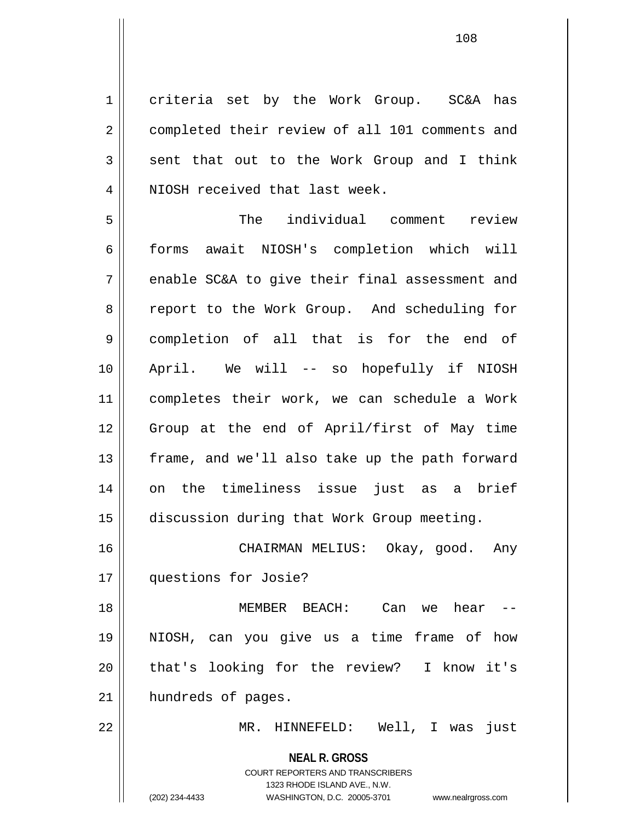1 || criteria set by the Work Group. SC&A has 2 | completed their review of all 101 comments and  $3 \parallel$  sent that out to the Work Group and I think 4 || NIOSH received that last week.

5 The individual comment review 6 | forms await NIOSH's completion which will  $7 \parallel$  enable SC&A to give their final assessment and 8 || report to the Work Group. And scheduling for 9 completion of all that is for the end of 10 April. We will -- so hopefully if NIOSH 11 completes their work, we can schedule a Work 12 Group at the end of April/first of May time 13 || frame, and we'll also take up the path forward 14 on the timeliness issue just as a brief 15 discussion during that Work Group meeting.

16 CHAIRMAN MELIUS: Okay, good. Any 17 | questions for Josie?

18 MEMBER BEACH: Can we hear -- 19 NIOSH, can you give us a time frame of how 20 || that's looking for the review? I know it's 21 || hundreds of pages.

22 MR. HINNEFELD: Well, I was just

**NEAL R. GROSS** COURT REPORTERS AND TRANSCRIBERS 1323 RHODE ISLAND AVE., N.W. (202) 234-4433 WASHINGTON, D.C. 20005-3701 www.nealrgross.com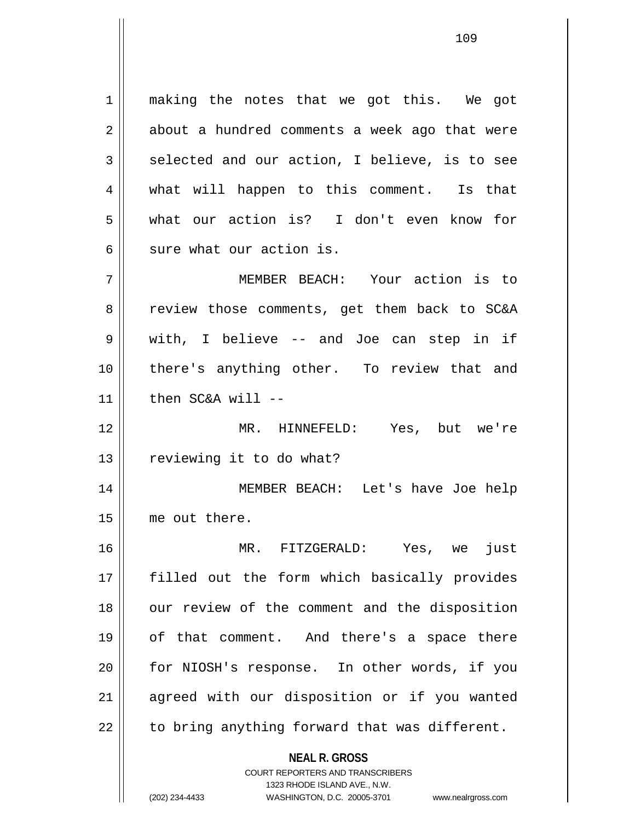1 || making the notes that we got this. We got  $2 \parallel$  about a hundred comments a week ago that were  $3 \parallel$  selected and our action, I believe, is to see 4 || what will happen to this comment. Is that 5 what our action is? I don't even know for  $6 \parallel$  sure what our action is.

7 MEMBER BEACH: Your action is to 8 || review those comments, get them back to SC&A 9 with, I believe -- and Joe can step in if 10 there's anything other. To review that and  $11$  || then SC&A will --

12 MR. HINNEFELD: Yes, but we're 13 | reviewing it to do what?

14 MEMBER BEACH: Let's have Joe help 15 me out there.

16 MR. FITZGERALD: Yes, we just 17 filled out the form which basically provides 18 || our review of the comment and the disposition 19 of that comment. And there's a space there 20 for NIOSH's response. In other words, if you 21 || agreed with our disposition or if you wanted  $22$  || to bring anything forward that was different.

> **NEAL R. GROSS** COURT REPORTERS AND TRANSCRIBERS

> > 1323 RHODE ISLAND AVE., N.W.

(202) 234-4433 WASHINGTON, D.C. 20005-3701 www.nealrgross.com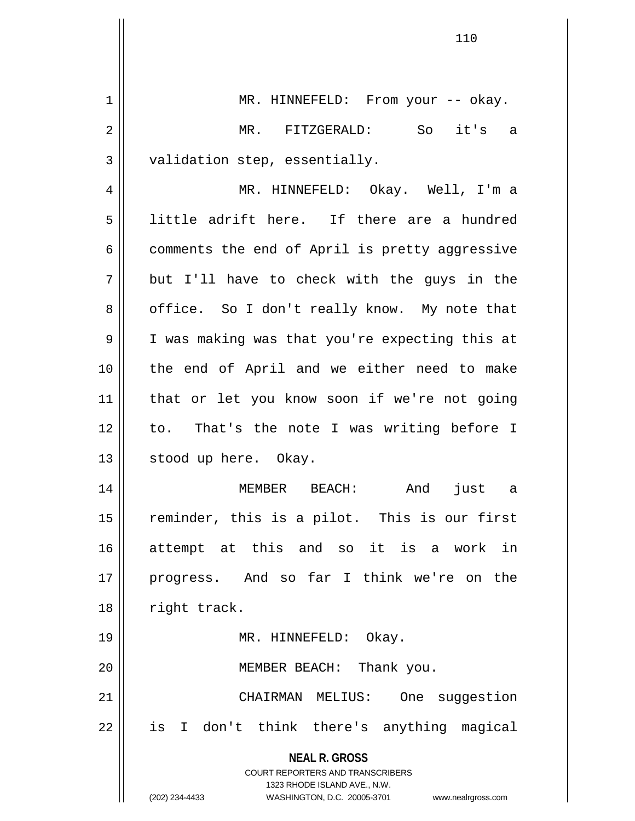| $\mathbf 1$    | MR. HINNEFELD: From your -- okay.                                                                                                                                      |
|----------------|------------------------------------------------------------------------------------------------------------------------------------------------------------------------|
| $\overline{2}$ | MR. FITZGERALD: So<br>it's a                                                                                                                                           |
| $\mathfrak{Z}$ | validation step, essentially.                                                                                                                                          |
| 4              | MR. HINNEFELD: Okay. Well, I'm a                                                                                                                                       |
| 5              | little adrift here. If there are a hundred                                                                                                                             |
| 6              | comments the end of April is pretty aggressive                                                                                                                         |
| 7              | but I'll have to check with the guys in the                                                                                                                            |
| 8              | office. So I don't really know. My note that                                                                                                                           |
| 9              | I was making was that you're expecting this at                                                                                                                         |
| 10             | the end of April and we either need to make                                                                                                                            |
| 11             | that or let you know soon if we're not going                                                                                                                           |
| 12             | to. That's the note I was writing before I                                                                                                                             |
| 13             | stood up here. Okay.                                                                                                                                                   |
| 14             | And<br>MEMBER BEACH:<br>just a                                                                                                                                         |
| 15             | reminder, this is a pilot. This is our first                                                                                                                           |
| 16             | attempt at this and so it is a work in                                                                                                                                 |
| 17             | progress. And so far I think we're on the                                                                                                                              |
| 18             | right track.                                                                                                                                                           |
| 19             | MR. HINNEFELD: Okay.                                                                                                                                                   |
| 20             | MEMBER BEACH: Thank you.                                                                                                                                               |
| 21             | CHAIRMAN MELIUS:<br>One suggestion                                                                                                                                     |
| 22             | is I don't think there's anything magical                                                                                                                              |
|                | <b>NEAL R. GROSS</b><br><b>COURT REPORTERS AND TRANSCRIBERS</b><br>1323 RHODE ISLAND AVE., N.W.<br>(202) 234-4433<br>WASHINGTON, D.C. 20005-3701<br>www.nealrgross.com |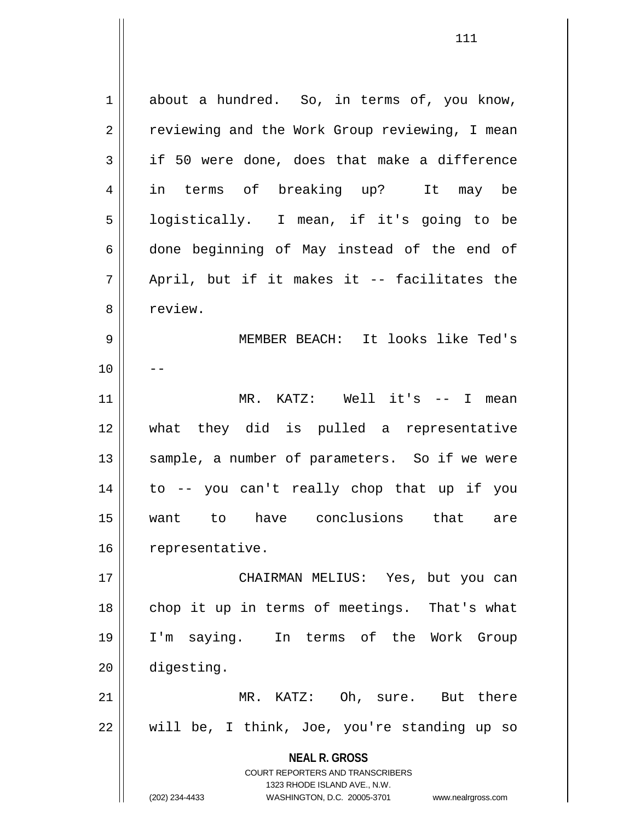**NEAL R. GROSS** COURT REPORTERS AND TRANSCRIBERS 1323 RHODE ISLAND AVE., N.W. (202) 234-4433 WASHINGTON, D.C. 20005-3701 www.nealrgross.com  $1 \parallel$  about a hundred. So, in terms of, you know, 2 | reviewing and the Work Group reviewing, I mean  $3 \parallel$  if 50 were done, does that make a difference 4 in terms of breaking up? It may be 5 | logistically. I mean, if it's going to be  $6 \parallel$  done beginning of May instead of the end of  $7 \parallel$  April, but if it makes it -- facilitates the 8 | review. 9 MEMBER BEACH: It looks like Ted's  $10$  ||  $-$ 11 MR. KATZ: Well it's -- I mean 12 what they did is pulled a representative 13 || sample, a number of parameters. So if we were 14 to -- you can't really chop that up if you 15 want to have conclusions that are 16 | representative. 17 CHAIRMAN MELIUS: Yes, but you can 18 || chop it up in terms of meetings. That's what 19 I'm saying. In terms of the Work Group 20 digesting. 21 MR. KATZ: Oh, sure. But there  $22 \parallel$  will be, I think, Joe, you're standing up so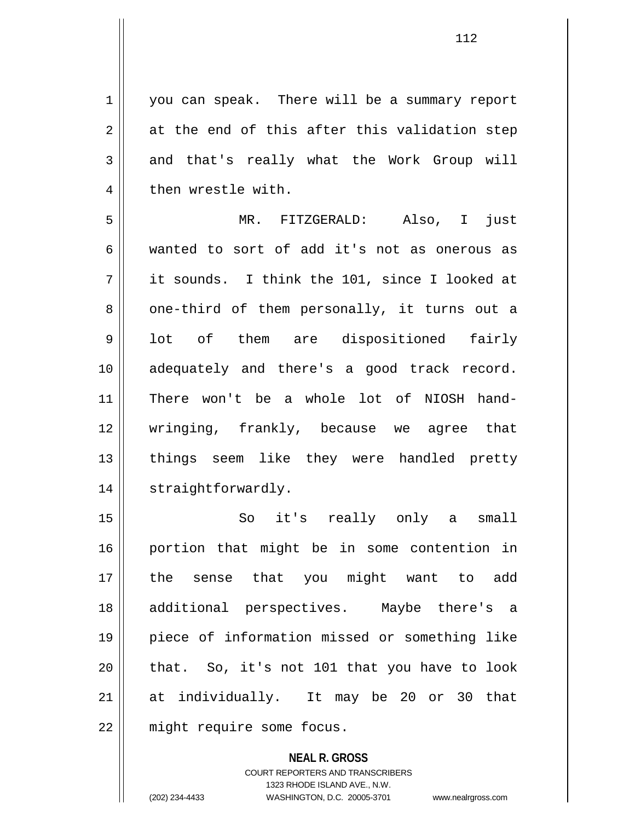1 you can speak. There will be a summary report  $2 \parallel$  at the end of this after this validation step 3 and that's really what the Work Group will 4 | then wrestle with.

5 MR. FITZGERALD: Also, I just 6 wanted to sort of add it's not as onerous as 7 it sounds. I think the 101, since I looked at 8 || one-third of them personally, it turns out a 9 || lot of them are dispositioned fairly 10 adequately and there's a good track record. 11 There won't be a whole lot of NIOSH hand-12 wringing, frankly, because we agree that 13 || things seem like they were handled pretty 14 || straightforwardly.

15 || So it's really only a small 16 portion that might be in some contention in 17 the sense that you might want to add 18 additional perspectives. Maybe there's a 19 piece of information missed or something like  $20$  || that. So, it's not 101 that you have to look 21 at individually. It may be 20 or 30 that 22 || might require some focus.

> **NEAL R. GROSS** COURT REPORTERS AND TRANSCRIBERS 1323 RHODE ISLAND AVE., N.W. (202) 234-4433 WASHINGTON, D.C. 20005-3701 www.nealrgross.com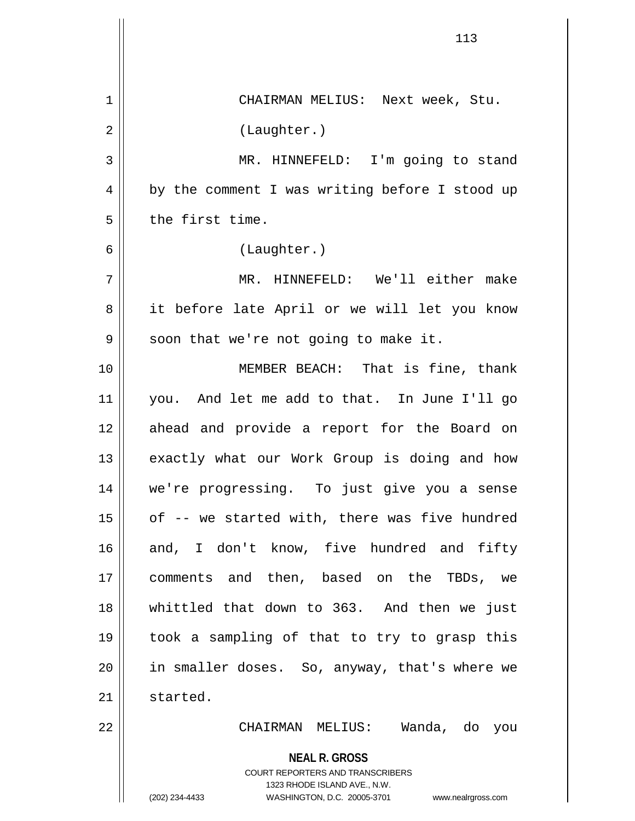|    | 113                                                                                                 |
|----|-----------------------------------------------------------------------------------------------------|
| 1  | CHAIRMAN MELIUS: Next week, Stu.                                                                    |
| 2  | (Laughter.)                                                                                         |
|    |                                                                                                     |
| 3  | MR. HINNEFELD: I'm going to stand                                                                   |
| 4  | by the comment I was writing before I stood up                                                      |
| 5  | the first time.                                                                                     |
| 6  | (Laughter.)                                                                                         |
| 7  | MR. HINNEFELD: We'll either make                                                                    |
| 8  | it before late April or we will let you know                                                        |
| 9  | soon that we're not going to make it.                                                               |
| 10 | MEMBER BEACH: That is fine, thank                                                                   |
| 11 | you. And let me add to that. In June I'll go                                                        |
| 12 | ahead and provide a report for the Board on                                                         |
| 13 | exactly what our Work Group is doing and how                                                        |
| 14 | we're progressing. To just give you a sense                                                         |
| 15 | of -- we started with, there was five hundred                                                       |
| 16 | and, I don't know, five hundred and fifty                                                           |
| 17 | comments and then, based on the TBDs, we                                                            |
| 18 | whittled that down to 363. And then we just                                                         |
| 19 | took a sampling of that to try to grasp this                                                        |
| 20 | in smaller doses. So, anyway, that's where we                                                       |
| 21 | started.                                                                                            |
| 22 | CHAIRMAN MELIUS: Wanda, do you                                                                      |
|    | <b>NEAL R. GROSS</b>                                                                                |
|    | <b>COURT REPORTERS AND TRANSCRIBERS</b>                                                             |
|    | 1323 RHODE ISLAND AVE., N.W.<br>(202) 234-4433<br>WASHINGTON, D.C. 20005-3701<br>www.nealrgross.com |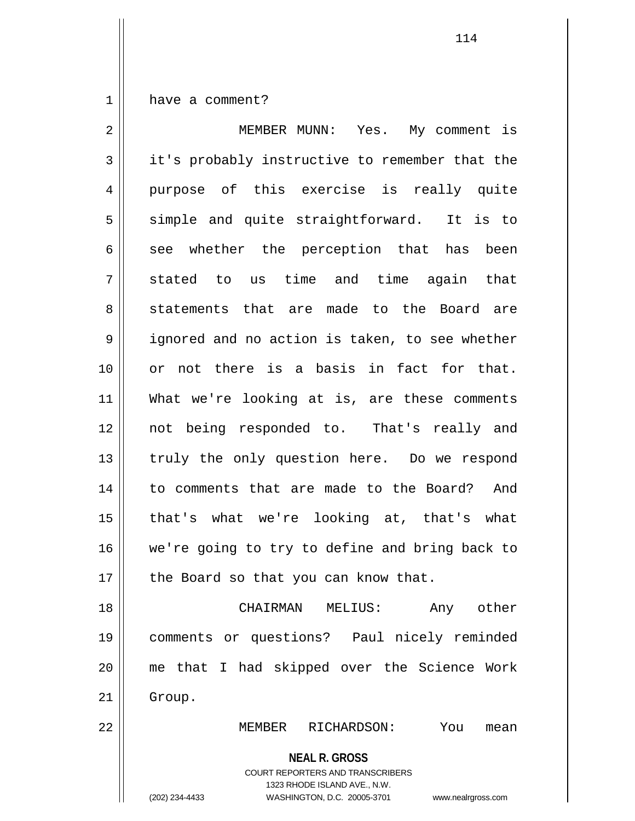1 | have a comment?

**NEAL R. GROSS** COURT REPORTERS AND TRANSCRIBERS 1323 RHODE ISLAND AVE., N.W. 2 MEMBER MUNN: Yes. My comment is 3 it's probably instructive to remember that the 4 || purpose of this exercise is really quite 5 || simple and quite straightforward. It is to  $6 \parallel$  see whether the perception that has been  $7 \parallel$  stated to us time and time again that 8 Statements that are made to the Board are 9 || ignored and no action is taken, to see whether 10 or not there is a basis in fact for that. 11 What we're looking at is, are these comments 12 not being responded to. That's really and 13 || truly the only question here. Do we respond 14 to comments that are made to the Board? And 15 that's what we're looking at, that's what 16 || we're going to try to define and bring back to  $17$  | the Board so that you can know that. 18 CHAIRMAN MELIUS: Any other 19 comments or questions? Paul nicely reminded 20 me that I had skipped over the Science Work 21 | Group. 22 MEMBER RICHARDSON: You mean

(202) 234-4433 WASHINGTON, D.C. 20005-3701 www.nealrgross.com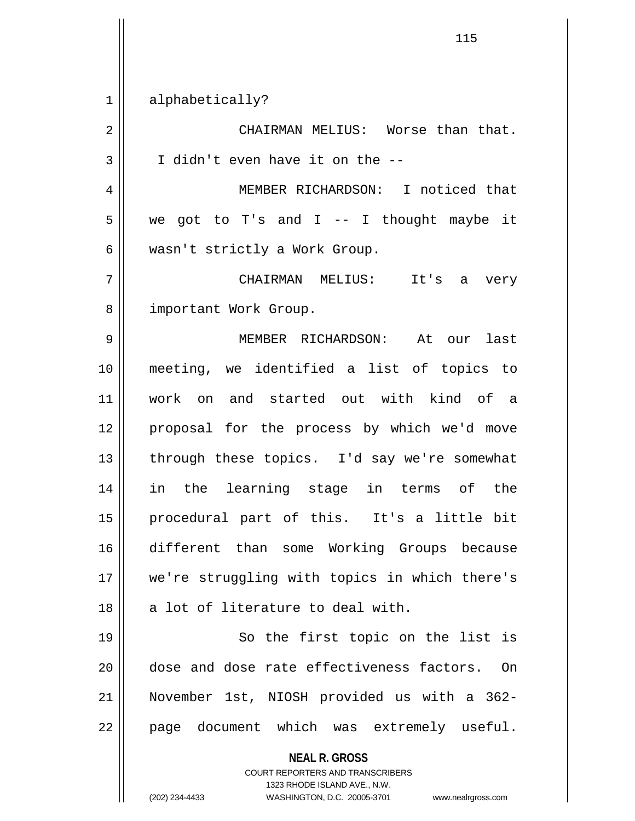**NEAL R. GROSS** COURT REPORTERS AND TRANSCRIBERS 1323 RHODE ISLAND AVE., N.W. (202) 234-4433 WASHINGTON, D.C. 20005-3701 www.nealrgross.com 1 || alphabetically? 2 CHAIRMAN MELIUS: Worse than that.  $3 \parallel$  I didn't even have it on the  $-$ -4 MEMBER RICHARDSON: I noticed that  $5 \parallel$  we got to T's and I -- I thought maybe it 6 || wasn't strictly a Work Group. 7 CHAIRMAN MELIUS: It's a very 8 | important Work Group. 9 MEMBER RICHARDSON: At our last 10 meeting, we identified a list of topics to 11 work on and started out with kind of a 12 || proposal for the process by which we'd move  $13$  || through these topics. I'd say we're somewhat 14 in the learning stage in terms of the 15 procedural part of this. It's a little bit 16 different than some Working Groups because 17 we're struggling with topics in which there's  $18$  || a lot of literature to deal with. 19 || So the first topic on the list is 20 dose and dose rate effectiveness factors. On 21 November 1st, NIOSH provided us with a 362- 22 || page document which was extremely useful.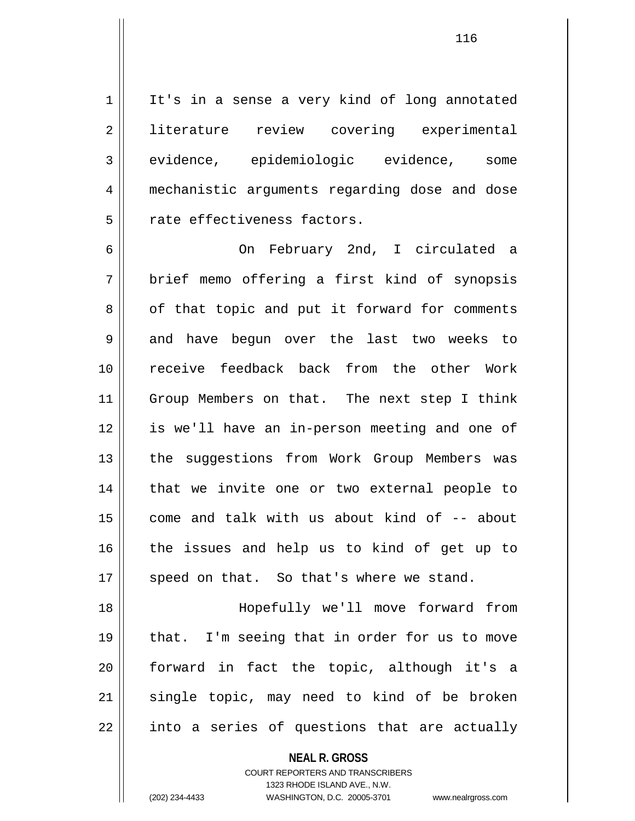1 || It's in a sense a very kind of long annotated 2 literature review covering experimental 3 || evidence, epidemiologic evidence, some 4 mechanistic arguments regarding dose and dose  $5$   $\parallel$  rate effectiveness factors.

6 On February 2nd, I circulated a 7 || brief memo offering a first kind of synopsis  $8 \parallel$  of that topic and put it forward for comments 9 and have begun over the last two weeks to 10 receive feedback back from the other Work 11 || Group Members on that. The next step I think 12 is we'll have an in-person meeting and one of 13 || the suggestions from Work Group Members was 14 || that we invite one or two external people to 15  $\parallel$  come and talk with us about kind of  $-$  about 16 || the issues and help us to kind of get up to  $17$  | speed on that. So that's where we stand.

18 Hopefully we'll move forward from  $19$  || that. I'm seeing that in order for us to move 20 forward in fact the topic, although it's a  $21$  single topic, may need to kind of be broken  $22 \parallel$  into a series of questions that are actually

> **NEAL R. GROSS** COURT REPORTERS AND TRANSCRIBERS 1323 RHODE ISLAND AVE., N.W. (202) 234-4433 WASHINGTON, D.C. 20005-3701 www.nealrgross.com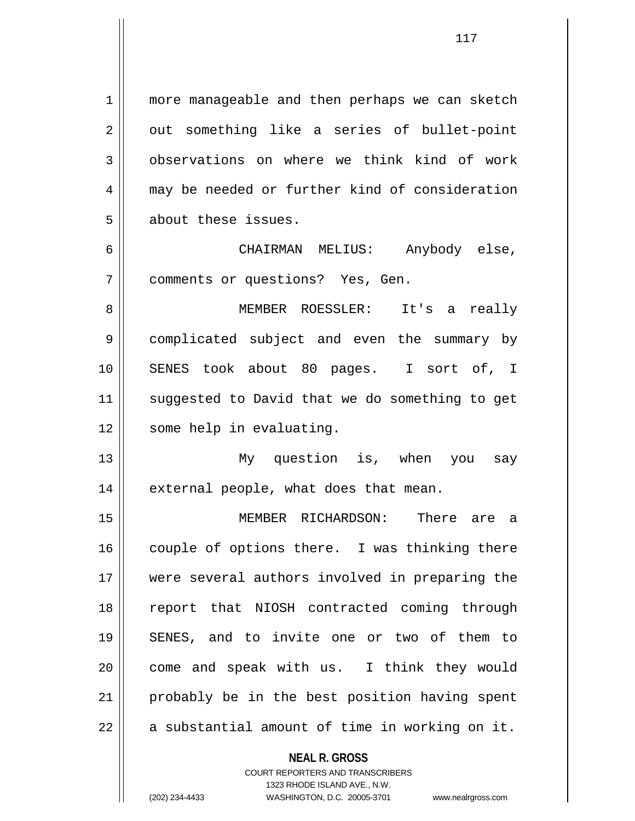1 || more manageable and then perhaps we can sketch  $2 \parallel$  out something like a series of bullet-point 3 observations on where we think kind of work 4 may be needed or further kind of consideration 5 | about these issues.

6 CHAIRMAN MELIUS: Anybody else, 7 comments or questions? Yes, Gen.

8 MEMBER ROESSLER: It's a really 9 | complicated subject and even the summary by 10 || SENES took about 80 pages. I sort of, I 11 || suggested to David that we do something to get 12 | some help in evaluating.

13 My question is, when you say 14 || external people, what does that mean.

15 MEMBER RICHARDSON: There are a 16 || couple of options there. I was thinking there 17 were several authors involved in preparing the 18 report that NIOSH contracted coming through 19 SENES, and to invite one or two of them to 20 || come and speak with us. I think they would 21 || probably be in the best position having spent  $22$  | a substantial amount of time in working on it.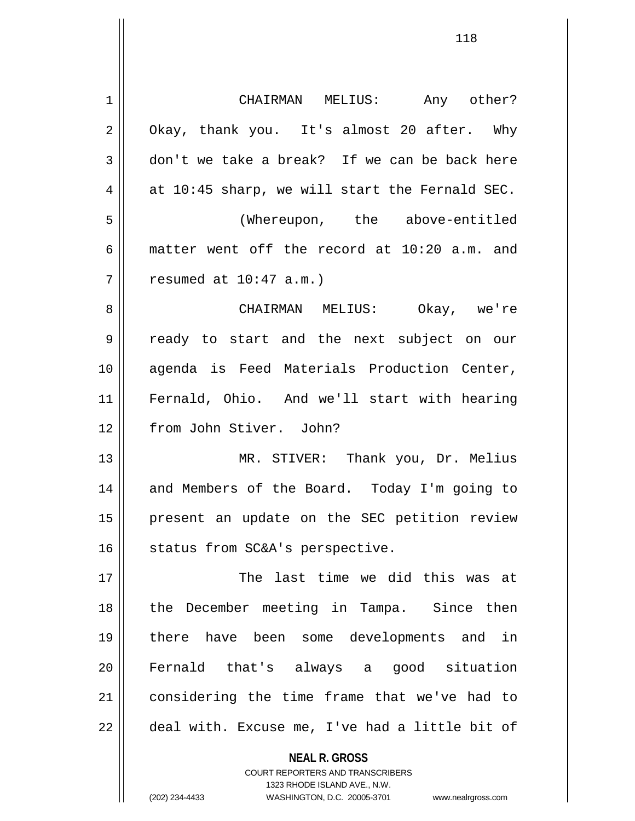| $\mathbf 1$ | CHAIRMAN MELIUS: Any other?                    |
|-------------|------------------------------------------------|
| 2           | Okay, thank you. It's almost 20 after. Why     |
| 3           | don't we take a break? If we can be back here  |
| 4           | at 10:45 sharp, we will start the Fernald SEC. |
| 5           | (Whereupon, the above-entitled                 |
| 6           | matter went off the record at 10:20 a.m. and   |
| 7           | resumed at $10:47$ a.m.)                       |
| 8           | CHAIRMAN MELIUS: Okay, we're                   |
| 9           | ready to start and the next subject on our     |
| 10          | agenda is Feed Materials Production Center,    |
| 11          | Fernald, Ohio. And we'll start with hearing    |
| 12          | from John Stiver. John?                        |
| 13          | MR. STIVER: Thank you, Dr. Melius              |
| 14          | and Members of the Board. Today I'm going to   |
| 15          | present an update on the SEC petition review   |
| 16          | status from SC&A's perspective.                |
| 17          | The last time we did this was at               |
| 18          | the December meeting in Tampa. Since then      |
| 19          | there have been some developments and in       |
| 20          | Fernald that's always a good situation         |
| 21          | considering the time frame that we've had to   |
| 22          | deal with. Excuse me, I've had a little bit of |
|             | <b>NEAL R. GROSS</b>                           |

COURT REPORTERS AND TRANSCRIBERS 1323 RHODE ISLAND AVE., N.W.

 $\mathbf{\mathsf{I}}$ 

(202) 234-4433 WASHINGTON, D.C. 20005-3701 www.nealrgross.com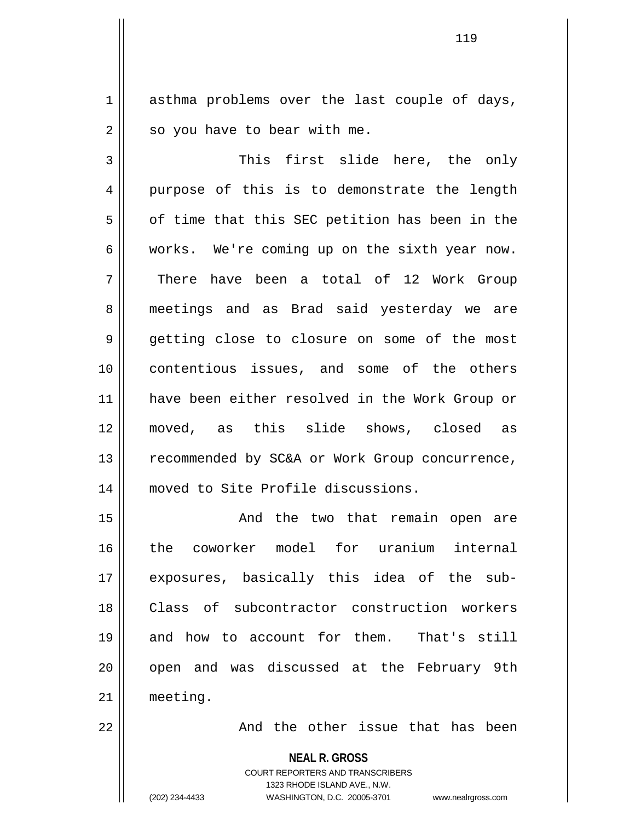1 asthma problems over the last couple of days,  $2 \parallel$  so you have to bear with me.

3 This first slide here, the only 4 purpose of this is to demonstrate the length  $5 \parallel$  of time that this SEC petition has been in the  $6 \parallel$  works. We're coming up on the sixth year now. 7 There have been a total of 12 Work Group 8 || meetings and as Brad said yesterday we are 9 getting close to closure on some of the most 10 contentious issues, and some of the others 11 have been either resolved in the Work Group or 12 moved, as this slide shows, closed as 13 || recommended by SC&A or Work Group concurrence, 14 || moved to Site Profile discussions.

15 || The two that remain open are 16 the coworker model for uranium internal 17 exposures, basically this idea of the sub-18 Class of subcontractor construction workers 19 and how to account for them. That's still 20 || open and was discussed at the February 9th 21 meeting.

 $22$   $\parallel$  and the other issue that has been

**NEAL R. GROSS**

COURT REPORTERS AND TRANSCRIBERS 1323 RHODE ISLAND AVE., N.W. (202) 234-4433 WASHINGTON, D.C. 20005-3701 www.nealrgross.com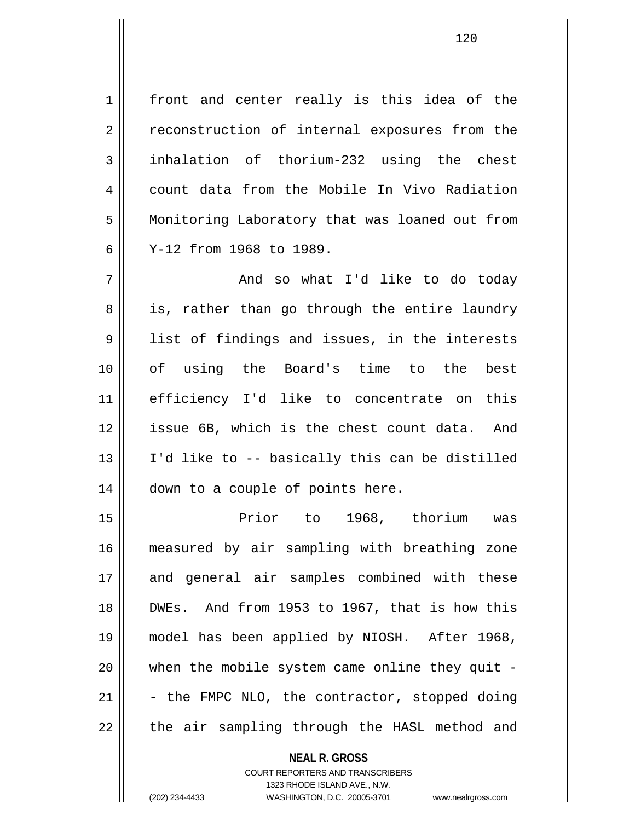1 | front and center really is this idea of the 2 || reconstruction of internal exposures from the 3 | inhalation of thorium-232 using the chest 4 count data from the Mobile In Vivo Radiation 5 | Monitoring Laboratory that was loaned out from 6 Y-12 from 1968 to 1989.

 $7 \parallel$  and so what I'd like to do today 8 || is, rather than go through the entire laundry 9 || list of findings and issues, in the interests 10 of using the Board's time to the best 11 efficiency I'd like to concentrate on this 12 || issue 6B, which is the chest count data. And 13  $\parallel$  I'd like to -- basically this can be distilled 14 | down to a couple of points here.

15 Prior to 1968, thorium was 16 measured by air sampling with breathing zone 17 and general air samples combined with these 18 || DWEs. And from 1953 to 1967, that is how this 19 model has been applied by NIOSH. After 1968, 20 when the mobile system came online they quit - 21  $\vert$  - the FMPC NLO, the contractor, stopped doing 22 || the air sampling through the HASL method and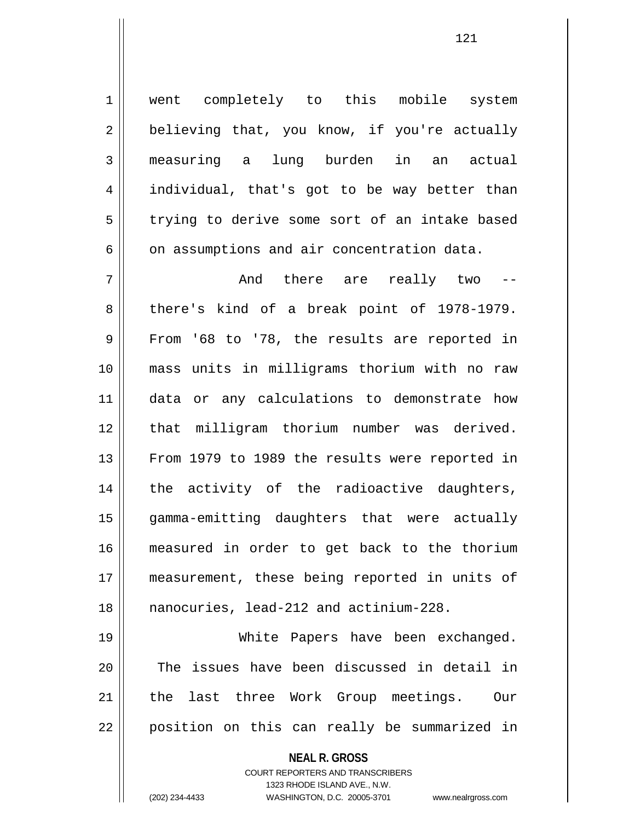1 || went completely to this mobile system  $2 \parallel$  believing that, you know, if you're actually 3 measuring a lung burden in an actual 4 individual, that's got to be way better than 5 | trying to derive some sort of an intake based  $6 \parallel$  on assumptions and air concentration data.

7 And there are really two -- 8 there's kind of a break point of 1978-1979.  $9 \parallel$  From '68 to '78, the results are reported in 10 mass units in milligrams thorium with no raw 11 data or any calculations to demonstrate how 12 || that milligram thorium number was derived. 13 || From 1979 to 1989 the results were reported in 14 || the activity of the radioactive daughters, 15 gamma-emitting daughters that were actually 16 measured in order to get back to the thorium 17 measurement, these being reported in units of 18 nanocuries, lead-212 and actinium-228.

19 White Papers have been exchanged. 20 || The issues have been discussed in detail in 21 the last three Work Group meetings. Our 22 position on this can really be summarized in

**NEAL R. GROSS**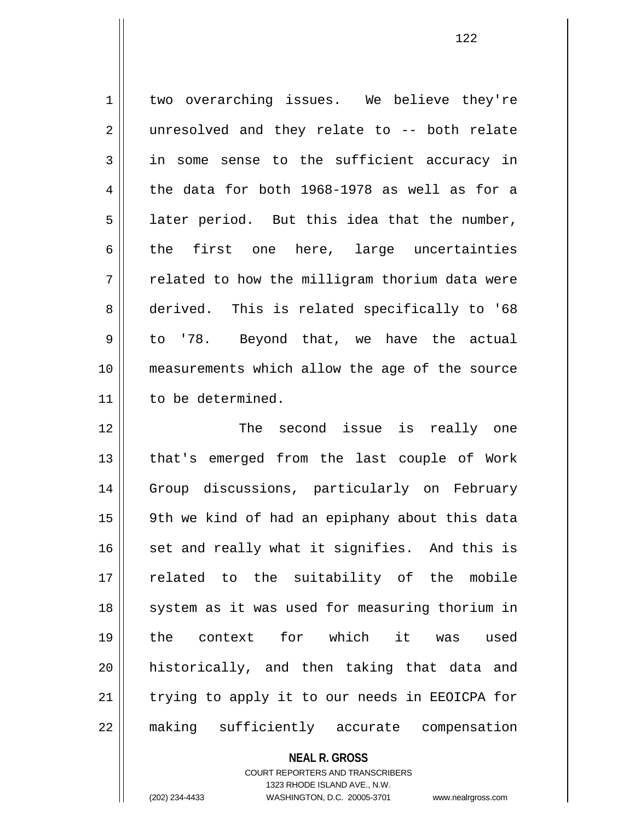1 two overarching issues. We believe they're 2 || unresolved and they relate to -- both relate 3 in some sense to the sufficient accuracy in  $4 \parallel$  the data for both 1968-1978 as well as for a  $5 \parallel$  later period. But this idea that the number,  $6 \parallel$  the first one here, large uncertainties  $7 \parallel$  related to how the milligram thorium data were 8 derived. This is related specifically to '68 9 || to '78. Beyond that, we have the actual 10 measurements which allow the age of the source 11 to be determined.

12 The second issue is really one 13 || that's emerged from the last couple of Work 14 || Group discussions, particularly on February 15 9th we kind of had an epiphany about this data  $16$  set and really what it signifies. And this is 17 || related to the suitability of the mobile 18 || system as it was used for measuring thorium in 19 the context for which it was used 20 || historically, and then taking that data and 21 || trying to apply it to our needs in EEOICPA for 22 making sufficiently accurate compensation

## **NEAL R. GROSS**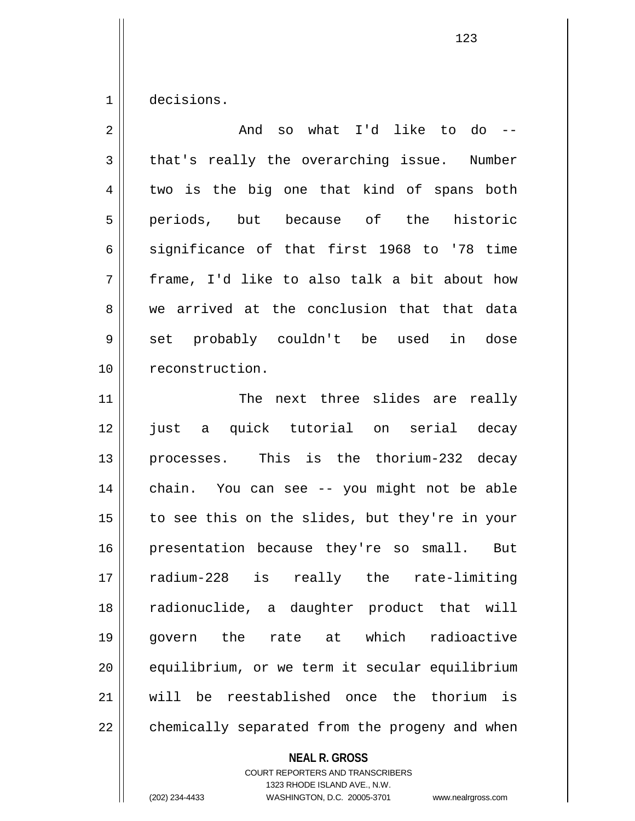1 decisions.

| $\overline{2}$ | so what I'd like to do --<br>And               |
|----------------|------------------------------------------------|
| 3              | that's really the overarching issue. Number    |
| $\overline{4}$ | two is the big one that kind of spans both     |
| 5              | periods, but because of the<br>historic        |
| 6              | significance of that first 1968 to '78 time    |
| 7              | frame, I'd like to also talk a bit about how   |
| 8              | we arrived at the conclusion that that data    |
| 9              | set probably couldn't be used<br>in<br>dose    |
| 10             | reconstruction.                                |
| 11             | The next three slides are really               |
| 12             | a quick tutorial on serial decay<br>just       |
| 13             | processes. This is the thorium-232 decay       |
| 14             | chain. You can see -- you might not be able    |
| 15             | to see this on the slides, but they're in your |
| 16             | presentation because they're so small. But     |
| 17             | radium-228 is really the<br>rate-limiting      |
| 18             | radionuclide, a daughter product that will     |
| 19             | govern the rate at which<br>radioactive        |
| 20             | equilibrium, or we term it secular equilibrium |
| 21             | will be reestablished once the thorium is      |
| 22             | chemically separated from the progeny and when |

**NEAL R. GROSS**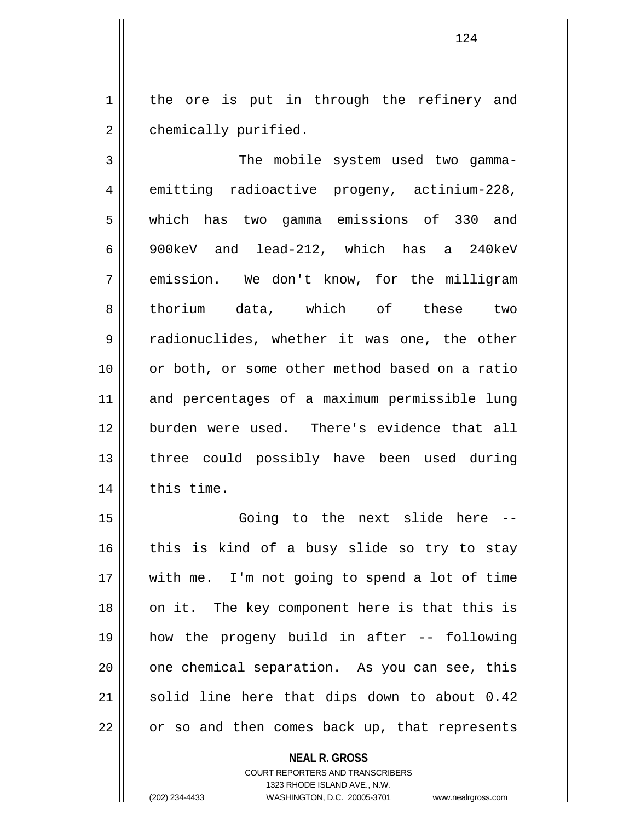1 || the ore is put in through the refinery and 2 | chemically purified.

3 | The mobile system used two gamma-4 emitting radioactive progeny, actinium-228, 5 which has two gamma emissions of 330 and 6 900keV and lead-212, which has a 240keV 7 emission. We don't know, for the milligram 8 || thorium data, which of these two 9 Tradionuclides, whether it was one, the other 10 or both, or some other method based on a ratio 11 and percentages of a maximum permissible lung 12 burden were used. There's evidence that all 13 || three could possibly have been used during  $14$  | this time.

15 || Going to the next slide here -- $16$  this is kind of a busy slide so try to stay 17 with me. I'm not going to spend a lot of time 18 || on it. The key component here is that this is 19 how the progeny build in after -- following 20 || one chemical separation. As you can see, this 21 || solid line here that dips down to about 0.42 22 || or so and then comes back up, that represents

## **NEAL R. GROSS** COURT REPORTERS AND TRANSCRIBERS 1323 RHODE ISLAND AVE., N.W. (202) 234-4433 WASHINGTON, D.C. 20005-3701 www.nealrgross.com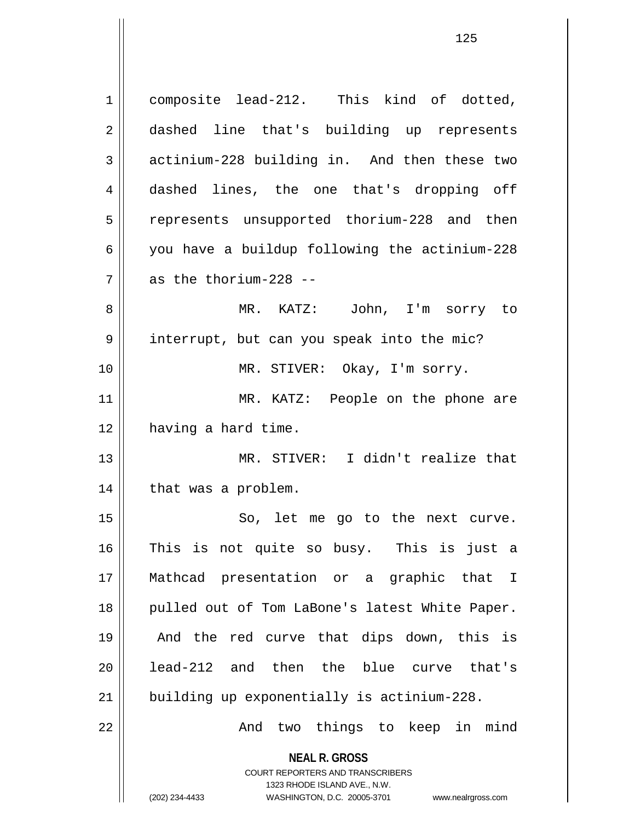**NEAL R. GROSS** COURT REPORTERS AND TRANSCRIBERS 1323 RHODE ISLAND AVE., N.W. (202) 234-4433 WASHINGTON, D.C. 20005-3701 www.nealrgross.com 1 composite lead-212. This kind of dotted, 2 aashed line that's building up represents  $3 \parallel$  actinium-228 building in. And then these two 4 dashed lines, the one that's dropping off 5 || represents unsupported thorium-228 and then 6 you have a buildup following the actinium-228 7 as the thorium-228 -- 8 MR. KATZ: John, I'm sorry to 9 | interrupt, but can you speak into the mic? 10 MR. STIVER: Okay, I'm sorry. 11 || MR. KATZ: People on the phone are 12 | having a hard time. 13 MR. STIVER: I didn't realize that 14 || that was a problem. 15 || So, let me go to the next curve. 16 This is not quite so busy. This is just a 17 Mathcad presentation or a graphic that I 18 || pulled out of Tom LaBone's latest White Paper. 19 And the red curve that dips down, this is 20 || lead-212 and then the blue curve that's 21 building up exponentially is actinium-228. 22 || The Mond two things to keep in mind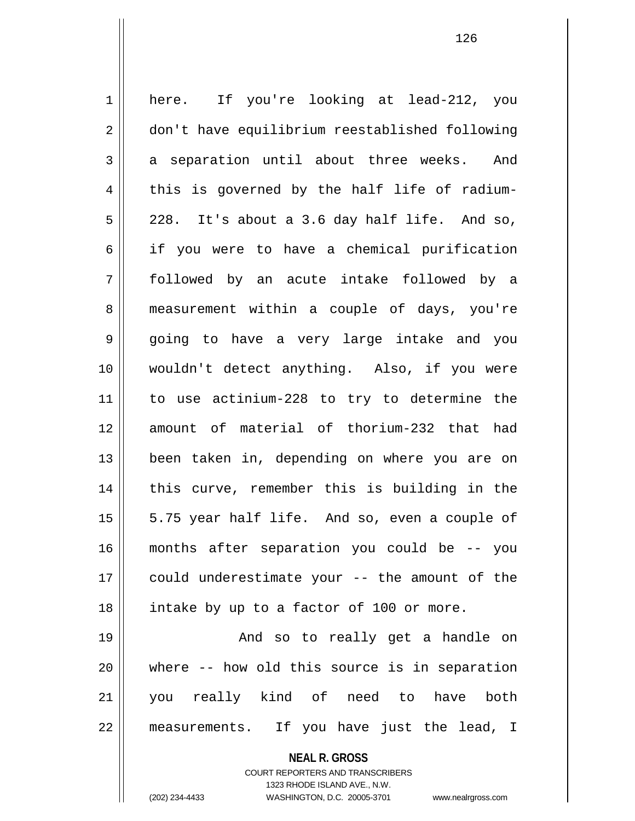1 || here. If you're looking at lead-212, you 2 | don't have equilibrium reestablished following  $3 \parallel$  a separation until about three weeks. And  $4 \parallel$  this is governed by the half life of radium- $5 \parallel$  228. It's about a 3.6 day half life. And so, 6 if you were to have a chemical purification 7 followed by an acute intake followed by a 8 || measurement within a couple of days, you're 9 going to have a very large intake and you 10 wouldn't detect anything. Also, if you were 11 to use actinium-228 to try to determine the 12 amount of material of thorium-232 that had 13 || been taken in, depending on where you are on 14 || this curve, remember this is building in the  $15 \parallel$  5.75 year half life. And so, even a couple of 16 months after separation you could be -- you 17 could underestimate your -- the amount of the 18 || intake by up to a factor of 100 or more. 19 And so to really get a handle on 20 where -- how old this source is in separation 21 you really kind of need to have both 22 measurements. If you have just the lead, I

> **NEAL R. GROSS** COURT REPORTERS AND TRANSCRIBERS 1323 RHODE ISLAND AVE., N.W.

(202) 234-4433 WASHINGTON, D.C. 20005-3701 www.nealrgross.com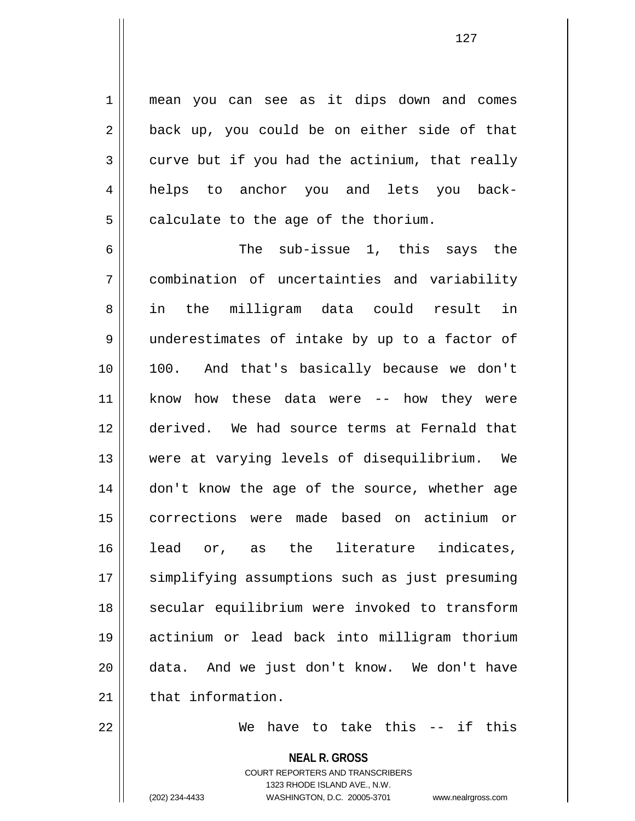1 || mean you can see as it dips down and comes  $2 \parallel$  back up, you could be on either side of that  $3 \parallel$  curve but if you had the actinium, that really 4 helps to anchor you and lets you back- $5 \parallel$  calculate to the age of the thorium.

6  $\parallel$  6 The sub-issue 1, this says the 7 combination of uncertainties and variability 8 || in the milligram data could result in 9 underestimates of intake by up to a factor of 10 100. And that's basically because we don't 11 know how these data were -- how they were 12 derived. We had source terms at Fernald that 13 were at varying levels of disequilibrium. We 14 || don't know the age of the source, whether age 15 corrections were made based on actinium or 16 || lead or, as the literature indicates, 17 || simplifying assumptions such as just presuming 18 || secular equilibrium were invoked to transform 19 actinium or lead back into milligram thorium 20 data. And we just don't know. We don't have  $21$   $\parallel$  that information.

22 We have to take this -- if this

**NEAL R. GROSS** COURT REPORTERS AND TRANSCRIBERS

1323 RHODE ISLAND AVE., N.W. (202) 234-4433 WASHINGTON, D.C. 20005-3701 www.nealrgross.com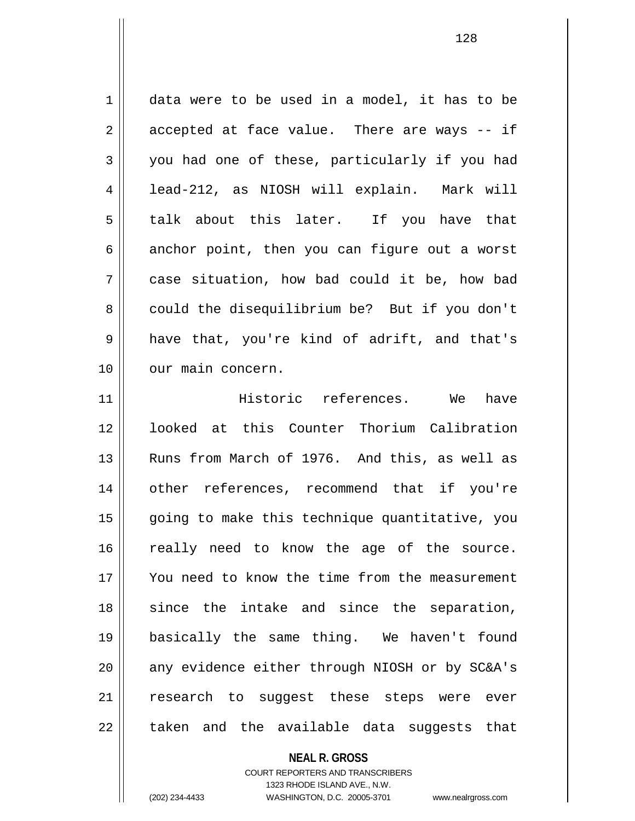$1 \parallel$  data were to be used in a model, it has to be  $2 \parallel$  accepted at face value. There are ways -- if 3 you had one of these, particularly if you had 4 | lead-212, as NIOSH will explain. Mark will 5 talk about this later. If you have that  $6 \parallel$  anchor point, then you can figure out a worst 7 case situation, how bad could it be, how bad 8 could the disequilibrium be? But if you don't  $9 \parallel$  have that, you're kind of adrift, and that's 10 || our main concern. 11 Historic references. We have

12 looked at this Counter Thorium Calibration 13 || Runs from March of 1976. And this, as well as 14 other references, recommend that if you're 15 || going to make this technique quantitative, you 16 || really need to know the age of the source. 17 You need to know the time from the measurement 18 since the intake and since the separation, 19 basically the same thing. We haven't found 20 || any evidence either through NIOSH or by SC&A's 21 || research to suggest these steps were ever  $22$   $\parallel$  taken and the available data suggests that

> **NEAL R. GROSS** COURT REPORTERS AND TRANSCRIBERS

> > 1323 RHODE ISLAND AVE., N.W.

(202) 234-4433 WASHINGTON, D.C. 20005-3701 www.nealrgross.com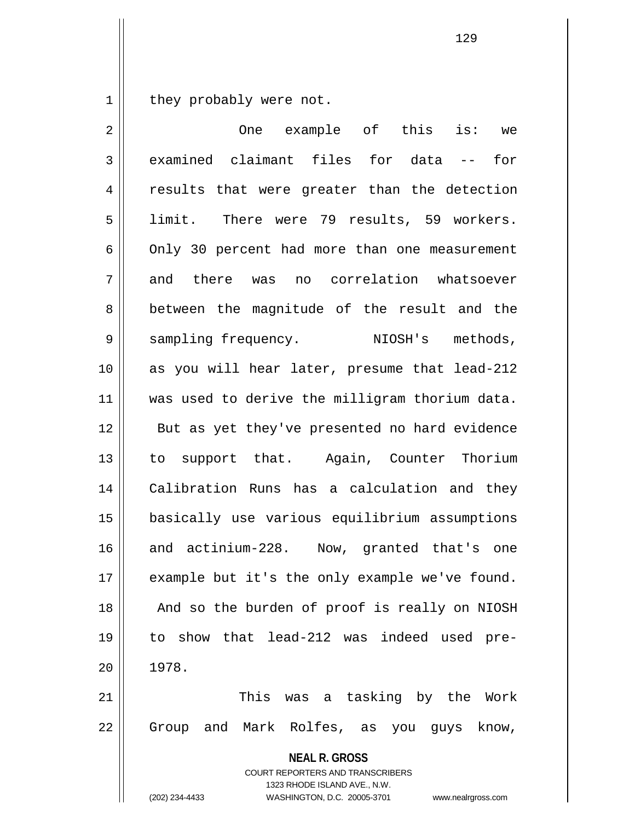$1 \parallel$  they probably were not.

 $\mathsf{I}$ 

| 2              | One example of this is: we                                                                                                                                             |
|----------------|------------------------------------------------------------------------------------------------------------------------------------------------------------------------|
| $\mathfrak{Z}$ | examined claimant files for data -- for                                                                                                                                |
| $\overline{4}$ | results that were greater than the detection                                                                                                                           |
| 5              | limit. There were 79 results, 59 workers.                                                                                                                              |
| 6              | Only 30 percent had more than one measurement                                                                                                                          |
| 7              | and there was no correlation whatsoever                                                                                                                                |
| 8              | between the magnitude of the result and the                                                                                                                            |
| 9              | sampling frequency. NIOSH's methods,                                                                                                                                   |
| 10             | as you will hear later, presume that lead-212                                                                                                                          |
| 11             | was used to derive the milligram thorium data.                                                                                                                         |
| 12             | But as yet they've presented no hard evidence                                                                                                                          |
| 13             | to support that. Again, Counter Thorium                                                                                                                                |
| 14             | Calibration Runs has a calculation and they                                                                                                                            |
| 15             | basically use various equilibrium assumptions                                                                                                                          |
| 16             | and actinium-228. Now, granted that's one                                                                                                                              |
| 17             | example but it's the only example we've found.                                                                                                                         |
| 18             | And so the burden of proof is really on NIOSH                                                                                                                          |
| 19             | to show that lead-212 was indeed used pre-                                                                                                                             |
| 20             | 1978.                                                                                                                                                                  |
| 21             | This was a tasking by the Work                                                                                                                                         |
| 22             | Group and Mark Rolfes, as you guys know,                                                                                                                               |
|                | <b>NEAL R. GROSS</b><br><b>COURT REPORTERS AND TRANSCRIBERS</b><br>1323 RHODE ISLAND AVE., N.W.<br>(202) 234-4433<br>WASHINGTON, D.C. 20005-3701<br>www.nealrgross.com |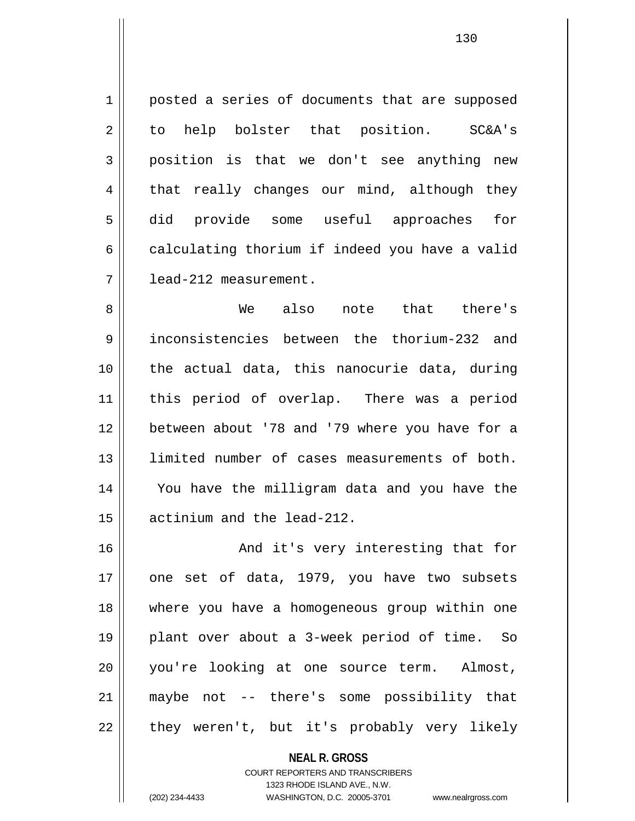1 posted a series of documents that are supposed 2 to help bolster that position. SC&A's 3 position is that we don't see anything new  $4 \parallel$  that really changes our mind, although they 5 did provide some useful approaches for  $6 \parallel$  calculating thorium if indeed you have a valid 7 lead-212 measurement.

8 We also note that there's 9 inconsistencies between the thorium-232 and 10 || the actual data, this nanocurie data, during 11 || this period of overlap. There was a period 12 between about '78 and '79 where you have for a 13 limited number of cases measurements of both. 14 You have the milligram data and you have the 15 actinium and the lead-212.

16 || And it's very interesting that for 17 one set of data, 1979, you have two subsets 18 where you have a homogeneous group within one 19 plant over about a 3-week period of time. So 20 you're looking at one source term. Almost, 21 maybe not -- there's some possibility that  $22 \parallel$  they weren't, but it's probably very likely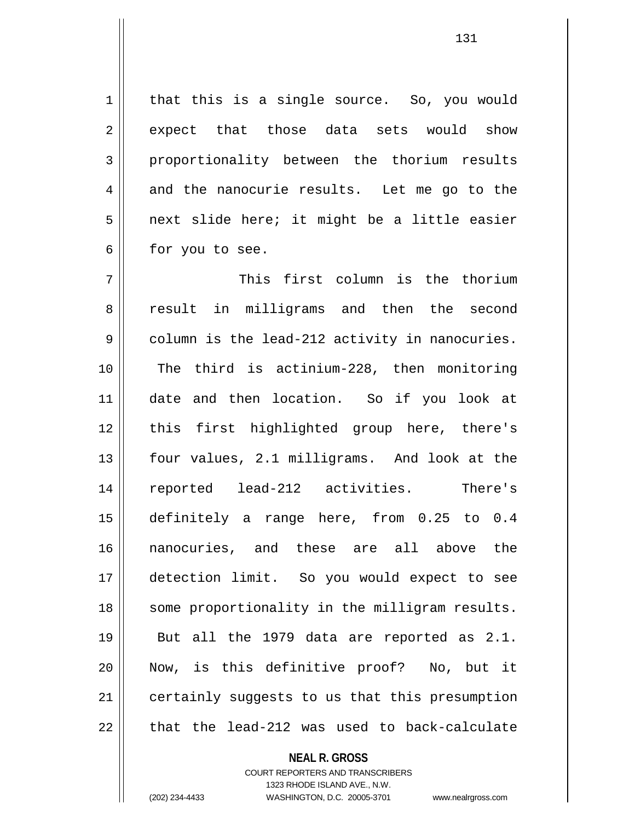1 | that this is a single source. So, you would 2 expect that those data sets would show 3 proportionality between the thorium results  $4 \parallel$  and the nanocurie results. Let me go to the  $5 \parallel$  next slide here; it might be a little easier  $6 \parallel$  for you to see.

7 This first column is the thorium 8 || result in milligrams and then the second  $9 \parallel$  column is the lead-212 activity in nanocuries. 10 The third is actinium-228, then monitoring 11 date and then location. So if you look at 12 || this first highlighted group here, there's 13 four values, 2.1 milligrams. And look at the 14 reported lead-212 activities. There's 15 definitely a range here, from 0.25 to 0.4 16 nanocuries, and these are all above the 17 detection limit. So you would expect to see 18 || some proportionality in the milligram results. 19 But all the 1979 data are reported as 2.1. 20 Now, is this definitive proof? No, but it 21 | certainly suggests to us that this presumption  $22$  || that the lead-212 was used to back-calculate

> **NEAL R. GROSS** COURT REPORTERS AND TRANSCRIBERS 1323 RHODE ISLAND AVE., N.W.

(202) 234-4433 WASHINGTON, D.C. 20005-3701 www.nealrgross.com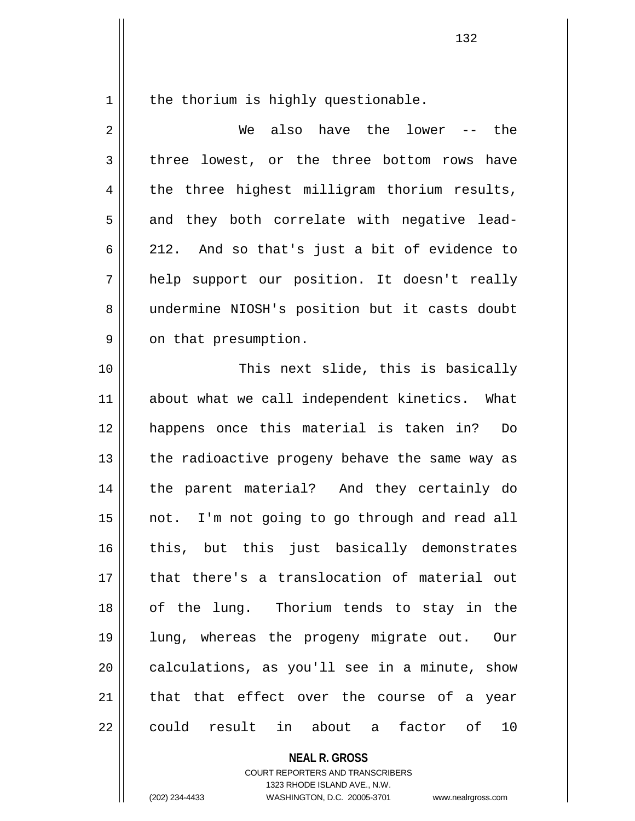$1$  the thorium is highly questionable.

| $\overline{2}$ | We also have the<br>lower -- the               |
|----------------|------------------------------------------------|
| 3              | three lowest, or the three bottom rows have    |
| 4              | the three highest milligram thorium results,   |
| 5              | and they both correlate with negative lead-    |
| 6              | 212. And so that's just a bit of evidence to   |
| 7              | help support our position. It doesn't really   |
| 8              | undermine NIOSH's position but it casts doubt  |
| 9              | on that presumption.                           |
| 10             | This next slide, this is basically             |
| 11             | about what we call independent kinetics. What  |
| 12             | happens once this material is taken in?<br>Do  |
| 13             | the radioactive progeny behave the same way as |
| 14             | the parent material? And they certainly do     |
| 15             | not. I'm not going to go through and read all  |
| 16             | this, but this just basically demonstrates     |
| 17             | that there's a translocation of material out   |
| 18             | of the lung. Thorium tends to stay in the      |
| 19             | lung, whereas the progeny migrate out. Our     |
| 20             | calculations, as you'll see in a minute, show  |
| 21             | that that effect over the course of a year     |
| 22             | could result in about a factor of<br>10        |

**NEAL R. GROSS**

COURT REPORTERS AND TRANSCRIBERS 1323 RHODE ISLAND AVE., N.W. (202) 234-4433 WASHINGTON, D.C. 20005-3701 www.nealrgross.com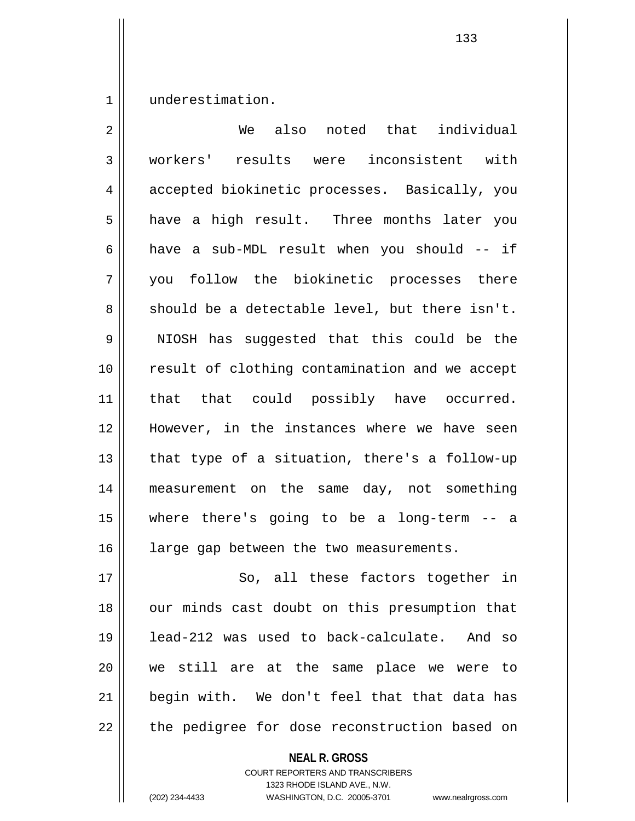1 underestimation.

| 2  | We also noted that individual                  |
|----|------------------------------------------------|
| 3  | workers' results were inconsistent with        |
| 4  | accepted biokinetic processes. Basically, you  |
| 5  | have a high result. Three months later you     |
| 6  | have a sub-MDL result when you should -- if    |
| 7  | you follow the biokinetic processes there      |
| 8  | should be a detectable level, but there isn't. |
| 9  | NIOSH has suggested that this could be the     |
| 10 | result of clothing contamination and we accept |
| 11 | that that could possibly have occurred.        |
| 12 | However, in the instances where we have seen   |
| 13 | that type of a situation, there's a follow-up  |
| 14 | measurement on the same day, not something     |
| 15 | where there's going to be a long-term -- a     |
| 16 | large gap between the two measurements.        |
| 17 | So, all these factors together in              |
| 18 | our minds cast doubt on this presumption that  |
| 19 | lead-212 was used to back-calculate. And so    |
| 20 | we still are at the same place we were to      |
| 21 | begin with. We don't feel that that data has   |
| 22 | the pedigree for dose reconstruction based on  |

**NEAL R. GROSS**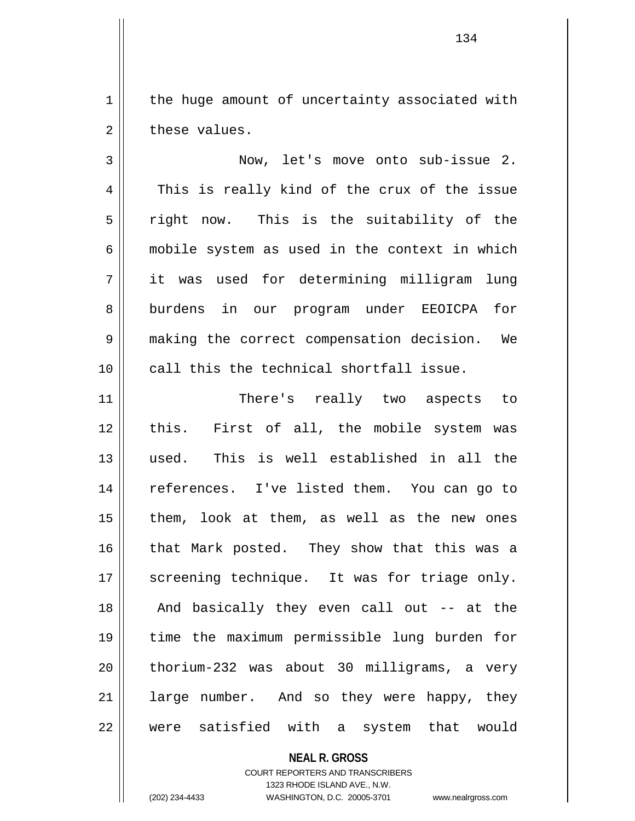$1$  the huge amount of uncertainty associated with  $2 \parallel$  these values.

3 Now, let's move onto sub-issue 2. 4 This is really kind of the crux of the issue  $5 \parallel$  right now. This is the suitability of the  $6 \parallel$  mobile system as used in the context in which 7 it was used for determining milligram lung 8 burdens in our program under EEOICPA for 9 making the correct compensation decision. We 10 call this the technical shortfall issue.

11 || There's really two aspects to 12 || this. First of all, the mobile system was 13 used. This is well established in all the 14 || references. I've listed them. You can go to  $15$  || them, look at them, as well as the new ones 16 || that Mark posted. They show that this was a 17 || screening technique. It was for triage only. 18 || And basically they even call out -- at the 19 time the maximum permissible lung burden for  $20$  | thorium-232 was about 30 milligrams, a very 21 || large number. And so they were happy, they 22 were satisfied with a system that would

## **NEAL R. GROSS**

COURT REPORTERS AND TRANSCRIBERS 1323 RHODE ISLAND AVE., N.W. (202) 234-4433 WASHINGTON, D.C. 20005-3701 www.nealrgross.com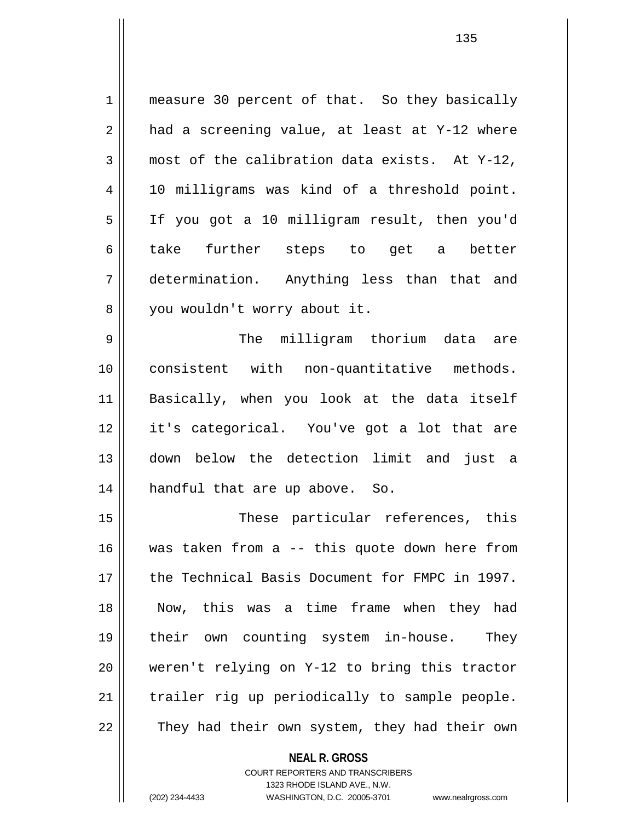1 || measure 30 percent of that. So they basically  $2 \parallel$  had a screening value, at least at Y-12 where  $3 \parallel$  most of the calibration data exists. At Y-12, 4 || 10 milligrams was kind of a threshold point. 5 If you got a 10 milligram result, then you'd 6|| take further steps to get a better 7 determination. Anything less than that and 8 || you wouldn't worry about it. 9 The milligram thorium data are 10 consistent with non-quantitative methods. 11 Basically, when you look at the data itself 12 it's categorical. You've got a lot that are 13 down below the detection limit and just a

15 These particular references, this 16 was taken from a -- this quote down here from 17 the Technical Basis Document for FMPC in 1997. 18 Now, this was a time frame when they had 19 their own counting system in-house. They 20 weren't relying on Y-12 to bring this tractor  $21$  | trailer rig up periodically to sample people. 22 || They had their own system, they had their own

14 || handful that are up above. So.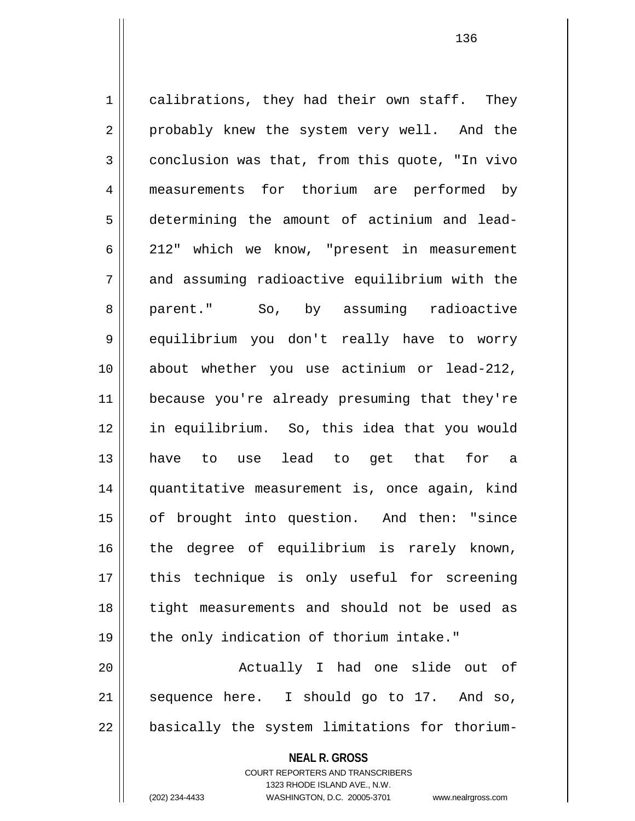1 calibrations, they had their own staff. They 2 || probably knew the system very well. And the  $3 \parallel$  conclusion was that, from this quote, "In vivo 4 || measurements for thorium are performed by 5 determining the amount of actinium and lead-6 212" which we know, "present in measurement 7 and assuming radioactive equilibrium with the 8 parent." So, by assuming radioactive 9 equilibrium you don't really have to worry 10 about whether you use actinium or lead-212, 11 because you're already presuming that they're 12 in equilibrium. So, this idea that you would 13 have to use lead to get that for a 14 quantitative measurement is, once again, kind 15 of brought into question. And then: "since 16 || the degree of equilibrium is rarely known, 17 || this technique is only useful for screening 18 tight measurements and should not be used as 19 || the only indication of thorium intake." 20 || Actually I had one slide out of  $21$  sequence here. I should go to 17. And so,

 $22$  | basically the system limitations for thorium-

**NEAL R. GROSS** COURT REPORTERS AND TRANSCRIBERS

1323 RHODE ISLAND AVE., N.W.

(202) 234-4433 WASHINGTON, D.C. 20005-3701 www.nealrgross.com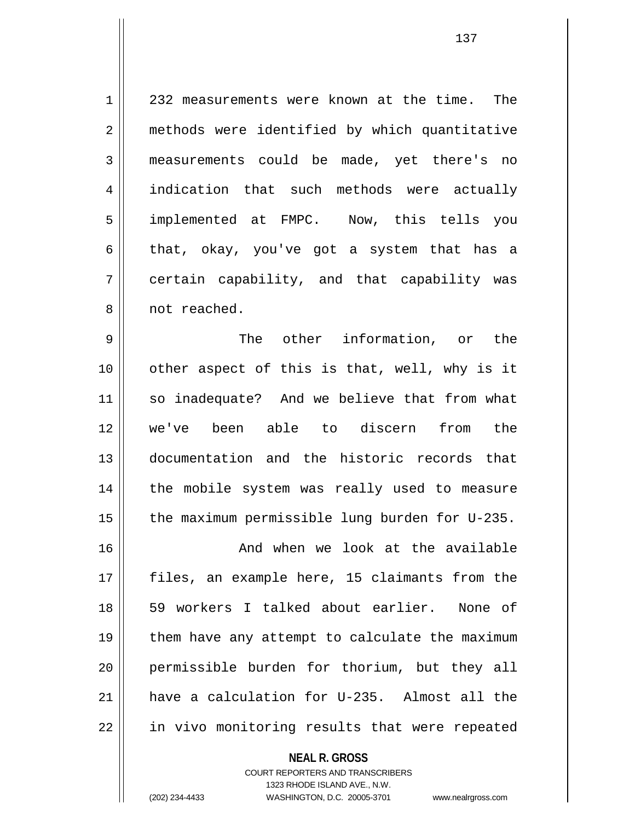1 || 232 measurements were known at the time. The 2 || methods were identified by which quantitative 3 measurements could be made, yet there's no 4 || indication that such methods were actually 5 | implemented at FMPC. Now, this tells you 6 that, okay, you've got a system that has a 7 certain capability, and that capability was 8 || not reached.

9 The other information, or the 10 || other aspect of this is that, well, why is it 11 so inadequate? And we believe that from what 12 we've been able to discern from the 13 documentation and the historic records that 14 || the mobile system was really used to measure 15  $\parallel$  the maximum permissible lung burden for U-235.

16 And when we look at the available 17 || files, an example here, 15 claimants from the 18 59 workers I talked about earlier. None of  $19$  | them have any attempt to calculate the maximum 20 permissible burden for thorium, but they all 21 have a calculation for U-235. Almost all the 22 | in vivo monitoring results that were repeated

> **NEAL R. GROSS** COURT REPORTERS AND TRANSCRIBERS 1323 RHODE ISLAND AVE., N.W. (202) 234-4433 WASHINGTON, D.C. 20005-3701 www.nealrgross.com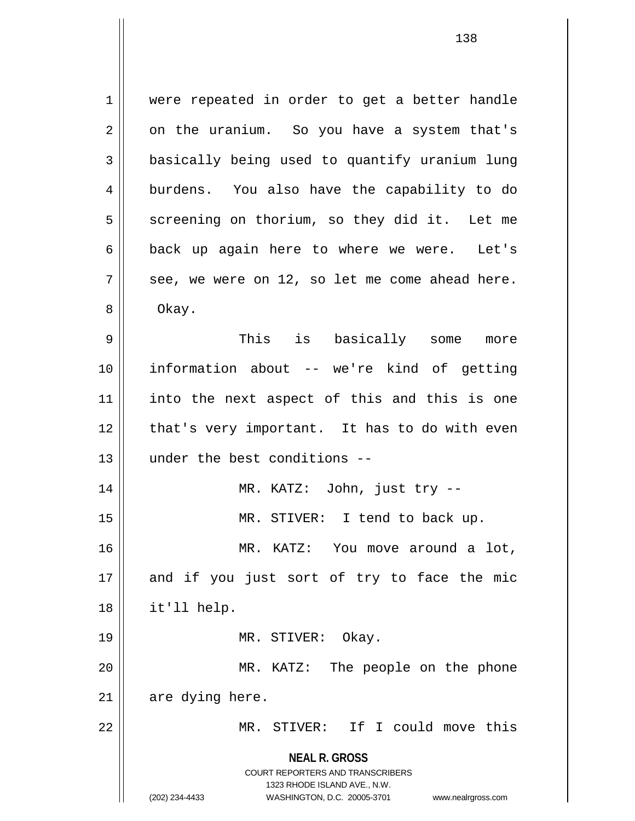**NEAL R. GROSS** COURT REPORTERS AND TRANSCRIBERS 1323 RHODE ISLAND AVE., N.W. 1 || were repeated in order to get a better handle  $2 \parallel$  on the uranium. So you have a system that's 3 **basically being used to quantify uranium lung** 4 || burdens. You also have the capability to do 5 | screening on thorium, so they did it. Let me  $6 \parallel$  back up again here to where we were. Let's  $7 \parallel$  see, we were on 12, so let me come ahead here. 8 | Okay. 9 This is basically some more 10 information about -- we're kind of getting 11 into the next aspect of this and this is one  $12$  | that's very important. It has to do with even 13 under the best conditions -- 14 MR. KATZ: John, just try -- 15 || MR. STIVER: I tend to back up. 16 MR. KATZ: You move around a lot,  $17$  and if you just sort of try to face the mic 18 it'll help. 19 || MR. STIVER: Okay. 20 || MR. KATZ: The people on the phone  $21$  are dying here. 22 MR. STIVER: If I could move this

(202) 234-4433 WASHINGTON, D.C. 20005-3701 www.nealrgross.com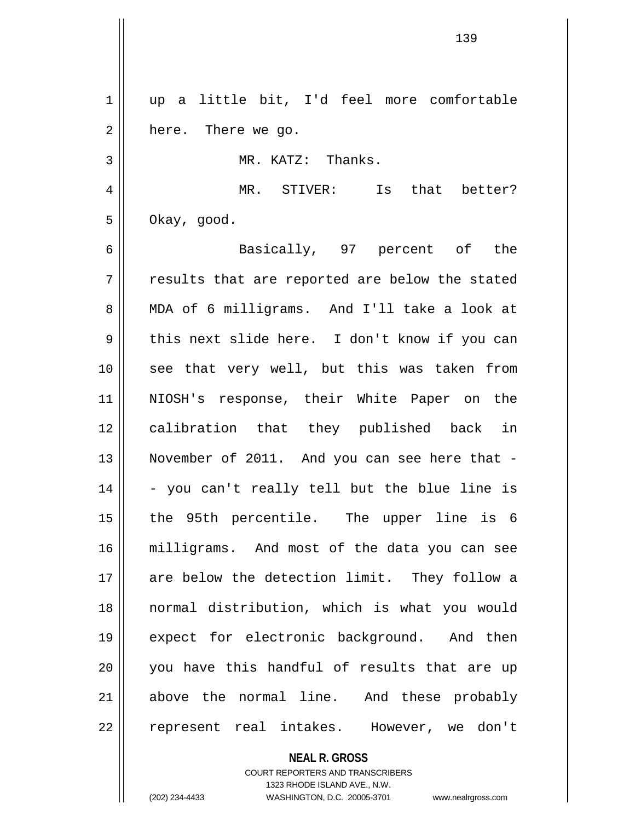1 up a little bit, I'd feel more comfortable  $2 \parallel$  here. There we go. 3 MR. KATZ: Thanks. 4 MR. STIVER: Is that better?  $5 \parallel$  Okay, good. 6 Basically, 97 percent of the  $7 \parallel$  results that are reported are below the stated 8 || MDA of 6 milligrams. And I'll take a look at 9 || this next slide here. I don't know if you can 10 || see that very well, but this was taken from 11 NIOSH's response, their White Paper on the 12 calibration that they published back in 13 || November of 2011. And you can see here that - $14 \parallel$  - you can't really tell but the blue line is 15 the 95th percentile. The upper line is 6 16 milligrams. And most of the data you can see 17 || are below the detection limit. They follow a 18 normal distribution, which is what you would 19 expect for electronic background. And then 20 || you have this handful of results that are up 21 above the normal line. And these probably 22 || represent real intakes. However, we don't

> **NEAL R. GROSS** COURT REPORTERS AND TRANSCRIBERS

> > 1323 RHODE ISLAND AVE., N.W.

(202) 234-4433 WASHINGTON, D.C. 20005-3701 www.nealrgross.com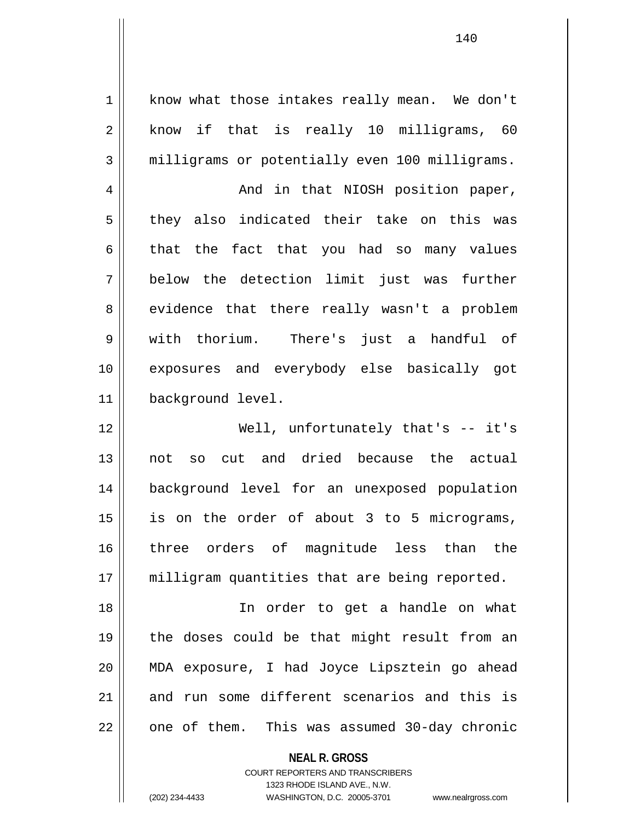1 | know what those intakes really mean. We don't  $2 \parallel$  know if that is really 10 milligrams, 60 3 milligrams or potentially even 100 milligrams.

4 | And in that NIOSH position paper, 5 they also indicated their take on this was  $6 \parallel$  that the fact that you had so many values 7 below the detection limit just was further 8 | evidence that there really wasn't a problem 9 with thorium. There's just a handful of 10 exposures and everybody else basically got 11 | background level.

12 Well, unfortunately that's -- it's 13 not so cut and dried because the actual 14 background level for an unexposed population 15 || is on the order of about 3 to 5 micrograms, 16 three orders of magnitude less than the 17 || milligram quantities that are being reported.

18 In order to get a handle on what 19 the doses could be that might result from an 20 MDA exposure, I had Joyce Lipsztein go ahead 21 and run some different scenarios and this is 22 || one of them. This was assumed 30-day chronic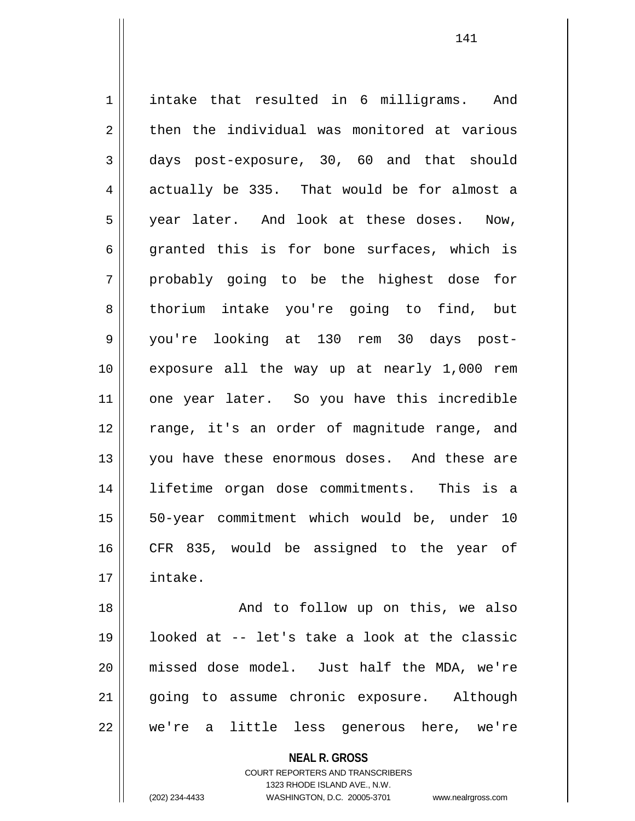1 || intake that resulted in 6 milligrams. And  $2 \parallel$  then the individual was monitored at various 3 days post-exposure, 30, 60 and that should  $4 \parallel$  actually be 335. That would be for almost a 5 year later. And look at these doses. Now,  $6 \parallel$  granted this is for bone surfaces, which is  $7 \parallel$  probably going to be the highest dose for 8 thorium intake you're going to find, but 9 you're looking at 130 rem 30 days post-10 exposure all the way up at nearly 1,000 rem 11 || one year later. So you have this incredible 12 range, it's an order of magnitude range, and 13 || you have these enormous doses. And these are 14 lifetime organ dose commitments. This is a 15 || 50-year commitment which would be, under 10 16 CFR 835, would be assigned to the year of 17 intake.

18 || And to follow up on this, we also 19 looked at -- let's take a look at the classic 20 missed dose model. Just half the MDA, we're 21 going to assume chronic exposure. Although 22 we're a little less generous here, we're

> **NEAL R. GROSS** COURT REPORTERS AND TRANSCRIBERS 1323 RHODE ISLAND AVE., N.W.

(202) 234-4433 WASHINGTON, D.C. 20005-3701 www.nealrgross.com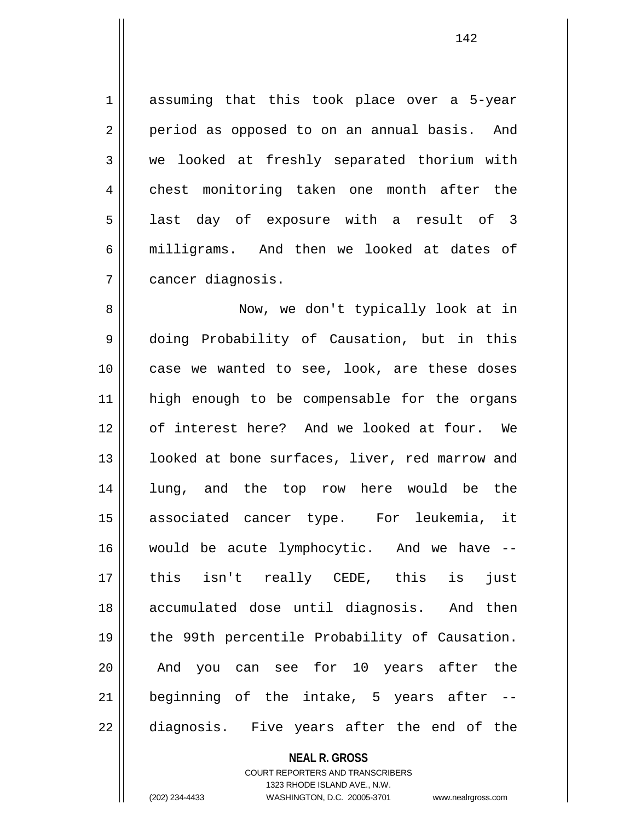1 assuming that this took place over a 5-year 2 || period as opposed to on an annual basis. And 3 we looked at freshly separated thorium with 4 chest monitoring taken one month after the 5 || last day of exposure with a result of 3 6 || milligrams. And then we looked at dates of 7 cancer diagnosis.

8 Now, we don't typically look at in 9 doing Probability of Causation, but in this 10 || case we wanted to see, look, are these doses 11 high enough to be compensable for the organs 12 of interest here? And we looked at four. We 13 || looked at bone surfaces, liver, red marrow and 14 || lung, and the top row here would be the 15 associated cancer type. For leukemia, it 16 would be acute lymphocytic. And we have -- 17 this isn't really CEDE, this is just 18 accumulated dose until diagnosis. And then 19 || the 99th percentile Probability of Causation. 20 || And you can see for 10 years after the  $21$  beginning of the intake, 5 years after  $-$ 22 diagnosis. Five years after the end of the

## **NEAL R. GROSS**

COURT REPORTERS AND TRANSCRIBERS 1323 RHODE ISLAND AVE., N.W. (202) 234-4433 WASHINGTON, D.C. 20005-3701 www.nealrgross.com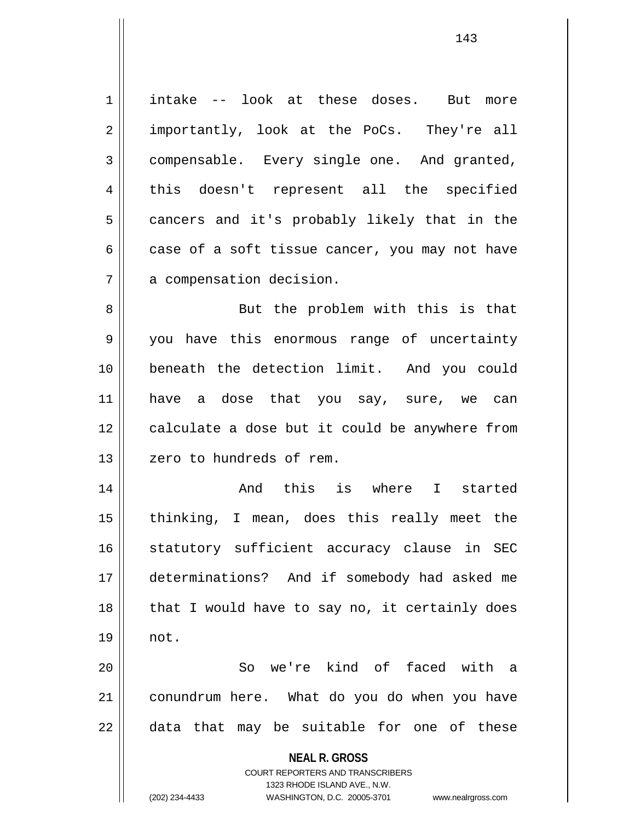1 | intake -- look at these doses. But more 2 || importantly, look at the PoCs. They're all 3 compensable. Every single one. And granted, 4 || this doesn't represent all the specified 5 cancers and it's probably likely that in the  $6 \parallel$  case of a soft tissue cancer, you may not have 7 | a compensation decision.

8 || But the problem with this is that 9 you have this enormous range of uncertainty 10 beneath the detection limit. And you could 11 have a dose that you say, sure, we can 12 || calculate a dose but it could be anywhere from 13 || zero to hundreds of rem.

14 And this is where I started 15 thinking, I mean, does this really meet the 16 || statutory sufficient accuracy clause in SEC 17 determinations? And if somebody had asked me  $18$  || that I would have to say no, it certainly does 19 not.

20 || So we're kind of faced with a 21 conundrum here. What do you do when you have  $22$  || data that may be suitable for one of these

**NEAL R. GROSS**

COURT REPORTERS AND TRANSCRIBERS 1323 RHODE ISLAND AVE., N.W. (202) 234-4433 WASHINGTON, D.C. 20005-3701 www.nealrgross.com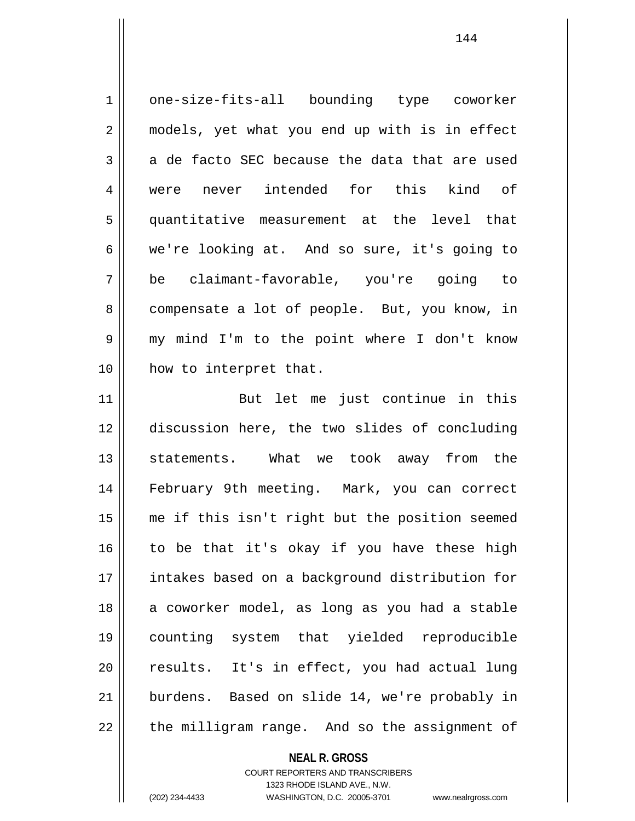| $\mathbf 1$    | one-size-fits-all bounding type coworker       |
|----------------|------------------------------------------------|
| $\overline{2}$ | models, yet what you end up with is in effect  |
| 3              | a de facto SEC because the data that are used  |
| $\overline{4}$ | were never intended for this kind of           |
| 5              | quantitative measurement at the level that     |
| 6              | we're looking at. And so sure, it's going to   |
| 7              | be claimant-favorable, you're going to         |
| 8              | compensate a lot of people. But, you know, in  |
| $\mathsf 9$    | my mind I'm to the point where I don't know    |
| 10             | how to interpret that.                         |
| 11             | But let me just continue in this               |
| 12             | discussion here, the two slides of concluding  |
| 13             | statements. What we took away from the         |
| 14             | February 9th meeting. Mark, you can correct    |
| 15             | me if this isn't right but the position seemed |
| 16             | to be that it's okay if you have these high    |
| 17             | intakes based on a background distribution for |
| 18             | a coworker model, as long as you had a stable  |
| 19             | counting system that yielded reproducible      |
| 20             | results. It's in effect, you had actual lung   |
| 21             | burdens. Based on slide 14, we're probably in  |
| 22             | the milligram range. And so the assignment of  |

**NEAL R. GROSS** COURT REPORTERS AND TRANSCRIBERS

1323 RHODE ISLAND AVE., N.W.

(202) 234-4433 WASHINGTON, D.C. 20005-3701 www.nealrgross.com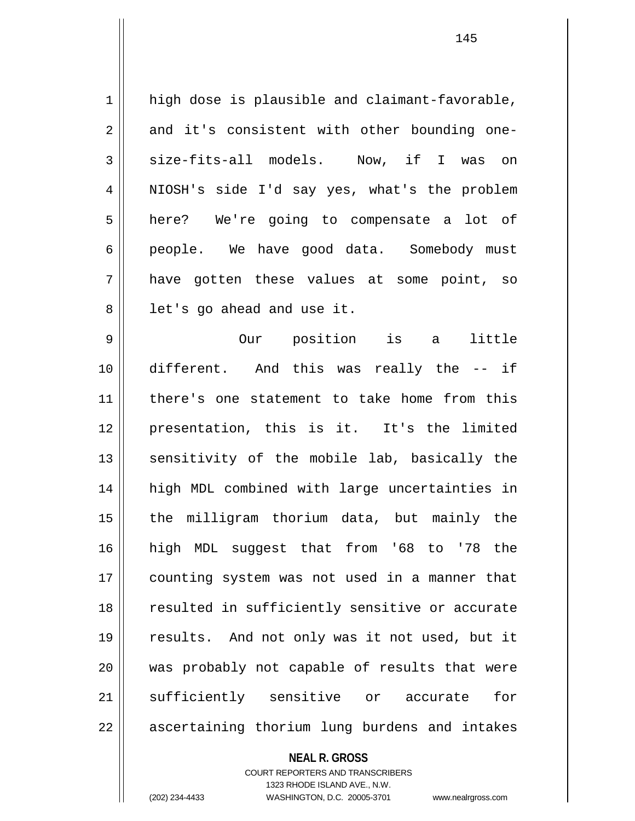1 || high dose is plausible and claimant-favorable,  $2 \parallel$  and it's consistent with other bounding one-3 size-fits-all models. Now, if I was on 4 NIOSH's side I'd say yes, what's the problem 5 here? We're going to compensate a lot of 6 people. We have good data. Somebody must 7 have gotten these values at some point, so  $8 \parallel$  let's go ahead and use it. 9 Our position is a little 10 different. And this was really the -- if 11 there's one statement to take home from this 12 presentation, this is it. It's the limited 13 || sensitivity of the mobile lab, basically the 14 high MDL combined with large uncertainties in 15 || the milligram thorium data, but mainly the 16 high MDL suggest that from '68 to '78 the 17 || counting system was not used in a manner that 18 || resulted in sufficiently sensitive or accurate 19 results. And not only was it not used, but it 20 was probably not capable of results that were 21 Sufficiently sensitive or accurate for 22 || ascertaining thorium lung burdens and intakes

> **NEAL R. GROSS** COURT REPORTERS AND TRANSCRIBERS 1323 RHODE ISLAND AVE., N.W. (202) 234-4433 WASHINGTON, D.C. 20005-3701 www.nealrgross.com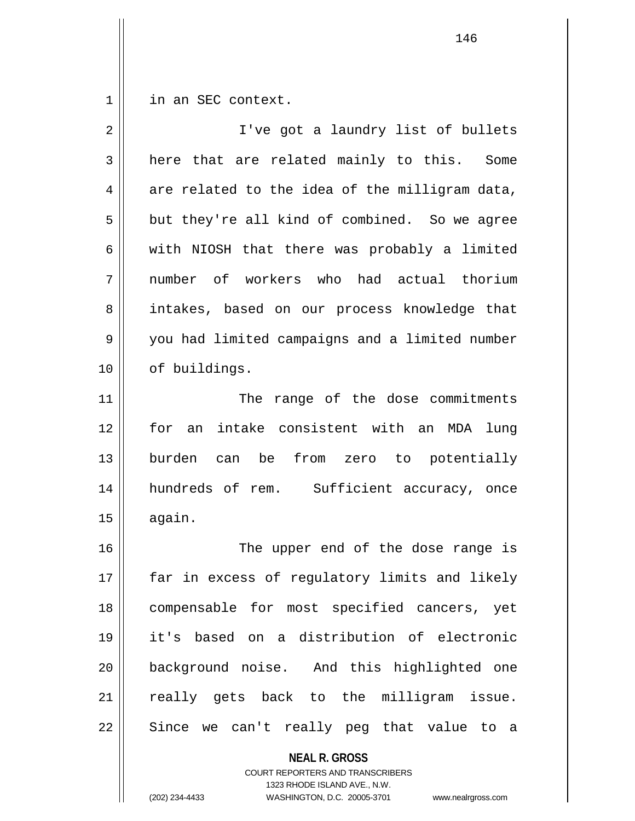1 | in an SEC context.

| $\overline{2}$ | I've got a laundry list of bullets             |
|----------------|------------------------------------------------|
| 3              | here that are related mainly to this. Some     |
| 4              | are related to the idea of the milligram data, |
| 5              | but they're all kind of combined. So we agree  |
| 6              | with NIOSH that there was probably a limited   |
| 7              | number of workers who had actual thorium       |
| 8              | intakes, based on our process knowledge that   |
| 9              | you had limited campaigns and a limited number |
| 10             | of buildings.                                  |
| 11             | The range of the dose commitments              |
| 12             | for an intake consistent with an MDA<br>lung   |
| 13             | burden can be from zero to potentially         |
| 14             | hundreds of rem. Sufficient accuracy, once     |
| 15             | again.                                         |
| 16             | The upper end of the dose range is             |
| 17             | far in excess of regulatory limits and likely  |
| 18             | compensable for most specified cancers, yet    |
| 19             | it's based on a distribution of electronic     |
| 20             | background noise. And this highlighted one     |
| 21             | really gets back to the milligram issue.       |
| 22             | Since we can't really peg that value to a      |
|                | <b>NEAL R. GROSS</b>                           |

COURT REPORTERS AND TRANSCRIBERS 1323 RHODE ISLAND AVE., N.W.

(202) 234-4433 WASHINGTON, D.C. 20005-3701 www.nealrgross.com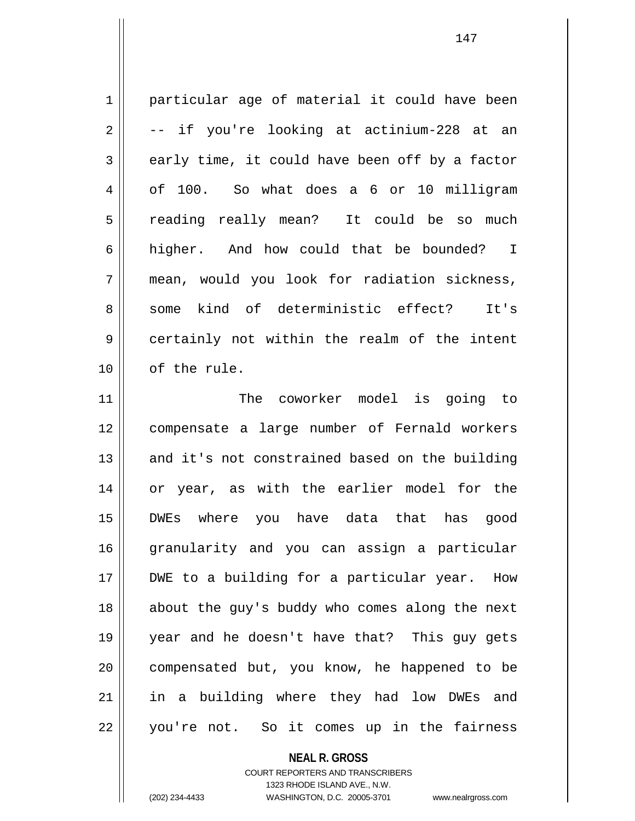1 particular age of material it could have been  $2 \parallel$  -- if you're looking at actinium-228 at an  $3 \parallel$  early time, it could have been off by a factor 4 | of 100. So what does a 6 or 10 milligram 5 || reading really mean? It could be so much 6 higher. And how could that be bounded? I 7 mean, would you look for radiation sickness, 8 || some kind of deterministic effect? It's 9 certainly not within the realm of the intent 10 | of the rule. 11 The coworker model is going to

12 compensate a large number of Fernald workers 13 || and it's not constrained based on the building 14 or year, as with the earlier model for the 15 DWEs where you have data that has good 16 granularity and you can assign a particular 17 || DWE to a building for a particular year. How 18 || about the guy's buddy who comes along the next 19 year and he doesn't have that? This guy gets 20 || compensated but, you know, he happened to be 21 || in a building where they had low DWEs and 22 || you're not. So it comes up in the fairness

**NEAL R. GROSS**

COURT REPORTERS AND TRANSCRIBERS 1323 RHODE ISLAND AVE., N.W. (202) 234-4433 WASHINGTON, D.C. 20005-3701 www.nealrgross.com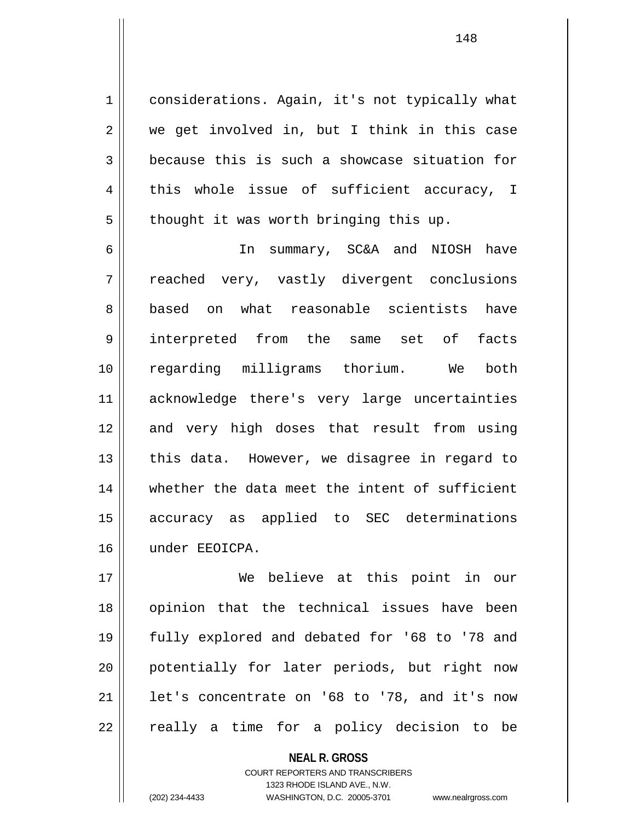1 | considerations. Again, it's not typically what  $2 \parallel$  we get involved in, but I think in this case  $3 \parallel$  because this is such a showcase situation for 4 || this whole issue of sufficient accuracy, I  $5 \parallel$  thought it was worth bringing this up.

6 In summary, SC&A and NIOSH have 7 || reached very, vastly divergent conclusions 8 based on what reasonable scientists have 9 interpreted from the same set of facts 10 regarding milligrams thorium. We both 11 acknowledge there's very large uncertainties 12 and very high doses that result from using  $13$  || this data. However, we disagree in regard to 14 whether the data meet the intent of sufficient 15 accuracy as applied to SEC determinations 16 under EEOICPA.

17 We believe at this point in our 18 || opinion that the technical issues have been 19 fully explored and debated for '68 to '78 and 20 potentially for later periods, but right now 21  $\parallel$  1et's concentrate on '68 to '78, and it's now  $22$  || really a time for a policy decision to be

> **NEAL R. GROSS** COURT REPORTERS AND TRANSCRIBERS 1323 RHODE ISLAND AVE., N.W. (202) 234-4433 WASHINGTON, D.C. 20005-3701 www.nealrgross.com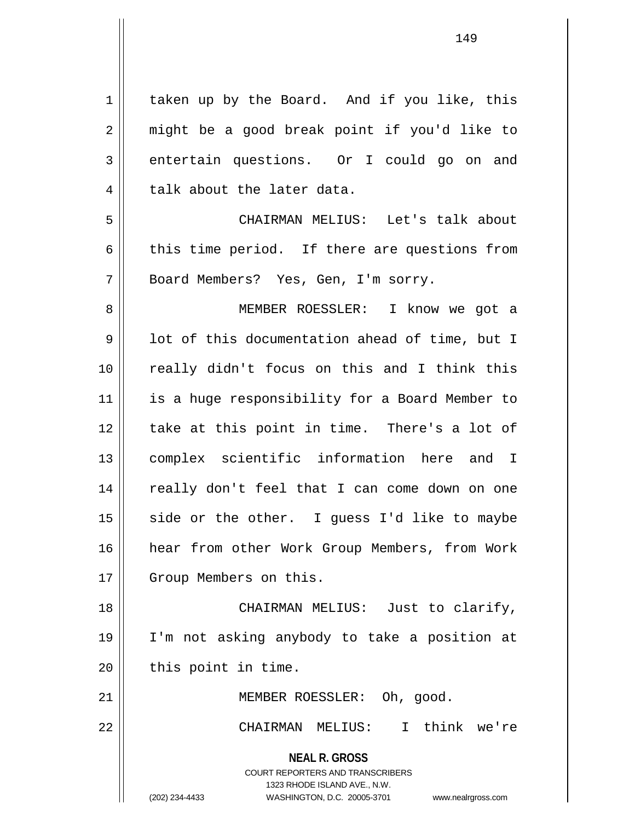**NEAL R. GROSS** COURT REPORTERS AND TRANSCRIBERS 1323 RHODE ISLAND AVE., N.W. 1 | taken up by the Board. And if you like, this 2 || might be a good break point if you'd like to 3 entertain questions. Or I could go on and 4 || talk about the later data. 5 CHAIRMAN MELIUS: Let's talk about  $6 \parallel$  this time period. If there are questions from 7 || Board Members? Yes, Gen, I'm sorry. 8 || MEMBER ROESSLER: I know we got a  $9 \parallel$  lot of this documentation ahead of time, but I 10 really didn't focus on this and I think this 11 || is a huge responsibility for a Board Member to 12 || take at this point in time. There's a lot of 13 complex scientific information here and I 14 || really don't feel that I can come down on one  $15$  side or the other. I guess I'd like to maybe 16 hear from other Work Group Members, from Work 17 | Group Members on this. 18 CHAIRMAN MELIUS: Just to clarify, 19 I'm not asking anybody to take a position at  $20$  | this point in time. 21 || MEMBER ROESSLER: Oh, good. 22 CHAIRMAN MELIUS: I think we're

<sup>(202) 234-4433</sup> WASHINGTON, D.C. 20005-3701 www.nealrgross.com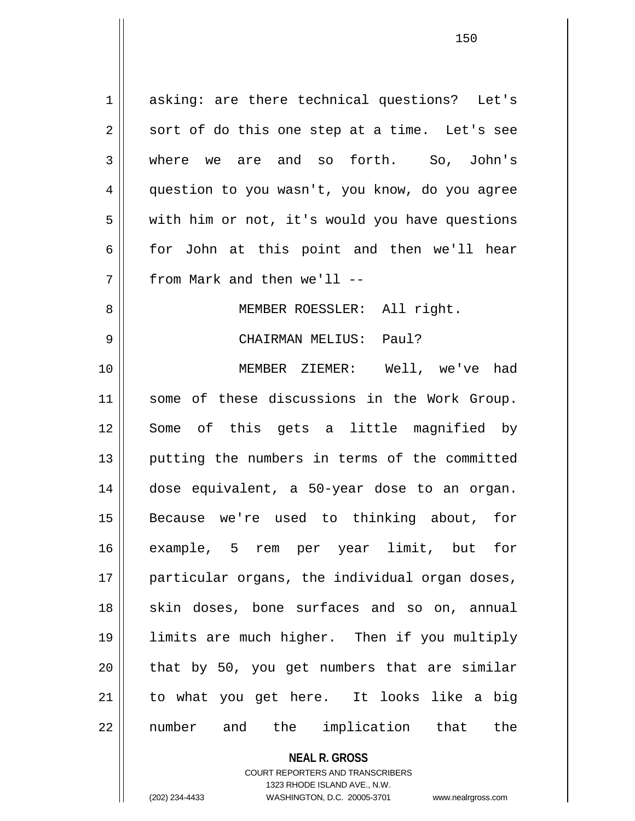1 || asking: are there technical questions? Let's  $2 \parallel$  sort of do this one step at a time. Let's see 3 where we are and so forth. So, John's 4 | question to you wasn't, you know, do you agree  $5 \parallel$  with him or not, it's would you have questions 6 for John at this point and then we'll hear 7 || from Mark and then we'll --8 || MEMBER ROESSLER: All right. 9 CHAIRMAN MELIUS: Paul? 10 MEMBER ZIEMER: Well, we've had 11 || some of these discussions in the Work Group. 12 Some of this gets a little magnified by 13 || putting the numbers in terms of the committed 14 dose equivalent, a 50-year dose to an organ. 15 Because we're used to thinking about, for 16 example, 5 rem per year limit, but for 17 || particular organs, the individual organ doses, 18 || skin doses, bone surfaces and so on, annual 19 limits are much higher. Then if you multiply  $20$  || that by 50, you get numbers that are similar 21 to what you get here. It looks like a big 22 || number and the implication that the

**NEAL R. GROSS**

COURT REPORTERS AND TRANSCRIBERS 1323 RHODE ISLAND AVE., N.W. (202) 234-4433 WASHINGTON, D.C. 20005-3701 www.nealrgross.com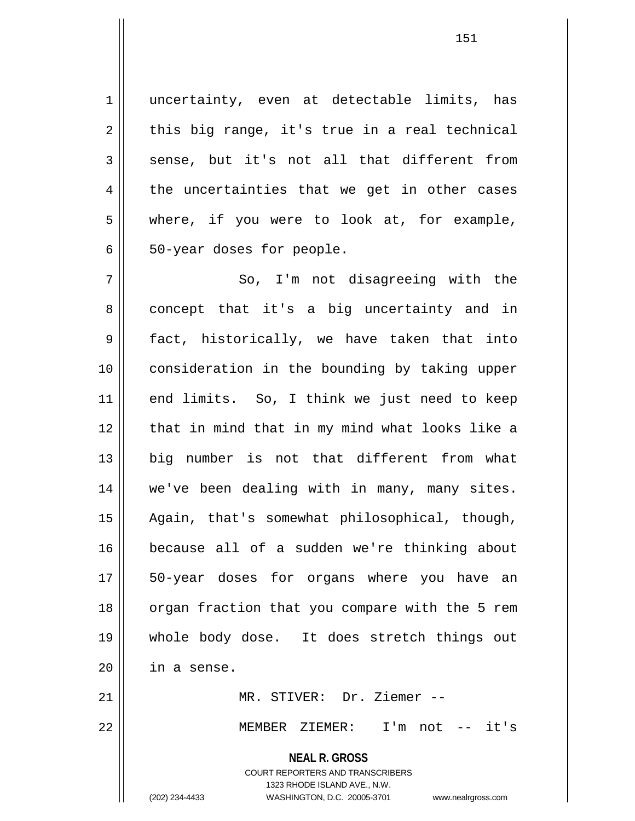1 || uncertainty, even at detectable limits, has  $2 \parallel$  this big range, it's true in a real technical  $3 \parallel$  sense, but it's not all that different from  $4 \parallel$  the uncertainties that we get in other cases 5 where, if you were to look at, for example,  $6 \parallel$  50-year doses for people.

7 So, I'm not disagreeing with the 8 concept that it's a big uncertainty and in 9 fact, historically, we have taken that into 10 consideration in the bounding by taking upper 11 || end limits. So, I think we just need to keep 12 || that in mind that in my mind what looks like a 13 big number is not that different from what 14 || we've been dealing with in many, many sites. 15 Again, that's somewhat philosophical, though, 16 because all of a sudden we're thinking about 17 || 50-year doses for organs where you have an 18 || organ fraction that you compare with the 5 rem 19 whole body dose. It does stretch things out  $20$  | in a sense.

21 MR. STIVER: Dr. Ziemer --

22 MEMBER ZIEMER: I'm not -- it's

**NEAL R. GROSS** COURT REPORTERS AND TRANSCRIBERS

1323 RHODE ISLAND AVE., N.W.

(202) 234-4433 WASHINGTON, D.C. 20005-3701 www.nealrgross.com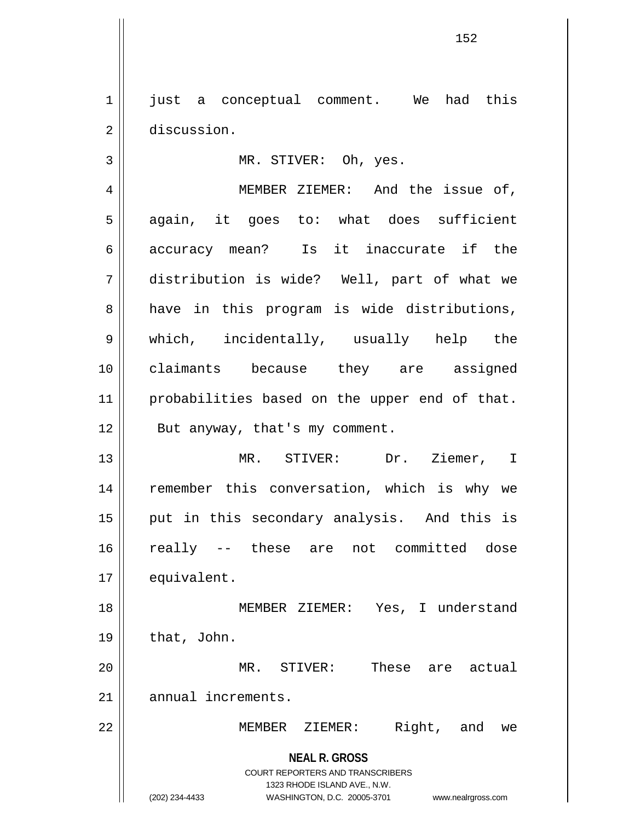1 || just a conceptual comment. We had this 2 discussion.

3 || MR. STIVER: Oh, yes.

4 | MEMBER ZIEMER: And the issue of, 5 || again, it goes to: what does sufficient 6 || accuracy mean? Is it inaccurate if the 7 distribution is wide? Well, part of what we  $8 \parallel$  have in this program is wide distributions, 9 which, incidentally, usually help the 10 claimants because they are assigned 11 || probabilities based on the upper end of that. 12 || But anyway, that's my comment. 13 MR. STIVER: Dr. Ziemer, I

14 || remember this conversation, which is why we 15 || put in this secondary analysis. And this is 16 really -- these are not committed dose 17 | equivalent.

18 || MEMBER ZIEMER: Yes, I understand  $19 \parallel$  that, John.

20 MR. STIVER: These are actual 21 || annual increments.

22 MEMBER ZIEMER: Right, and we

**NEAL R. GROSS** COURT REPORTERS AND TRANSCRIBERS 1323 RHODE ISLAND AVE., N.W.

(202) 234-4433 WASHINGTON, D.C. 20005-3701 www.nealrgross.com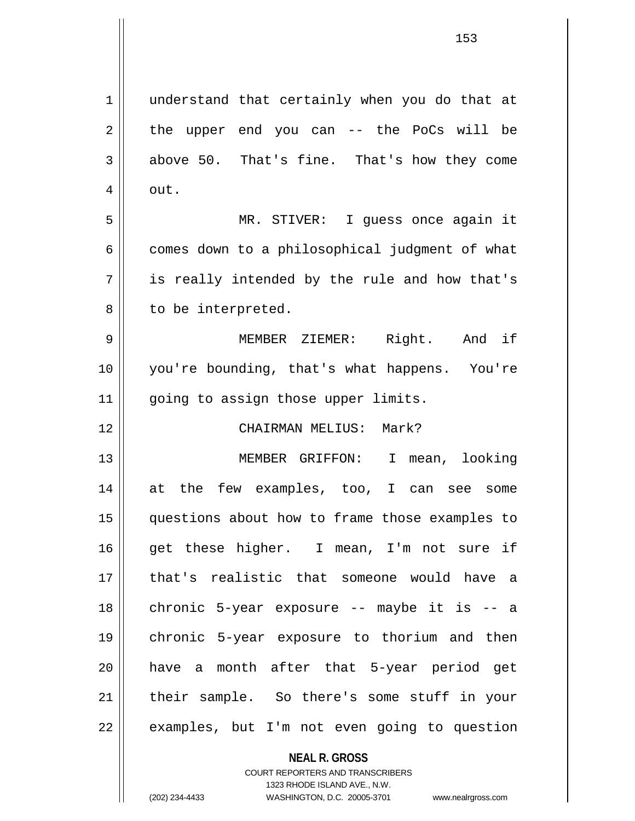1 || understand that certainly when you do that at  $2 \parallel$  the upper end you can -- the PoCs will be  $3 \parallel$  above 50. That's fine. That's how they come  $4 \parallel$  out. 5 MR. STIVER: I guess once again it  $6 \parallel$  comes down to a philosophical judgment of what  $7 \parallel$  is really intended by the rule and how that's 8 || to be interpreted. 9 MEMBER ZIEMER: Right. And if 10 you're bounding, that's what happens. You're 11 || going to assign those upper limits. 12 CHAIRMAN MELIUS: Mark? 13 MEMBER GRIFFON: I mean, looking 14 at the few examples, too, I can see some 15 questions about how to frame those examples to 16 get these higher. I mean, I'm not sure if 17 that's realistic that someone would have a 18 || chronic 5-year exposure -- maybe it is -- a 19 chronic 5-year exposure to thorium and then 20 have a month after that 5-year period get

22 | examples, but I'm not even going to question

COURT REPORTERS AND TRANSCRIBERS 1323 RHODE ISLAND AVE., N.W. (202) 234-4433 WASHINGTON, D.C. 20005-3701 www.nealrgross.com

**NEAL R. GROSS**

21 their sample. So there's some stuff in your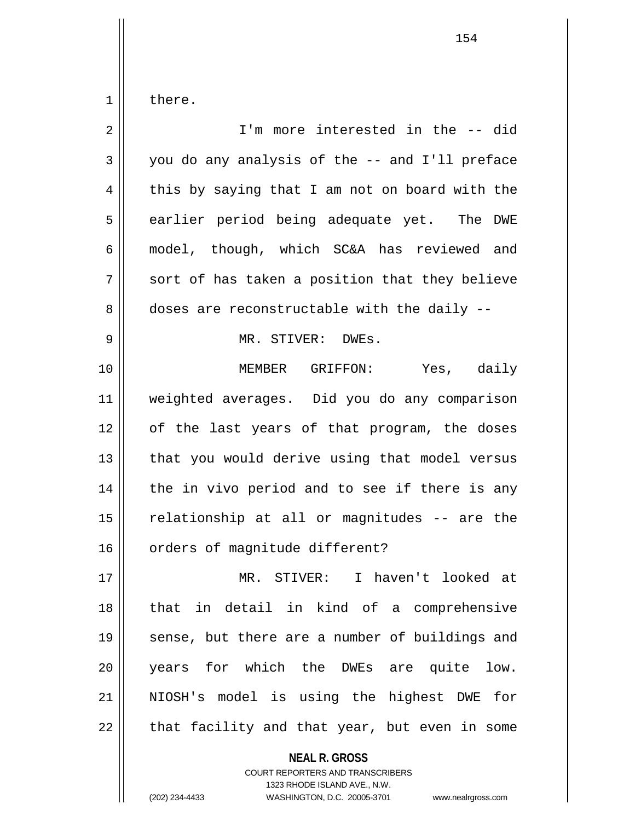$1 \parallel$  there.

| $\overline{2}$ | I'm more interested in the -- did              |
|----------------|------------------------------------------------|
| 3              | you do any analysis of the -- and I'll preface |
| 4              | this by saying that I am not on board with the |
| 5              | earlier period being adequate yet. The DWE     |
| 6              | model, though, which SC&A has reviewed and     |
| 7              | sort of has taken a position that they believe |
| 8              | doses are reconstructable with the daily --    |
| 9              | MR. STIVER: DWEs.                              |
| 10             | MEMBER GRIFFON: Yes, daily                     |
| 11             | weighted averages. Did you do any comparison   |
| 12             | of the last years of that program, the doses   |
| 13             | that you would derive using that model versus  |
| 14             | the in vivo period and to see if there is any  |
| 15             | relationship at all or magnitudes -- are the   |
| 16             | orders of magnitude different?                 |
| 17             | MR. STIVER: I haven't looked at                |
| 18             | that in detail in kind of a comprehensive      |
| 19             | sense, but there are a number of buildings and |
| 20             | years for which the DWEs are quite low.        |
| 21             | NIOSH's model is using the highest DWE for     |
| 22             | that facility and that year, but even in some  |

**NEAL R. GROSS**

COURT REPORTERS AND TRANSCRIBERS 1323 RHODE ISLAND AVE., N.W. (202) 234-4433 WASHINGTON, D.C. 20005-3701 www.nealrgross.com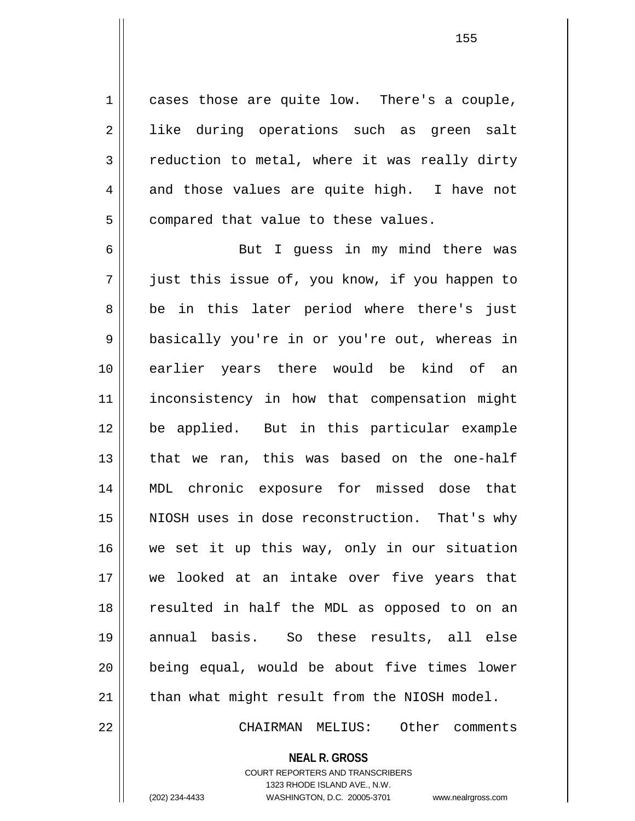$1 \parallel$  cases those are quite low. There's a couple, 2 || like during operations such as green salt  $3 \parallel$  reduction to metal, where it was really dirty  $4 \parallel$  and those values are quite high. I have not  $5$  | compared that value to these values.

6 || But I quess in my mind there was 7 just this issue of, you know, if you happen to 8 be in this later period where there's just 9 || basically you're in or you're out, whereas in 10 earlier years there would be kind of an 11 inconsistency in how that compensation might 12 be applied. But in this particular example 13 || that we ran, this was based on the one-half 14 MDL chronic exposure for missed dose that 15 NIOSH uses in dose reconstruction. That's why 16 we set it up this way, only in our situation 17 we looked at an intake over five years that 18 || resulted in half the MDL as opposed to on an 19 annual basis. So these results, all else 20 being equal, would be about five times lower 21 || than what might result from the NIOSH model.

22 CHAIRMAN MELIUS: Other comments

**NEAL R. GROSS**

COURT REPORTERS AND TRANSCRIBERS 1323 RHODE ISLAND AVE., N.W. (202) 234-4433 WASHINGTON, D.C. 20005-3701 www.nealrgross.com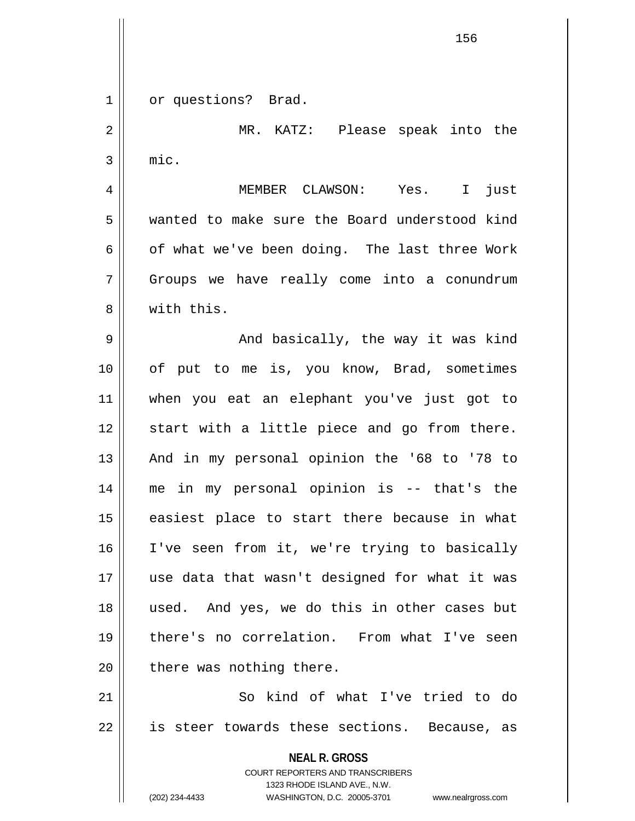**NEAL R. GROSS** COURT REPORTERS AND TRANSCRIBERS 1323 RHODE ISLAND AVE., N.W. (202) 234-4433 WASHINGTON, D.C. 20005-3701 www.nealrgross.com 1 | or questions? Brad. 2 MR. KATZ: Please speak into the  $3 \parallel$  mic. 4 MEMBER CLAWSON: Yes. I just 5 wanted to make sure the Board understood kind  $6 \parallel$  of what we've been doing. The last three Work 7 Groups we have really come into a conundrum 8 || with this. 9 And basically, the way it was kind 10 || of put to me is, you know, Brad, sometimes 11 when you eat an elephant you've just got to 12 || start with a little piece and go from there. 13 || And in my personal opinion the '68 to '78 to 14 me in my personal opinion is -- that's the 15 || easiest place to start there because in what 16 I've seen from it, we're trying to basically 17 use data that wasn't designed for what it was 18 used. And yes, we do this in other cases but 19 there's no correlation. From what I've seen  $20$  | there was nothing there. 21 So kind of what I've tried to do 22 || is steer towards these sections. Because, as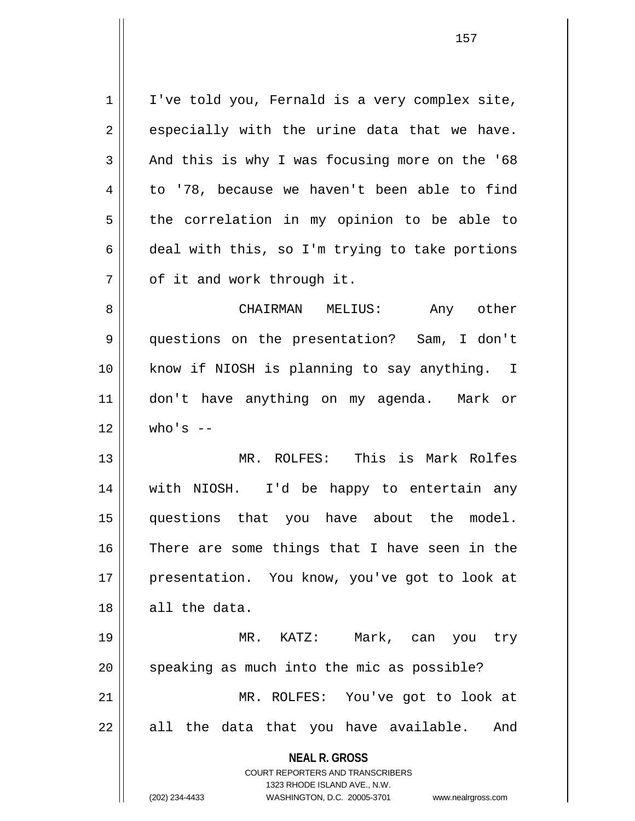**NEAL R. GROSS** COURT REPORTERS AND TRANSCRIBERS 1323 RHODE ISLAND AVE., N.W.  $1 \parallel$  I've told you, Fernald is a very complex site,  $2 \parallel$  especially with the urine data that we have.  $3 \parallel$  And this is why I was focusing more on the '68  $4 \parallel$  to '78, because we haven't been able to find  $5$  the correlation in my opinion to be able to 6 deal with this, so I'm trying to take portions  $7 \parallel$  of it and work through it. 8 CHAIRMAN MELIUS: Any other 9 questions on the presentation? Sam, I don't 10 know if NIOSH is planning to say anything. I 11 don't have anything on my agenda. Mark or  $12 \parallel$  who's  $-$ 13 MR. ROLFES: This is Mark Rolfes 14 with NIOSH. I'd be happy to entertain any 15 questions that you have about the model. 16 There are some things that I have seen in the 17 || presentation. You know, you've got to look at 18 all the data. 19 MR. KATZ: Mark, can you try  $20$  speaking as much into the mic as possible? 21 MR. ROLFES: You've got to look at  $22 \parallel$  all the data that you have available. And

(202) 234-4433 WASHINGTON, D.C. 20005-3701 www.nealrgross.com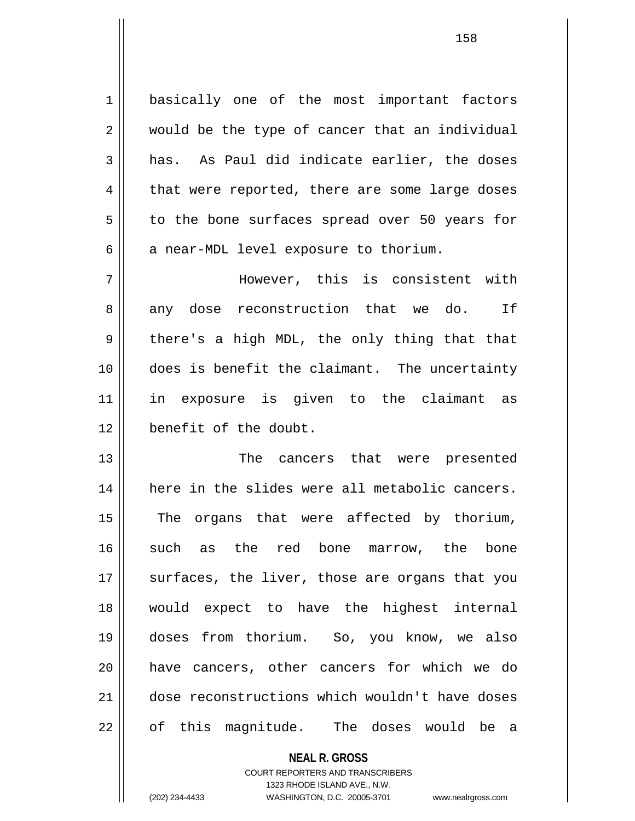1 | basically one of the most important factors  $2 \parallel$  would be the type of cancer that an individual  $3 \parallel$  has. As Paul did indicate earlier, the doses  $4 \parallel$  that were reported, there are some large doses 5 | to the bone surfaces spread over 50 years for  $6 \parallel$  a near-MDL level exposure to thorium.

7 However, this is consistent with 8 any dose reconstruction that we do. If  $9 \parallel$  there's a high MDL, the only thing that that 10 does is benefit the claimant. The uncertainty 11 in exposure is given to the claimant as 12 **benefit** of the doubt.

13 The cancers that were presented 14 || here in the slides were all metabolic cancers. 15 || The organs that were affected by thorium, 16 such as the red bone marrow, the bone 17 || surfaces, the liver, those are organs that you 18 would expect to have the highest internal 19 doses from thorium. So, you know, we also 20 || have cancers, other cancers for which we do 21 dose reconstructions which wouldn't have doses 22 || of this magnitude. The doses would be a

**NEAL R. GROSS**

COURT REPORTERS AND TRANSCRIBERS 1323 RHODE ISLAND AVE., N.W. (202) 234-4433 WASHINGTON, D.C. 20005-3701 www.nealrgross.com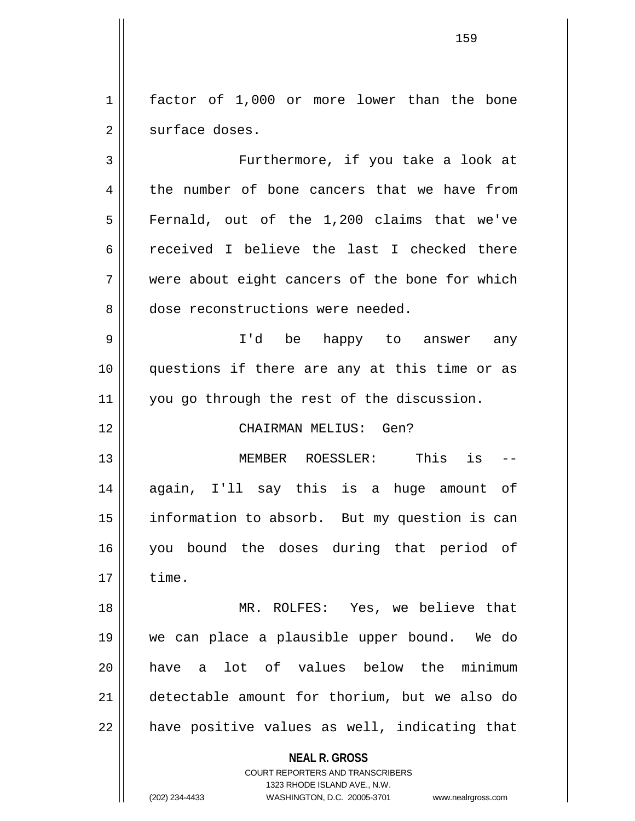1 | factor of 1,000 or more lower than the bone 2 | surface doses.

3 Furthermore, if you take a look at 4 the number of bone cancers that we have from  $5 \parallel$  Fernald, out of the 1,200 claims that we've 6 received I believe the last I checked there 7 Were about eight cancers of the bone for which 8 dose reconstructions were needed.

9 I'd be happy to answer any 10 questions if there are any at this time or as 11 you go through the rest of the discussion.

## 12 CHAIRMAN MELIUS: Gen?

13 MEMBER ROESSLER: This is -- 14 again, I'll say this is a huge amount of 15 || information to absorb. But my question is can 16 you bound the doses during that period of  $17 \parallel$  time.

18 MR. ROLFES: Yes, we believe that 19 we can place a plausible upper bound. We do 20 have a lot of values below the minimum 21 detectable amount for thorium, but we also do  $22$  || have positive values as well, indicating that

## **NEAL R. GROSS**

COURT REPORTERS AND TRANSCRIBERS 1323 RHODE ISLAND AVE., N.W. (202) 234-4433 WASHINGTON, D.C. 20005-3701 www.nealrgross.com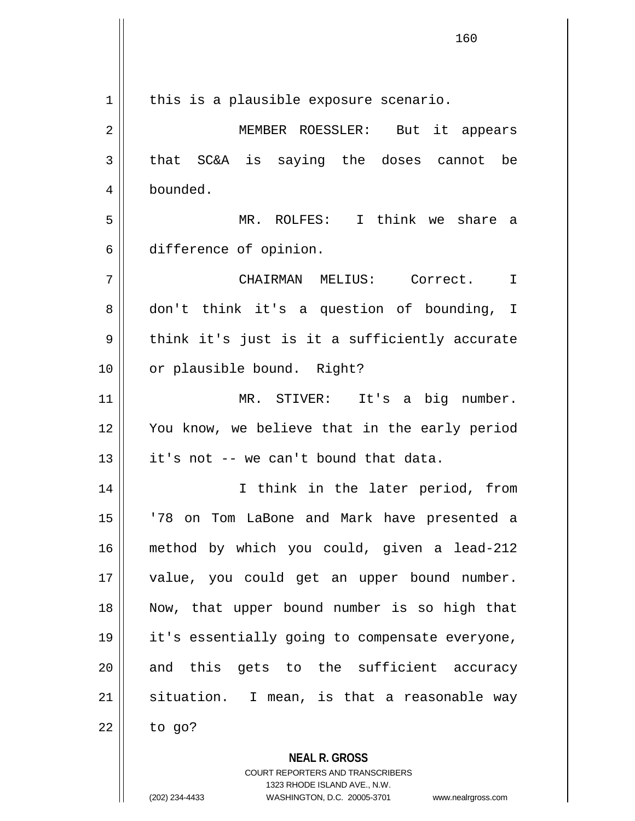| 1  | this is a plausible exposure scenario.                   |
|----|----------------------------------------------------------|
| 2  | But it appears<br>MEMBER ROESSLER:                       |
| 3  | that SC&A is saying the doses cannot be                  |
| 4  | bounded.                                                 |
| 5  | MR. ROLFES: I think we share a                           |
| 6  | difference of opinion.                                   |
| 7  | CHAIRMAN MELIUS: Correct.<br>$\mathbf I$                 |
| 8  | don't think it's a question of bounding, I               |
| 9  | think it's just is it a sufficiently accurate            |
| 10 | or plausible bound. Right?                               |
| 11 | MR. STIVER: It's a big number.                           |
| 12 | You know, we believe that in the early period            |
| 13 | it's not -- we can't bound that data.                    |
| 14 | I think in the later period, from                        |
| 15 | '78 on Tom LaBone and Mark have presented a              |
| 16 | method by which you could, given a lead-212              |
| 17 | value, you could get an upper bound number.              |
| 18 | Now, that upper bound number is so high that             |
| 19 | it's essentially going to compensate everyone,           |
| 20 | and this gets to the sufficient accuracy                 |
| 21 | situation. I mean, is that a reasonable way              |
| 22 | to go?                                                   |
|    | <b>NEAL R. GROSS</b><br>COURT REPORTERS AND TRANSCRIBERS |

1323 RHODE ISLAND AVE., N.W.

 $\mathsf{II}$ 

 $\mathsf{I}$ 

(202) 234-4433 WASHINGTON, D.C. 20005-3701 www.nealrgross.com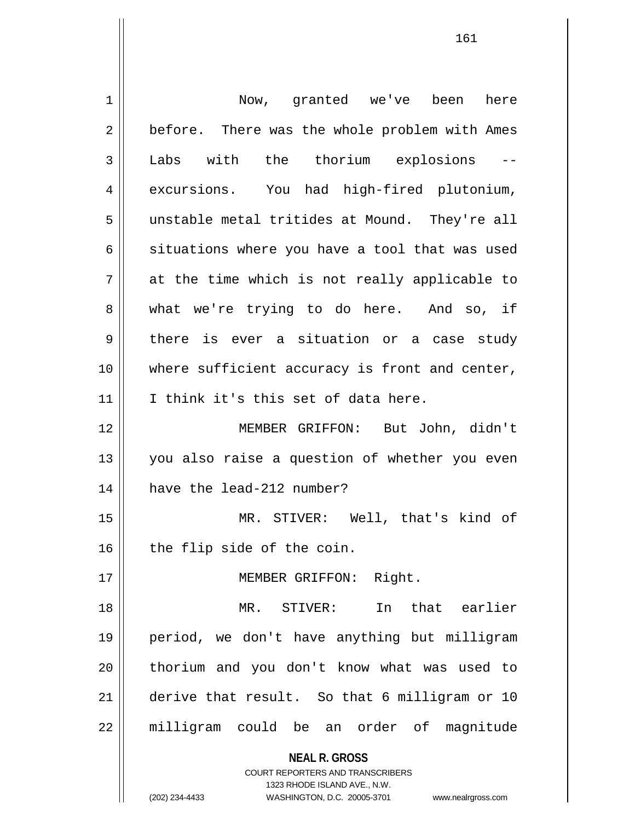| 1  | Now, granted we've been here                                                                                                                                           |
|----|------------------------------------------------------------------------------------------------------------------------------------------------------------------------|
| 2  | before. There was the whole problem with Ames                                                                                                                          |
| 3  | Labs with the thorium explosions                                                                                                                                       |
| 4  | excursions. You had high-fired plutonium,                                                                                                                              |
| 5  | unstable metal tritides at Mound. They're all                                                                                                                          |
| 6  | situations where you have a tool that was used                                                                                                                         |
| 7  | at the time which is not really applicable to                                                                                                                          |
| 8  | what we're trying to do here. And so, if                                                                                                                               |
| 9  | there is ever a situation or a case study                                                                                                                              |
| 10 | where sufficient accuracy is front and center,                                                                                                                         |
| 11 | I think it's this set of data here.                                                                                                                                    |
| 12 | MEMBER GRIFFON: But John, didn't                                                                                                                                       |
| 13 | you also raise a question of whether you even                                                                                                                          |
| 14 | have the lead-212 number?                                                                                                                                              |
| 15 | MR. STIVER: Well, that's kind of                                                                                                                                       |
| 16 | the flip side of the coin.                                                                                                                                             |
| 17 | Right.<br>MEMBER GRIFFON:                                                                                                                                              |
| 18 | that earlier<br>MR.<br>STIVER: In                                                                                                                                      |
| 19 | period, we don't have anything but milligram                                                                                                                           |
| 20 | thorium and you don't know what was used to                                                                                                                            |
| 21 | derive that result. So that 6 milligram or 10                                                                                                                          |
| 22 | milligram could be<br>an order of<br>magnitude                                                                                                                         |
|    | <b>NEAL R. GROSS</b><br><b>COURT REPORTERS AND TRANSCRIBERS</b><br>1323 RHODE ISLAND AVE., N.W.<br>(202) 234-4433<br>WASHINGTON, D.C. 20005-3701<br>www.nealrgross.com |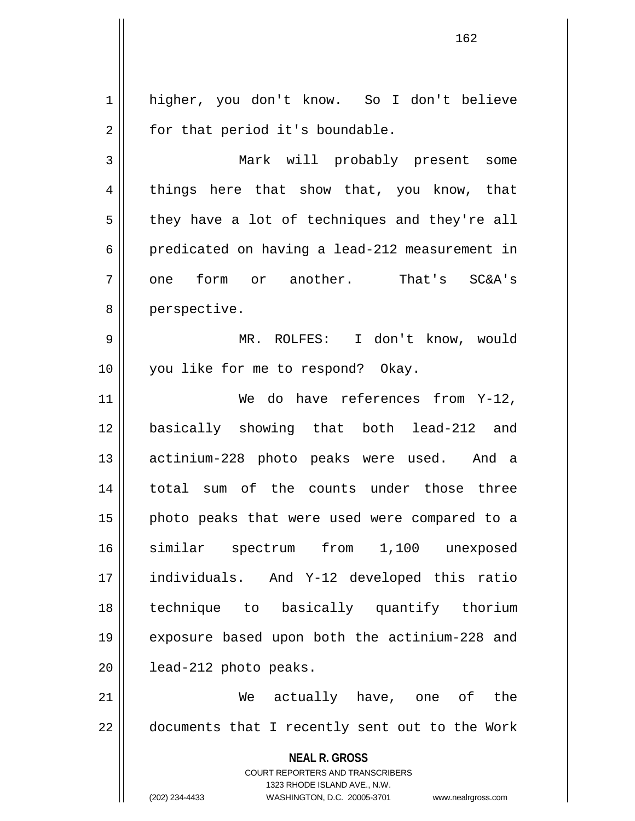**NEAL R. GROSS** COURT REPORTERS AND TRANSCRIBERS 1323 RHODE ISLAND AVE., N.W. (202) 234-4433 WASHINGTON, D.C. 20005-3701 www.nealrgross.com 1 || higher, you don't know. So I don't believe  $2 \parallel$  for that period it's boundable. 3 Mark will probably present some  $4 \parallel$  things here that show that, you know, that  $5 \parallel$  they have a lot of techniques and they're all 6 predicated on having a lead-212 measurement in  $7 \parallel$  one form or another. That's SC&A's 8 || perspective. 9 MR. ROLFES: I don't know, would 10 || you like for me to respond? Okay. 11 || We do have references from Y-12, 12 basically showing that both lead-212 and 13 actinium-228 photo peaks were used. And a 14 total sum of the counts under those three 15 || photo peaks that were used were compared to a 16 similar spectrum from 1,100 unexposed 17 individuals. And Y-12 developed this ratio 18 technique to basically quantify thorium 19 exposure based upon both the actinium-228 and 20 | lead-212 photo peaks. 21 We actually have, one of the 22 || documents that I recently sent out to the Work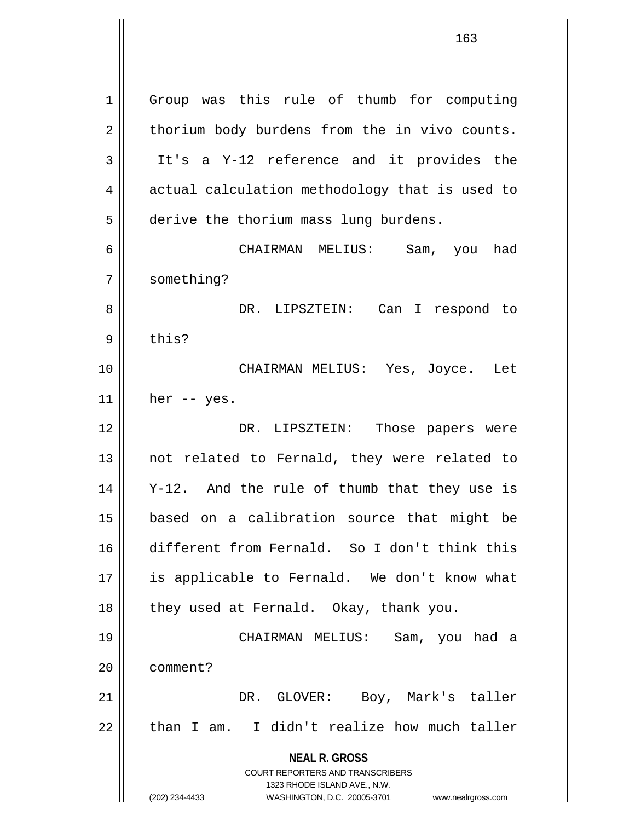**NEAL R. GROSS** COURT REPORTERS AND TRANSCRIBERS 1323 RHODE ISLAND AVE., N.W. 1 Group was this rule of thumb for computing  $2 \parallel$  thorium body burdens from the in vivo counts. 3 It's a Y-12 reference and it provides the  $4 \parallel$  actual calculation methodology that is used to 5 derive the thorium mass lung burdens. 6 CHAIRMAN MELIUS: Sam, you had 7 | something? 8 DR. LIPSZTEIN: Can I respond to  $9$   $\parallel$  this? 10 CHAIRMAN MELIUS: Yes, Joyce. Let  $11$  | her -- yes. 12 DR. LIPSZTEIN: Those papers were 13 || not related to Fernald, they were related to 14 Y-12. And the rule of thumb that they use is 15 based on a calibration source that might be 16 different from Fernald. So I don't think this 17 || is applicable to Fernald. We don't know what 18 || they used at Fernald. Okay, thank you. 19 CHAIRMAN MELIUS: Sam, you had a 20 ll comment? 21 DR. GLOVER: Boy, Mark's taller  $22$  || than I am. I didn't realize how much taller

<sup>(202) 234-4433</sup> WASHINGTON, D.C. 20005-3701 www.nealrgross.com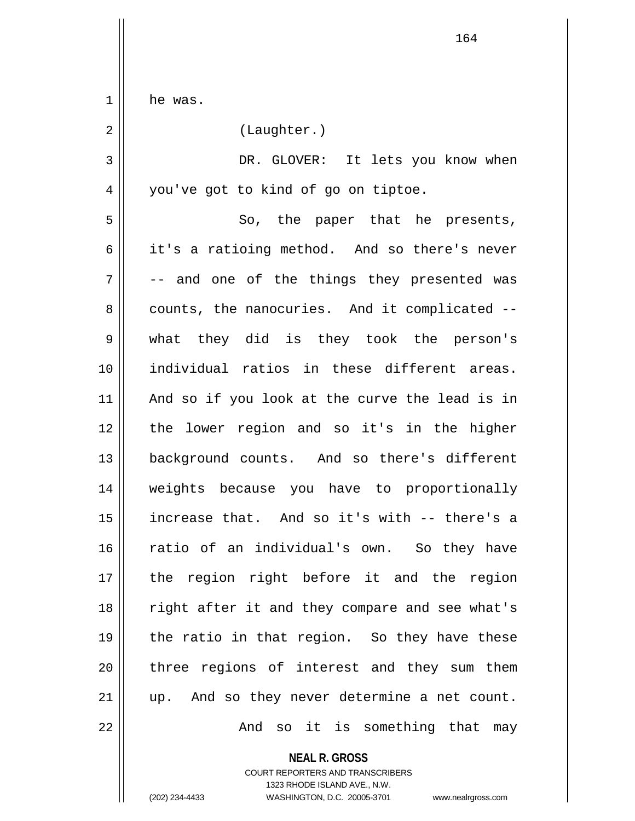1 he was. 2 | (Laughter.) 3 DR. GLOVER: It lets you know when 4 | you've got to kind of go on tiptoe. 5 So, the paper that he presents, 6 || it's a ratioing method. And so there's never  $7 \parallel$  -- and one of the things they presented was  $8 \parallel$  counts, the nanocuries. And it complicated  $-$ 9 what they did is they took the person's 10 individual ratios in these different areas. 11 || And so if you look at the curve the lead is in 12 the lower region and so it's in the higher 13 background counts. And so there's different 14 weights because you have to proportionally 15 increase that. And so it's with -- there's a 16 ratio of an individual's own. So they have 17 the region right before it and the region 18 || right after it and they compare and see what's 19  $\parallel$  the ratio in that region. So they have these 20 || three regions of interest and they sum them 21 || up. And so they never determine a net count. 22 And so it is something that may

> **NEAL R. GROSS** COURT REPORTERS AND TRANSCRIBERS 1323 RHODE ISLAND AVE., N.W. (202) 234-4433 WASHINGTON, D.C. 20005-3701 www.nealrgross.com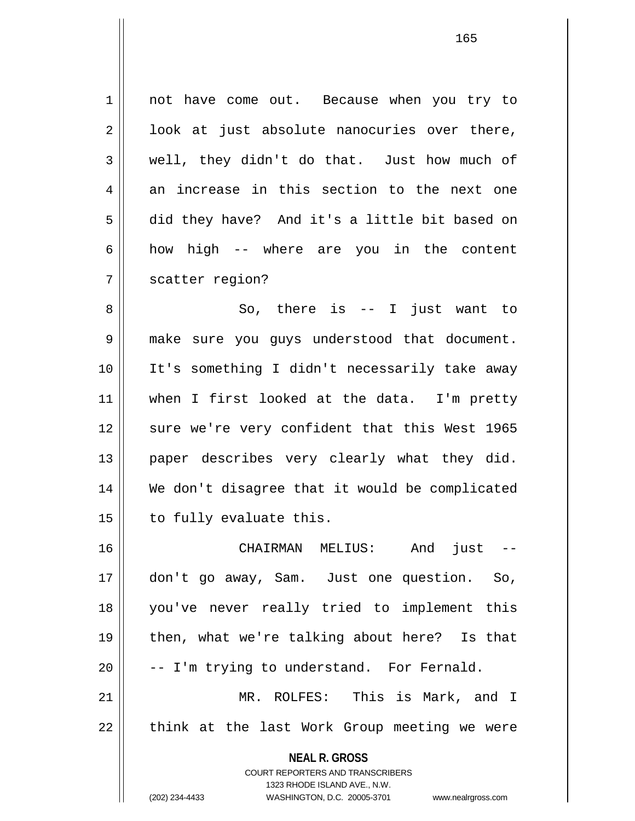**NEAL R. GROSS** COURT REPORTERS AND TRANSCRIBERS 1323 RHODE ISLAND AVE., N.W. (202) 234-4433 WASHINGTON, D.C. 20005-3701 www.nealrgross.com 1 || not have come out. Because when you try to  $2 \parallel$  look at just absolute nanocuries over there, 3 well, they didn't do that. Just how much of  $4 \parallel$  an increase in this section to the next one 5 did they have? And it's a little bit based on  $6 \parallel$  how high -- where are you in the content 7 || scatter region? 8 So, there is -- I just want to 9 make sure you guys understood that document. 10 It's something I didn't necessarily take away 11 when I first looked at the data. I'm pretty 12 || sure we're very confident that this West 1965 13 paper describes very clearly what they did. 14 We don't disagree that it would be complicated 15 | to fully evaluate this. 16 CHAIRMAN MELIUS: And just -- 17 don't go away, Sam. Just one question. So, 18 you've never really tried to implement this 19 || then, what we're talking about here? Is that  $20$   $\vert$  -- I'm trying to understand. For Fernald. 21 MR. ROLFES: This is Mark, and I 22 || think at the last Work Group meeting we were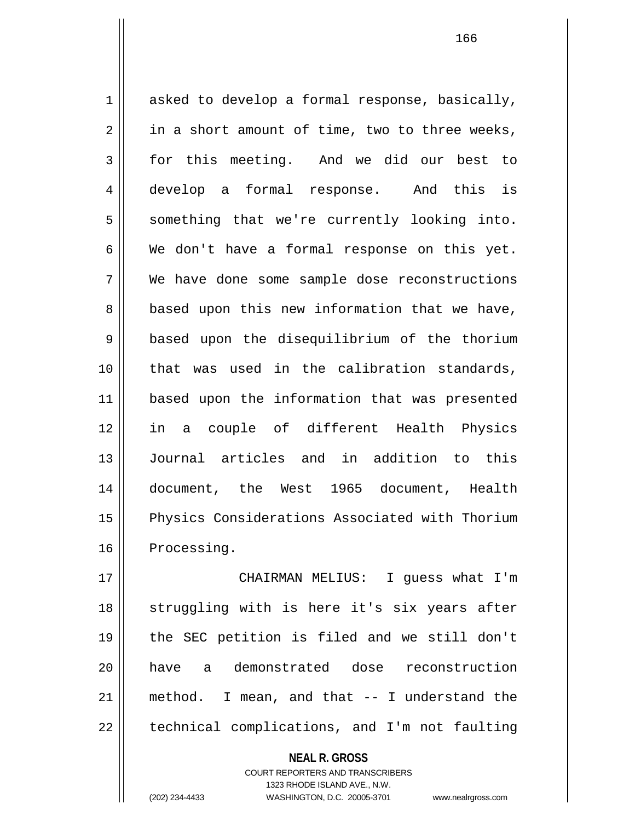$1 \parallel$  asked to develop a formal response, basically,  $2 \parallel$  in a short amount of time, two to three weeks, 3 for this meeting. And we did our best to 4 develop a formal response. And this is 5 || something that we're currently looking into.  $6 \parallel$  We don't have a formal response on this yet. 7 We have done some sample dose reconstructions  $8$  | based upon this new information that we have, 9 based upon the disequilibrium of the thorium 10 that was used in the calibration standards, 11 based upon the information that was presented 12 in a couple of different Health Physics 13 Journal articles and in addition to this 14 document, the West 1965 document, Health 15 || Physics Considerations Associated with Thorium 16 Processing.

17 CHAIRMAN MELIUS: I guess what I'm 18 || struggling with is here it's six years after 19 the SEC petition is filed and we still don't 20 have a demonstrated dose reconstruction 21 method. I mean, and that -- I understand the  $22$  | technical complications, and I'm not faulting

> **NEAL R. GROSS** COURT REPORTERS AND TRANSCRIBERS 1323 RHODE ISLAND AVE., N.W. (202) 234-4433 WASHINGTON, D.C. 20005-3701 www.nealrgross.com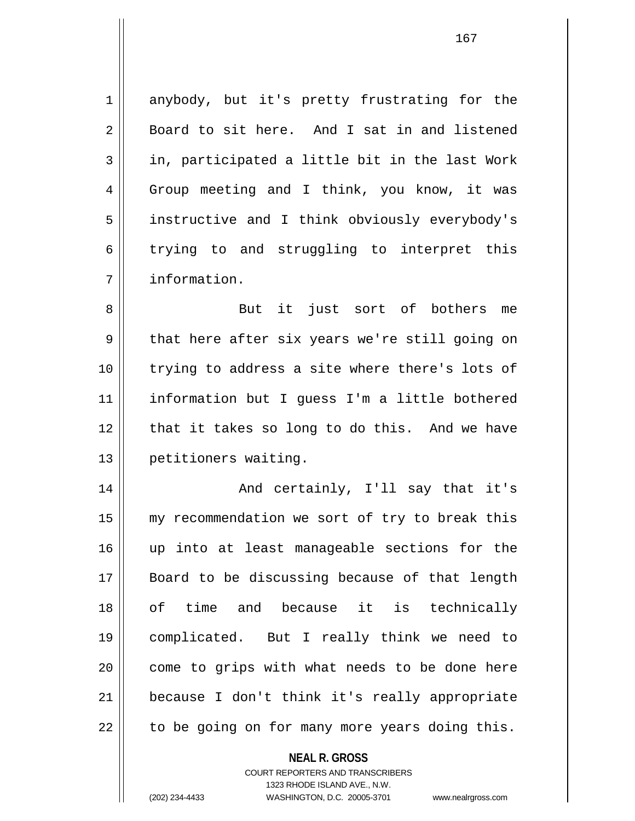1 anybody, but it's pretty frustrating for the  $2 \parallel$  Board to sit here. And I sat in and listened  $3 \parallel$  in, participated a little bit in the last Work 4 Group meeting and I think, you know, it was 5 | instructive and I think obviously everybody's  $6 \parallel$  trying to and struggling to interpret this 7 information.

8 || But it just sort of bothers me 9 || that here after six years we're still going on 10 || trying to address a site where there's lots of 11 information but I guess I'm a little bothered 12 || that it takes so long to do this. And we have 13 | petitioners waiting.

14 And certainly, I'll say that it's 15 || my recommendation we sort of try to break this 16 up into at least manageable sections for the 17 Board to be discussing because of that length 18 of time and because it is technically 19 complicated. But I really think we need to 20 || come to grips with what needs to be done here 21 because I don't think it's really appropriate  $22$  | to be going on for many more years doing this.

## **NEAL R. GROSS**

COURT REPORTERS AND TRANSCRIBERS 1323 RHODE ISLAND AVE., N.W. (202) 234-4433 WASHINGTON, D.C. 20005-3701 www.nealrgross.com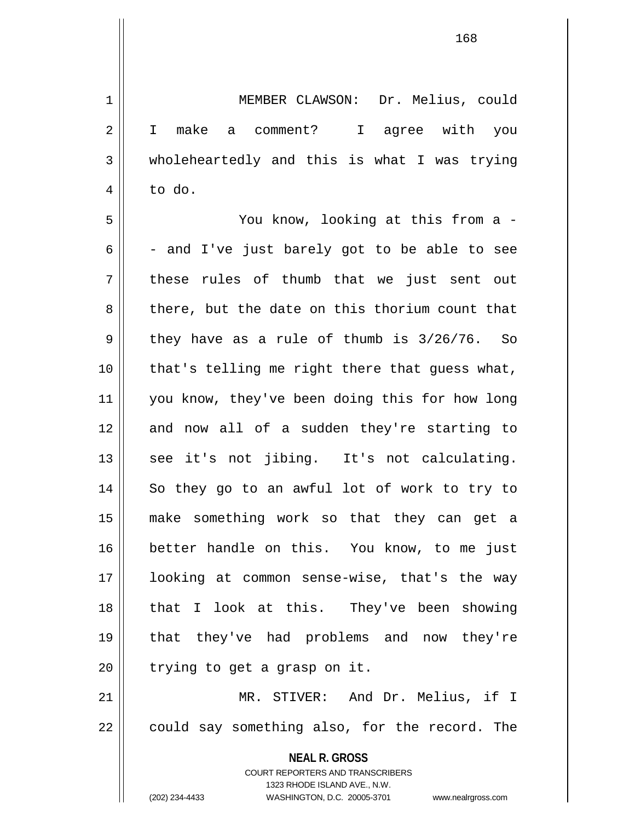**NEAL R. GROSS** COURT REPORTERS AND TRANSCRIBERS 1323 RHODE ISLAND AVE., N.W. 1 MEMBER CLAWSON: Dr. Melius, could 2 || I make a comment? I agree with you 3 wholeheartedly and this is what I was trying  $4 \parallel$  to do. 5 You know, looking at this from a -  $6 \parallel$  - and I've just barely got to be able to see  $7 \parallel$  these rules of thumb that we just sent out 8 there, but the date on this thorium count that  $9 \parallel$  they have as a rule of thumb is  $3/26/76$ . So 10 || that's telling me right there that guess what, 11 you know, they've been doing this for how long 12 and now all of a sudden they're starting to  $13$  see it's not jibing. It's not calculating. 14 So they go to an awful lot of work to try to 15 make something work so that they can get a 16 better handle on this. You know, to me just 17 looking at common sense-wise, that's the way 18 that I look at this. They've been showing 19 that they've had problems and now they're  $20$  | trying to get a grasp on it. 21 MR. STIVER: And Dr. Melius, if I  $22$  | could say something also, for the record. The

(202) 234-4433 WASHINGTON, D.C. 20005-3701 www.nealrgross.com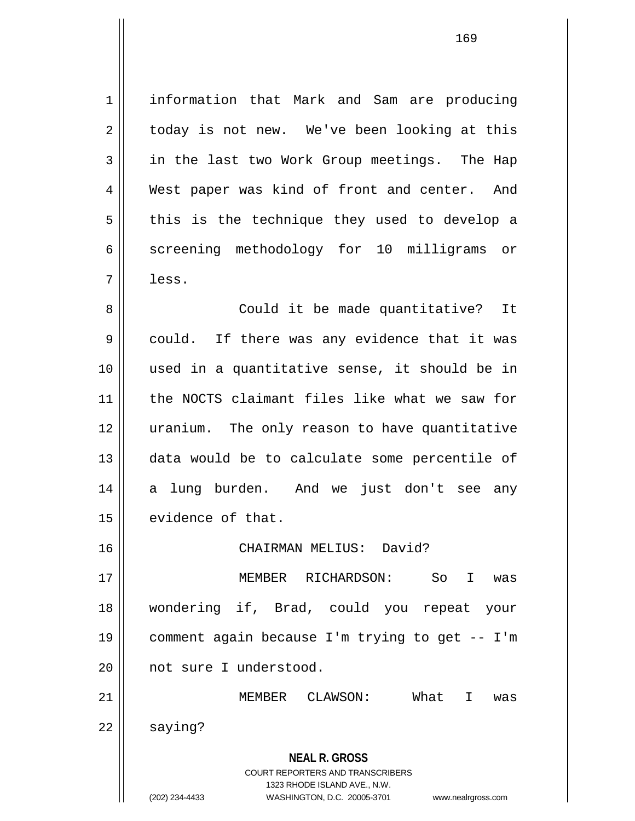1 information that Mark and Sam are producing  $2 \parallel$  today is not new. We've been looking at this 3 in the last two Work Group meetings. The Hap 4 West paper was kind of front and center. And  $5 \parallel$  this is the technique they used to develop a 6 screening methodology for 10 milligrams or 7 less.

8 || Could it be made quantitative? It  $9 \parallel$  could. If there was any evidence that it was 10 used in a quantitative sense, it should be in 11 the NOCTS claimant files like what we saw for 12 uranium. The only reason to have quantitative 13 data would be to calculate some percentile of 14 || a lung burden. And we just don't see any 15 | evidence of that.

16 CHAIRMAN MELIUS: David?

17 MEMBER RICHARDSON: So I was 18 wondering if, Brad, could you repeat your 19 comment again because I'm trying to get -- I'm 20 || not sure I understood.

**NEAL R. GROSS** 21 MEMBER CLAWSON: What I was  $22 \parallel$  saying?

> COURT REPORTERS AND TRANSCRIBERS 1323 RHODE ISLAND AVE., N.W.

(202) 234-4433 WASHINGTON, D.C. 20005-3701 www.nealrgross.com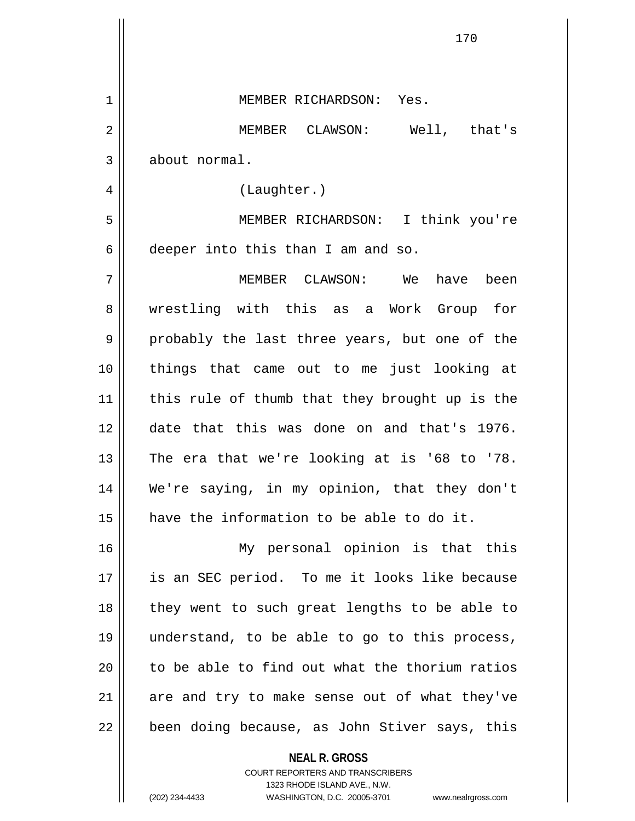| 1  | MEMBER RICHARDSON: Yes.                                  |
|----|----------------------------------------------------------|
| 2  | MEMBER CLAWSON:<br>Well, that's                          |
| 3  | about normal.                                            |
| 4  | (Laughter.)                                              |
| 5  | MEMBER RICHARDSON: I think you're                        |
| 6  | deeper into this than I am and so.                       |
| 7  | MEMBER CLAWSON: We have been                             |
| 8  | wrestling with this as a Work Group for                  |
| 9  | probably the last three years, but one of the            |
| 10 | things that came out to me just looking at               |
| 11 | this rule of thumb that they brought up is the           |
| 12 | date that this was done on and that's 1976.              |
| 13 | The era that we're looking at is '68 to '78.             |
| 14 | We're saying, in my opinion, that they don't             |
| 15 | have the information to be able to do it.                |
| 16 | My personal opinion is that this                         |
| 17 | is an SEC period. To me it looks like because            |
| 18 | they went to such great lengths to be able to            |
| 19 | understand, to be able to go to this process,            |
| 20 | to be able to find out what the thorium ratios           |
| 21 | are and try to make sense out of what they've            |
| 22 | been doing because, as John Stiver says, this            |
|    | <b>NEAL R. GROSS</b><br>COURT REPORTERS AND TRANSCRIBERS |

1323 RHODE ISLAND AVE., N.W.

 $\prod$ 

 $\mathbf{I}$  $\mathbf{\mathcal{L}}$ 

(202) 234-4433 WASHINGTON, D.C. 20005-3701 www.nealrgross.com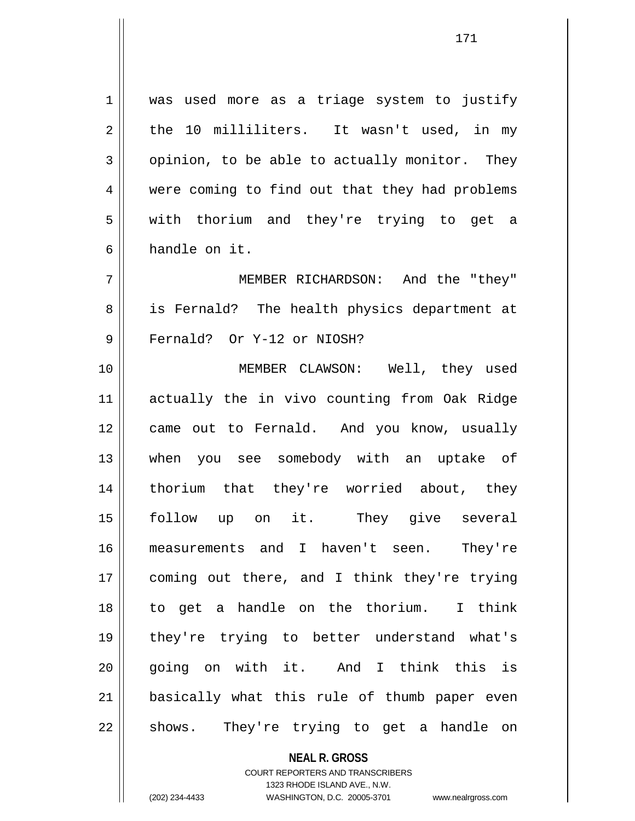1 | was used more as a triage system to justify  $2 \parallel$  the 10 milliliters. It wasn't used, in my  $3 \parallel$  opinion, to be able to actually monitor. They 4 were coming to find out that they had problems 5 || with thorium and they're trying to get a 6 handle on it.

7 MEMBER RICHARDSON: And the "they" 8 || is Fernald? The health physics department at 9 || Fernald? Or Y-12 or NIOSH?

10 MEMBER CLAWSON: Well, they used 11 actually the in vivo counting from Oak Ridge 12 || came out to Fernald. And you know, usually 13 when you see somebody with an uptake of 14 thorium that they're worried about, they 15 follow up on it. They give several 16 measurements and I haven't seen. They're 17 coming out there, and I think they're trying 18 to get a handle on the thorium. I think 19 they're trying to better understand what's 20 || going on with it. And I think this is 21 basically what this rule of thumb paper even 22 || shows. They're trying to get a handle on

> **NEAL R. GROSS** COURT REPORTERS AND TRANSCRIBERS 1323 RHODE ISLAND AVE., N.W. (202) 234-4433 WASHINGTON, D.C. 20005-3701 www.nealrgross.com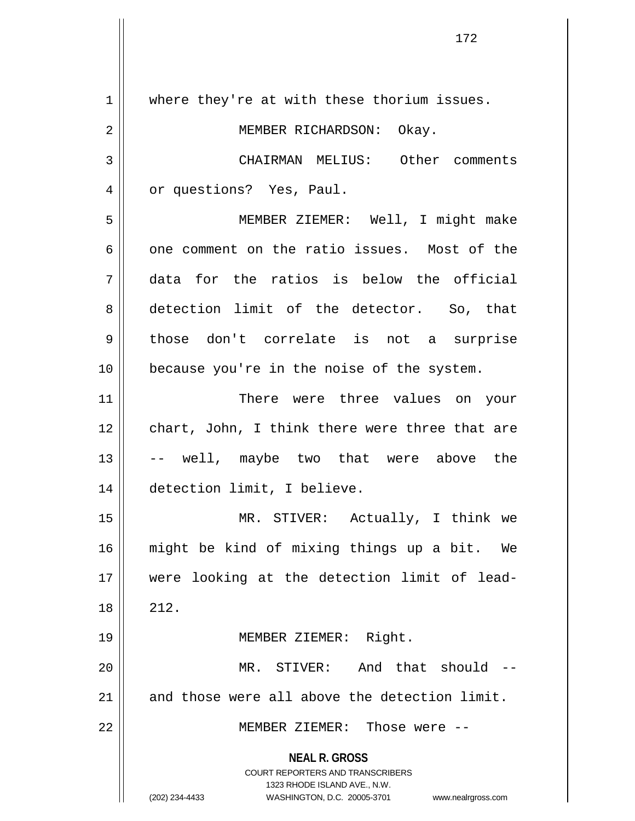**NEAL R. GROSS** COURT REPORTERS AND TRANSCRIBERS 1323 RHODE ISLAND AVE., N.W. (202) 234-4433 WASHINGTON, D.C. 20005-3701 www.nealrgross.com 1 || where they're at with these thorium issues. 2 MEMBER RICHARDSON: Okay. 3 CHAIRMAN MELIUS: Other comments 4 | or questions? Yes, Paul. 5 MEMBER ZIEMER: Well, I might make  $6 \parallel$  one comment on the ratio issues. Most of the 7 data for the ratios is below the official 8 detection limit of the detector. So, that 9 those don't correlate is not a surprise 10 || because you're in the noise of the system. 11 || There were three values on your 12 || chart, John, I think there were three that are 13 -- well, maybe two that were above the 14 detection limit, I believe. 15 MR. STIVER: Actually, I think we 16 might be kind of mixing things up a bit. We 17 were looking at the detection limit of lead- $18 \parallel 212.$ 19 || **MEMBER ZIEMER:** Right. 20 || MR. STIVER: And that should --21  $\parallel$  and those were all above the detection limit. 22 MEMBER ZIEMER: Those were --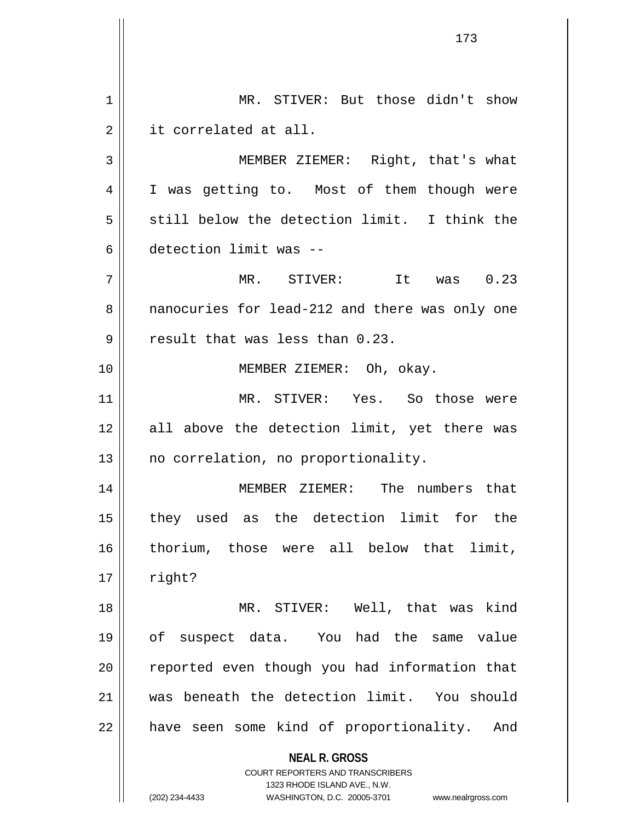**NEAL R. GROSS** COURT REPORTERS AND TRANSCRIBERS 1323 RHODE ISLAND AVE., N.W. (202) 234-4433 WASHINGTON, D.C. 20005-3701 www.nealrgross.com 1 || MR. STIVER: But those didn't show 2 || it correlated at all. 3 || MEMBER ZIEMER: Right, that's what 4 || I was getting to. Most of them though were  $5 \parallel$  still below the detection limit. I think the 6 detection limit was --  $7 \parallel$  MR. STIVER: It was  $0.23$ 8 || nanocuries for lead-212 and there was only one  $9$  || result that was less than  $0.23$ . 10 || **MEMBER ZIEMER:** Oh, okay. 11 MR. STIVER: Yes. So those were 12 all above the detection limit, yet there was 13 || no correlation, no proportionality. 14 || MEMBER ZIEMER: The numbers that 15 they used as the detection limit for the 16 thorium, those were all below that limit,  $17 \parallel$  right? 18 || MR. STIVER: Well, that was kind 19 of suspect data. You had the same value 20 || reported even though you had information that 21 was beneath the detection limit. You should 22 | have seen some kind of proportionality. And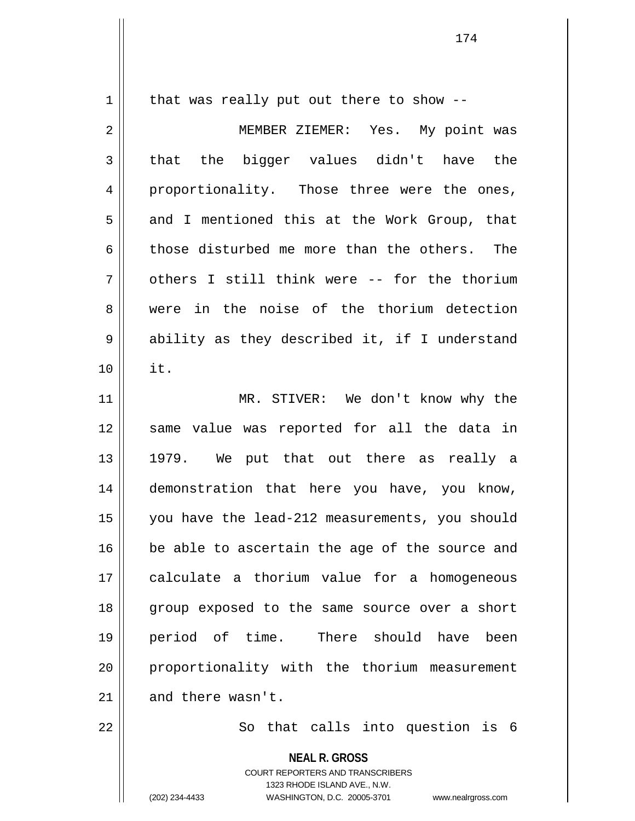$1 \parallel$  that was really put out there to show --

2 MEMBER ZIEMER: Yes. My point was  $3 \parallel$  that the bigger values didn't have the 4 proportionality. Those three were the ones,  $5 \parallel$  and I mentioned this at the Work Group, that 6 || those disturbed me more than the others. The  $7 \parallel$  others I still think were -- for the thorium 8 were in the noise of the thorium detection 9 || ability as they described it, if I understand 10 it. 11 || MR. STIVER: We don't know why the 12 || same value was reported for all the data in 13 1979. We put that out there as really a 14 demonstration that here you have, you know, 15 you have the lead-212 measurements, you should 16 **be** able to ascertain the age of the source and 17 calculate a thorium value for a homogeneous 18 || group exposed to the same source over a short 19 period of time. There should have been 20 || proportionality with the thorium measurement  $21$  | and there wasn't.

 $22$   $\parallel$  So that calls into question is 6

**NEAL R. GROSS**

COURT REPORTERS AND TRANSCRIBERS 1323 RHODE ISLAND AVE., N.W. (202) 234-4433 WASHINGTON, D.C. 20005-3701 www.nealrgross.com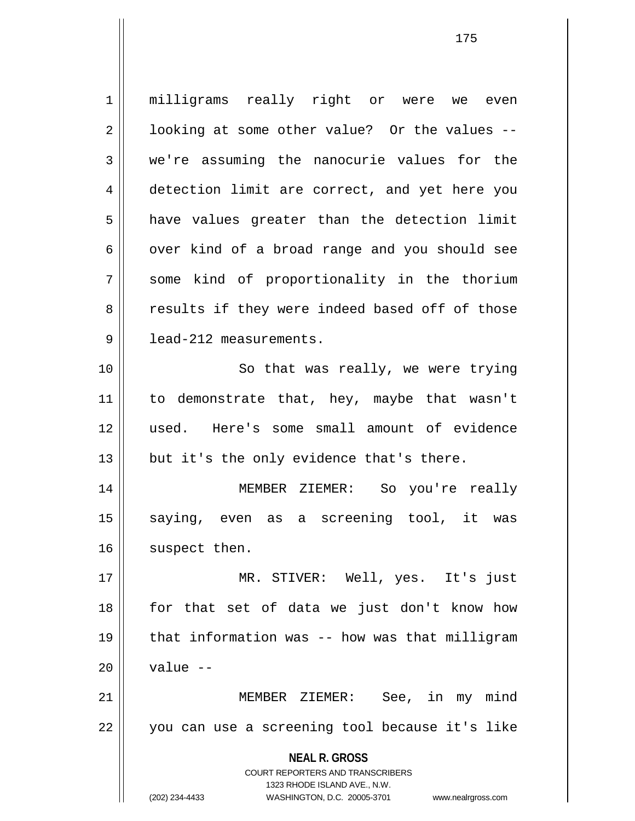**NEAL R. GROSS** COURT REPORTERS AND TRANSCRIBERS 1323 RHODE ISLAND AVE., N.W. (202) 234-4433 WASHINGTON, D.C. 20005-3701 www.nealrgross.com 1 || milligrams really right or were we even  $2 \parallel$  looking at some other value? Or the values --3 we're assuming the nanocurie values for the 4 detection limit are correct, and yet here you  $5 \parallel$  have values greater than the detection limit  $6 \parallel$  over kind of a broad range and you should see 7 some kind of proportionality in the thorium 8 || results if they were indeed based off of those 9 | lead-212 measurements. 10 || So that was really, we were trying 11 || to demonstrate that, hey, maybe that wasn't 12 used. Here's some small amount of evidence  $13$  || but it's the only evidence that's there. 14 MEMBER ZIEMER: So you're really 15 || saying, even as a screening tool, it was 16 | suspect then. 17 MR. STIVER: Well, yes. It's just 18 for that set of data we just don't know how  $19$  || that information was -- how was that milligram  $20$  | value  $-$ 21 MEMBER ZIEMER: See, in my mind 22 || you can use a screening tool because it's like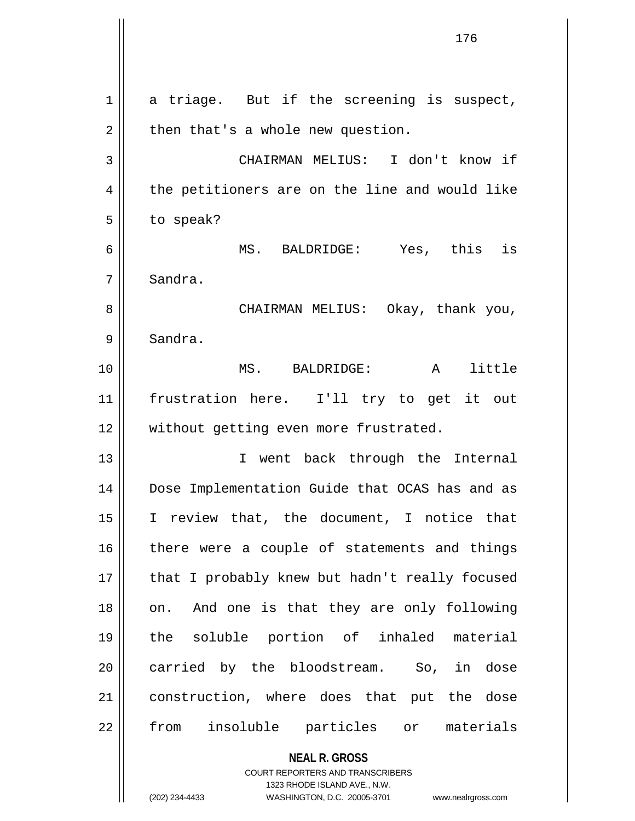**NEAL R. GROSS** COURT REPORTERS AND TRANSCRIBERS 1323 RHODE ISLAND AVE., N.W.  $1 \parallel$  a triage. But if the screening is suspect,  $2 \parallel$  then that's a whole new question. 3 CHAIRMAN MELIUS: I don't know if 4 || the petitioners are on the line and would like  $5 \parallel$  to speak? 6 MS. BALDRIDGE: Yes, this is 7 | Sandra. 8 CHAIRMAN MELIUS: Okay, thank you, 9 | Sandra. 10 MS. BALDRIDGE: A little 11 frustration here. I'll try to get it out 12 || without getting even more frustrated. 13 || T went back through the Internal 14 Dose Implementation Guide that OCAS has and as 15 I review that, the document, I notice that  $16$  there were a couple of statements and things 17 || that I probably knew but hadn't really focused 18 || on. And one is that they are only following 19 the soluble portion of inhaled material 20 carried by the bloodstream. So, in dose 21 || construction, where does that put the dose 22 || from insoluble particles or materials

(202) 234-4433 WASHINGTON, D.C. 20005-3701 www.nealrgross.com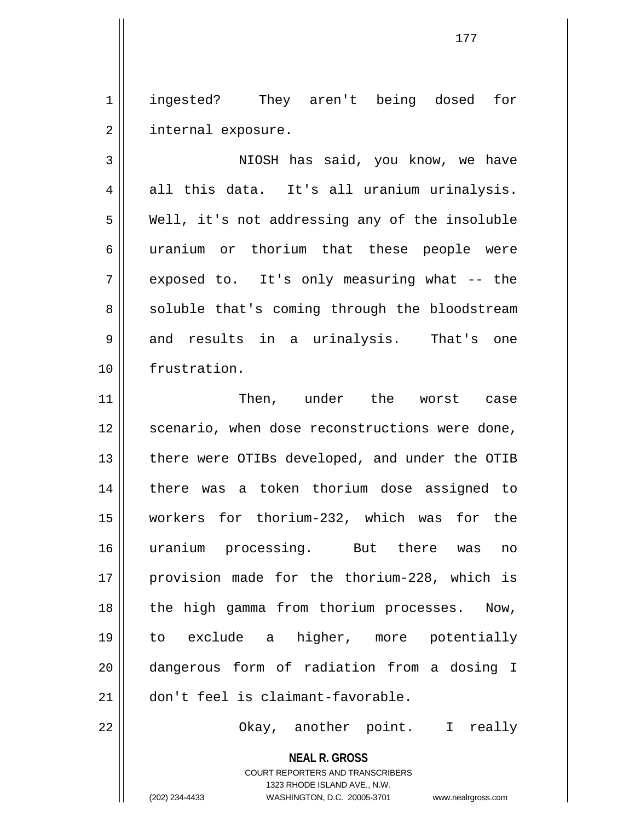1 ingested? They aren't being dosed for 2 | internal exposure.

3 NIOSH has said, you know, we have  $4 \parallel$  all this data. It's all uranium urinalysis. 5 || Well, it's not addressing any of the insoluble 6 || uranium or thorium that these people were 7 exposed to. It's only measuring what -- the 8 || soluble that's coming through the bloodstream  $9 \parallel$  and results in a urinalysis. That's one 10 frustration.

11 Then, under the worst case 12 || scenario, when dose reconstructions were done, 13 || there were OTIBs developed, and under the OTIB 14 there was a token thorium dose assigned to 15 workers for thorium-232, which was for the 16 uranium processing. But there was no 17 || provision made for the thorium-228, which is 18 || the high gamma from thorium processes. Now, 19 to exclude a higher, more potentially 20 dangerous form of radiation from a dosing I 21 don't feel is claimant-favorable.

22 Okay, another point. I really

**NEAL R. GROSS** COURT REPORTERS AND TRANSCRIBERS

1323 RHODE ISLAND AVE., N.W.

(202) 234-4433 WASHINGTON, D.C. 20005-3701 www.nealrgross.com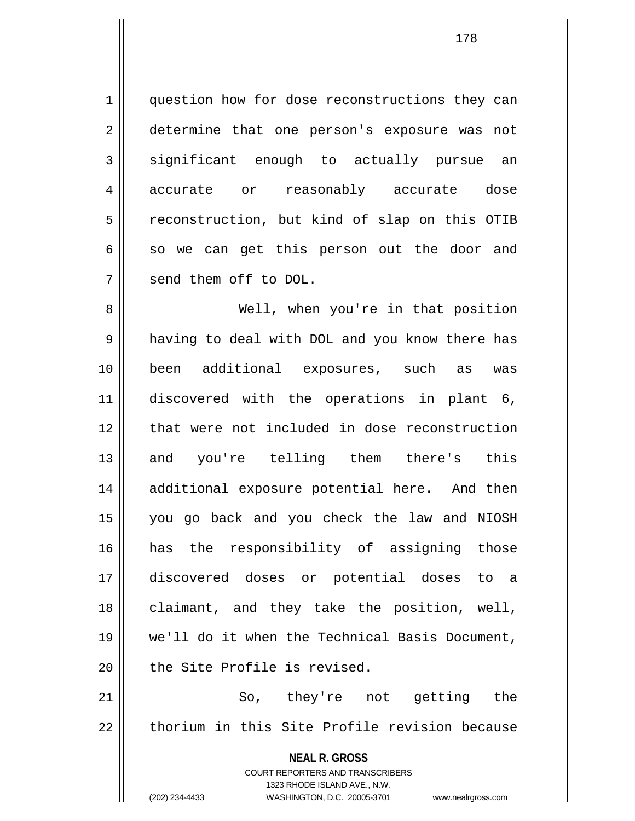1 || question how for dose reconstructions they can 2 determine that one person's exposure was not  $3 \parallel$  significant enough to actually pursue an 4 accurate or reasonably accurate dose 5 | reconstruction, but kind of slap on this OTIB  $6 \parallel$  so we can get this person out the door and 7 send them off to DOL.

8 Well, when you're in that position 9 || having to deal with DOL and you know there has 10 been additional exposures, such as was 11 discovered with the operations in plant 6, 12 that were not included in dose reconstruction 13 and you're telling them there's this 14 additional exposure potential here. And then 15 you go back and you check the law and NIOSH 16 has the responsibility of assigning those 17 discovered doses or potential doses to a 18 || claimant, and they take the position, well, 19 we'll do it when the Technical Basis Document,  $20$   $\parallel$  the Site Profile is revised.

21 So, they're not getting the 22 thorium in this Site Profile revision because

> **NEAL R. GROSS** COURT REPORTERS AND TRANSCRIBERS 1323 RHODE ISLAND AVE., N.W. (202) 234-4433 WASHINGTON, D.C. 20005-3701 www.nealrgross.com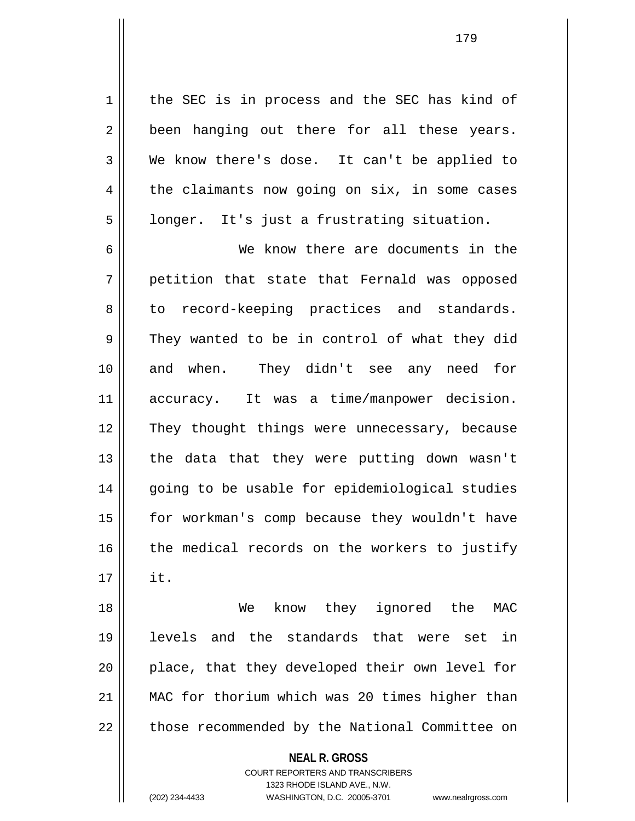1 | the SEC is in process and the SEC has kind of  $2 \parallel$  been hanging out there for all these years. 3 We know there's dose. It can't be applied to  $4 \parallel$  the claimants now going on six, in some cases  $5 \parallel$  longer. It's just a frustrating situation.

6 We know there are documents in the 7 || petition that state that Fernald was opposed 8 || to record-keeping practices and standards.  $9 \parallel$  They wanted to be in control of what they did 10 and when. They didn't see any need for 11 accuracy. It was a time/manpower decision. 12 || They thought things were unnecessary, because 13 || the data that they were putting down wasn't 14 || going to be usable for epidemiological studies 15 for workman's comp because they wouldn't have 16 the medical records on the workers to justify  $17 \parallel$  it.

18 We know they ignored the MAC 19 levels and the standards that were set in 20 || place, that they developed their own level for 21 MAC for thorium which was 20 times higher than 22 | those recommended by the National Committee on

**NEAL R. GROSS**

COURT REPORTERS AND TRANSCRIBERS 1323 RHODE ISLAND AVE., N.W. (202) 234-4433 WASHINGTON, D.C. 20005-3701 www.nealrgross.com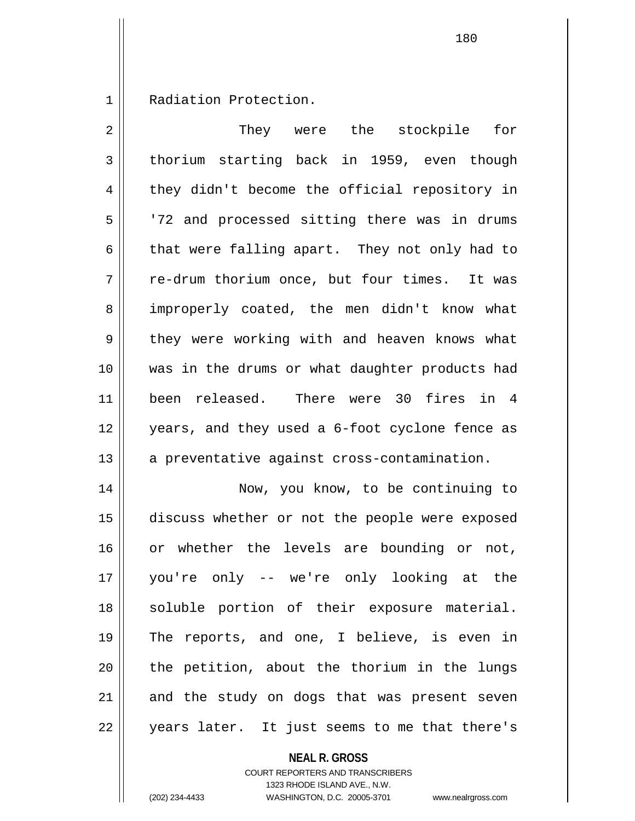1 || Radiation Protection.

| 2  | They were the stockpile<br>for                 |
|----|------------------------------------------------|
| 3  | thorium starting back in 1959, even though     |
| 4  | they didn't become the official repository in  |
| 5  | '72 and processed sitting there was in drums   |
| 6  | that were falling apart. They not only had to  |
| 7  | re-drum thorium once, but four times. It was   |
| 8  | improperly coated, the men didn't know what    |
| 9  | they were working with and heaven knows what   |
| 10 | was in the drums or what daughter products had |
| 11 | been released. There were 30 fires in 4        |
| 12 | years, and they used a 6-foot cyclone fence as |
| 13 | a preventative against cross-contamination.    |
| 14 | Now, you know, to be continuing to             |
| 15 | discuss whether or not the people were exposed |
| 16 | or whether the levels are bounding or not,     |
| 17 | you're only -- we're only looking at the       |
| 18 | soluble portion of their exposure material.    |
| 19 | The reports, and one, I believe, is even in    |
| 20 | the petition, about the thorium in the lungs   |
| 21 | and the study on dogs that was present seven   |
| 22 | years later. It just seems to me that there's  |

**NEAL R. GROSS** COURT REPORTERS AND TRANSCRIBERS

1323 RHODE ISLAND AVE., N.W.

(202) 234-4433 WASHINGTON, D.C. 20005-3701 www.nealrgross.com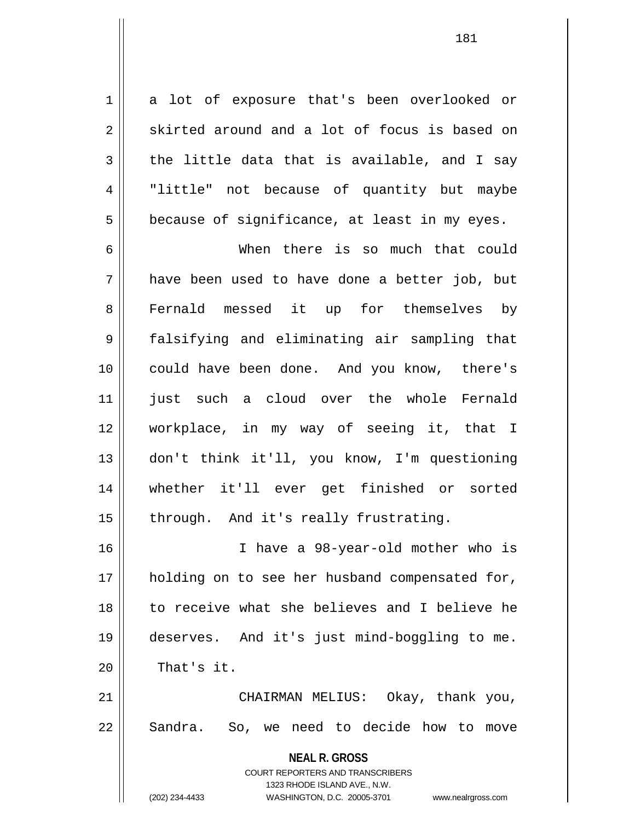1 a lot of exposure that's been overlooked or  $2 \parallel$  skirted around and a lot of focus is based on  $3 \parallel$  the little data that is available, and I say 4 "little" not because of quantity but maybe  $5 \parallel$  because of significance, at least in my eyes.

6 When there is so much that could  $7 \parallel$  have been used to have done a better job, but 8 Fernald messed it up for themselves by 9 falsifying and eliminating air sampling that 10 could have been done. And you know, there's 11 || just such a cloud over the whole Fernald 12 workplace, in my way of seeing it, that I 13 don't think it'll, you know, I'm questioning 14 whether it'll ever get finished or sorted  $15$  | through. And it's really frustrating.

16 I have a 98-year-old mother who is 17 || holding on to see her husband compensated for, 18 to receive what she believes and I believe he 19 deserves. And it's just mind-boggling to me.  $20$   $\parallel$  That's it.

21 || CHAIRMAN MELIUS: Okay, thank you, 22 || Sandra. So, we need to decide how to move

> **NEAL R. GROSS** COURT REPORTERS AND TRANSCRIBERS 1323 RHODE ISLAND AVE., N.W. (202) 234-4433 WASHINGTON, D.C. 20005-3701 www.nealrgross.com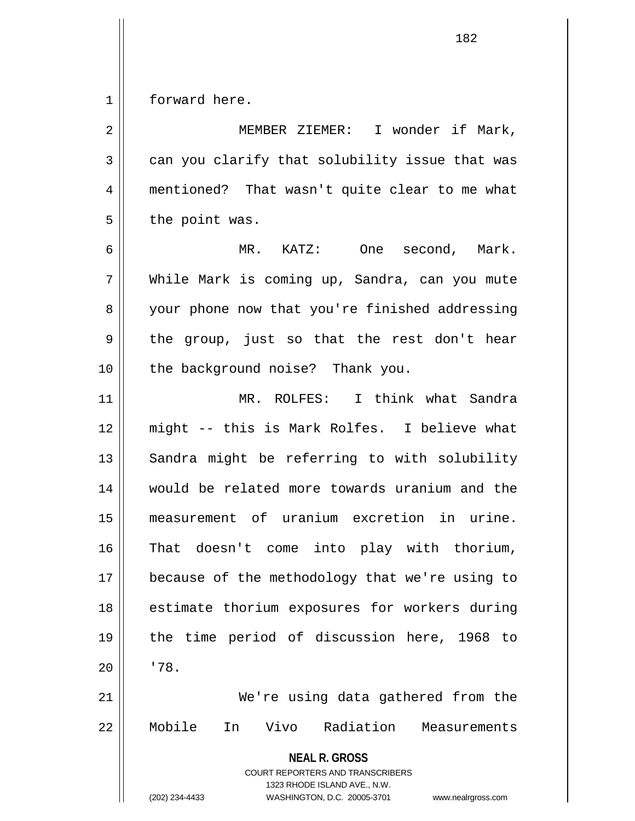1 | forward here.

**NEAL R. GROSS** COURT REPORTERS AND TRANSCRIBERS 1323 RHODE ISLAND AVE., N.W. (202) 234-4433 WASHINGTON, D.C. 20005-3701 www.nealrgross.com 2 || MEMBER ZIEMER: I wonder if Mark,  $3 \parallel$  can you clarify that solubility issue that was 4 mentioned? That wasn't quite clear to me what  $5 \parallel$  the point was. 6 MR. KATZ: One second, Mark. 7 While Mark is coming up, Sandra, can you mute 8 || your phone now that you're finished addressing  $9 \parallel$  the group, just so that the rest don't hear 10 || the background noise? Thank you. 11 MR. ROLFES: I think what Sandra 12 might -- this is Mark Rolfes. I believe what 13 || Sandra might be referring to with solubility 14 would be related more towards uranium and the 15 measurement of uranium excretion in urine. 16 That doesn't come into play with thorium, 17 || because of the methodology that we're using to 18 || estimate thorium exposures for workers during 19 the time period of discussion here, 1968 to  $20$   $1$   $178$ . 21 We're using data gathered from the 22 Mobile In Vivo Radiation Measurements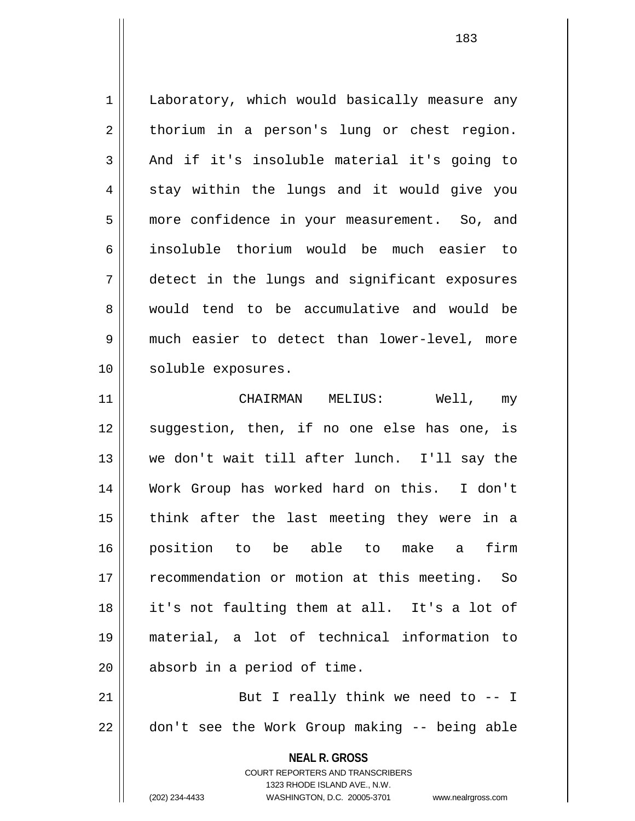1 | Laboratory, which would basically measure any  $2 \parallel$  thorium in a person's lung or chest region.  $3 \parallel$  And if it's insoluble material it's going to 4 || stay within the lungs and it would give you 5 more confidence in your measurement. So, and 6 insoluble thorium would be much easier to 7 detect in the lungs and significant exposures 8 would tend to be accumulative and would be 9 much easier to detect than lower-level, more 10 || soluble exposures. 11 CHAIRMAN MELIUS: Well, my

12 || suggestion, then, if no one else has one, is 13 we don't wait till after lunch. I'll say the 14 Work Group has worked hard on this. I don't  $15$  || think after the last meeting they were in a 16 position to be able to make a firm 17 || recommendation or motion at this meeting. So 18 it's not faulting them at all. It's a lot of 19 material, a lot of technical information to 20 || absorb in a period of time.

21  $\parallel$  But I really think we need to  $-1$ 22 | don't see the Work Group making -- being able

> **NEAL R. GROSS** COURT REPORTERS AND TRANSCRIBERS 1323 RHODE ISLAND AVE., N.W. (202) 234-4433 WASHINGTON, D.C. 20005-3701 www.nealrgross.com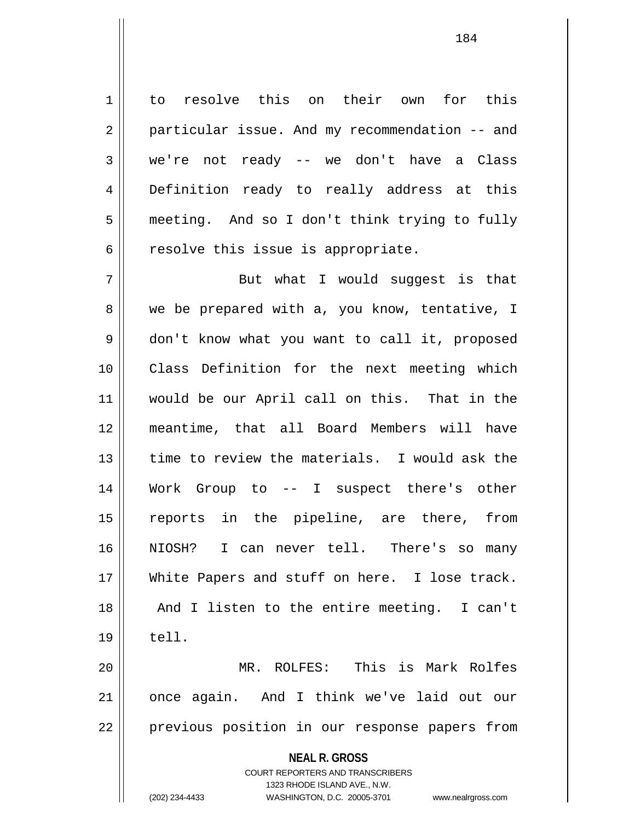1 to resolve this on their own for this 2 | particular issue. And my recommendation -- and 3 we're not ready -- we don't have a Class 4 Definition ready to really address at this 5 meeting. And so I don't think trying to fully  $6 \parallel$  resolve this issue is appropriate.

7 || But what I would suqqest is that 8 we be prepared with a, you know, tentative, I 9 don't know what you want to call it, proposed 10 Class Definition for the next meeting which 11 would be our April call on this. That in the 12 meantime, that all Board Members will have 13 || time to review the materials. I would ask the 14 Work Group to -- I suspect there's other 15 reports in the pipeline, are there, from 16 NIOSH? I can never tell. There's so many 17 White Papers and stuff on here. I lose track. 18 || And I listen to the entire meeting. I can't  $19 \parallel$  tell. 20 MR. ROLFES: This is Mark Rolfes

21 || once again. And I think we've laid out our 22 || previous position in our response papers from

**NEAL R. GROSS**

COURT REPORTERS AND TRANSCRIBERS 1323 RHODE ISLAND AVE., N.W. (202) 234-4433 WASHINGTON, D.C. 20005-3701 www.nealrgross.com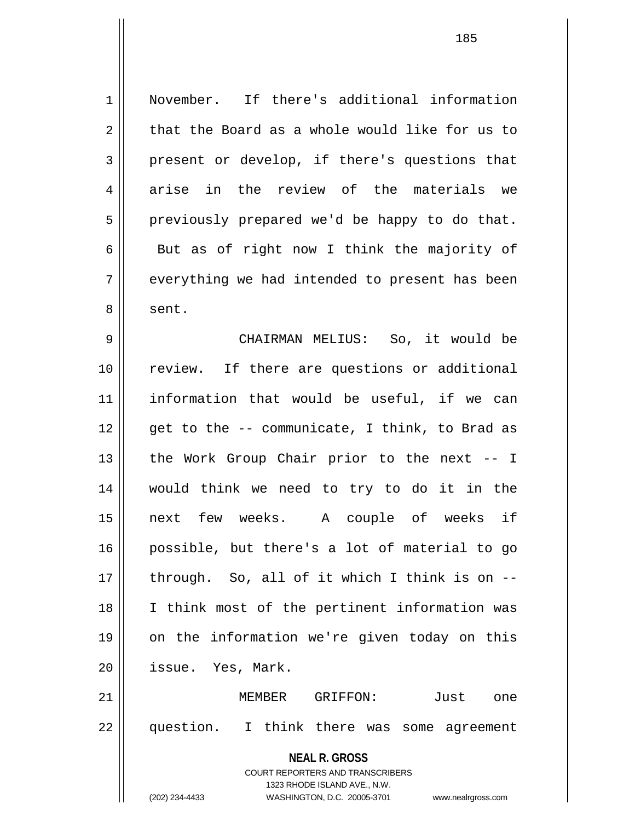1 November. If there's additional information  $2 \parallel$  that the Board as a whole would like for us to  $3 \parallel$  present or develop, if there's questions that 4 arise in the review of the materials we  $5 \parallel$  previously prepared we'd be happy to do that.  $6 \parallel$  But as of right now I think the majority of  $7 \parallel$  everything we had intended to present has been 8 | sent. 9 CHAIRMAN MELIUS: So, it would be 10 review. If there are questions or additional 11 information that would be useful, if we can  $12$  || qet to the -- communicate, I think, to Brad as 13  $\parallel$  the Work Group Chair prior to the next -- I 14 would think we need to try to do it in the 15 next few weeks. A couple of weeks if 16 possible, but there's a lot of material to go  $17$  || through. So, all of it which I think is on  $-$ -18 I think most of the pertinent information was 19 on the information we're given today on this 20 | issue. Yes, Mark. 21 MEMBER GRIFFON: Just one 22 question. I think there was some agreement

> COURT REPORTERS AND TRANSCRIBERS 1323 RHODE ISLAND AVE., N.W.

**NEAL R. GROSS**

(202) 234-4433 WASHINGTON, D.C. 20005-3701 www.nealrgross.com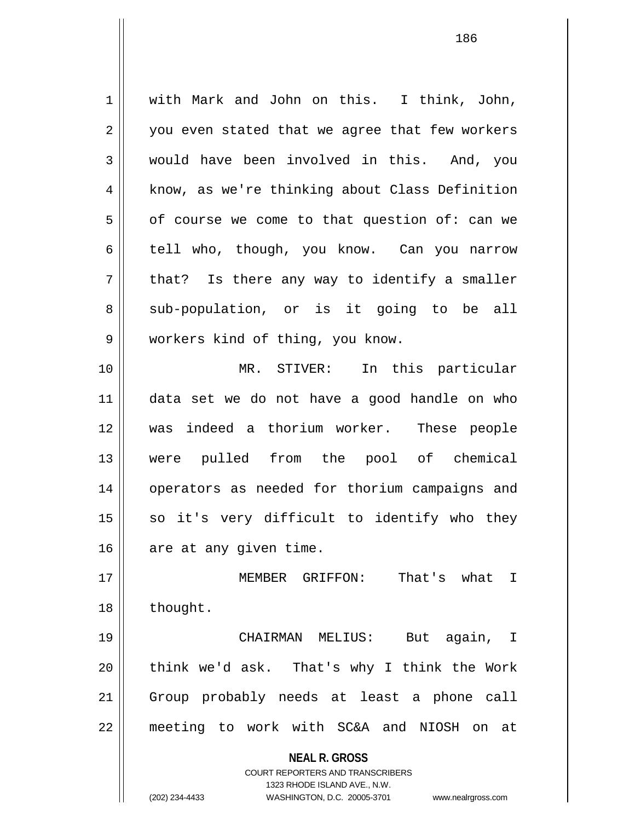1 with Mark and John on this. I think, John,  $2 \parallel$  you even stated that we agree that few workers 3 would have been involved in this. And, you 4 | know, as we're thinking about Class Definition  $5 \parallel$  of course we come to that question of: can we 6 tell who, though, you know. Can you narrow  $7 \parallel$  that? Is there any way to identify a smaller 8 || sub-population, or is it going to be all 9 workers kind of thing, you know. 10 MR. STIVER: In this particular 11 data set we do not have a good handle on who 12 was indeed a thorium worker. These people 13 were pulled from the pool of chemical 14 || operators as needed for thorium campaigns and  $15$  so it's very difficult to identify who they 16 | are at any given time. 17 MEMBER GRIFFON: That's what I 18 | thought. 19 CHAIRMAN MELIUS: But again, I  $20$  || think we'd ask. That's why I think the Work 21 Group probably needs at least a phone call 22 meeting to work with SC&A and NIOSH on at

> **NEAL R. GROSS** COURT REPORTERS AND TRANSCRIBERS

> > 1323 RHODE ISLAND AVE., N.W.

(202) 234-4433 WASHINGTON, D.C. 20005-3701 www.nealrgross.com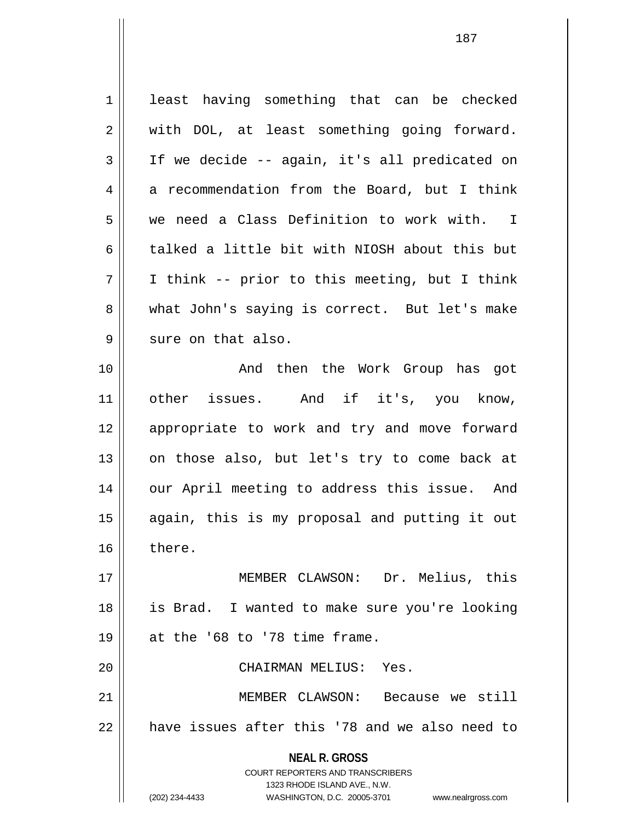| $\mathbf 1$ | least having something that can be checked                                                          |
|-------------|-----------------------------------------------------------------------------------------------------|
| 2           | with DOL, at least something going forward.                                                         |
| 3           | If we decide -- again, it's all predicated on                                                       |
| 4           | a recommendation from the Board, but I think                                                        |
| 5           | we need a Class Definition to work with. I                                                          |
| 6           | talked a little bit with NIOSH about this but                                                       |
| 7           | I think -- prior to this meeting, but I think                                                       |
| 8           | what John's saying is correct. But let's make                                                       |
| 9           | sure on that also.                                                                                  |
| 10          | And then the Work Group has got                                                                     |
| 11          | other issues. And if it's, you know,                                                                |
| 12          | appropriate to work and try and move forward                                                        |
| 13          | on those also, but let's try to come back at                                                        |
| 14          | our April meeting to address this issue. And                                                        |
| 15          | again, this is my proposal and putting it out                                                       |
| 16          | there.                                                                                              |
| 17          | MEMBER CLAWSON: Dr. Melius, this                                                                    |
| 18          | is Brad. I wanted to make sure you're looking                                                       |
| 19          | at the '68 to '78 time frame.                                                                       |
| 20          | CHAIRMAN MELIUS: Yes.                                                                               |
| 21          | MEMBER CLAWSON:<br>Because we still                                                                 |
| 22          | have issues after this '78 and we also need to                                                      |
|             | <b>NEAL R. GROSS</b>                                                                                |
|             | <b>COURT REPORTERS AND TRANSCRIBERS</b>                                                             |
|             | 1323 RHODE ISLAND AVE., N.W.<br>(202) 234-4433<br>WASHINGTON, D.C. 20005-3701<br>www.nealrgross.com |
|             |                                                                                                     |

 $\mathsf{I}$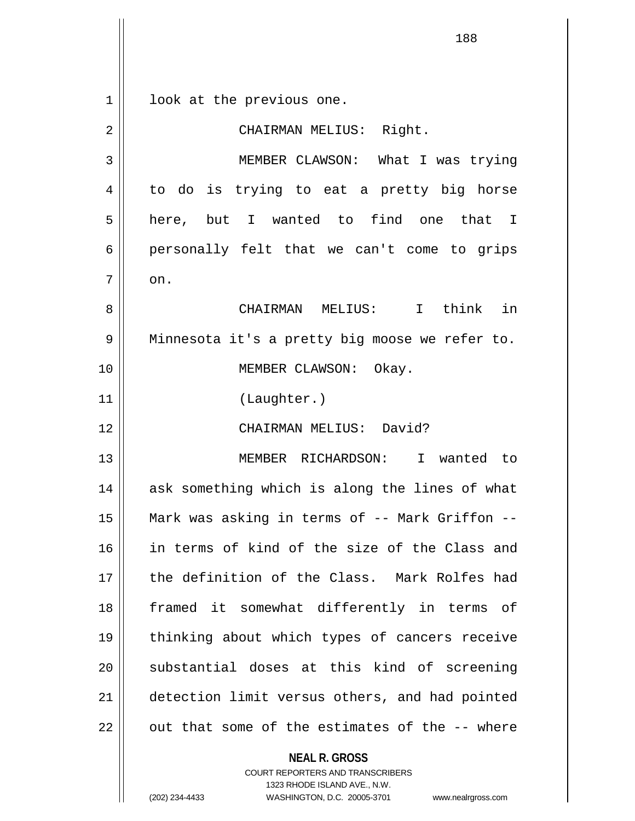1 || look at the previous one. 2 || CHAIRMAN MELIUS: Right. 3 MEMBER CLAWSON: What I was trying  $4 \parallel$  to do is trying to eat a pretty big horse 5 here, but I wanted to find one that I 6 personally felt that we can't come to grips  $7 \parallel \quad$  on. 8 CHAIRMAN MELIUS: I think in 9 || Minnesota it's a pretty big moose we refer to. 10 || **MEMBER CLAWSON:** Okay. 11 (Laughter.) 12 CHAIRMAN MELIUS: David? 13 MEMBER RICHARDSON: I wanted to 14 || ask something which is along the lines of what 15 Mark was asking in terms of -- Mark Griffon -- 16 in terms of kind of the size of the Class and 17 the definition of the Class. Mark Rolfes had 18 framed it somewhat differently in terms of 19 thinking about which types of cancers receive 20 || substantial doses at this kind of screening 21 detection limit versus others, and had pointed  $22$   $\parallel$  out that some of the estimates of the  $-$ - where

> **NEAL R. GROSS** COURT REPORTERS AND TRANSCRIBERS 1323 RHODE ISLAND AVE., N.W.

(202) 234-4433 WASHINGTON, D.C. 20005-3701 www.nealrgross.com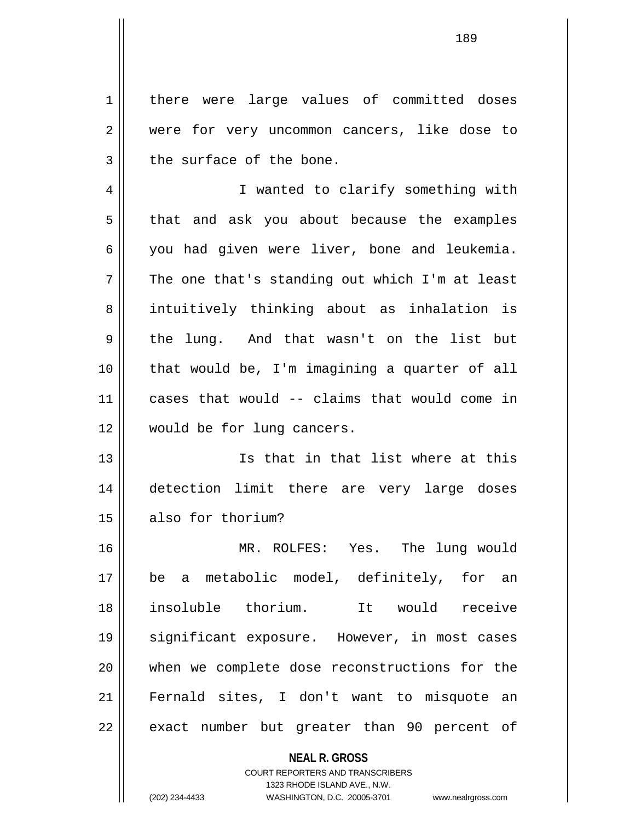1 | there were large values of committed doses 2 were for very uncommon cancers, like dose to  $3$  | the surface of the bone.

4 || I wanted to clarify something with  $5 \parallel$  that and ask you about because the examples 6 you had given were liver, bone and leukemia.  $7 \parallel$  The one that's standing out which I'm at least 8 || intuitively thinking about as inhalation is 9 || the lung. And that wasn't on the list but 10 that would be, I'm imagining a quarter of all 11 cases that would -- claims that would come in 12 would be for lung cancers.

13 Is that in that list where at this 14 detection limit there are very large doses 15 also for thorium?

16 MR. ROLFES: Yes. The lung would 17 be a metabolic model, definitely, for an 18 insoluble thorium. It would receive 19 || significant exposure. However, in most cases 20 when we complete dose reconstructions for the 21 Fernald sites, I don't want to misquote an  $22$  || exact number but greater than 90 percent of

## **NEAL R. GROSS** COURT REPORTERS AND TRANSCRIBERS 1323 RHODE ISLAND AVE., N.W. (202) 234-4433 WASHINGTON, D.C. 20005-3701 www.nealrgross.com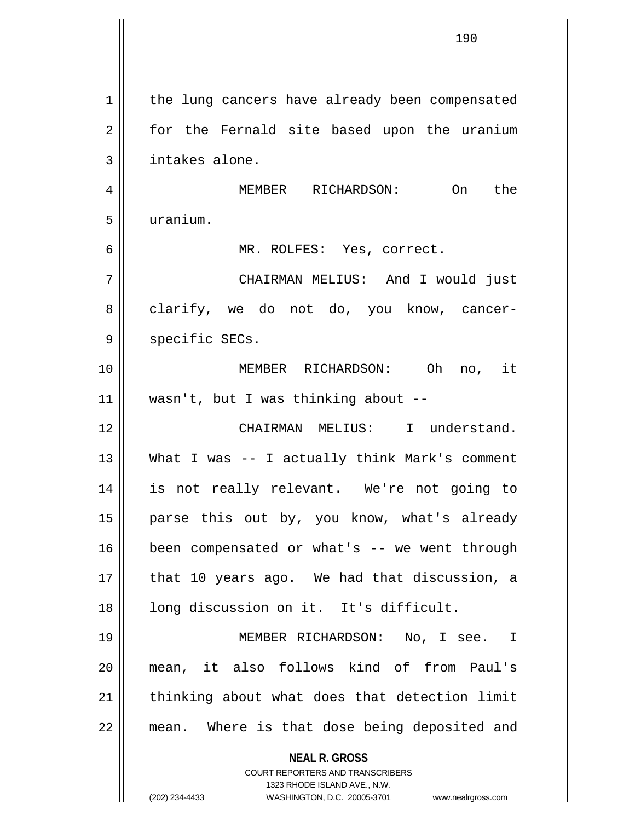|    | 190                                                              |
|----|------------------------------------------------------------------|
|    |                                                                  |
| 1  | the lung cancers have already been compensated                   |
| 2  | for the Fernald site based upon the uranium                      |
| 3  | intakes alone.                                                   |
| 4  | MEMBER RICHARDSON: On<br>the                                     |
| 5  | uranium.                                                         |
| 6  | MR. ROLFES: Yes, correct.                                        |
| 7  | CHAIRMAN MELIUS: And I would just                                |
| 8  | clarify, we do not do, you know, cancer-                         |
| 9  | specific SECs.                                                   |
| 10 | MEMBER RICHARDSON: Oh<br>no, it                                  |
| 11 | wasn't, but I was thinking about --                              |
| 12 | CHAIRMAN MELIUS: I understand.                                   |
| 13 | What I was -- I actually think Mark's comment                    |
| 14 | is not really relevant. We're not going to                       |
| 15 | parse this out by, you know, what's already                      |
| 16 | been compensated or what's -- we went through                    |
| 17 | that 10 years ago. We had that discussion, a                     |
| 18 | long discussion on it. It's difficult.                           |
| 19 | MEMBER RICHARDSON: No, I see. I                                  |
| 20 | mean, it also follows kind of from Paul's                        |
| 21 | thinking about what does that detection limit                    |
| 22 | mean. Where is that dose being deposited and                     |
|    | <b>NEAL R. GROSS</b><br>COURT REPORTERS AND TRANSCRIBERS         |
|    | 1323 RHODE ISLAND AVE., N.W.                                     |
|    | (202) 234-4433<br>WASHINGTON, D.C. 20005-3701 www.nealrgross.com |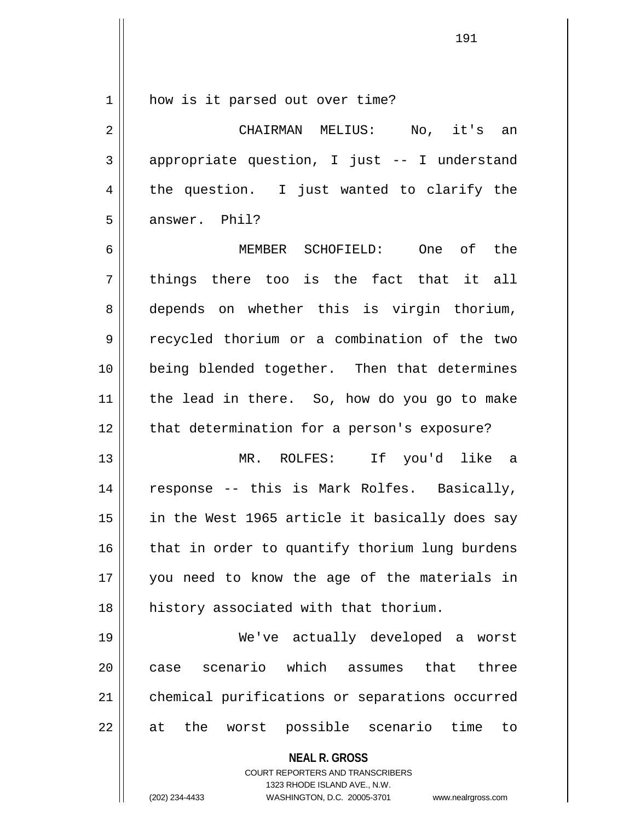1 || how is it parsed out over time?

2 CHAIRMAN MELIUS: No, it's an  $3 \parallel$  appropriate question, I just  $-$ - I understand  $4 \parallel$  the question. I just wanted to clarify the 5 answer. Phil?

6 MEMBER SCHOFIELD: One of the  $7 ||$  things there too is the fact that it all 8 depends on whether this is virgin thorium, 9 recycled thorium or a combination of the two 10 || being blended together. Then that determines 11 the lead in there. So, how do you go to make 12 || that determination for a person's exposure?

13 MR. ROLFES: If you'd like a 14 || response -- this is Mark Rolfes. Basically, 15 || in the West 1965 article it basically does say  $16$  | that in order to quantify thorium lung burdens 17 you need to know the age of the materials in 18 history associated with that thorium.

19 We've actually developed a worst 20 case scenario which assumes that three 21 | chemical purifications or separations occurred 22 || at the worst possible scenario time to

**NEAL R. GROSS**

COURT REPORTERS AND TRANSCRIBERS 1323 RHODE ISLAND AVE., N.W. (202) 234-4433 WASHINGTON, D.C. 20005-3701 www.nealrgross.com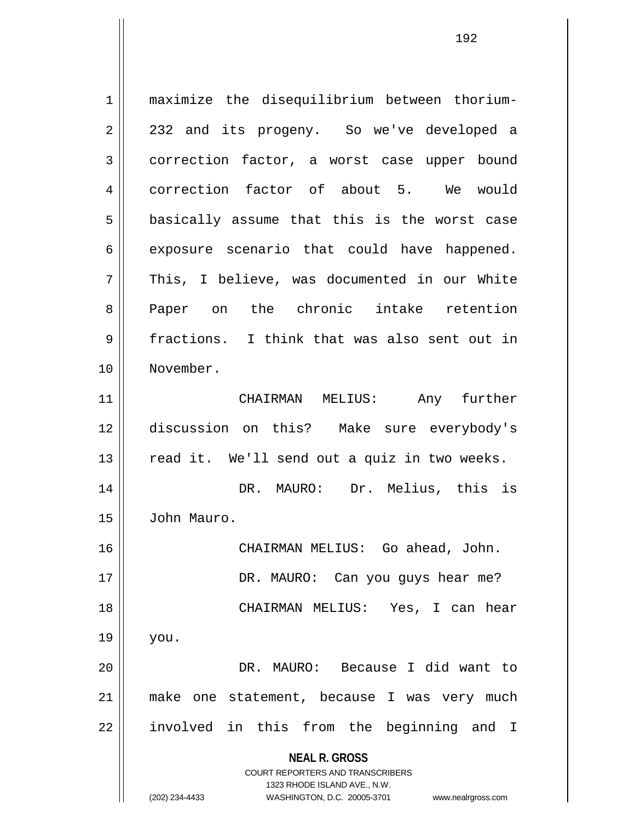**NEAL R. GROSS** COURT REPORTERS AND TRANSCRIBERS 1323 RHODE ISLAND AVE., N.W. 1 maximize the disequilibrium between thorium-2 || 232 and its progeny. So we've developed a 3 correction factor, a worst case upper bound 4 correction factor of about 5. We would  $5$  basically assume that this is the worst case  $6 \parallel$  exposure scenario that could have happened. 7 || This, I believe, was documented in our White 8 Paper on the chronic intake retention 9 || fractions. I think that was also sent out in 10 November. 11 CHAIRMAN MELIUS: Any further 12 discussion on this? Make sure everybody's  $13$  read it. We'll send out a quiz in two weeks. 14 DR. MAURO: Dr. Melius, this is 15 John Mauro. 16 CHAIRMAN MELIUS: Go ahead, John. 17 || DR. MAURO: Can you guys hear me? 18 CHAIRMAN MELIUS: Yes, I can hear  $19 \parallel$  you. 20 DR. MAURO: Because I did want to 21 make one statement, because I was very much 22 || involved in this from the beginning and I

(202) 234-4433 WASHINGTON, D.C. 20005-3701 www.nealrgross.com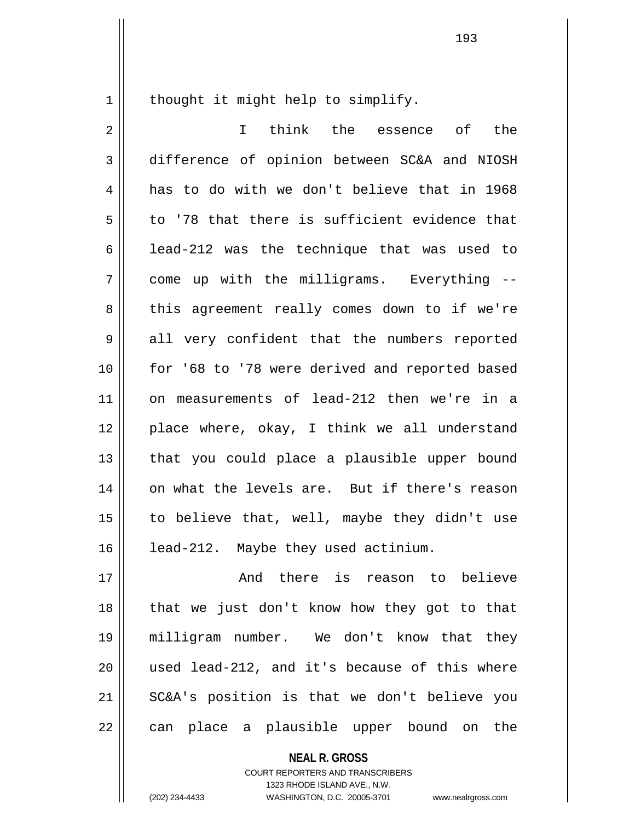1 | thought it might help to simplify.

2 I think the essence of the 3 difference of opinion between SC&A and NIOSH 4 || has to do with we don't believe that in 1968  $5 \parallel$  to '78 that there is sufficient evidence that 6 | lead-212 was the technique that was used to 7 come up with the milligrams. Everything -- 8 || this agreement really comes down to if we're  $9 \parallel$  all very confident that the numbers reported 10 || for '68 to '78 were derived and reported based 11 on measurements of lead-212 then we're in a 12 place where, okay, I think we all understand 13 || that you could place a plausible upper bound 14 || on what the levels are. But if there's reason 15  $\parallel$  to believe that, well, maybe they didn't use 16 | lead-212. Maybe they used actinium. 17 And there is reason to believe 18 || that we just don't know how they got to that

19 milligram number. We don't know that they  $20$  || used lead-212, and it's because of this where 21 SC&A's position is that we don't believe you 22 || can place a plausible upper bound on the

> **NEAL R. GROSS** COURT REPORTERS AND TRANSCRIBERS 1323 RHODE ISLAND AVE., N.W.

(202) 234-4433 WASHINGTON, D.C. 20005-3701 www.nealrgross.com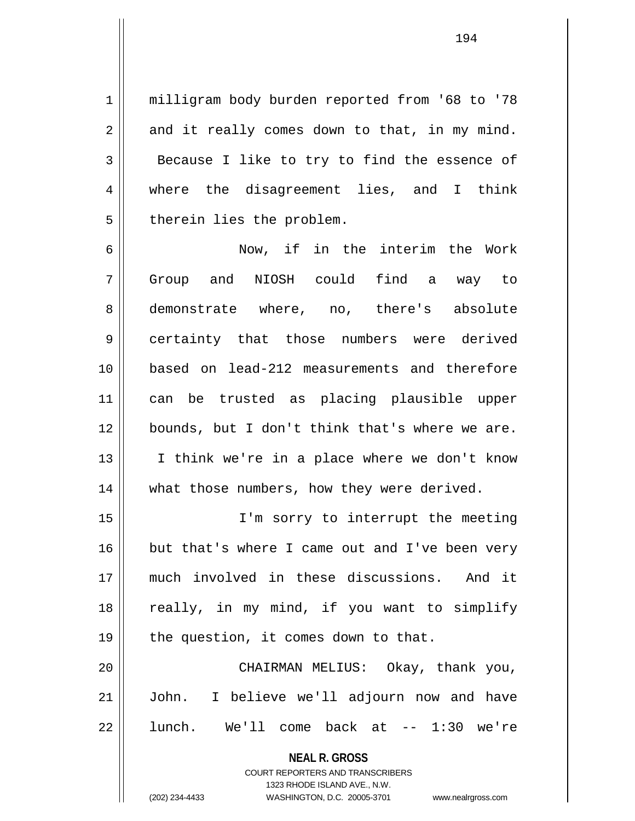1 | milligram body burden reported from '68 to '78  $2 \parallel$  and it really comes down to that, in my mind. 3 Because I like to try to find the essence of 4 where the disagreement lies, and I think 5 | therein lies the problem.

6 Now, if in the interim the Work 7 Group and NIOSH could find a way to 8 demonstrate where, no, there's absolute 9 certainty that those numbers were derived 10 based on lead-212 measurements and therefore 11 can be trusted as placing plausible upper 12 bounds, but I don't think that's where we are. 13 || I think we're in a place where we don't know 14 || what those numbers, how they were derived.

15 I'm sorry to interrupt the meeting 16 but that's where I came out and I've been very 17 much involved in these discussions. And it 18 || really, in my mind, if you want to simplify  $19$  | the question, it comes down to that.

20 CHAIRMAN MELIUS: Okay, thank you, 21 John. I believe we'll adjourn now and have  $22$  || lunch. We'll come back at  $-$  1:30 we're

> **NEAL R. GROSS** COURT REPORTERS AND TRANSCRIBERS

1323 RHODE ISLAND AVE., N.W. (202) 234-4433 WASHINGTON, D.C. 20005-3701 www.nealrgross.com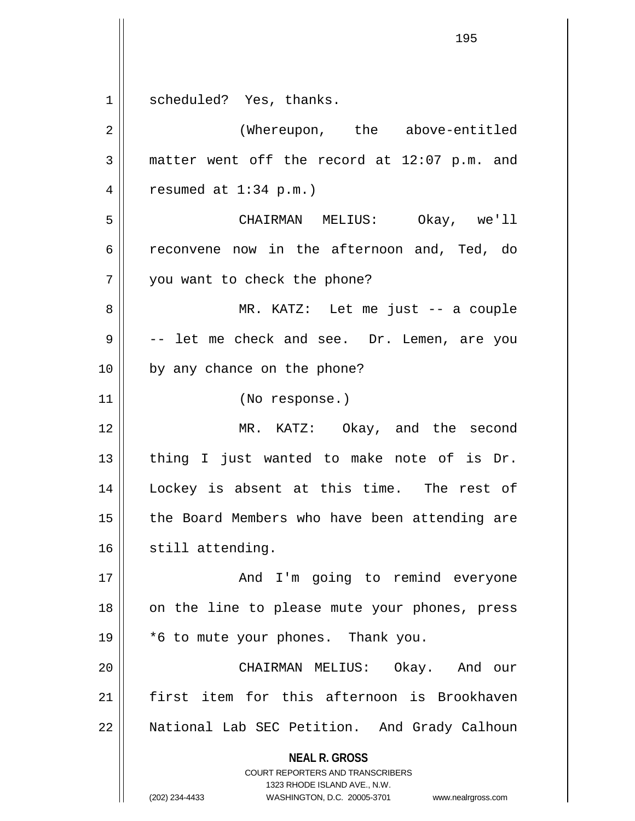**NEAL R. GROSS** COURT REPORTERS AND TRANSCRIBERS 1323 RHODE ISLAND AVE., N.W. (202) 234-4433 WASHINGTON, D.C. 20005-3701 www.nealrgross.com 1 || scheduled? Yes, thanks. 2 | (Whereupon, the above-entitled  $3 \parallel$  matter went off the record at 12:07 p.m. and 4 | resumed at  $1:34$  p.m.) 5 CHAIRMAN MELIUS: Okay, we'll 6 reconvene now in the afternoon and, Ted, do 7 || you want to check the phone? 8 MR. KATZ: Let me just -- a couple 9 || -- let me check and see. Dr. Lemen, are you 10 || by any chance on the phone? 11 (No response.) 12 MR. KATZ: Okay, and the second  $13$  || thing I just wanted to make note of is Dr. 14 Lockey is absent at this time. The rest of 15 || the Board Members who have been attending are 16 || still attending. 17 And I'm going to remind everyone 18 || on the line to please mute your phones, press 19 \*6 to mute your phones. Thank you. 20 CHAIRMAN MELIUS: Okay. And our 21 first item for this afternoon is Brookhaven 22 | National Lab SEC Petition. And Grady Calhoun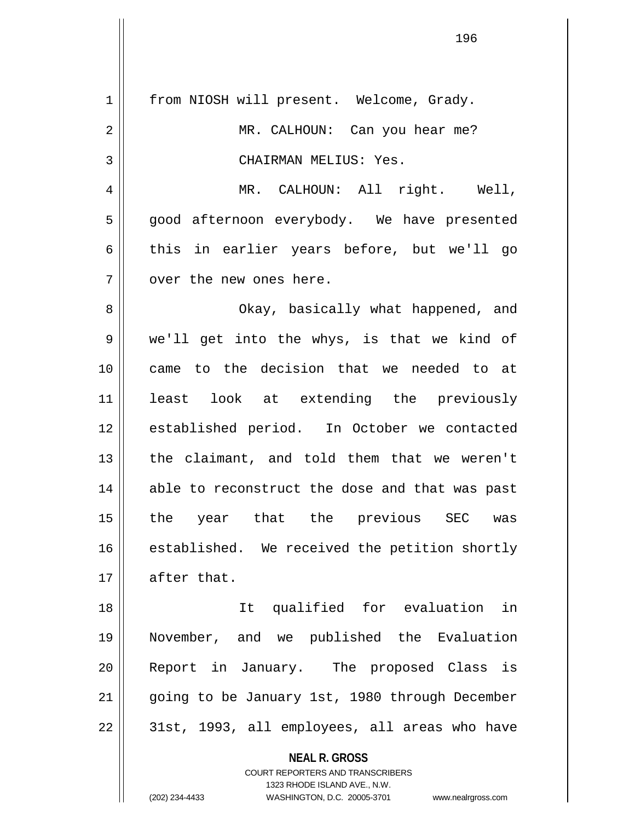| $\mathbf 1$ | from NIOSH will present. Welcome, Grady.                 |
|-------------|----------------------------------------------------------|
| 2           | MR. CALHOUN: Can you hear me?                            |
| 3           | CHAIRMAN MELIUS: Yes.                                    |
| 4           | MR. CALHOUN: All right. Well,                            |
| 5           | good afternoon everybody. We have presented              |
| 6           | this in earlier years before, but we'll go               |
| 7           | over the new ones here.                                  |
| 8           | Okay, basically what happened, and                       |
| 9           | we'll get into the whys, is that we kind of              |
| 10          | came to the decision that we needed to at                |
| 11          | least look at extending the previously                   |
| 12          | established period. In October we contacted              |
| 13          | the claimant, and told them that we weren't              |
| 14          | able to reconstruct the dose and that was past           |
| 15          | the year that the previous SEC was                       |
| 16          | established. We received the petition shortly            |
| 17          | after that.                                              |
| 18          | It qualified for evaluation in                           |
| 19          | November, and we published the Evaluation                |
| 20          | Report in January. The proposed Class is                 |
|             |                                                          |
| 21          | going to be January 1st, 1980 through December           |
| 22          | 31st, 1993, all employees, all areas who have            |
|             | <b>NEAL R. GROSS</b><br>COURT REPORTERS AND TRANSCRIBERS |

1323 RHODE ISLAND AVE., N.W. (202) 234-4433 WASHINGTON, D.C. 20005-3701 www.nealrgross.com

 $\mathsf{I}$  $\prod_{i=1}^{n}$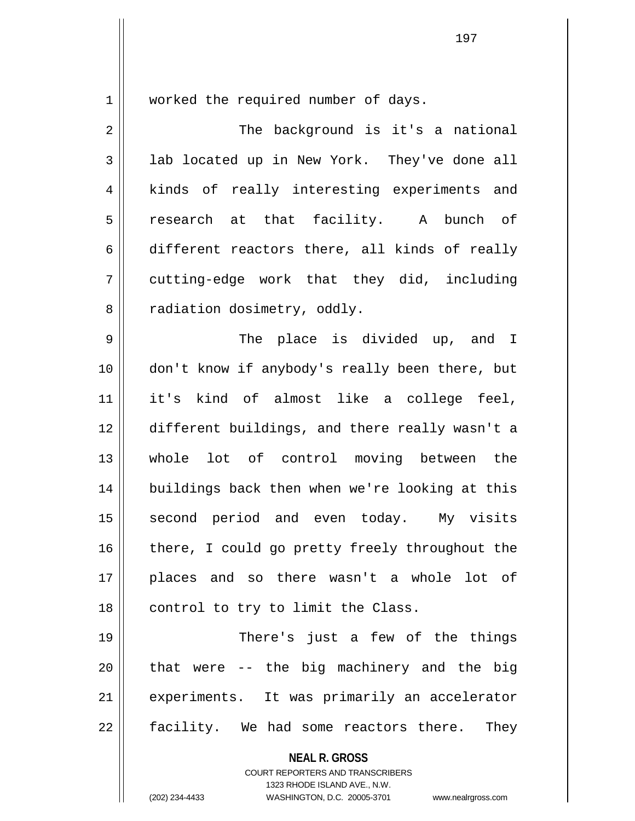1 | worked the required number of days.

2 || The background is it's a national 3 || lab located up in New York. They've done all 4 || kinds of really interesting experiments and 5 || research at that facility. A bunch of 6 different reactors there, all kinds of really  $7 \parallel$  cutting-edge work that they did, including 8 | radiation dosimetry, oddly.

9 The place is divided up, and I 10 don't know if anybody's really been there, but 11 it's kind of almost like a college feel, 12 different buildings, and there really wasn't a 13 Whole lot of control moving between the 14 || buildings back then when we're looking at this 15 || second period and even today. My visits 16 || there, I could go pretty freely throughout the 17 places and so there wasn't a whole lot of  $18$  | control to try to limit the Class.

19 || There's just a few of the things  $20$  || that were -- the big machinery and the big 21 || experiments. It was primarily an accelerator 22 || facility. We had some reactors there. They

**NEAL R. GROSS**

COURT REPORTERS AND TRANSCRIBERS 1323 RHODE ISLAND AVE., N.W. (202) 234-4433 WASHINGTON, D.C. 20005-3701 www.nealrgross.com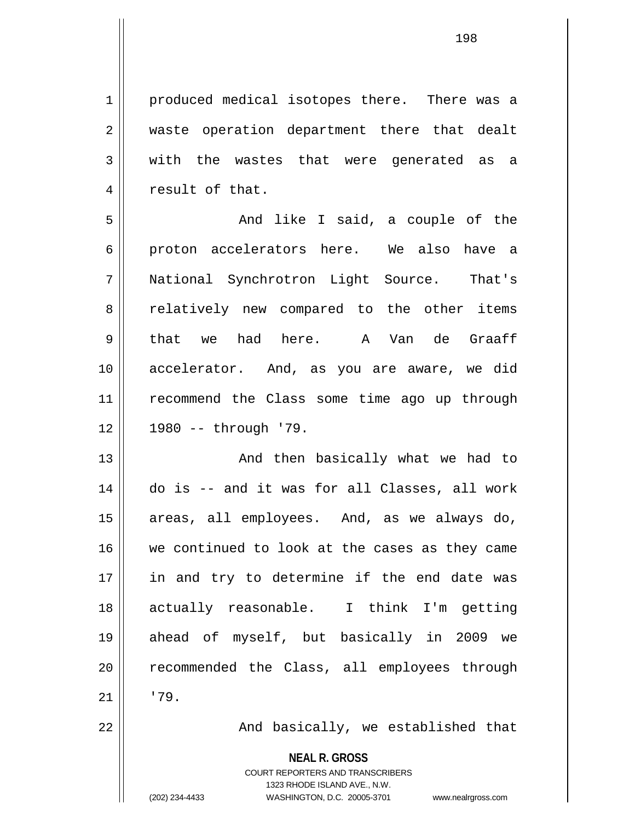1 || produced medical isotopes there. There was a 2 || waste operation department there that dealt  $3 \parallel$  with the wastes that were generated as a 4 || result of that.

5 And like I said, a couple of the 6 proton accelerators here. We also have a 7 National Synchrotron Light Source. That's 8 || relatively new compared to the other items 9 || that we had here. A Van de Graaff 10 accelerator. And, as you are aware, we did 11 || recommend the Class some time ago up through 12 1980 -- through '79.

13 || And then basically what we had to 14 do is -- and it was for all Classes, all work 15 || areas, all employees. And, as we always do, 16 we continued to look at the cases as they came 17 || in and try to determine if the end date was 18 actually reasonable. I think I'm getting 19 ahead of myself, but basically in 2009 we 20 || recommended the Class, all employees through  $21 \parallel 79.$ 

22 || And basically, we established that

**NEAL R. GROSS**

COURT REPORTERS AND TRANSCRIBERS 1323 RHODE ISLAND AVE., N.W. (202) 234-4433 WASHINGTON, D.C. 20005-3701 www.nealrgross.com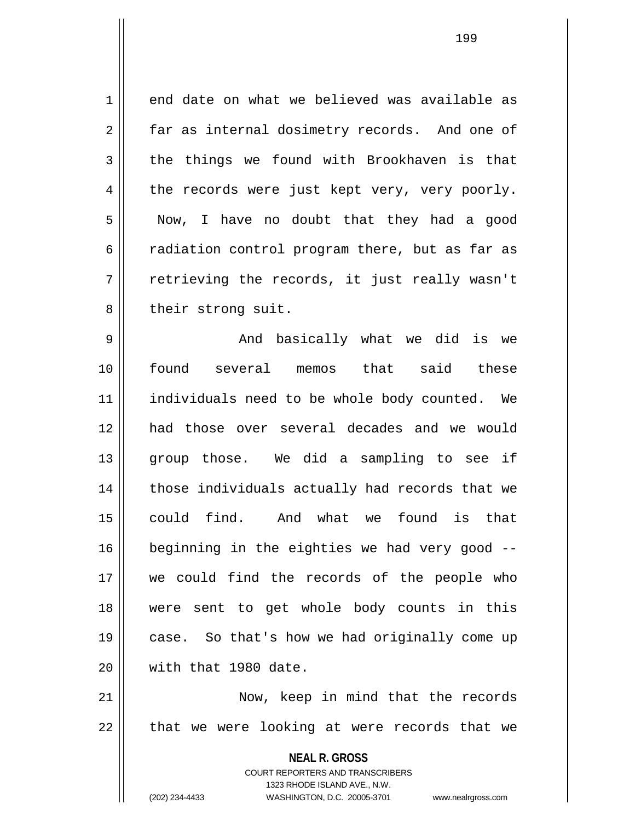$1 \parallel$  end date on what we believed was available as 2 far as internal dosimetry records. And one of  $3 \parallel$  the things we found with Brookhaven is that  $4 \parallel$  the records were just kept very, very poorly. 5 | Now, I have no doubt that they had a good 6 | radiation control program there, but as far as 7 || retrieving the records, it just really wasn't 8 || their strong suit.

9 And basically what we did is we 10 found several memos that said these 11 || individuals need to be whole body counted. We 12 had those over several decades and we would 13 || group those. We did a sampling to see if 14 || those individuals actually had records that we 15 could find. And what we found is that 16 beginning in the eighties we had very good -- 17 we could find the records of the people who 18 were sent to get whole body counts in this 19 case. So that's how we had originally come up 20 With that 1980 date.

21 || Now, keep in mind that the records  $22$  || that we were looking at were records that we

> **NEAL R. GROSS** COURT REPORTERS AND TRANSCRIBERS 1323 RHODE ISLAND AVE., N.W. (202) 234-4433 WASHINGTON, D.C. 20005-3701 www.nealrgross.com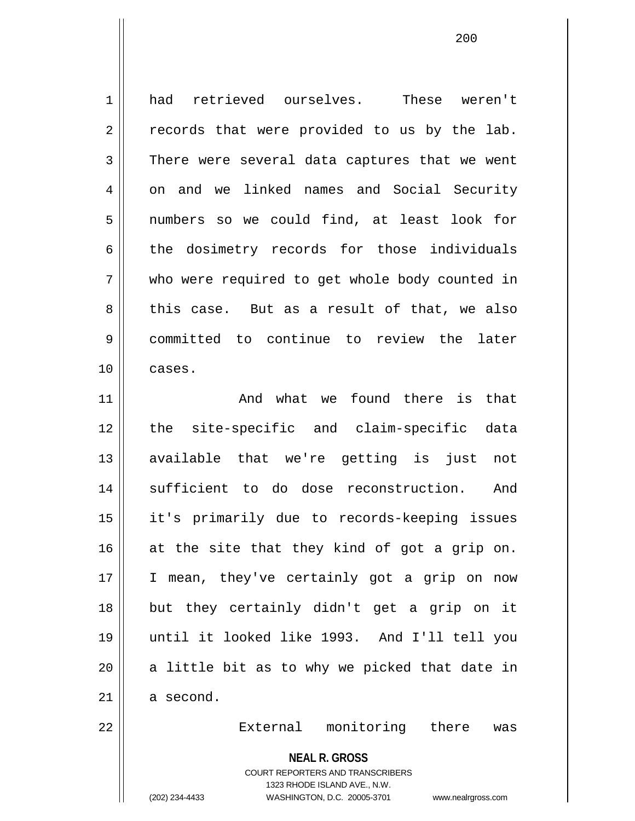1 had retrieved ourselves. These weren't  $2 \parallel$  records that were provided to us by the lab. 3 There were several data captures that we went 4 on and we linked names and Social Security 5 || numbers so we could find, at least look for 6 the dosimetry records for those individuals 7 who were required to get whole body counted in 8 this case. But as a result of that, we also 9 committed to continue to review the later 10 cases. 11 And what we found there is that 12 || the site-specific and claim-specific data 13 available that we're getting is just not 14 || sufficient to do dose reconstruction. And 15 it's primarily due to records-keeping issues  $16$  at the site that they kind of got a grip on. 17 || I mean, they've certainly got a grip on now 18 but they certainly didn't get a grip on it 19 until it looked like 1993. And I'll tell you  $20$  || a little bit as to why we picked that date in  $21$  a second. 22 External monitoring there was

**NEAL R. GROSS**

COURT REPORTERS AND TRANSCRIBERS 1323 RHODE ISLAND AVE., N.W. (202) 234-4433 WASHINGTON, D.C. 20005-3701 www.nealrgross.com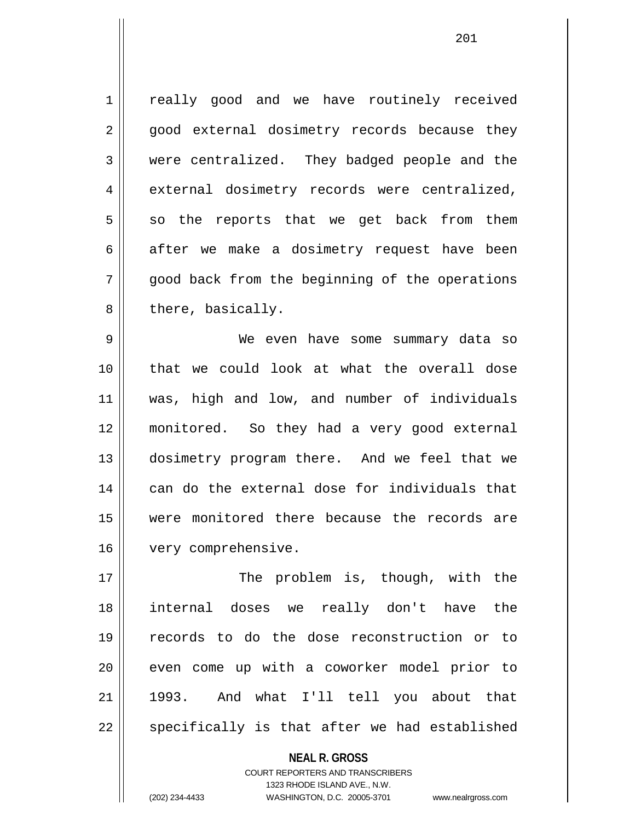1 | really good and we have routinely received 2 || good external dosimetry records because they 3 were centralized. They badged people and the 4 external dosimetry records were centralized,  $5 \parallel$  so the reports that we get back from them  $6 \parallel$  after we make a dosimetry request have been 7 || qood back from the beginning of the operations  $8 \parallel$  there, basically.

9 We even have some summary data so 10 that we could look at what the overall dose 11 was, high and low, and number of individuals 12 monitored. So they had a very good external 13 || dosimetry program there. And we feel that we 14 can do the external dose for individuals that 15 were monitored there because the records are 16 | very comprehensive.

17 || The problem is, though, with the 18 internal doses we really don't have the 19 records to do the dose reconstruction or to 20 || even come up with a coworker model prior to 21 1993. And what I'll tell you about that  $22 \parallel$  specifically is that after we had established

> **NEAL R. GROSS** COURT REPORTERS AND TRANSCRIBERS 1323 RHODE ISLAND AVE., N.W. (202) 234-4433 WASHINGTON, D.C. 20005-3701 www.nealrgross.com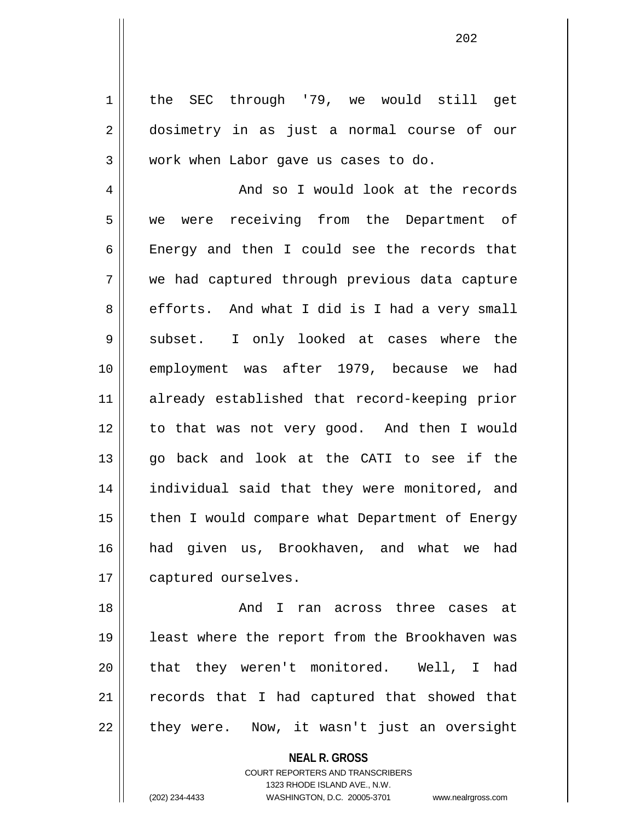1 | the SEC through '79, we would still get 2 dosimetry in as just a normal course of our 3 || work when Labor gave us cases to do.

4 || And so I would look at the records 5 we were receiving from the Department of 6 || Energy and then I could see the records that 7 we had captured through previous data capture 8 efforts. And what I did is I had a very small 9 Subset. I only looked at cases where the 10 || employment was after 1979, because we had 11 already established that record-keeping prior 12 to that was not very good. And then I would 13 go back and look at the CATI to see if the 14 individual said that they were monitored, and 15 || then I would compare what Department of Energy 16 had given us, Brookhaven, and what we had 17 | captured ourselves.

18 And I ran across three cases at 19 least where the report from the Brookhaven was 20 || that they weren't monitored. Well, I had 21 || records that I had captured that showed that  $22 \parallel$  they were. Now, it wasn't just an oversight

**NEAL R. GROSS**

COURT REPORTERS AND TRANSCRIBERS 1323 RHODE ISLAND AVE., N.W. (202) 234-4433 WASHINGTON, D.C. 20005-3701 www.nealrgross.com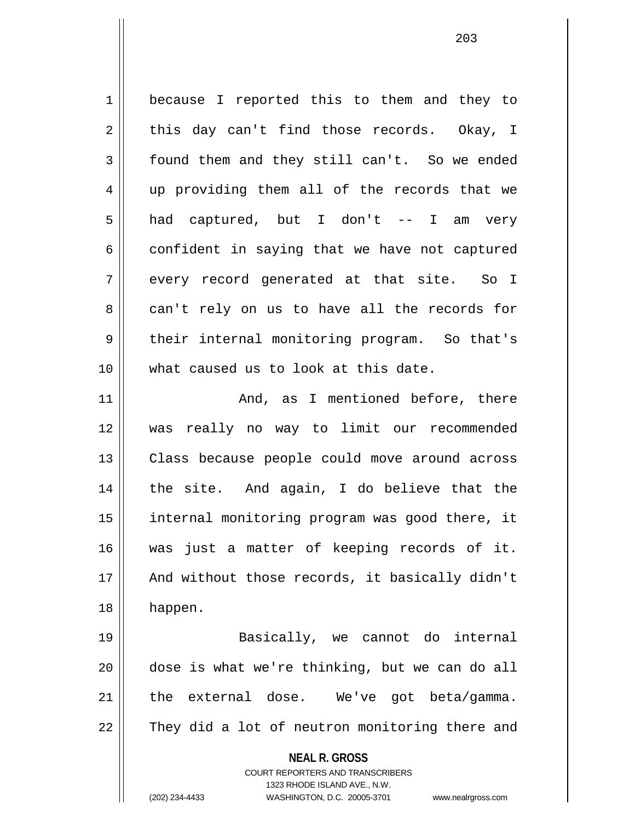1 | because I reported this to them and they to  $2 \parallel$  this day can't find those records. Okay, I 3 | found them and they still can't. So we ended 4 || up providing them all of the records that we 5 had captured, but I don't -- I am very  $6 \parallel$  confident in saying that we have not captured  $7 \parallel$  every record generated at that site. So I 8 can't rely on us to have all the records for 9 || their internal monitoring program. So that's 10 what caused us to look at this date. 11 || The Mand, as I mentioned before, there 12 was really no way to limit our recommended 13 || Class because people could move around across 14 || the site. And again, I do believe that the 15 internal monitoring program was good there, it 16 was just a matter of keeping records of it. 17 || And without those records, it basically didn't

19 Basically, we cannot do internal 20 dose is what we're thinking, but we can do all 21 || the external dose. We've got beta/gamma. 22 || They did a lot of neutron monitoring there and

18 happen.

**NEAL R. GROSS** COURT REPORTERS AND TRANSCRIBERS 1323 RHODE ISLAND AVE., N.W. (202) 234-4433 WASHINGTON, D.C. 20005-3701 www.nealrgross.com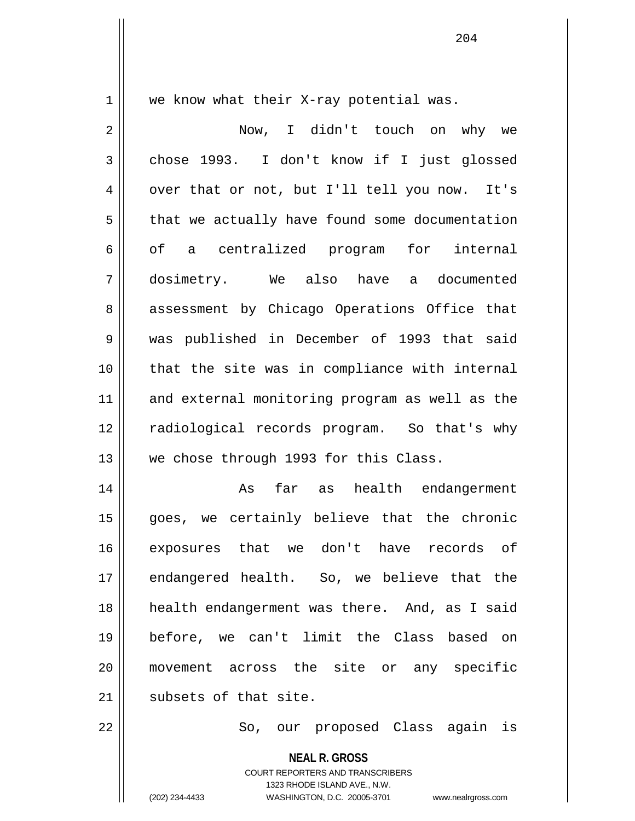$1 \parallel$  we know what their X-ray potential was.

| $\overline{2}$ | Now, I didn't touch on why we                  |
|----------------|------------------------------------------------|
| 3              | chose 1993. I don't know if I just glossed     |
| 4              | over that or not, but I'll tell you now. It's  |
| 5              | that we actually have found some documentation |
| 6              | of a centralized program for internal          |
| 7              | dosimetry. We also have a documented           |
| 8              | assessment by Chicago Operations Office that   |
| 9              | was published in December of 1993 that said    |
| 10             | that the site was in compliance with internal  |
| 11             | and external monitoring program as well as the |
| 12             | radiological records program. So that's why    |
| 13             | we chose through 1993 for this Class.          |
| 14             | far as health endangerment<br>As               |
| 15             | goes, we certainly believe that the chronic    |
| 16             | exposures that we don't have<br>records of     |
| 17             | endangered health. So, we believe that the     |
| 18             | health endangerment was there. And, as I said  |
| 19             | before, we can't limit the Class based on      |
| 20             | movement across the site or any specific       |
| 21             | subsets of that site.                          |
| 22             | So, our proposed Class again is                |
|                | <b>NEAL R. GROSS</b>                           |

COURT REPORTERS AND TRANSCRIBERS 1323 RHODE ISLAND AVE., N.W.

(202) 234-4433 WASHINGTON, D.C. 20005-3701 www.nealrgross.com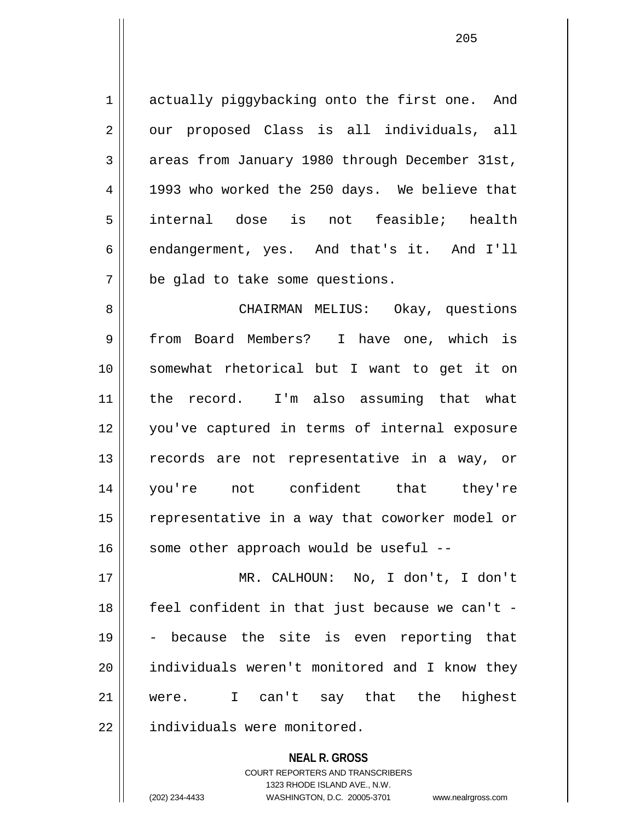1 actually piggybacking onto the first one. And 2 || our proposed Class is all individuals, all 3 areas from January 1980 through December 31st, 4 || 1993 who worked the 250 days. We believe that 5 internal dose is not feasible; health 6 endangerment, yes. And that's it. And I'll  $7$   $\parallel$  be glad to take some questions.

8 CHAIRMAN MELIUS: Okay, questions 9 from Board Members? I have one, which is 10 somewhat rhetorical but I want to get it on 11 || the record. I'm also assuming that what 12 you've captured in terms of internal exposure 13 || records are not representative in a way, or 14 you're not confident that they're 15 || representative in a way that coworker model or  $16$  some other approach would be useful --

17 MR. CALHOUN: No, I don't, I don't 18 feel confident in that just because we can't -  $19 \parallel$  - because the site is even reporting that 20 individuals weren't monitored and I know they 21 were. I can't say that the highest 22 | individuals were monitored.

> **NEAL R. GROSS** COURT REPORTERS AND TRANSCRIBERS 1323 RHODE ISLAND AVE., N.W. (202) 234-4433 WASHINGTON, D.C. 20005-3701 www.nealrgross.com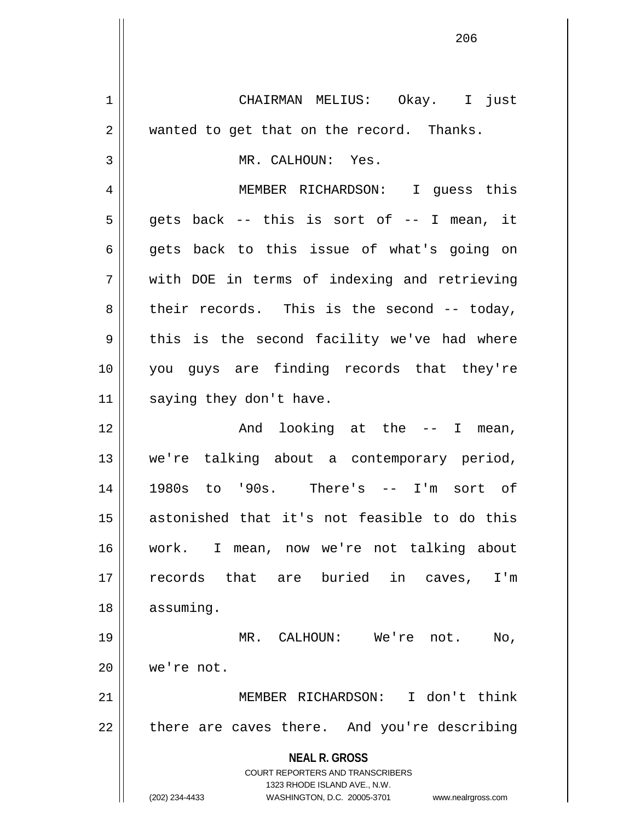**NEAL R. GROSS** COURT REPORTERS AND TRANSCRIBERS 1323 RHODE ISLAND AVE., N.W. (202) 234-4433 WASHINGTON, D.C. 20005-3701 www.nealrgross.com 1 CHAIRMAN MELIUS: Okay. I just 2 || wanted to get that on the record. Thanks. 3 || MR. CALHOUN: Yes. 4 MEMBER RICHARDSON: I guess this  $5 \parallel$  qets back -- this is sort of -- I mean, it  $6 \parallel$  gets back to this issue of what's going on 7 with DOE in terms of indexing and retrieving  $8 \parallel$  their records. This is the second -- today,  $9 \parallel$  this is the second facility we've had where 10 you guys are finding records that they're 11 | saying they don't have. 12 || The Sand looking at the -- I mean, 13 we're talking about a contemporary period, 14 1980s to '90s. There's -- I'm sort of 15 astonished that it's not feasible to do this 16 work. I mean, now we're not talking about 17 || records that are buried in caves, I'm 18 assuming. 19 MR. CALHOUN: We're not. No, 20 we're not. 21 MEMBER RICHARDSON: I don't think  $22$  | there are caves there. And you're describing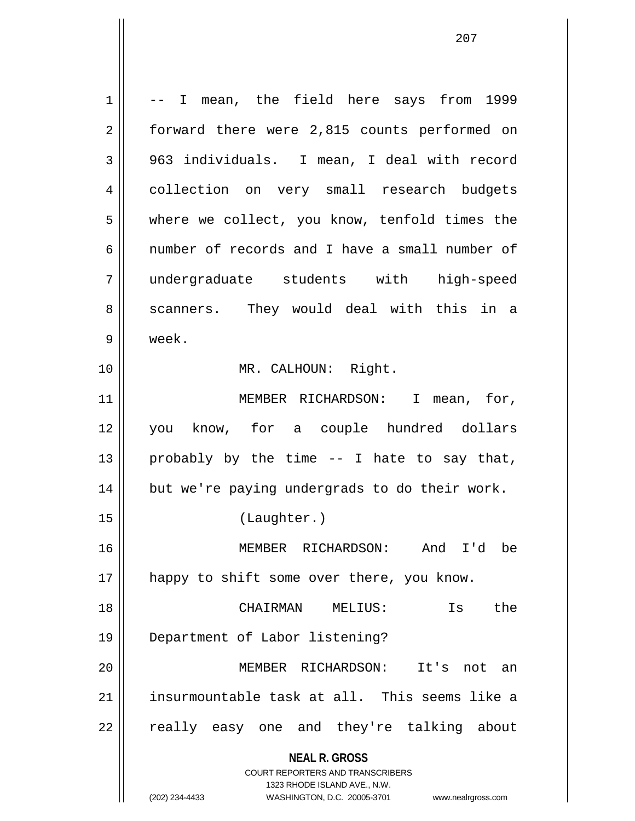**NEAL R. GROSS** COURT REPORTERS AND TRANSCRIBERS 1323 RHODE ISLAND AVE., N.W.  $1 \parallel -1$  mean, the field here says from 1999 2 | forward there were 2,815 counts performed on 3 || 963 individuals. I mean, I deal with record 4 || collection on very small research budgets 5 where we collect, you know, tenfold times the 6 mumber of records and I have a small number of 7 undergraduate students with high-speed 8 scanners. They would deal with this in a 9 week. 10 || MR. CALHOUN: Right. 11 || MEMBER RICHARDSON: I mean, for, 12 you know, for a couple hundred dollars 13 || probably by the time  $-$ - I hate to say that, 14 || but we're paying undergrads to do their work. 15 (Laughter.) 16 MEMBER RICHARDSON: And I'd be 17 || happy to shift some over there, you know. 18 CHAIRMAN MELIUS: Is the 19 Department of Labor listening? 20 MEMBER RICHARDSON: It's not an 21 insurmountable task at all. This seems like a  $22$   $\parallel$  really easy one and they're talking about

(202) 234-4433 WASHINGTON, D.C. 20005-3701 www.nealrgross.com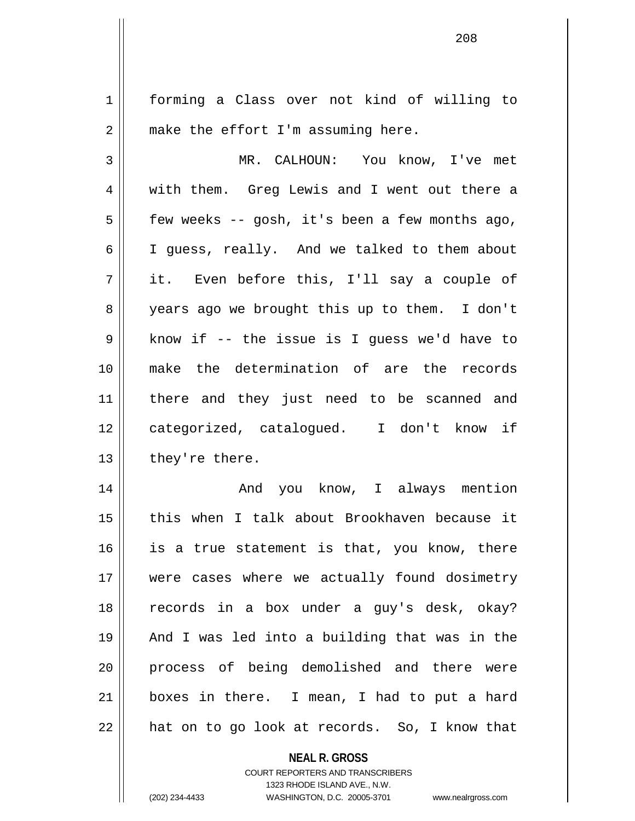1 | forming a Class over not kind of willing to  $2 \parallel$  make the effort I'm assuming here.

3 MR. CALHOUN: You know, I've met 4 || with them. Greg Lewis and I went out there a  $5 \parallel$  few weeks -- gosh, it's been a few months ago, 6 I guess, really. And we talked to them about  $7 \parallel$  it. Even before this, I'll say a couple of 8 || years ago we brought this up to them. I don't  $9 \parallel$  know if -- the issue is I quess we'd have to 10 make the determination of are the records 11 there and they just need to be scanned and 12 || categorized, catalogued. I don't know if  $13$  | they're there.

14 And you know, I always mention 15 this when I talk about Brookhaven because it  $16$  is a true statement is that, you know, there 17 || were cases where we actually found dosimetry 18 records in a box under a guy's desk, okay? 19 And I was led into a building that was in the 20 process of being demolished and there were 21 boxes in there. I mean, I had to put a hard  $22$  || hat on to go look at records. So, I know that

**NEAL R. GROSS**

COURT REPORTERS AND TRANSCRIBERS 1323 RHODE ISLAND AVE., N.W. (202) 234-4433 WASHINGTON, D.C. 20005-3701 www.nealrgross.com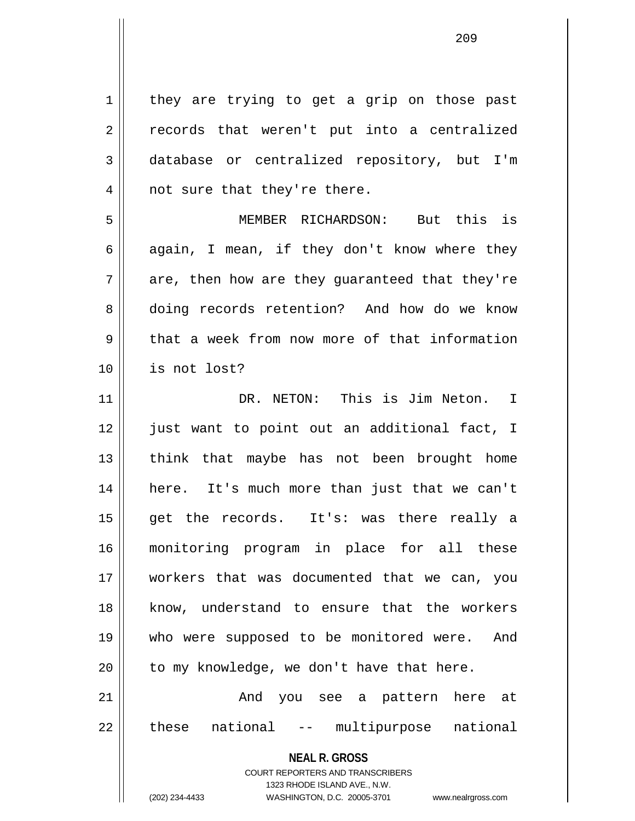**NEAL R. GROSS** COURT REPORTERS AND TRANSCRIBERS 1 | they are trying to get a grip on those past 2 records that weren't put into a centralized 3 database or centralized repository, but I'm 4 || not sure that they're there. 5 MEMBER RICHARDSON: But this is 6 again, I mean, if they don't know where they  $7 \parallel$  are, then how are they quaranteed that they're 8 doing records retention? And how do we know 9 that a week from now more of that information 10 is not lost? 11 DR. NETON: This is Jim Neton. I 12 || just want to point out an additional fact, I 13 || think that maybe has not been brought home 14 here. It's much more than just that we can't 15 get the records. It's: was there really a 16 monitoring program in place for all these 17 workers that was documented that we can, you 18 know, understand to ensure that the workers 19 who were supposed to be monitored were. And  $20$  | to my knowledge, we don't have that here. 21 And you see a pattern here at 22 || these national -- multipurpose national

1323 RHODE ISLAND AVE., N.W.

(202) 234-4433 WASHINGTON, D.C. 20005-3701 www.nealrgross.com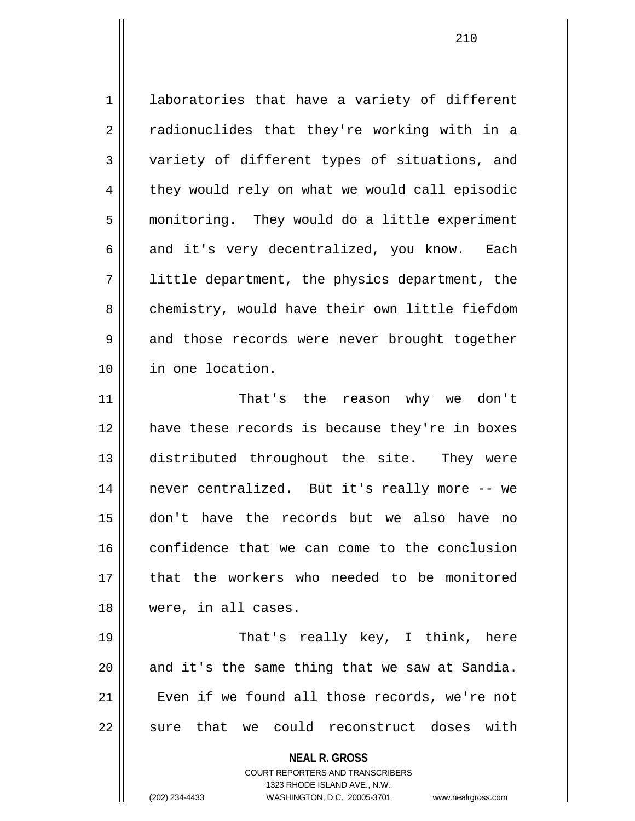1 | laboratories that have a variety of different 2 || radionuclides that they're working with in a 3 || variety of different types of situations, and 4 they would rely on what we would call episodic 5 monitoring. They would do a little experiment 6 and it's very decentralized, you know. Each 7 little department, the physics department, the 8 chemistry, would have their own little fiefdom 9 and those records were never brought together 10 in one location. 11 That's the reason why we don't 12 have these records is because they're in boxes 13 distributed throughout the site. They were

14 || never centralized. But it's really more -- we 15 don't have the records but we also have no 16 confidence that we can come to the conclusion 17 || that the workers who needed to be monitored 18 were, in all cases.

19 That's really key, I think, here  $20$  and it's the same thing that we saw at Sandia. 21 || Even if we found all those records, we're not 22 || sure that we could reconstruct doses with

**NEAL R. GROSS**

COURT REPORTERS AND TRANSCRIBERS 1323 RHODE ISLAND AVE., N.W. (202) 234-4433 WASHINGTON, D.C. 20005-3701 www.nealrgross.com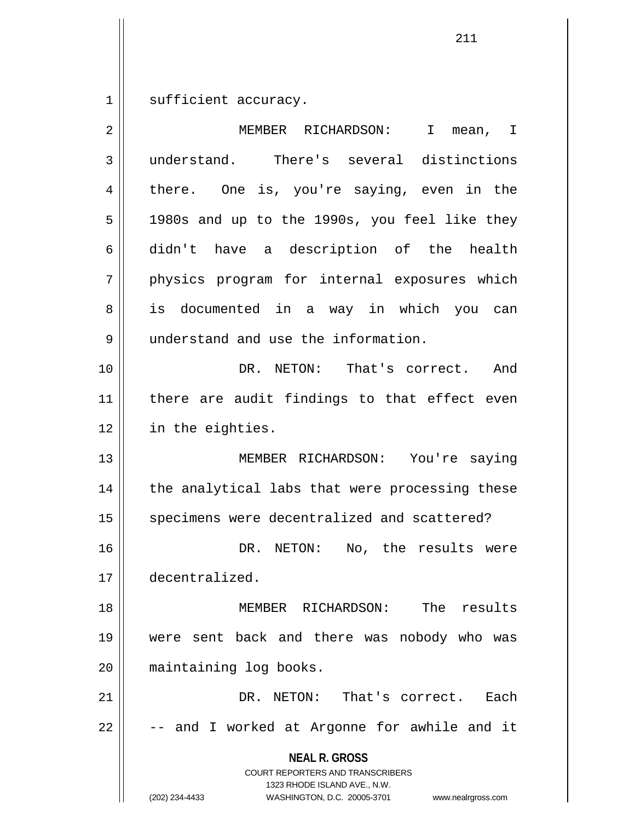$1 \parallel$  sufficient accuracy.

| 2  | MEMBER RICHARDSON:<br>I.<br>mean, I                                                                                                                                    |
|----|------------------------------------------------------------------------------------------------------------------------------------------------------------------------|
| 3  | understand. There's several distinctions                                                                                                                               |
| 4  | there. One is, you're saying, even in the                                                                                                                              |
| 5  | 1980s and up to the 1990s, you feel like they                                                                                                                          |
| 6  | didn't have a description of the health                                                                                                                                |
| 7  | physics program for internal exposures which                                                                                                                           |
| 8  | is documented in a way in which you can                                                                                                                                |
| 9  | understand and use the information.                                                                                                                                    |
| 10 | DR. NETON: That's correct.<br>And                                                                                                                                      |
| 11 | there are audit findings to that effect even                                                                                                                           |
| 12 | in the eighties.                                                                                                                                                       |
| 13 | MEMBER RICHARDSON: You're saying                                                                                                                                       |
| 14 | the analytical labs that were processing these                                                                                                                         |
| 15 | specimens were decentralized and scattered?                                                                                                                            |
| 16 | No, the results were<br>DR. NETON:                                                                                                                                     |
| 17 | decentralized.                                                                                                                                                         |
| 18 | The results<br>MEMBER RICHARDSON:                                                                                                                                      |
| 19 | were sent back and there was nobody who was                                                                                                                            |
| 20 | maintaining log books.                                                                                                                                                 |
| 21 | DR. NETON: That's correct.<br>Each                                                                                                                                     |
| 22 | -- and I worked at Argonne for awhile and it                                                                                                                           |
|    | <b>NEAL R. GROSS</b><br><b>COURT REPORTERS AND TRANSCRIBERS</b><br>1323 RHODE ISLAND AVE., N.W.<br>(202) 234-4433<br>WASHINGTON, D.C. 20005-3701<br>www.nealrgross.com |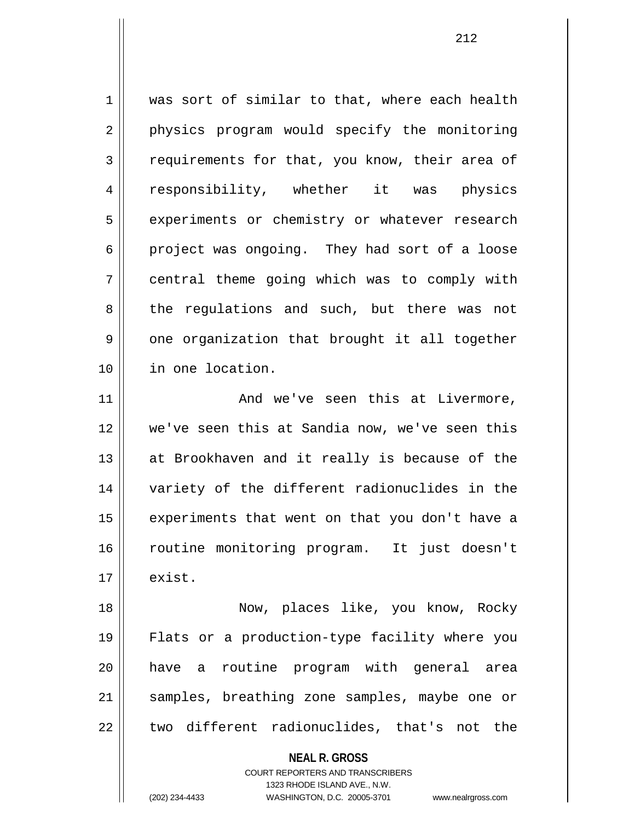$1 \parallel$  was sort of similar to that, where each health 2 || physics program would specify the monitoring 3 Fequirements for that, you know, their area of 4 || responsibility, whether it was physics 5 | experiments or chemistry or whatever research  $6 \parallel$  project was ongoing. They had sort of a loose 7 central theme going which was to comply with 8 the regulations and such, but there was not  $9 \parallel$  one organization that brought it all together 10 in one location.

11 And we've seen this at Livermore, 12 we've seen this at Sandia now, we've seen this  $13$  || at Brookhaven and it really is because of the 14 variety of the different radionuclides in the  $15$  | experiments that went on that you don't have a 16 routine monitoring program. It just doesn't  $17 \parallel$  exist.

18 Now, places like, you know, Rocky 19 Flats or a production-type facility where you 20 have a routine program with general area 21 || samples, breathing zone samples, maybe one or  $22$   $\parallel$  two different radionuclides, that's not the

> **NEAL R. GROSS** COURT REPORTERS AND TRANSCRIBERS 1323 RHODE ISLAND AVE., N.W. (202) 234-4433 WASHINGTON, D.C. 20005-3701 www.nealrgross.com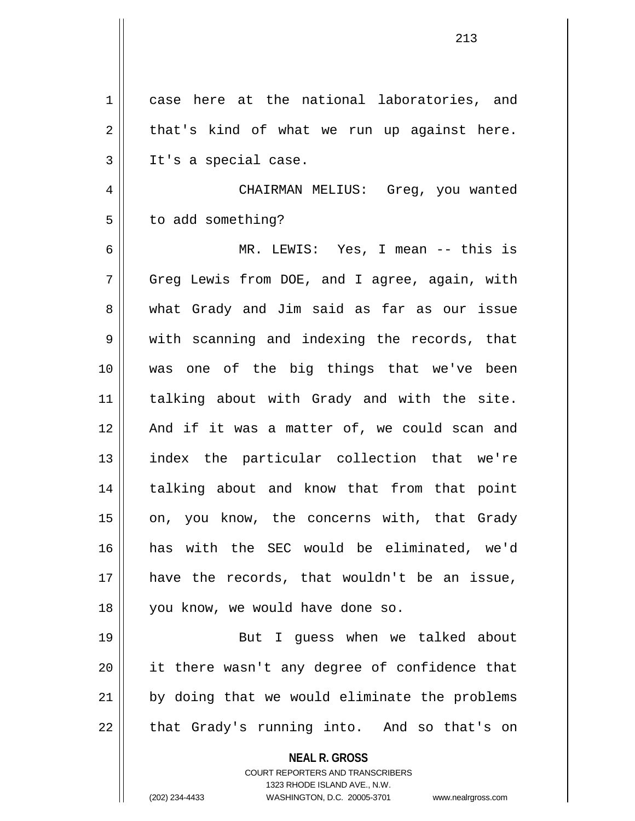| 1  | case here at the national laboratories, and                             |
|----|-------------------------------------------------------------------------|
| 2  | that's kind of what we run up against here.                             |
| 3  | It's a special case.                                                    |
| 4  | CHAIRMAN MELIUS: Greg, you wanted                                       |
| 5  | to add something?                                                       |
| 6  | MR. LEWIS: Yes, I mean -- this is                                       |
| 7  | Greg Lewis from DOE, and I agree, again, with                           |
| 8  | what Grady and Jim said as far as our issue                             |
| 9  | with scanning and indexing the records, that                            |
| 10 | was one of the big things that we've been                               |
| 11 | talking about with Grady and with the site.                             |
| 12 | And if it was a matter of, we could scan and                            |
| 13 | index the particular collection that we're                              |
| 14 | talking about and know that from that point                             |
| 15 | on, you know, the concerns with, that Grady                             |
| 16 | has with the SEC would be eliminated, we'd                              |
| 17 | have the records, that wouldn't be an issue,                            |
| 18 | you know, we would have done so.                                        |
| 19 | But I guess when we talked about                                        |
| 20 | it there wasn't any degree of confidence that                           |
| 21 | by doing that we would eliminate the problems                           |
| 22 | that Grady's running into. And so that's on                             |
|    | <b>NEAL R. GROSS</b>                                                    |
|    | <b>COURT REPORTERS AND TRANSCRIBERS</b><br>1323 RHODE ISLAND AVE., N.W. |
|    | (202) 234-4433<br>WASHINGTON, D.C. 20005-3701<br>www.nealrgross.com     |

 $\mathbf{I}$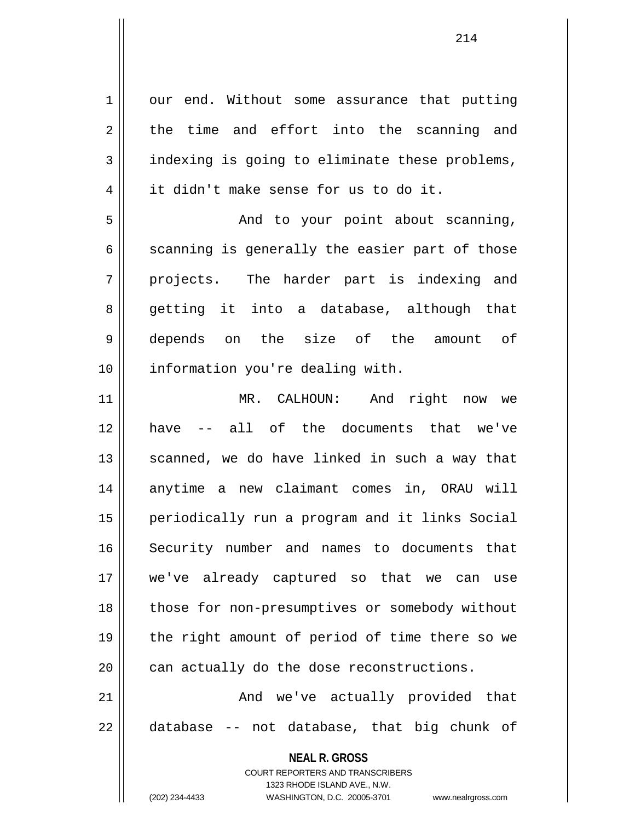**NEAL R. GROSS** COURT REPORTERS AND TRANSCRIBERS 1323 RHODE ISLAND AVE., N.W.  $1 \parallel$  our end. Without some assurance that putting  $2 \parallel$  the time and effort into the scanning and  $3 \parallel$  indexing is going to eliminate these problems, 4 it didn't make sense for us to do it. 5 And to your point about scanning,  $6 \parallel$  scanning is generally the easier part of those  $7 \parallel$  projects. The harder part is indexing and 8 getting it into a database, although that 9 depends on the size of the amount of 10 || information you're dealing with. 11 MR. CALHOUN: And right now we 12 have -- all of the documents that we've  $13$  scanned, we do have linked in such a way that 14 || anytime a new claimant comes in, ORAU will 15 periodically run a program and it links Social 16 Security number and names to documents that 17 we've already captured so that we can use 18 || those for non-presumptives or somebody without 19 the right amount of period of time there so we  $20$  | can actually do the dose reconstructions. 21 And we've actually provided that  $22 \parallel$  database -- not database, that big chunk of

(202) 234-4433 WASHINGTON, D.C. 20005-3701 www.nealrgross.com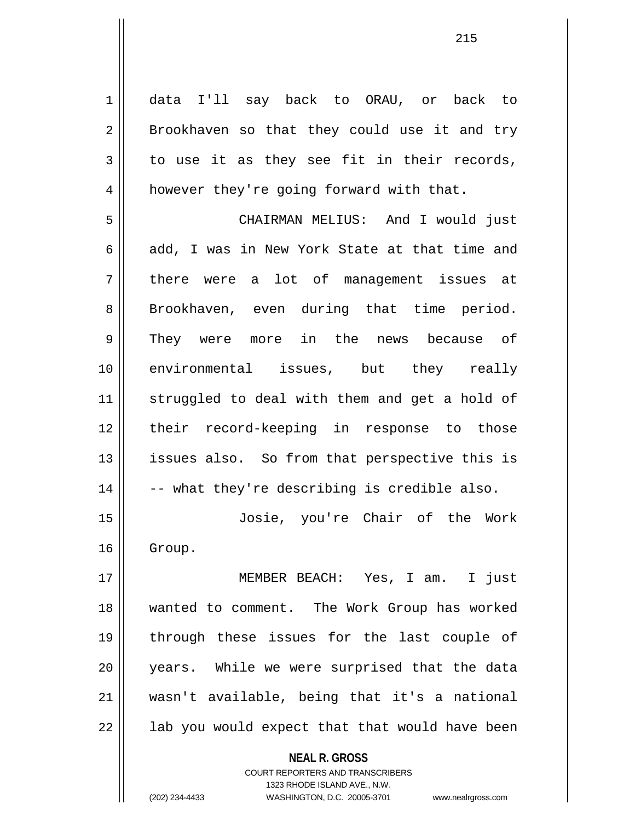**NEAL R. GROSS** COURT REPORTERS AND TRANSCRIBERS 1 data I'll say back to ORAU, or back to  $2 \parallel$  Brookhaven so that they could use it and try  $3 \parallel$  to use it as they see fit in their records, 4 | however they're going forward with that. 5 CHAIRMAN MELIUS: And I would just 6  $\parallel$  add, I was in New York State at that time and 7 || there were a lot of management issues at 8 || Brookhaven, even during that time period. 9 They were more in the news because of 10 environmental issues, but they really 11 || struggled to deal with them and get a hold of 12 || their record-keeping in response to those 13 || issues also. So from that perspective this is  $14 \parallel$  -- what they're describing is credible also. 15 Josie, you're Chair of the Work 16 | Group. 17 MEMBER BEACH: Yes, I am. I just 18 wanted to comment. The Work Group has worked 19 through these issues for the last couple of 20 years. While we were surprised that the data 21 wasn't available, being that it's a national  $22$  || lab you would expect that that would have been

1323 RHODE ISLAND AVE., N.W.

(202) 234-4433 WASHINGTON, D.C. 20005-3701 www.nealrgross.com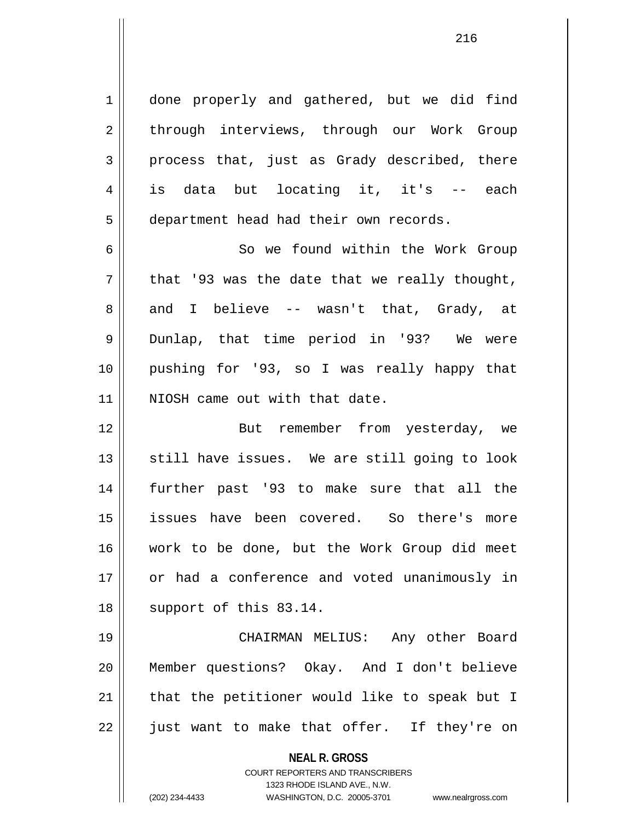1 | done properly and gathered, but we did find 2 | through interviews, through our Work Group  $3 \parallel$  process that, just as Grady described, there 4 is data but locating it, it's -- each 5 | department head had their own records.

6 So we found within the Work Group  $7 \parallel$  that '93 was the date that we really thought, 8 and I believe -- wasn't that, Grady, at 9 Dunlap, that time period in '93? We were 10 pushing for '93, so I was really happy that 11 || NIOSH came out with that date.

12 || But remember from yesterday, we  $13$  still have issues. We are still going to look 14 further past '93 to make sure that all the 15 issues have been covered. So there's more 16 work to be done, but the Work Group did meet 17 or had a conference and voted unanimously in 18 || support of this 83.14.

19 CHAIRMAN MELIUS: Any other Board 20 Member questions? Okay. And I don't believe  $21$  | that the petitioner would like to speak but I  $22$  || just want to make that offer. If they're on

**NEAL R. GROSS**

COURT REPORTERS AND TRANSCRIBERS 1323 RHODE ISLAND AVE., N.W. (202) 234-4433 WASHINGTON, D.C. 20005-3701 www.nealrgross.com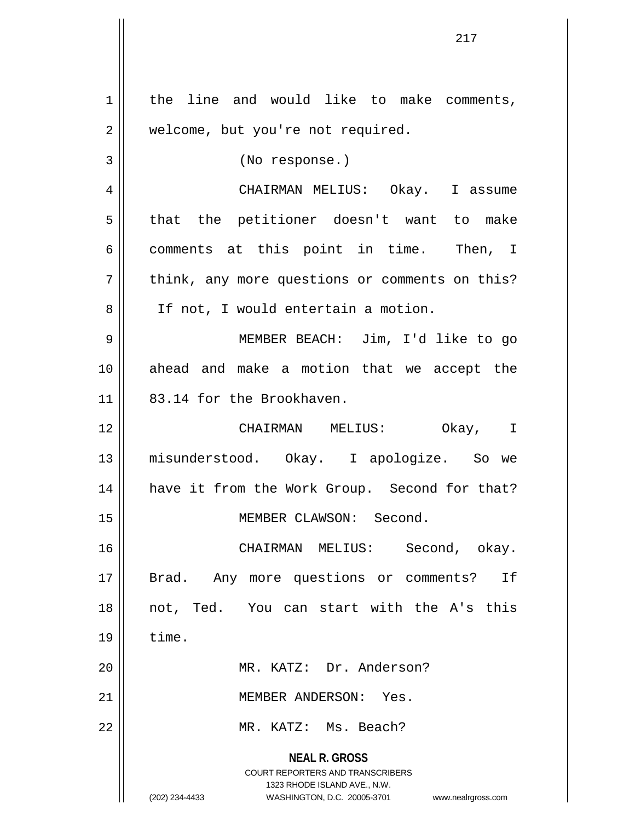| 1  | the line and would like to make comments,                                                        |
|----|--------------------------------------------------------------------------------------------------|
| 2  | welcome, but you're not required.                                                                |
| 3  | (No response.)                                                                                   |
| 4  | CHAIRMAN MELIUS: Okay. I assume                                                                  |
| 5  | that the petitioner doesn't want to make                                                         |
| 6  | comments at this point in time. Then, I                                                          |
| 7  | think, any more questions or comments on this?                                                   |
| 8  | If not, I would entertain a motion.                                                              |
| 9  | MEMBER BEACH: Jim, I'd like to go                                                                |
| 10 | ahead and make a motion that we accept the                                                       |
| 11 | 83.14 for the Brookhaven.                                                                        |
| 12 | CHAIRMAN MELIUS: Okay, I                                                                         |
| 13 | misunderstood. Okay. I apologize. So we                                                          |
| 14 | have it from the Work Group. Second for that?                                                    |
| 15 | MEMBER CLAWSON: Second.                                                                          |
| 16 | CHAIRMAN MELIUS: Second, okay.                                                                   |
| 17 | Brad. Any more questions or comments? If                                                         |
| 18 | not, Ted. You can start with the A's this                                                        |
| 19 | time.                                                                                            |
| 20 | MR. KATZ: Dr. Anderson?                                                                          |
| 21 | MEMBER ANDERSON: Yes.                                                                            |
| 22 | MR. KATZ: Ms. Beach?                                                                             |
|    | <b>NEAL R. GROSS</b>                                                                             |
|    | COURT REPORTERS AND TRANSCRIBERS                                                                 |
|    | 1323 RHODE ISLAND AVE., N.W.<br>(202) 234-4433<br>WASHINGTON, D.C. 20005-3701 www.nealrgross.com |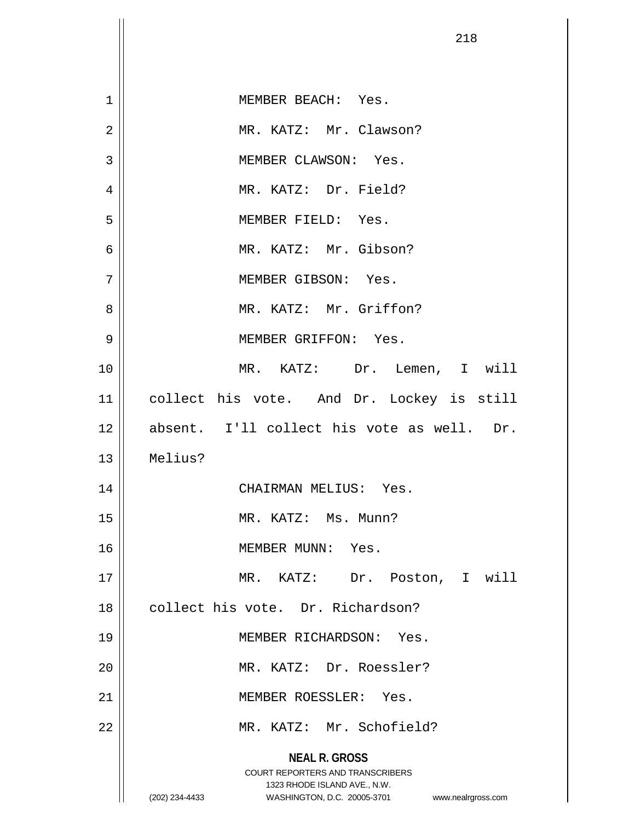|                | 218                                                                                                                                                                    |
|----------------|------------------------------------------------------------------------------------------------------------------------------------------------------------------------|
|                |                                                                                                                                                                        |
| 1              | MEMBER BEACH: Yes.                                                                                                                                                     |
| $\overline{2}$ | MR. KATZ: Mr. Clawson?                                                                                                                                                 |
| 3              | MEMBER CLAWSON: Yes.                                                                                                                                                   |
| $\overline{4}$ | MR. KATZ: Dr. Field?                                                                                                                                                   |
| 5              | MEMBER FIELD: Yes.                                                                                                                                                     |
| 6              | MR. KATZ: Mr. Gibson?                                                                                                                                                  |
| 7              | MEMBER GIBSON: Yes.                                                                                                                                                    |
| 8              | MR. KATZ: Mr. Griffon?                                                                                                                                                 |
| 9              | MEMBER GRIFFON: Yes.                                                                                                                                                   |
| 10             | MR. KATZ: Dr. Lemen, I will                                                                                                                                            |
| 11             | collect his vote. And Dr. Lockey is still                                                                                                                              |
| 12             | absent. I'll collect his vote as well. Dr.                                                                                                                             |
| 13             | Melius?                                                                                                                                                                |
| 14             | CHAIRMAN MELIUS: Yes.                                                                                                                                                  |
| 15             | MR. KATZ: Ms. Munn?                                                                                                                                                    |
| 16             | MEMBER MUNN: Yes.                                                                                                                                                      |
| 17             | MR. KATZ: Dr. Poston, I will                                                                                                                                           |
| 18             | collect his vote. Dr. Richardson?                                                                                                                                      |
| 19             | MEMBER RICHARDSON: Yes.                                                                                                                                                |
| 20             | MR. KATZ: Dr. Roessler?                                                                                                                                                |
| 21             | MEMBER ROESSLER: Yes.                                                                                                                                                  |
| 22             | MR. KATZ: Mr. Schofield?                                                                                                                                               |
|                | <b>NEAL R. GROSS</b><br><b>COURT REPORTERS AND TRANSCRIBERS</b><br>1323 RHODE ISLAND AVE., N.W.<br>(202) 234-4433<br>WASHINGTON, D.C. 20005-3701<br>www.nealrgross.com |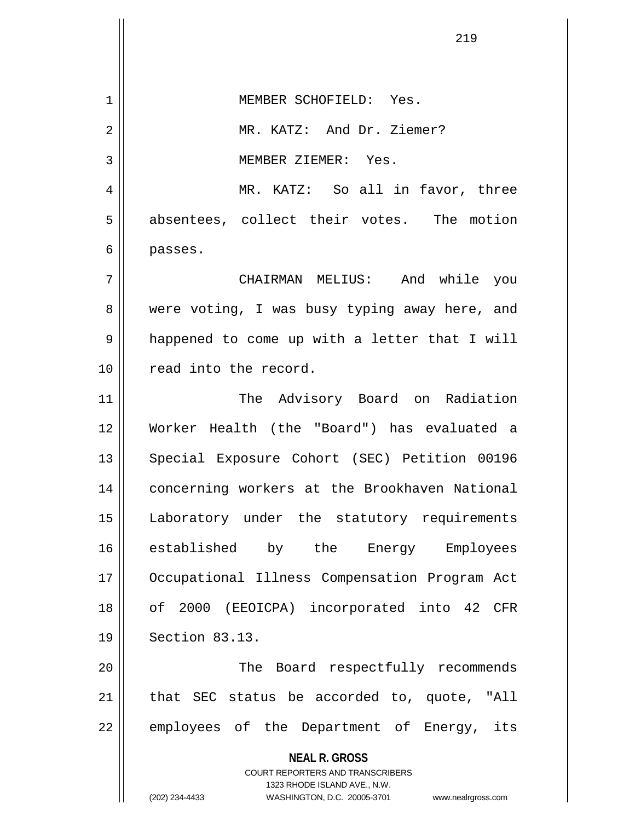**NEAL R. GROSS** COURT REPORTERS AND TRANSCRIBERS 1323 RHODE ISLAND AVE., N.W. (202) 234-4433 WASHINGTON, D.C. 20005-3701 www.nealrgross.com 1 MEMBER SCHOFIELD: Yes. 2 || MR. KATZ: And Dr. Ziemer? 3 || MEMBER ZIEMER: Yes. 4 MR. KATZ: So all in favor, three 5 absentees, collect their votes. The motion 6 passes. 7 CHAIRMAN MELIUS: And while you 8 were voting, I was busy typing away here, and 9 || happened to come up with a letter that I will 10 || read into the record. 11 || The Advisory Board on Radiation 12 Worker Health (the "Board") has evaluated a 13 || Special Exposure Cohort (SEC) Petition 00196 14 concerning workers at the Brookhaven National 15 Laboratory under the statutory requirements 16 || established by the Energy Employees 17 Occupational Illness Compensation Program Act 18 of 2000 (EEOICPA) incorporated into 42 CFR 19 Section 83.13. 20 || The Board respectfully recommends 21 || that SEC status be accorded to, quote, "All 22 || employees of the Department of Energy, its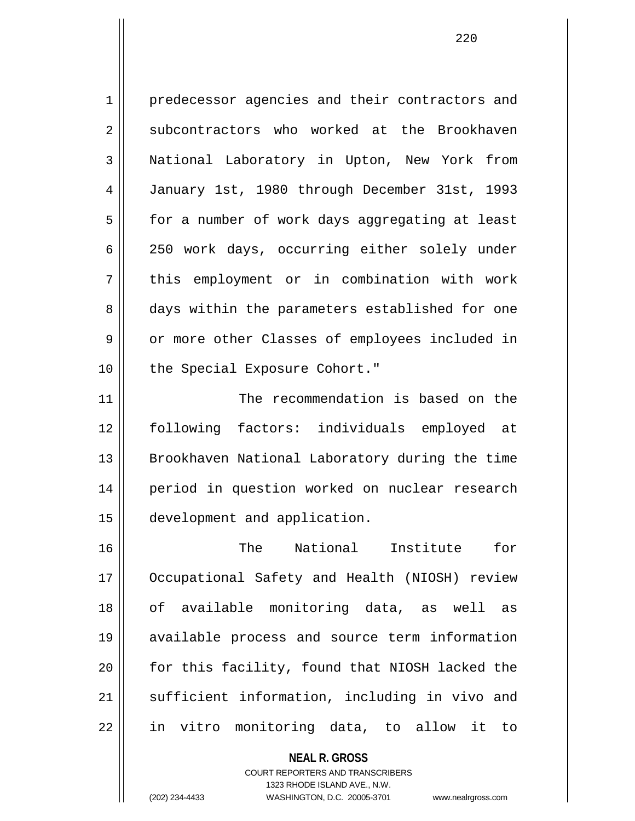1 | predecessor agencies and their contractors and 2 | subcontractors who worked at the Brookhaven 3 || National Laboratory in Upton, New York from 4 January 1st, 1980 through December 31st, 1993  $5 \parallel$  for a number of work days aggregating at least 6 250 work days, occurring either solely under 7 || this employment or in combination with work 8 days within the parameters established for one 9 | or more other Classes of employees included in 10 || the Special Exposure Cohort." 11 The recommendation is based on the 12 following factors: individuals employed at

13 || Brookhaven National Laboratory during the time 14 || period in question worked on nuclear research 15 development and application.

16 The National Institute for 17 Occupational Safety and Health (NIOSH) review 18 || of available monitoring data, as well as 19 available process and source term information 20 for this facility, found that NIOSH lacked the 21 || sufficient information, including in vivo and 22 || in vitro monitoring data, to allow it to

> **NEAL R. GROSS** COURT REPORTERS AND TRANSCRIBERS 1323 RHODE ISLAND AVE., N.W.

(202) 234-4433 WASHINGTON, D.C. 20005-3701 www.nealrgross.com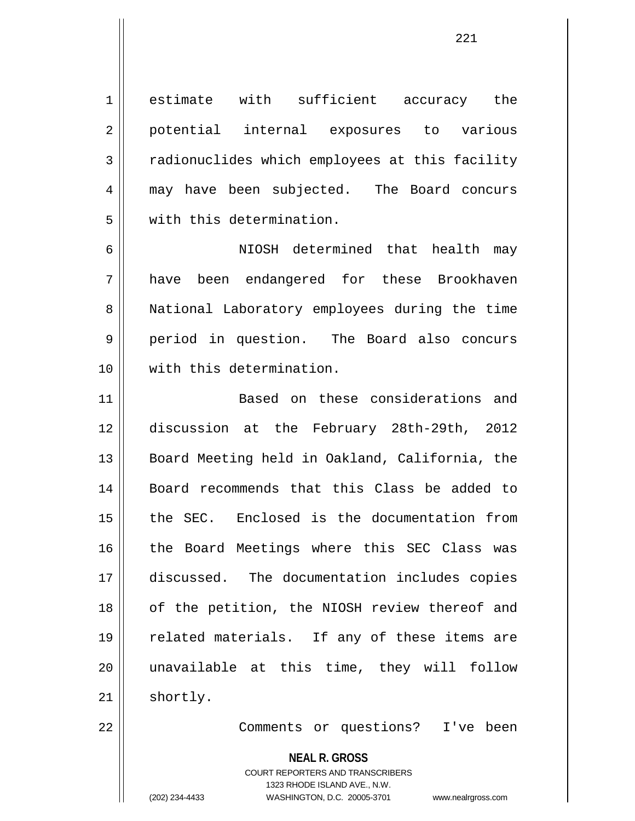1 estimate with sufficient accuracy the 2 || potential internal exposures to various 3 The radionuclides which employees at this facility 4 may have been subjected. The Board concurs 5 || with this determination.

6 NIOSH determined that health may 7 have been endangered for these Brookhaven 8 | National Laboratory employees during the time 9 period in question. The Board also concurs 10 with this determination.

11 Based on these considerations and 12 discussion at the February 28th-29th, 2012 13 || Board Meeting held in Oakland, California, the 14 Board recommends that this Class be added to 15 the SEC. Enclosed is the documentation from 16 || the Board Meetings where this SEC Class was 17 discussed. The documentation includes copies 18 || of the petition, the NIOSH review thereof and 19 || related materials. If any of these items are 20 unavailable at this time, they will follow  $21$  | shortly.

22 Comments or questions? I've been

**NEAL R. GROSS** COURT REPORTERS AND TRANSCRIBERS 1323 RHODE ISLAND AVE., N.W. (202) 234-4433 WASHINGTON, D.C. 20005-3701 www.nealrgross.com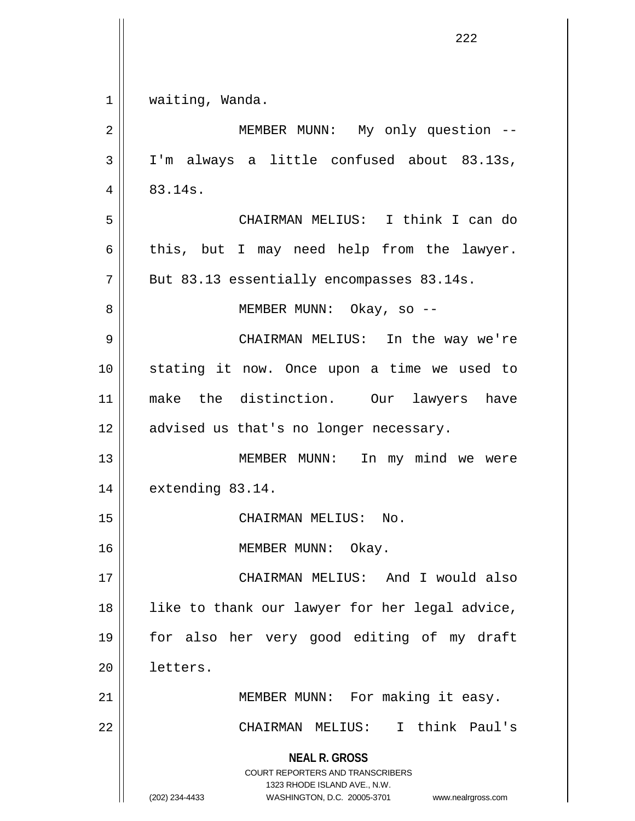|    | 222                                                                                      |
|----|------------------------------------------------------------------------------------------|
|    |                                                                                          |
| 1  | waiting, Wanda.                                                                          |
| 2  | MEMBER MUNN: My only question --                                                         |
| 3  | I'm always a little confused about 83.13s,                                               |
| 4  | 83.14s.                                                                                  |
| 5  | CHAIRMAN MELIUS: I think I can do                                                        |
| 6  | this, but I may need help from the lawyer.                                               |
| 7  | But 83.13 essentially encompasses 83.14s.                                                |
| 8  | MEMBER MUNN: Okay, so --                                                                 |
| 9  | CHAIRMAN MELIUS: In the way we're                                                        |
| 10 | stating it now. Once upon a time we used to                                              |
| 11 | make the distinction. Our lawyers have                                                   |
| 12 | advised us that's no longer necessary.                                                   |
| 13 | MEMBER MUNN:<br>In my mind we were                                                       |
| 14 | extending 83.14.                                                                         |
| 15 | CHAIRMAN MELIUS: No.                                                                     |
| 16 | MEMBER MUNN: Okay.                                                                       |
| 17 | CHAIRMAN MELIUS: And I would also                                                        |
| 18 | like to thank our lawyer for her legal advice,                                           |
| 19 | for also her very good editing of my draft                                               |
| 20 | letters.                                                                                 |
| 21 | MEMBER MUNN: For making it easy.                                                         |
| 22 | CHAIRMAN MELIUS: I think Paul's                                                          |
|    | <b>NEAL R. GROSS</b><br>COURT REPORTERS AND TRANSCRIBERS<br>1323 RHODE ISLAND AVE., N.W. |
|    | (202) 234-4433<br>WASHINGTON, D.C. 20005-3701<br>www.nealrgross.com                      |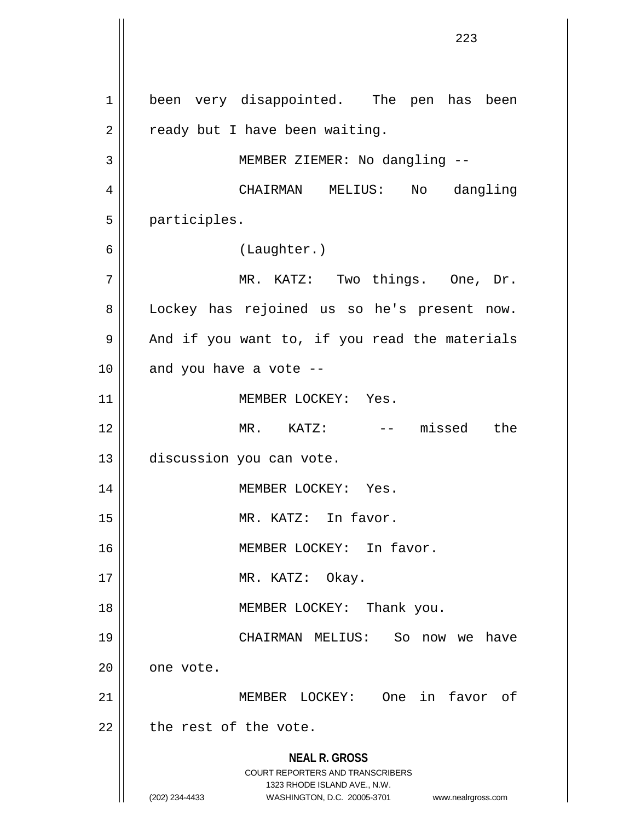**NEAL R. GROSS** COURT REPORTERS AND TRANSCRIBERS 1323 RHODE ISLAND AVE., N.W. (202) 234-4433 WASHINGTON, D.C. 20005-3701 www.nealrgross.com 1 | been very disappointed. The pen has been  $2 \parallel$  ready but I have been waiting. 3 || MEMBER ZIEMER: No dangling --4 CHAIRMAN MELIUS: No dangling 5 participles. 6 (Laughter.) 7 MR. KATZ: Two things. One, Dr. 8 || Lockey has rejoined us so he's present now.  $9 \parallel$  And if you want to, if you read the materials  $10$  || and you have a vote --11 | MEMBER LOCKEY: Yes. 12 MR. KATZ: -- missed the 13 discussion you can vote. 14 MEMBER LOCKEY: Yes. 15 || MR. KATZ: In favor. 16 || MEMBER LOCKEY: In favor. 17 || MR. KATZ: Okay. 18 || MEMBER LOCKEY: Thank you. 19 CHAIRMAN MELIUS: So now we have  $20$  | one vote. 21 MEMBER LOCKEY: One in favor of  $22$  | the rest of the vote.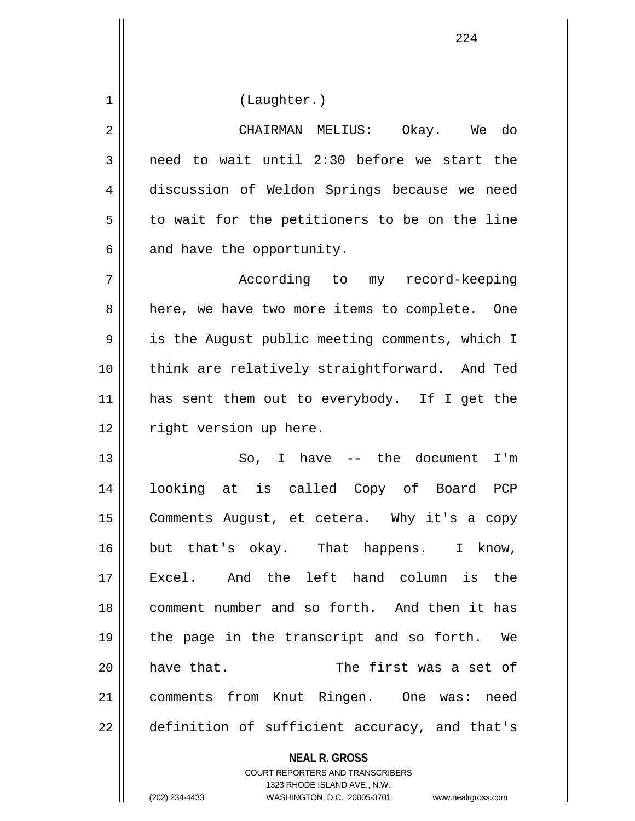1 | (Laughter.)

| 2              | CHAIRMAN MELIUS: Okay. We do                   |
|----------------|------------------------------------------------|
| 3              | need to wait until 2:30 before we start the    |
| $\overline{4}$ | discussion of Weldon Springs because we need   |
| 5              | to wait for the petitioners to be on the line  |
| 6              | and have the opportunity.                      |
| 7              | According to my record-keeping                 |
| 8              | here, we have two more items to complete. One  |
| 9              | is the August public meeting comments, which I |
| 10             | think are relatively straightforward. And Ted  |
| 11             | has sent them out to everybody. If I get the   |
| 12             | right version up here.                         |
| 13             | So, I have $--$ the document I'm               |
| 14             | looking at is called Copy of Board PCP         |
| 15             | Comments August, et cetera. Why it's a copy    |
| 16             | but that's okay. That happens. I know,         |
| 17             | And the left hand column is<br>the<br>Excel.   |
| 18             | comment number and so forth. And then it has   |
| 19             | the page in the transcript and so forth. We    |
| 20             | The first was a set of<br>have that.           |
| 21             | comments from Knut Ringen. One was: need       |
| 22             | definition of sufficient accuracy, and that's  |

**NEAL R. GROSS** COURT REPORTERS AND TRANSCRIBERS 1323 RHODE ISLAND AVE., N.W.

(202) 234-4433 WASHINGTON, D.C. 20005-3701 www.nealrgross.com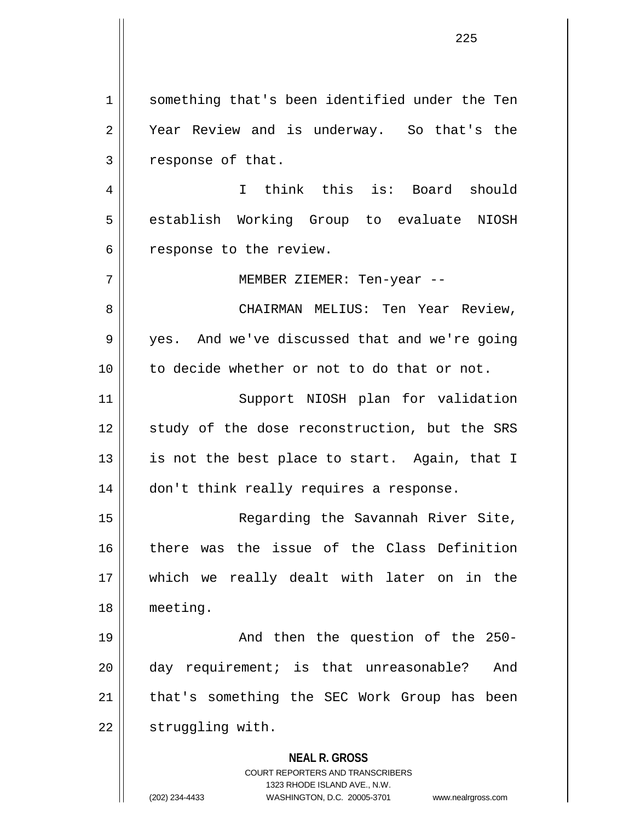1 || something that's been identified under the Ten 2 || Year Review and is underway. So that's the 3 | response of that. 4 I think this is: Board should 5 || establish Working Group to evaluate NIOSH  $6 \parallel$  response to the review. 7 MEMBER ZIEMER: Ten-year -- 8 CHAIRMAN MELIUS: Ten Year Review, 9 yes. And we've discussed that and we're going 10 to decide whether or not to do that or not.

11 || Support NIOSH plan for validation 12 || study of the dose reconstruction, but the SRS 13  $\parallel$  is not the best place to start. Again, that I 14 | don't think really requires a response.

15 Regarding the Savannah River Site, 16 there was the issue of the Class Definition 17 which we really dealt with later on in the 18 meeting.

19 || The Rand then the question of the 250-20 day requirement; is that unreasonable? And 21 || that's something the SEC Work Group has been 22 | struggling with.

> **NEAL R. GROSS** COURT REPORTERS AND TRANSCRIBERS

1323 RHODE ISLAND AVE., N.W. (202) 234-4433 WASHINGTON, D.C. 20005-3701 www.nealrgross.com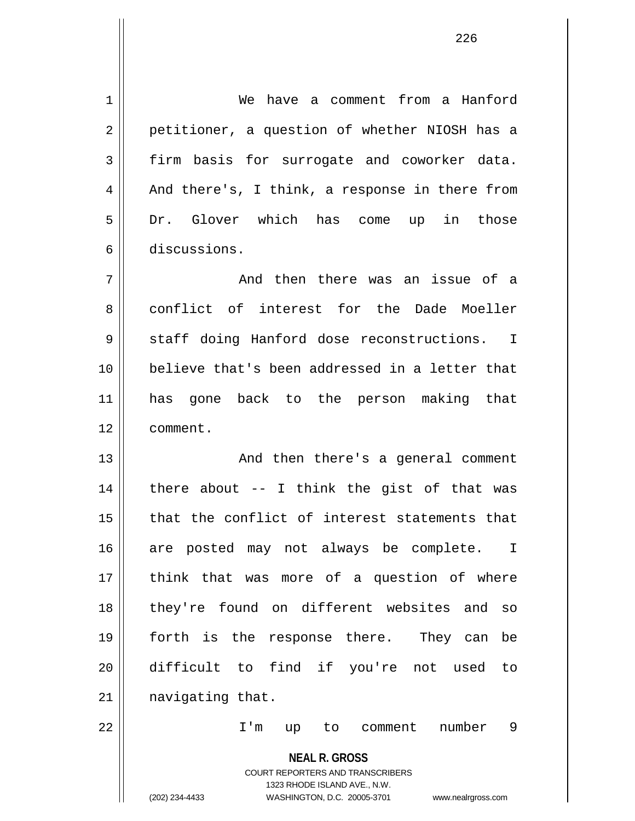**NEAL R. GROSS** COURT REPORTERS AND TRANSCRIBERS 1323 RHODE ISLAND AVE., N.W. (202) 234-4433 WASHINGTON, D.C. 20005-3701 www.nealrgross.com 1 We have a comment from a Hanford 2 || petitioner, a question of whether NIOSH has a 3 firm basis for surrogate and coworker data.  $4 \parallel$  And there's, I think, a response in there from 5 Dr. Glover which has come up in those 6 discussions. 7 And then there was an issue of a 8 conflict of interest for the Dade Moeller 9 || staff doing Hanford dose reconstructions. I 10 believe that's been addressed in a letter that 11 has gone back to the person making that 12 comment. 13 || And then there's a general comment  $14$  | there about -- I think the gist of that was 15 || that the conflict of interest statements that 16 are posted may not always be complete. I 17 || think that was more of a question of where 18 they're found on different websites and so 19 forth is the response there. They can be 20 difficult to find if you're not used to 21 | navigating that. 22 I'm up to comment number 9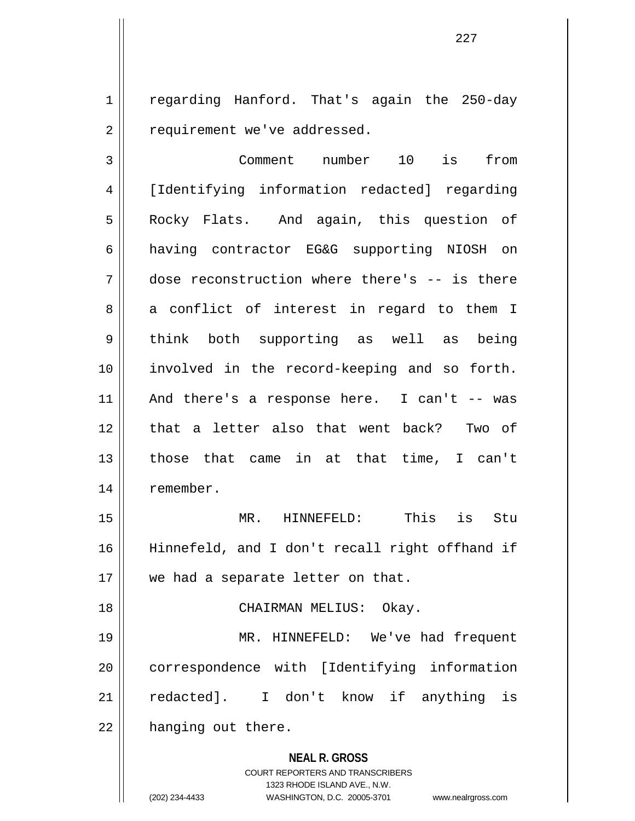1 || regarding Hanford. That's again the 250-day 2 | requirement we've addressed.

227

3 Comment number 10 is from 4 [Identifying information redacted] regarding 5 | Rocky Flats. And again, this question of 6 having contractor EG&G supporting NIOSH on 7 dose reconstruction where there's -- is there  $8 \parallel$  a conflict of interest in regard to them I 9 || think both supporting as well as being 10 involved in the record-keeping and so forth.  $11$  | And there's a response here. I can't -- was 12 || that a letter also that went back? Two of 13 those that came in at that time, I can't 14 | remember. 15 MR. HINNEFELD: This is Stu 16 Hinnefeld, and I don't recall right offhand if

17 || we had a separate letter on that.

18 CHAIRMAN MELIUS: Okay.

19 MR. HINNEFELD: We've had frequent 20 | correspondence with [Identifying information 21 redacted]. I don't know if anything is 22 | hanging out there.

> **NEAL R. GROSS** COURT REPORTERS AND TRANSCRIBERS 1323 RHODE ISLAND AVE., N.W. (202) 234-4433 WASHINGTON, D.C. 20005-3701 www.nealrgross.com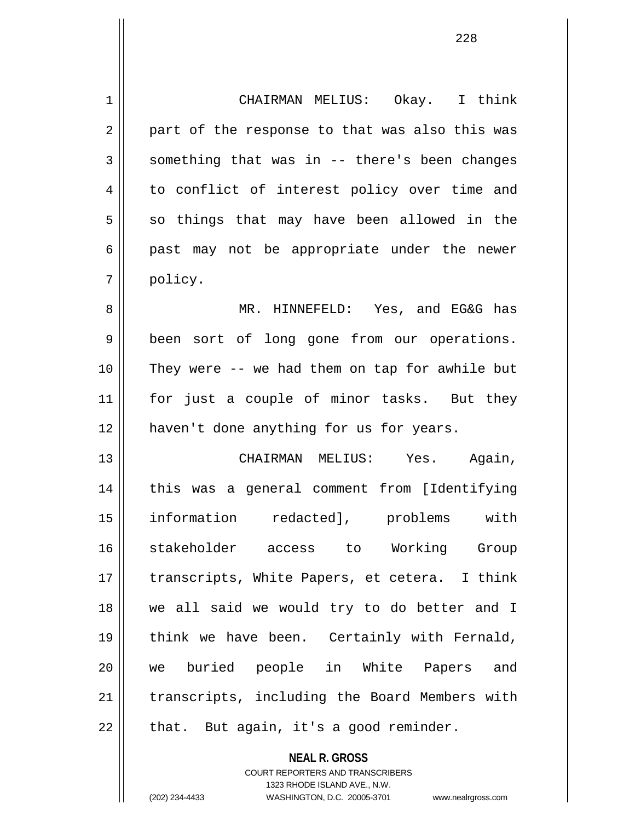1 CHAIRMAN MELIUS: Okay. I think  $2 \parallel$  part of the response to that was also this was  $3 \parallel$  something that was in -- there's been changes 4 || to conflict of interest policy over time and  $5 \parallel$  so things that may have been allowed in the  $6 \parallel$  past may not be appropriate under the newer 7 policy. 8 MR. HINNEFELD: Yes, and EG&G has 9 || been sort of long gone from our operations. 10 They were -- we had them on tap for awhile but 11 || for just a couple of minor tasks. But they 12 || haven't done anything for us for years. 13 CHAIRMAN MELIUS: Yes. Again, 14 this was a general comment from [Identifying 15 information redacted], problems with 16 stakeholder access to Working Group

17 || transcripts, White Papers, et cetera. I think 18 we all said we would try to do better and I 19 || think we have been. Certainly with Fernald, 20 we buried people in White Papers and 21 || transcripts, including the Board Members with  $22$  || that. But again, it's a good reminder.

> **NEAL R. GROSS** COURT REPORTERS AND TRANSCRIBERS 1323 RHODE ISLAND AVE., N.W. (202) 234-4433 WASHINGTON, D.C. 20005-3701 www.nealrgross.com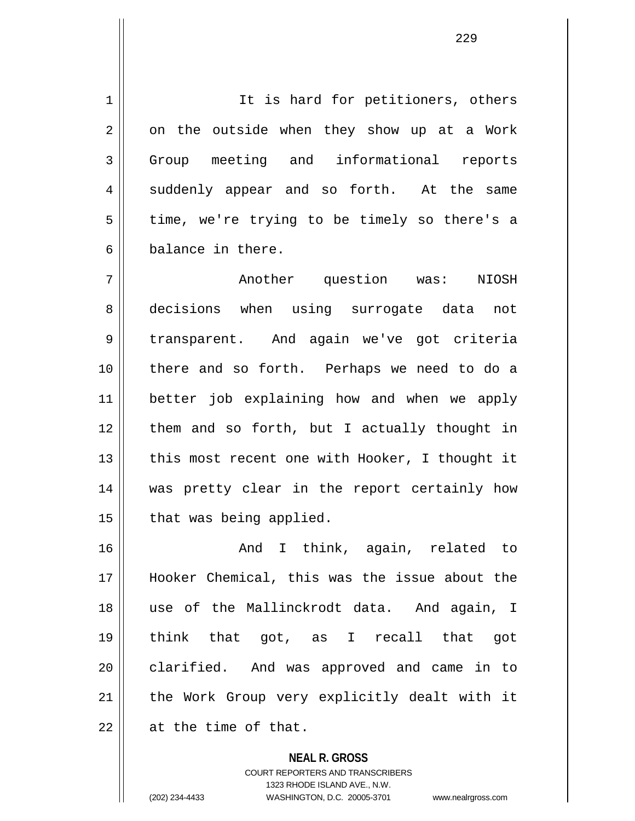1 | It is hard for petitioners, others  $2 \parallel$  on the outside when they show up at a Work 3 Group meeting and informational reports 4 suddenly appear and so forth. At the same  $5 \parallel$  time, we're trying to be timely so there's a 6 balance in there.

7 Another question was: NIOSH 8 decisions when using surrogate data not 9 || transparent. And again we've got criteria 10 there and so forth. Perhaps we need to do a 11 better job explaining how and when we apply 12 them and so forth, but I actually thought in 13  $\parallel$  this most recent one with Hooker, I thought it 14 was pretty clear in the report certainly how  $15$  | that was being applied.

16 || Think, again, related to 17 Hooker Chemical, this was the issue about the 18 use of the Mallinckrodt data. And again, I 19 think that got, as I recall that got 20 clarified. And was approved and came in to 21 || the Work Group very explicitly dealt with it  $22$  | at the time of that.

> **NEAL R. GROSS** COURT REPORTERS AND TRANSCRIBERS 1323 RHODE ISLAND AVE., N.W. (202) 234-4433 WASHINGTON, D.C. 20005-3701 www.nealrgross.com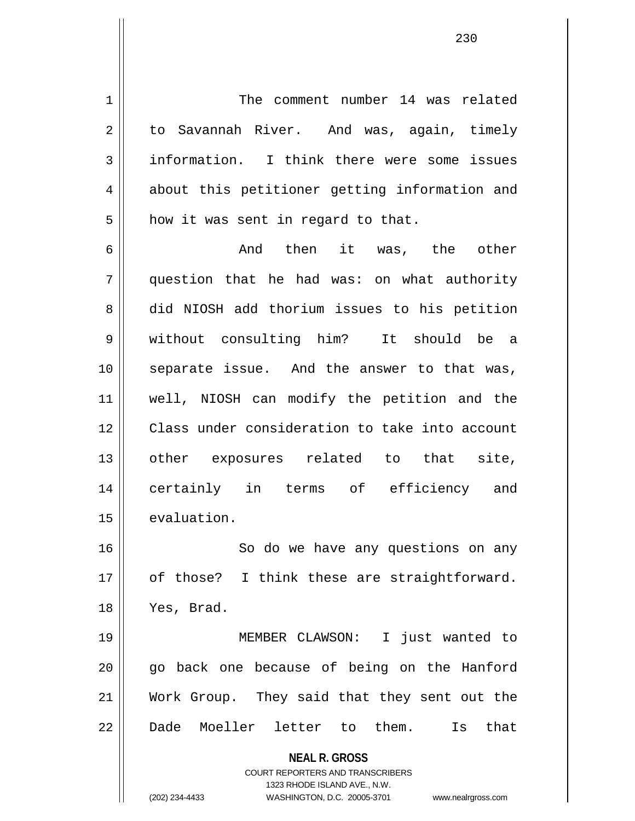**NEAL R. GROSS** COURT REPORTERS AND TRANSCRIBERS 1 The comment number 14 was related 2 | to Savannah River. And was, again, timely  $3 \parallel$  information. I think there were some issues 4 || about this petitioner getting information and  $5$  how it was sent in regard to that. 6  $\parallel$  6 And then it was, the other 7 question that he had was: on what authority 8 did NIOSH add thorium issues to his petition 9 without consulting him? It should be a 10 separate issue. And the answer to that was, 11 well, NIOSH can modify the petition and the 12 Class under consideration to take into account 13 || other exposures related to that site, 14 certainly in terms of efficiency and 15 | evaluation. 16 || So do we have any questions on any 17 || of those? I think these are straightforward. 18 Yes, Brad. 19 MEMBER CLAWSON: I just wanted to 20 || qo back one because of being on the Hanford 21 Work Group. They said that they sent out the 22 Dade Moeller letter to them. Is that

1323 RHODE ISLAND AVE., N.W.

(202) 234-4433 WASHINGTON, D.C. 20005-3701 www.nealrgross.com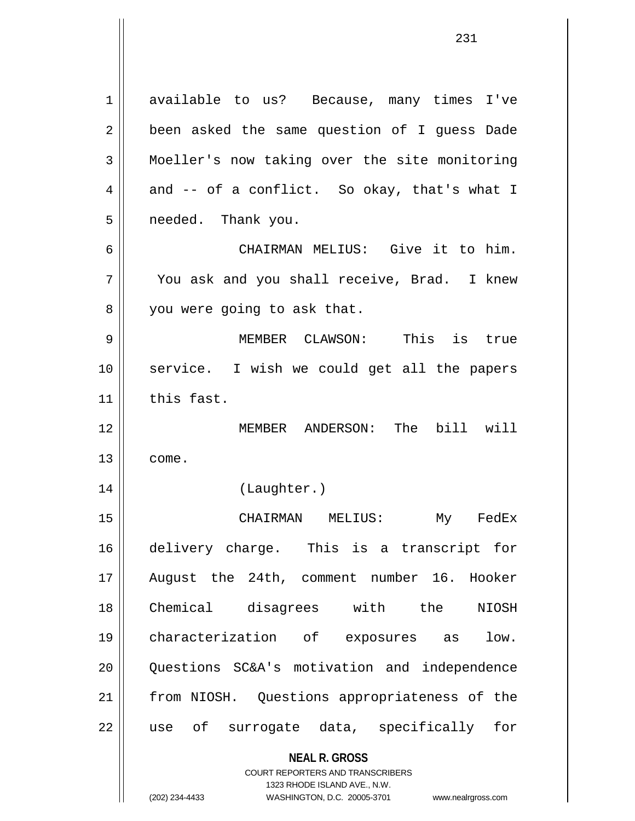1 available to us? Because, many times I've 2 || been asked the same question of I guess Dade 3 Moeller's now taking over the site monitoring  $4 \parallel$  and -- of a conflict. So okay, that's what I 5 | needed. Thank you. 6 CHAIRMAN MELIUS: Give it to him. 7 You ask and you shall receive, Brad. I knew 8 || you were going to ask that.

9 MEMBER CLAWSON: This is true 10 service. I wish we could get all the papers  $11$  this fast.

12 MEMBER ANDERSON: The bill will  $13 \parallel$  come.

14 (Laughter.)

15 CHAIRMAN MELIUS: My FedEx 16 delivery charge. This is a transcript for 17 August the 24th, comment number 16. Hooker 18 Chemical disagrees with the NIOSH 19 characterization of exposures as low. 20 Questions SC&A's motivation and independence 21 || from NIOSH. Questions appropriateness of the 22 || use of surrogate data, specifically for

**NEAL R. GROSS**

COURT REPORTERS AND TRANSCRIBERS 1323 RHODE ISLAND AVE., N.W. (202) 234-4433 WASHINGTON, D.C. 20005-3701 www.nealrgross.com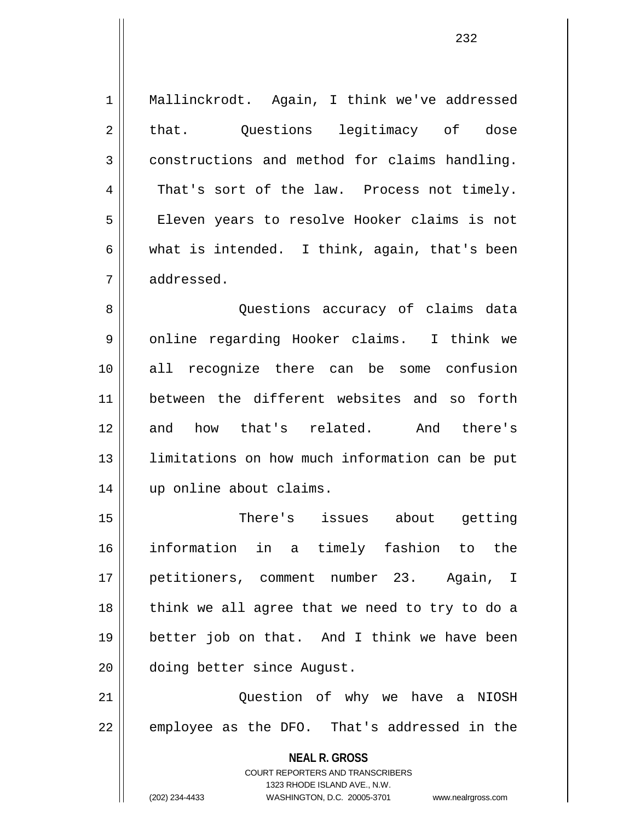**NEAL R. GROSS** COURT REPORTERS AND TRANSCRIBERS 1 || Mallinckrodt. Again, I think we've addressed 2 || that. Questions legitimacy of dose 3 constructions and method for claims handling. 4 That's sort of the law. Process not timely. 5 | Eleven years to resolve Hooker claims is not 6 what is intended. I think, again, that's been 7 addressed. 8 || Questions accuracy of claims data 9 || online regarding Hooker claims. I think we 10 all recognize there can be some confusion 11 between the different websites and so forth 12 and how that's related. And there's 13 || limitations on how much information can be put 14 up online about claims. 15 There's issues about getting 16 information in a timely fashion to the 17 petitioners, comment number 23. Again, I 18 || think we all agree that we need to try to do a 19 better job on that. And I think we have been 20 doing better since August. 21 || Question of why we have a NIOSH  $22 \parallel$  employee as the DFO. That's addressed in the

1323 RHODE ISLAND AVE., N.W.

(202) 234-4433 WASHINGTON, D.C. 20005-3701 www.nealrgross.com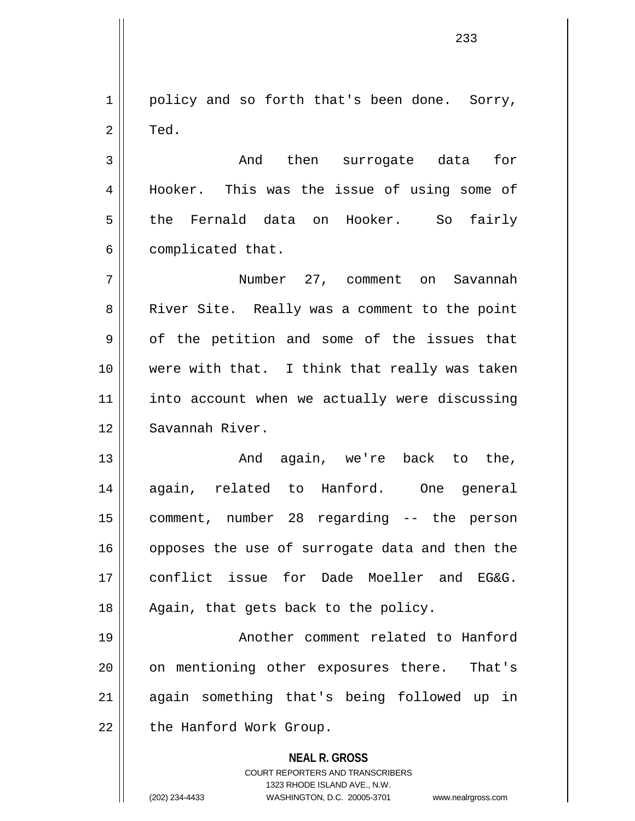1 || policy and so forth that's been done. Sorry,  $2 \parallel$  Ted.

3 and then surrogate data for 4 || Hooker. This was the issue of using some of 5 the Fernald data on Hooker. So fairly  $6 \parallel$  complicated that.

7 Number 27, comment on Savannah 8 || River Site. Really was a comment to the point  $9 \parallel$  of the petition and some of the issues that 10 were with that. I think that really was taken 11 || into account when we actually were discussing 12 Savannah River.

13 || The Contract And again, we're back to the, 14 again, related to Hanford. One general 15 comment, number 28 regarding -- the person 16 || opposes the use of surrogate data and then the 17 conflict issue for Dade Moeller and EG&G. 18 || Again, that gets back to the policy.

19 || Another comment related to Hanford 20 || on mentioning other exposures there. That's 21 again something that's being followed up in 22 | the Hanford Work Group.

## **NEAL R. GROSS**

COURT REPORTERS AND TRANSCRIBERS 1323 RHODE ISLAND AVE., N.W. (202) 234-4433 WASHINGTON, D.C. 20005-3701 www.nealrgross.com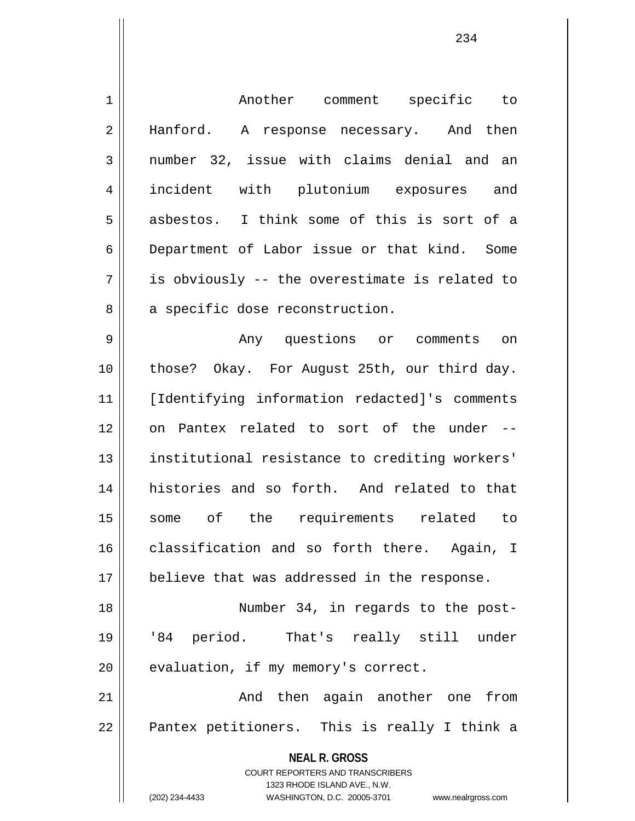| $\mathbf 1$ | Another comment specific to                                                                      |
|-------------|--------------------------------------------------------------------------------------------------|
| 2           | Hanford. A response necessary. And then                                                          |
| 3           | number 32, issue with claims denial and an                                                       |
| 4           | incident with plutonium exposures and                                                            |
| 5           | asbestos. I think some of this is sort of a                                                      |
| 6           | Department of Labor issue or that kind. Some                                                     |
| 7           | is obviously -- the overestimate is related to                                                   |
| 8           | a specific dose reconstruction.                                                                  |
| 9           | Any questions or comments on                                                                     |
| 10          | those? Okay. For August 25th, our third day.                                                     |
| 11          | [Identifying information redacted]'s comments                                                    |
| 12          | on Pantex related to sort of the under --                                                        |
| 13          | institutional resistance to crediting workers'                                                   |
| 14          | histories and so forth. And related to that                                                      |
| 15          | some of the requirements related to                                                              |
| 16          | classification and so forth there. Again, I                                                      |
| 17          | believe that was addressed in the response.                                                      |
| 18          | Number 34, in regards to the post-                                                               |
| 19          | '84 period. That's really still under                                                            |
| 20          | evaluation, if my memory's correct.                                                              |
| 21          | And then again another one from                                                                  |
| 22          | Pantex petitioners. This is really I think a                                                     |
|             | <b>NEAL R. GROSS</b>                                                                             |
|             | <b>COURT REPORTERS AND TRANSCRIBERS</b>                                                          |
|             | 1323 RHODE ISLAND AVE., N.W.<br>(202) 234-4433<br>WASHINGTON, D.C. 20005-3701 www.nealrgross.com |
|             |                                                                                                  |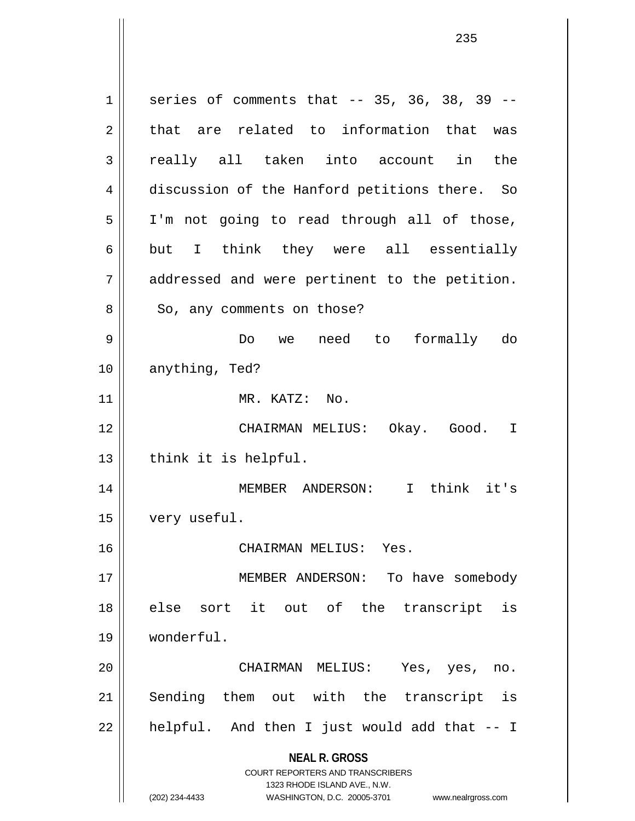**NEAL R. GROSS** COURT REPORTERS AND TRANSCRIBERS 1323 RHODE ISLAND AVE., N.W.  $1 \parallel$  series of comments that -- 35, 36, 38, 39 -- $2 \parallel$  that are related to information that was 3 really all taken into account in the 4 discussion of the Hanford petitions there. So 5 || I'm not going to read through all of those, 6 but I think they were all essentially 7 || addressed and were pertinent to the petition. 8 || So, any comments on those? 9 Do we need to formally do 10 || anything, Ted? 11 || MR. KATZ: No. 12 CHAIRMAN MELIUS: Okay. Good. I  $13$  || think it is helpful. 14 || MEMBER ANDERSON: I think it's 15 | very useful. 16 CHAIRMAN MELIUS: Yes. 17 || MEMBER ANDERSON: To have somebody 18 else sort it out of the transcript is 19 wonderful. 20 CHAIRMAN MELIUS: Yes, yes, no. 21 || Sending them out with the transcript is  $22$  || helpful. And then I just would add that  $-1$ 

(202) 234-4433 WASHINGTON, D.C. 20005-3701 www.nealrgross.com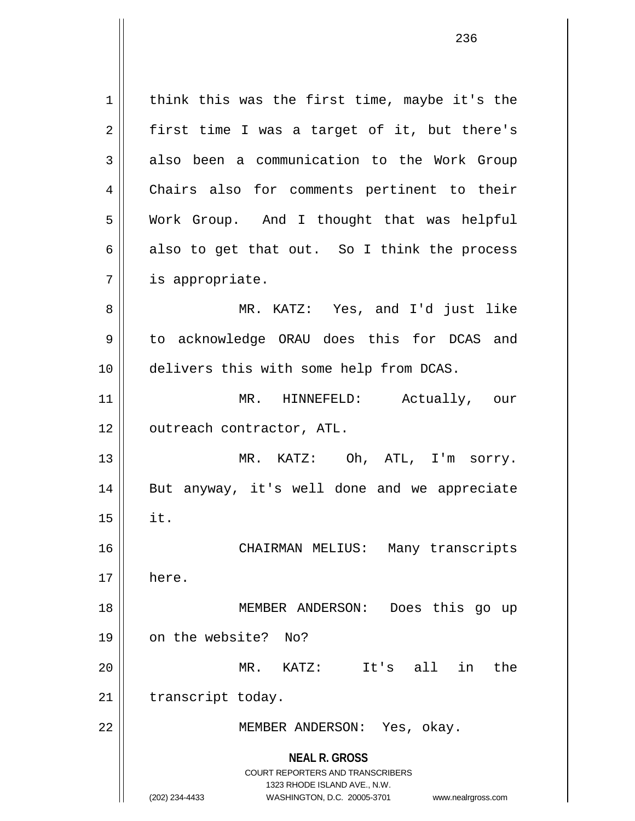**NEAL R. GROSS** COURT REPORTERS AND TRANSCRIBERS 1323 RHODE ISLAND AVE., N.W. (202) 234-4433 WASHINGTON, D.C. 20005-3701 www.nealrgross.com  $1 \parallel$  think this was the first time, maybe it's the  $2 \parallel$  first time I was a target of it, but there's 3 also been a communication to the Work Group 4 || Chairs also for comments pertinent to their 5 Work Group. And I thought that was helpful  $6 \parallel$  also to get that out. So I think the process 7 | is appropriate. 8 MR. KATZ: Yes, and I'd just like 9 | to acknowledge ORAU does this for DCAS and 10 | delivers this with some help from DCAS. 11 MR. HINNEFELD: Actually, our 12 || outreach contractor, ATL. 13 MR. KATZ: Oh, ATL, I'm sorry. 14 || But anyway, it's well done and we appreciate  $15$  || it. 16 CHAIRMAN MELIUS: Many transcripts  $17 \parallel$  here. 18 MEMBER ANDERSON: Does this go up 19 on the website? No? 20 MR. KATZ: It's all in the 21 | transcript today. 22 | MEMBER ANDERSON: Yes, okay.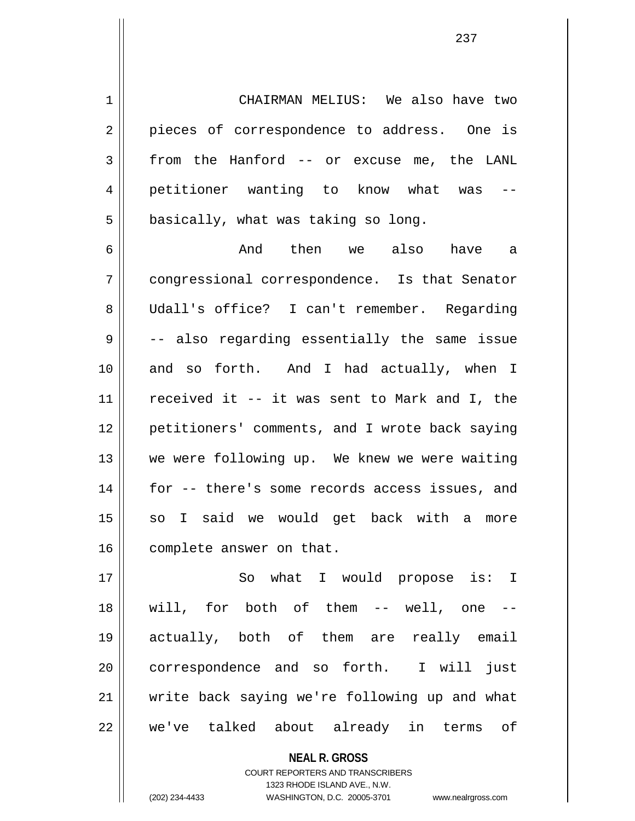1 CHAIRMAN MELIUS: We also have two 2 || pieces of correspondence to address. One is  $3 \parallel$  from the Hanford -- or excuse me, the LANL 4 || petitioner wanting to know what was  $5 \parallel$  basically, what was taking so long.

6 And then we also have a 7 congressional correspondence. Is that Senator 8 Udall's office? I can't remember. Regarding  $9 \parallel$  -- also regarding essentially the same issue 10 and so forth. And I had actually, when I 11  $\parallel$  received it -- it was sent to Mark and I, the 12 petitioners' comments, and I wrote back saying 13 We were following up. We knew we were waiting 14 || for -- there's some records access issues, and 15 || so I said we would get back with a more 16 | complete answer on that.

17 || So what I would propose is: I 18 will, for both of them -- well, one -- 19 actually, both of them are really email 20 || correspondence and so forth. I will just 21 write back saying we're following up and what 22 we've talked about already in terms of

> **NEAL R. GROSS** COURT REPORTERS AND TRANSCRIBERS 1323 RHODE ISLAND AVE., N.W. (202) 234-4433 WASHINGTON, D.C. 20005-3701 www.nealrgross.com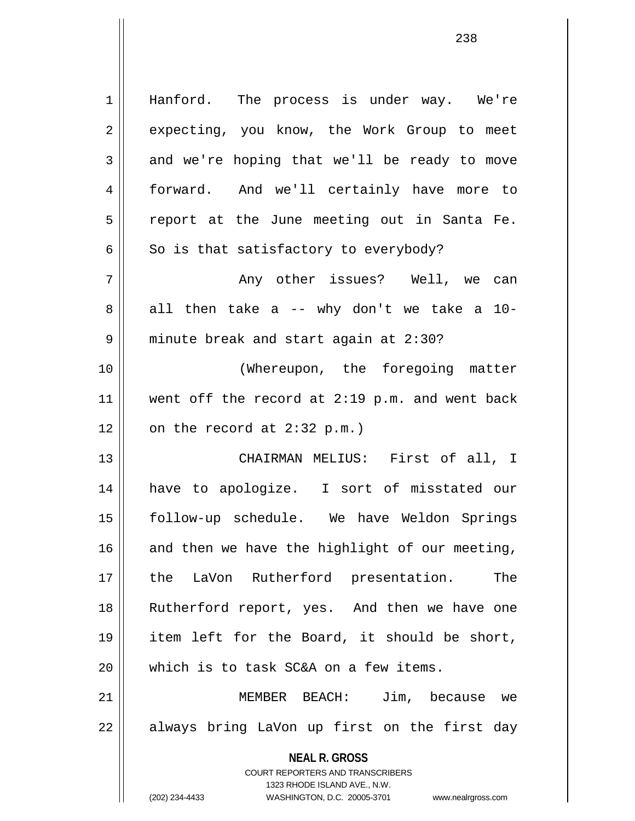**NEAL R. GROSS** COURT REPORTERS AND TRANSCRIBERS 1323 RHODE ISLAND AVE., N.W. 1 || Hanford. The process is under way. We're 2 | expecting, you know, the Work Group to meet  $3 \parallel$  and we're hoping that we'll be ready to move 4 forward. And we'll certainly have more to 5 || report at the June meeting out in Santa Fe.  $6 \parallel$  So is that satisfactory to everybody? 7 Any other issues? Well, we can  $8 \parallel$  all then take a -- why don't we take a 10-9 | minute break and start again at 2:30? 10 || (Whereupon, the foregoing matter 11 || went off the record at 2:19 p.m. and went back  $12 \parallel$  on the record at 2:32 p.m.) 13 CHAIRMAN MELIUS: First of all, I 14 have to apologize. I sort of misstated our 15 follow-up schedule. We have Weldon Springs 16  $\parallel$  and then we have the highlight of our meeting, 17 the LaVon Rutherford presentation. The 18 || Rutherford report, yes. And then we have one 19 item left for the Board, it should be short,  $20$  || which is to task SC&A on a few items. 21 MEMBER BEACH: Jim, because we 22 || always bring LaVon up first on the first day

(202) 234-4433 WASHINGTON, D.C. 20005-3701 www.nealrgross.com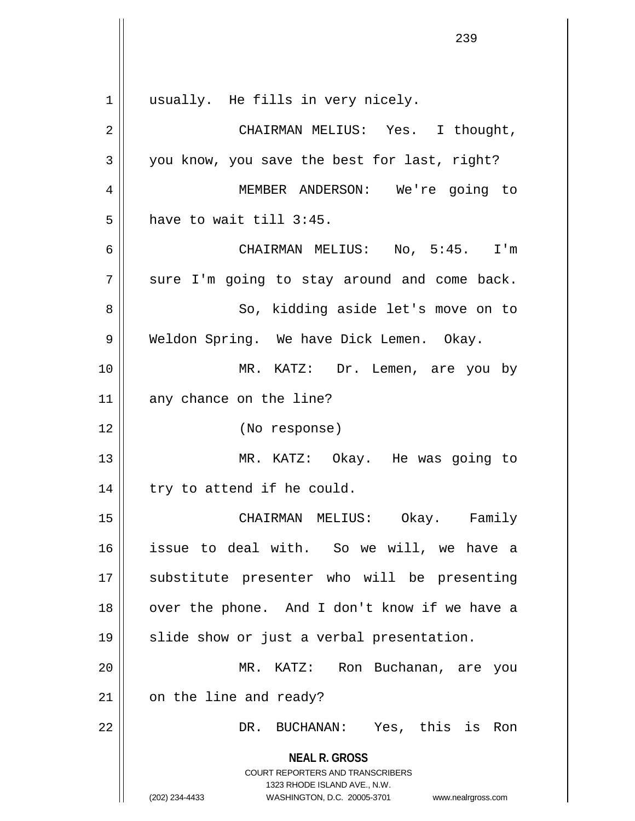|                | 239                                                                                                                                                             |
|----------------|-----------------------------------------------------------------------------------------------------------------------------------------------------------------|
|                |                                                                                                                                                                 |
| 1              | usually. He fills in very nicely.                                                                                                                               |
| $\overline{2}$ | CHAIRMAN MELIUS: Yes. I thought,                                                                                                                                |
| 3              | you know, you save the best for last, right?                                                                                                                    |
| 4              | MEMBER ANDERSON: We're going to                                                                                                                                 |
| 5              | have to wait till 3:45.                                                                                                                                         |
| 6              | CHAIRMAN MELIUS: No, 5:45. I'm                                                                                                                                  |
| 7              | sure I'm going to stay around and come back.                                                                                                                    |
| 8              | So, kidding aside let's move on to                                                                                                                              |
| 9              | Weldon Spring. We have Dick Lemen. Okay.                                                                                                                        |
| 10             | MR. KATZ: Dr. Lemen, are you by                                                                                                                                 |
| 11             | any chance on the line?                                                                                                                                         |
| 12             | (No response)                                                                                                                                                   |
| 13             | MR. KATZ: Okay. He was going to                                                                                                                                 |
| 14             | try to attend if he could.                                                                                                                                      |
| 15             | CHAIRMAN MELIUS: Okay. Family                                                                                                                                   |
| 16             | issue to deal with. So we will, we have a                                                                                                                       |
| 17             | substitute presenter who will be presenting                                                                                                                     |
| 18             | over the phone. And I don't know if we have a                                                                                                                   |
| 19             | slide show or just a verbal presentation.                                                                                                                       |
| 20             | MR. KATZ: Ron Buchanan, are you                                                                                                                                 |
| 21             | on the line and ready?                                                                                                                                          |
| 22             | DR. BUCHANAN: Yes, this is Ron                                                                                                                                  |
|                | <b>NEAL R. GROSS</b><br>COURT REPORTERS AND TRANSCRIBERS<br>1323 RHODE ISLAND AVE., N.W.<br>(202) 234-4433<br>WASHINGTON, D.C. 20005-3701<br>www.nealrgross.com |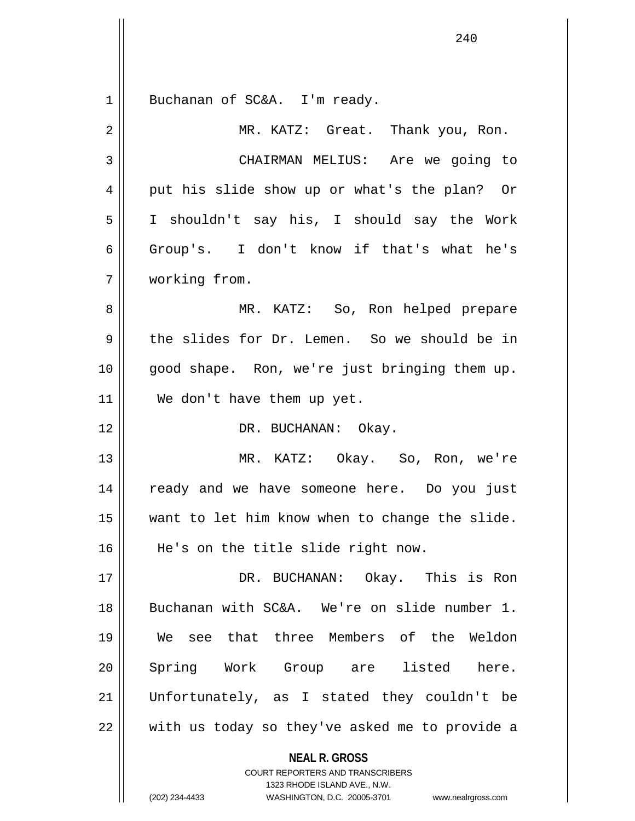**NEAL R. GROSS** COURT REPORTERS AND TRANSCRIBERS 1 || Buchanan of SC&A. I'm ready. 2 MR. KATZ: Great. Thank you, Ron. 3 CHAIRMAN MELIUS: Are we going to 4 || put his slide show up or what's the plan? Or 5 I shouldn't say his, I should say the Work 6 Group's. I don't know if that's what he's 7 working from. 8 MR. KATZ: So, Ron helped prepare 9 the slides for Dr. Lemen. So we should be in 10 good shape. Ron, we're just bringing them up. 11 We don't have them up yet. 12 DR. BUCHANAN: Okay. 13 MR. KATZ: Okay. So, Ron, we're 14 ready and we have someone here. Do you just 15 want to let him know when to change the slide. 16 || He's on the title slide right now. 17 DR. BUCHANAN: Okay. This is Ron 18 Buchanan with SC&A. We're on slide number 1. 19 We see that three Members of the Weldon 20 Spring Work Group are listed here. 21 Unfortunately, as I stated they couldn't be 22 with us today so they've asked me to provide a

1323 RHODE ISLAND AVE., N.W.

(202) 234-4433 WASHINGTON, D.C. 20005-3701 www.nealrgross.com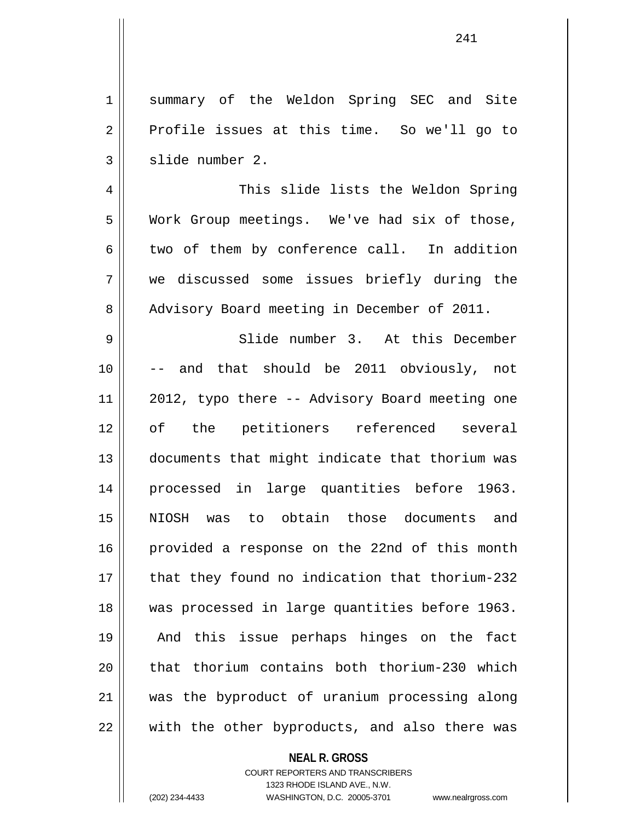1 || summary of the Weldon Spring SEC and Site  $2 \parallel$  Profile issues at this time. So we'll go to  $3 \parallel$  slide number 2.

4 This slide lists the Weldon Spring 5 || Work Group meetings. We've had six of those,  $6 \parallel$  two of them by conference call. In addition 7 we discussed some issues briefly during the 8 Advisory Board meeting in December of 2011.

9 || Slide number 3. At this December 10 -- and that should be 2011 obviously, not 11 || 2012, typo there -- Advisory Board meeting one 12 of the petitioners referenced several 13 documents that might indicate that thorium was 14 processed in large quantities before 1963. 15 NIOSH was to obtain those documents and 16 || provided a response on the 22nd of this month 17 || that they found no indication that thorium-232 18 was processed in large quantities before 1963. 19 And this issue perhaps hinges on the fact  $20$  || that thorium contains both thorium-230 which 21 was the byproduct of uranium processing along 22 with the other byproducts, and also there was

## **NEAL R. GROSS**

COURT REPORTERS AND TRANSCRIBERS 1323 RHODE ISLAND AVE., N.W. (202) 234-4433 WASHINGTON, D.C. 20005-3701 www.nealrgross.com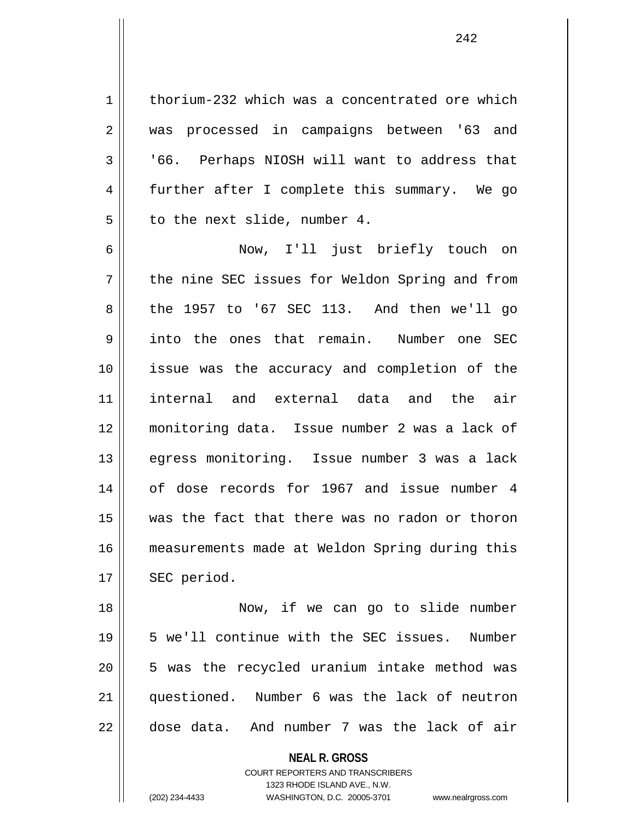1 | thorium-232 which was a concentrated ore which 2 was processed in campaigns between '63 and 3 | 166. Perhaps NIOSH will want to address that 4 || further after I complete this summary. We go  $5 \parallel$  to the next slide, number 4.

6 Now, I'll just briefly touch on  $7 \parallel$  the nine SEC issues for Weldon Spring and from  $8 \parallel$  the 1957 to '67 SEC 113. And then we'll go 9 into the ones that remain. Number one SEC 10 issue was the accuracy and completion of the 11 internal and external data and the air 12 monitoring data. Issue number 2 was a lack of 13 egress monitoring. Issue number 3 was a lack 14 of dose records for 1967 and issue number 4 15 was the fact that there was no radon or thoron 16 measurements made at Weldon Spring during this  $17$  | SEC period.

18 || Now, if we can go to slide number 19 || 5 we'll continue with the SEC issues. Number 20 5 was the recycled uranium intake method was 21 questioned. Number 6 was the lack of neutron  $22 \parallel$  dose data. And number 7 was the lack of air

> **NEAL R. GROSS** COURT REPORTERS AND TRANSCRIBERS 1323 RHODE ISLAND AVE., N.W. (202) 234-4433 WASHINGTON, D.C. 20005-3701 www.nealrgross.com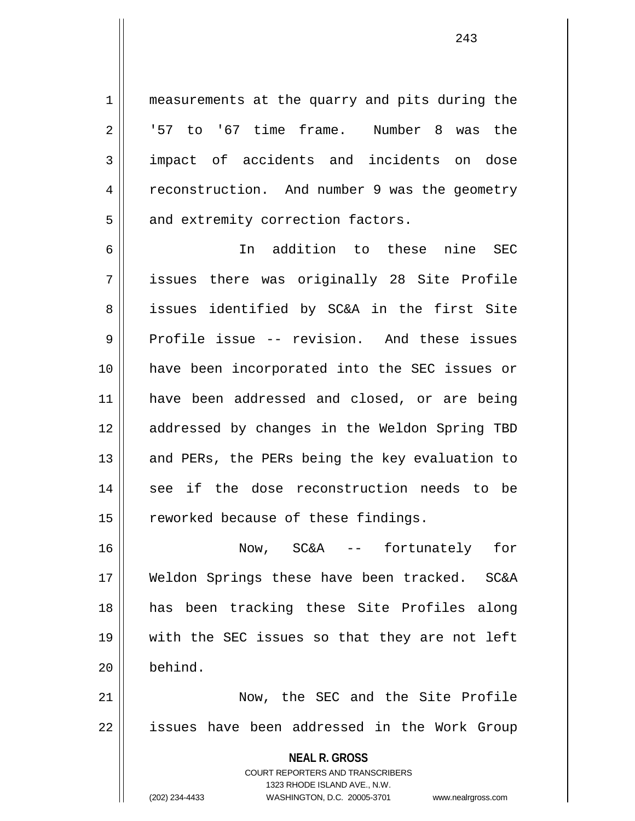1 | measurements at the quarry and pits during the  $2 \parallel$  '57 to '67 time frame. Number 8 was the 3 impact of accidents and incidents on dose 4 | reconstruction. And number 9 was the geometry  $5 \parallel$  and extremity correction factors.

6 In addition to these nine SEC 7 issues there was originally 28 Site Profile 8 || issues identified by SC&A in the first Site 9 Profile issue -- revision. And these issues 10 have been incorporated into the SEC issues or 11 have been addressed and closed, or are being 12 addressed by changes in the Weldon Spring TBD 13 || and PERs, the PERs being the key evaluation to 14 || see if the dose reconstruction needs to be  $15$  | reworked because of these findings.

16 Now, SC&A -- fortunately for 17 Weldon Springs these have been tracked. SC&A 18 has been tracking these Site Profiles along 19 with the SEC issues so that they are not left 20 behind.

21 Now, the SEC and the Site Profile 22 || issues have been addressed in the Work Group

> **NEAL R. GROSS** COURT REPORTERS AND TRANSCRIBERS 1323 RHODE ISLAND AVE., N.W. (202) 234-4433 WASHINGTON, D.C. 20005-3701 www.nealrgross.com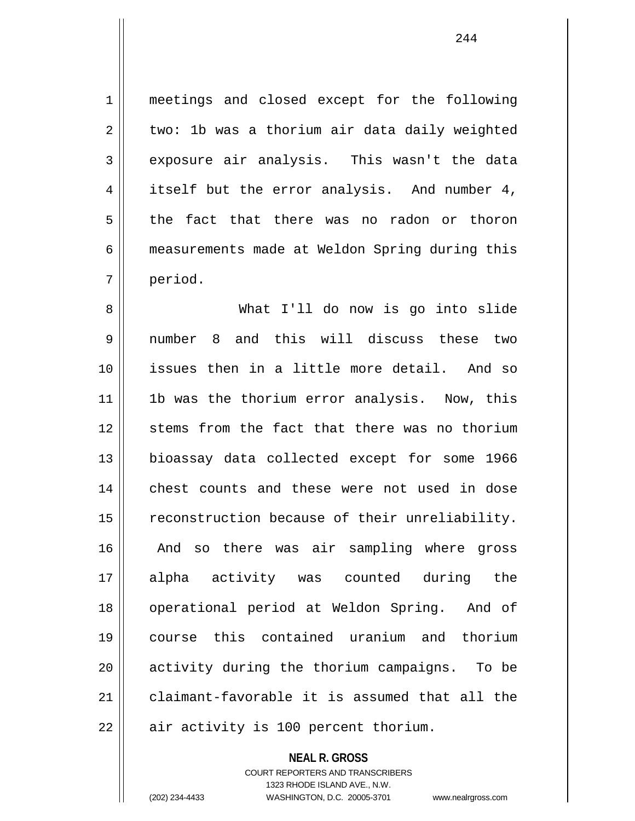1 || meetings and closed except for the following  $2 \parallel$  two: 1b was a thorium air data daily weighted 3 exposure air analysis. This wasn't the data 4 || itself but the error analysis. And number 4,  $5 \parallel$  the fact that there was no radon or thoron 6 measurements made at Weldon Spring during this 7 period.

8 What I'll do now is go into slide 9 number 8 and this will discuss these two 10 issues then in a little more detail. And so 11 || 1b was the thorium error analysis. Now, this 12 || stems from the fact that there was no thorium 13 bioassay data collected except for some 1966 14 || chest counts and these were not used in dose 15 | reconstruction because of their unreliability. 16 || And so there was air sampling where gross 17 alpha activity was counted during the 18 || operational period at Weldon Spring. And of 19 course this contained uranium and thorium 20 || activity during the thorium campaigns. To be 21 claimant-favorable it is assumed that all the  $22$  | air activity is 100 percent thorium.

> **NEAL R. GROSS** COURT REPORTERS AND TRANSCRIBERS 1323 RHODE ISLAND AVE., N.W. (202) 234-4433 WASHINGTON, D.C. 20005-3701 www.nealrgross.com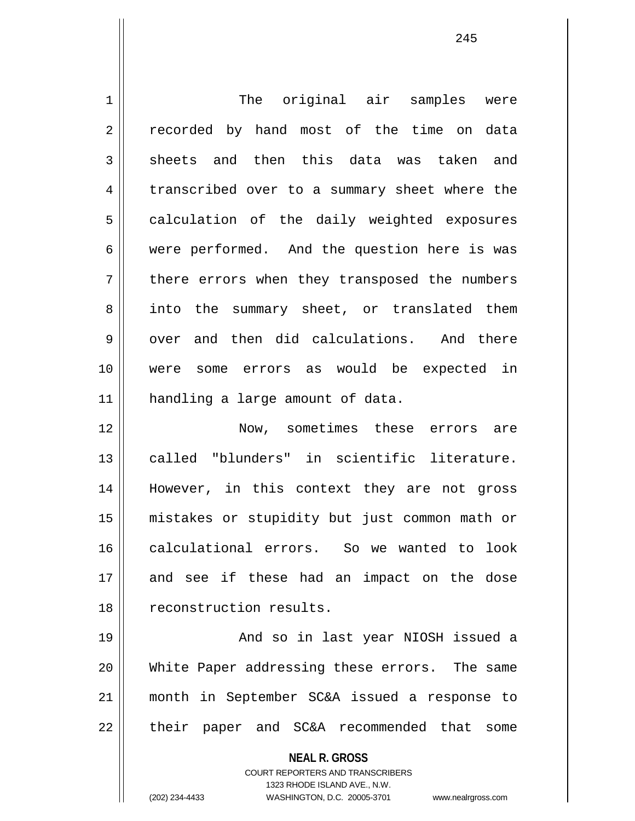1 || The original air samples were 2 || recorded by hand most of the time on data  $3 \parallel$  sheets and then this data was taken and 4 transcribed over to a summary sheet where the 5 || calculation of the daily weighted exposures 6 were performed. And the question here is was 7 || there errors when they transposed the numbers 8 || into the summary sheet, or translated them  $9 \parallel$  over and then did calculations. And there 10 were some errors as would be expected in 11 || handling a large amount of data. 12 Now, sometimes these errors are 13 called "blunders" in scientific literature. 14 However, in this context they are not gross 15 mistakes or stupidity but just common math or 16 calculational errors. So we wanted to look 17 and see if these had an impact on the dose 18 || reconstruction results. 19 And so in last year NIOSH issued a 20 White Paper addressing these errors. The same 21 month in September SC&A issued a response to 22 || their paper and SC&A recommended that some

**NEAL R. GROSS**

COURT REPORTERS AND TRANSCRIBERS 1323 RHODE ISLAND AVE., N.W. (202) 234-4433 WASHINGTON, D.C. 20005-3701 www.nealrgross.com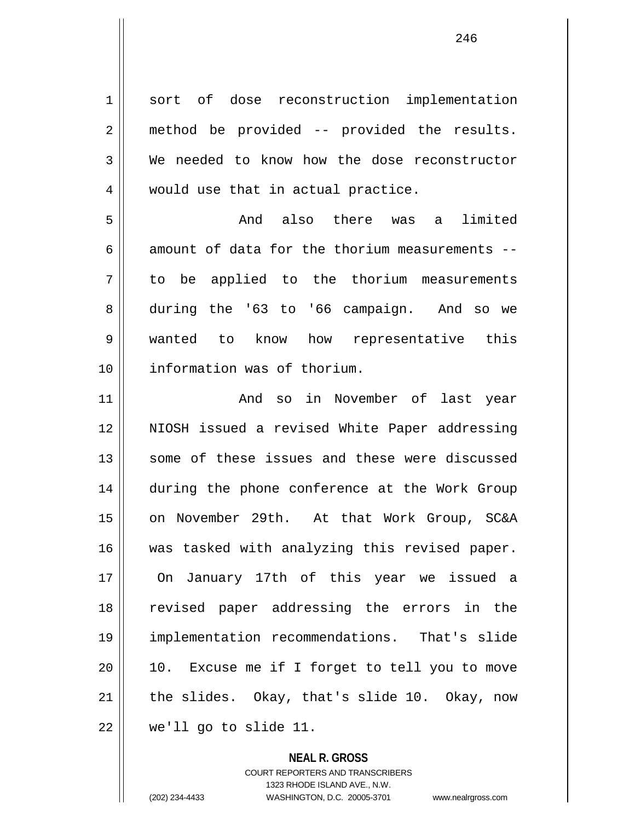1 sort of dose reconstruction implementation 2 method be provided -- provided the results. 3 We needed to know how the dose reconstructor 4 || would use that in actual practice. 5 And also there was a limited 6 amount of data for the thorium measurements  $-$ 7 to be applied to the thorium measurements 8 during the '63 to '66 campaign. And so we 9 wanted to know how representative this 10 information was of thorium. 11 And so in November of last year 12 NIOSH issued a revised White Paper addressing 13 || some of these issues and these were discussed 14 during the phone conference at the Work Group 15 || on November 29th. At that Work Group, SC&A 16 || was tasked with analyzing this revised paper. 17 On January 17th of this year we issued a 18 revised paper addressing the errors in the 19 implementation recommendations. That's slide  $20$  |  $10.$  Excuse me if I forget to tell you to move 21  $\parallel$  the slides. Okay, that's slide 10. Okay, now  $22$  || we'll go to slide 11.

> **NEAL R. GROSS** COURT REPORTERS AND TRANSCRIBERS

> > 1323 RHODE ISLAND AVE., N.W.

(202) 234-4433 WASHINGTON, D.C. 20005-3701 www.nealrgross.com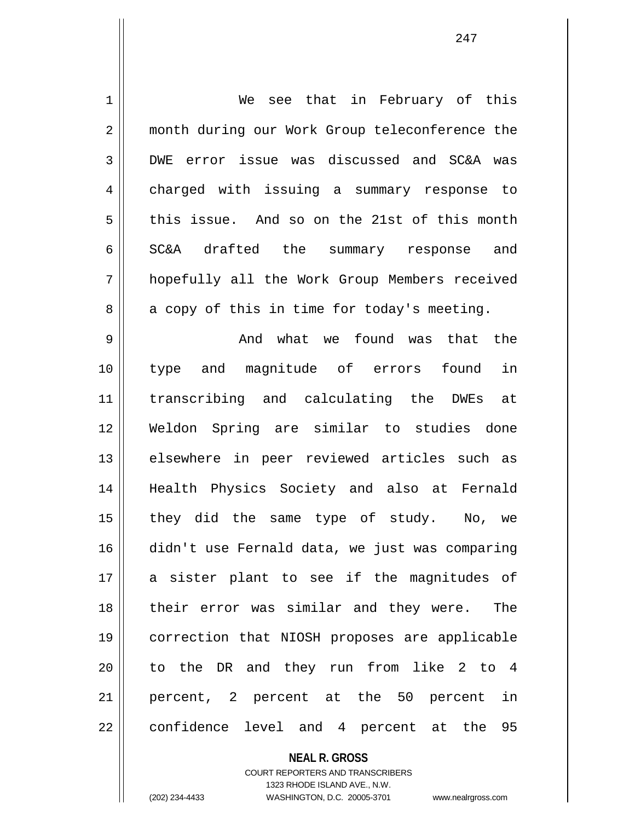| $\mathbf 1$ | We see that in February of this                |
|-------------|------------------------------------------------|
| 2           | month during our Work Group teleconference the |
| 3           | DWE error issue was discussed and SC&A was     |
| 4           | charged with issuing a summary response to     |
| 5           | this issue. And so on the 21st of this month   |
| 6           | SC&A drafted the summary response<br>and       |
| 7           | hopefully all the Work Group Members received  |
| 8           | a copy of this in time for today's meeting.    |
| 9           | And what we found was that the                 |
| 10          | in<br>type and magnitude of errors found       |
| 11          | transcribing and calculating the DWEs at       |
| 12          | Weldon Spring are similar to studies done      |
| 13          | elsewhere in peer reviewed articles such as    |
| 14          | Health Physics Society and also at Fernald     |
| 15          | they did the same type of study.<br>No, we     |
| 16          | didn't use Fernald data, we just was comparing |
| 17          | a sister plant to see if the magnitudes of     |
| 18          | their error was similar and they were.<br>The  |
| 19          | correction that NIOSH proposes are applicable  |
| 20          | to the DR and they run from like 2 to 4        |
| 21          | percent, 2 percent at the 50 percent in        |
| 22          | confidence level and 4 percent at the 95       |

**NEAL R. GROSS** COURT REPORTERS AND TRANSCRIBERS 1323 RHODE ISLAND AVE., N.W.

(202) 234-4433 WASHINGTON, D.C. 20005-3701 www.nealrgross.com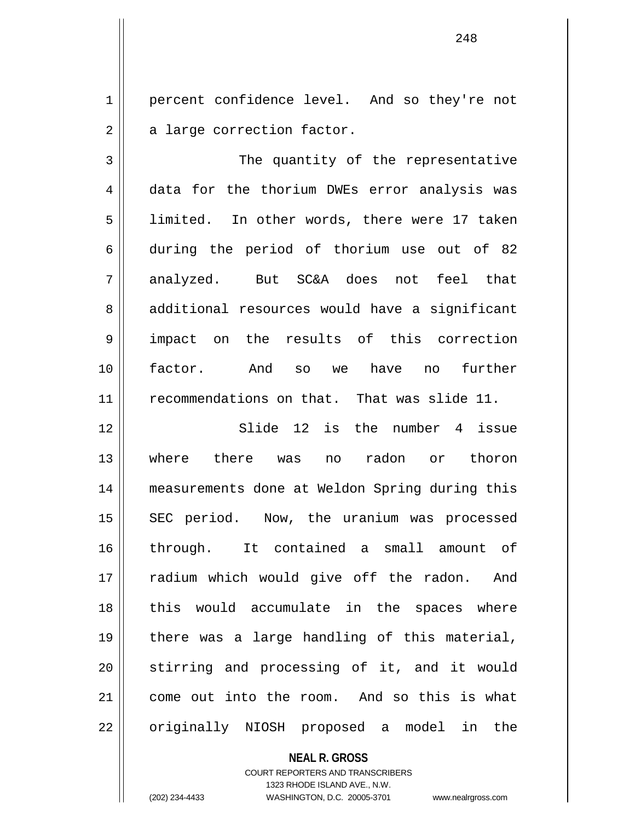1 | percent confidence level. And so they're not  $2 \parallel$  a large correction factor.

3 || The quantity of the representative 4 data for the thorium DWEs error analysis was 5 limited. In other words, there were 17 taken 6 during the period of thorium use out of 82 7 analyzed. But SC&A does not feel that 8 || additional resources would have a significant 9 || impact on the results of this correction 10 factor. And so we have no further 11 || recommendations on that. That was slide 11.

12 Slide 12 is the number 4 issue 13 where there was no radon or thoron 14 measurements done at Weldon Spring during this 15 || SEC period. Now, the uranium was processed 16 through. It contained a small amount of 17 radium which would give off the radon. And 18 || this would accumulate in the spaces where 19 there was a large handling of this material, 20 || stirring and processing of it, and it would 21 come out into the room. And so this is what 22 || originally NIOSH proposed a model in the

> **NEAL R. GROSS** COURT REPORTERS AND TRANSCRIBERS 1323 RHODE ISLAND AVE., N.W.

(202) 234-4433 WASHINGTON, D.C. 20005-3701 www.nealrgross.com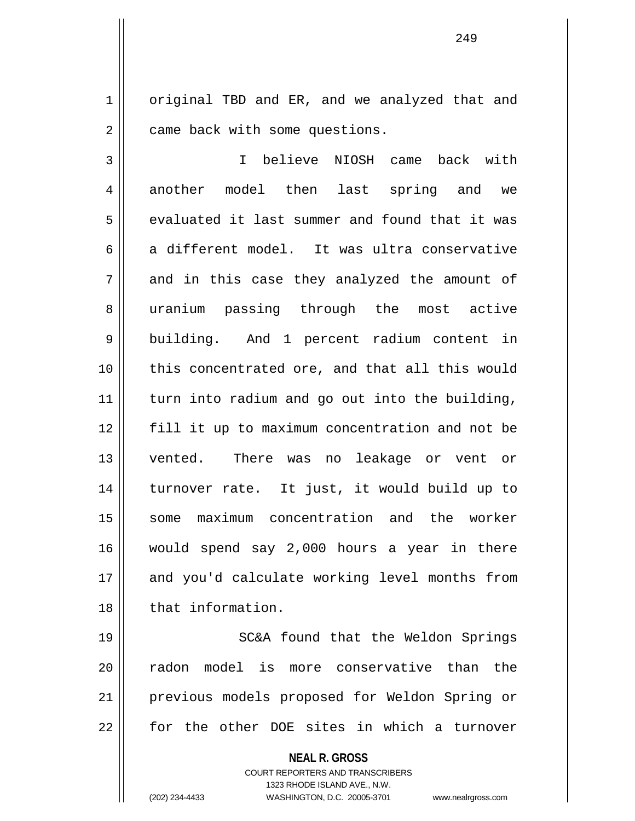1 | original TBD and ER, and we analyzed that and 2 | came back with some questions.

3 I believe NIOSH came back with 4 || another model then last spring and we  $5 \parallel$  evaluated it last summer and found that it was  $6 \parallel$  a different model. It was ultra conservative  $7 \parallel$  and in this case they analyzed the amount of 8 || uranium passing through the most active 9 || building. And 1 percent radium content in 10 || this concentrated ore, and that all this would 11 || turn into radium and go out into the building, 12 fill it up to maximum concentration and not be 13 vented. There was no leakage or vent or 14 turnover rate. It just, it would build up to 15 || some maximum concentration and the worker 16 would spend say 2,000 hours a year in there 17 || and you'd calculate working level months from 18 || that information.

19 || SC&A found that the Weldon Springs 20 || radon model is more conservative than the 21 previous models proposed for Weldon Spring or 22 || for the other DOE sites in which a turnover

**NEAL R. GROSS**

COURT REPORTERS AND TRANSCRIBERS 1323 RHODE ISLAND AVE., N.W. (202) 234-4433 WASHINGTON, D.C. 20005-3701 www.nealrgross.com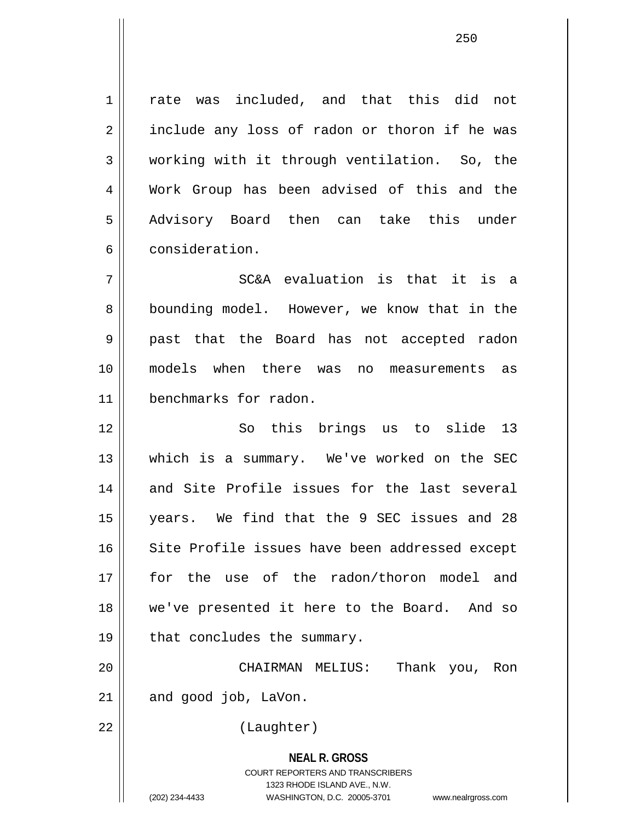1 || rate was included, and that this did not  $2 \parallel$  include any loss of radon or thoron if he was 3 working with it through ventilation. So, the 4 Work Group has been advised of this and the 5 Advisory Board then can take this under 6 consideration.

 $7$  || SC&A evaluation is that it is a 8 || bounding model. However, we know that in the 9 past that the Board has not accepted radon 10 models when there was no measurements as 11 benchmarks for radon.

12 So this brings us to slide 13 13 which is a summary. We've worked on the SEC 14 and Site Profile issues for the last several 15 years. We find that the 9 SEC issues and 28 16 || Site Profile issues have been addressed except 17 for the use of the radon/thoron model and 18 we've presented it here to the Board. And so 19  $\parallel$  that concludes the summary.

20 CHAIRMAN MELIUS: Thank you, Ron  $21$  | and good job, LaVon.

22 | (Laughter)

**NEAL R. GROSS** COURT REPORTERS AND TRANSCRIBERS 1323 RHODE ISLAND AVE., N.W. (202) 234-4433 WASHINGTON, D.C. 20005-3701 www.nealrgross.com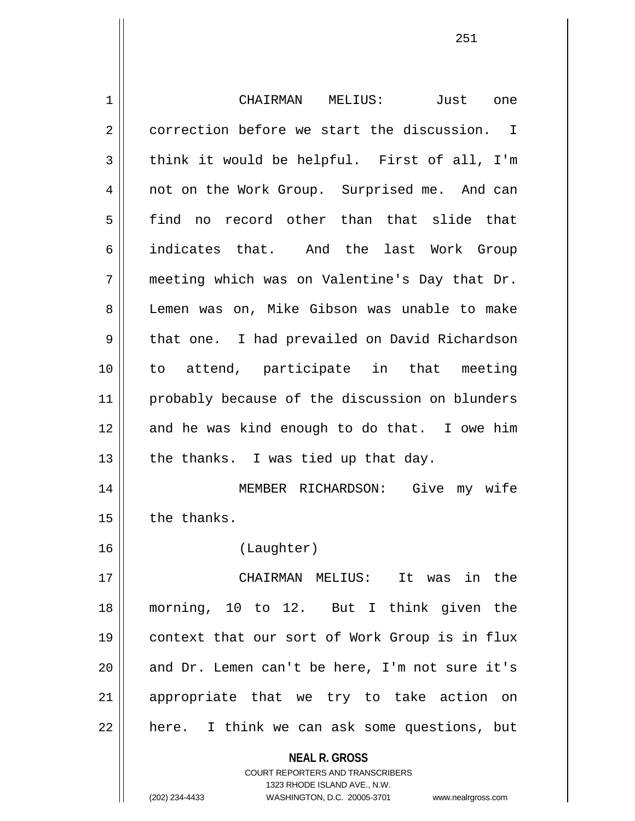**NEAL R. GROSS** COURT REPORTERS AND TRANSCRIBERS 1323 RHODE ISLAND AVE., N.W. 1 CHAIRMAN MELIUS: Just one 2 correction before we start the discussion. I  $3 \parallel$  think it would be helpful. First of all, I'm 4 || not on the Work Group. Surprised me. And can 5 find no record other than that slide that 6 indicates that. And the last Work Group 7 meeting which was on Valentine's Day that Dr. 8 Lemen was on, Mike Gibson was unable to make 9 || that one. I had prevailed on David Richardson 10 to attend, participate in that meeting 11 || probably because of the discussion on blunders 12 and he was kind enough to do that. I owe him 13  $\parallel$  the thanks. I was tied up that day. 14 MEMBER RICHARDSON: Give my wife  $15$   $\parallel$  the thanks. 16 (Laughter) 17 CHAIRMAN MELIUS: It was in the 18 morning, 10 to 12. But I think given the 19 context that our sort of Work Group is in flux  $20$  || and Dr. Lemen can't be here, I'm not sure it's 21 appropriate that we try to take action on 22 || here. I think we can ask some questions, but

(202) 234-4433 WASHINGTON, D.C. 20005-3701 www.nealrgross.com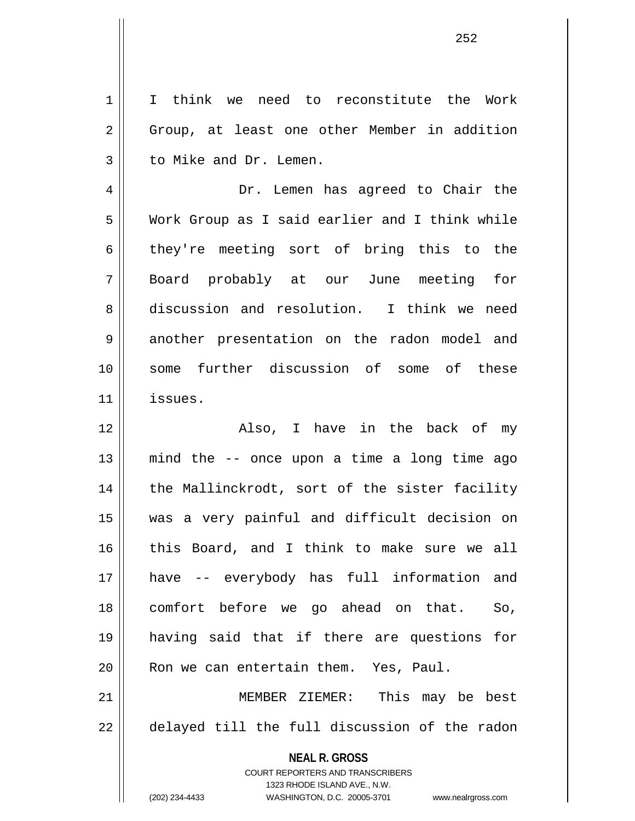1 I think we need to reconstitute the Work 2 || Group, at least one other Member in addition 3 | to Mike and Dr. Lemen.

4 Dr. Lemen has agreed to Chair the 5 Work Group as I said earlier and I think while 6 they're meeting sort of bring this to the 7 Board probably at our June meeting for 8 discussion and resolution. I think we need 9 another presentation on the radon model and 10 some further discussion of some of these 11 issues.

12 Also, I have in the back of my 13 mind the -- once upon a time a long time ago 14 || the Mallinckrodt, sort of the sister facility 15 was a very painful and difficult decision on 16 this Board, and I think to make sure we all 17 have -- everybody has full information and 18 comfort before we go ahead on that. So, 19 having said that if there are questions for 20 | Ron we can entertain them. Yes, Paul. 21 || MEMBER ZIEMER: This may be best

22 delayed till the full discussion of the radon

**NEAL R. GROSS** COURT REPORTERS AND TRANSCRIBERS

1323 RHODE ISLAND AVE., N.W. (202) 234-4433 WASHINGTON, D.C. 20005-3701 www.nealrgross.com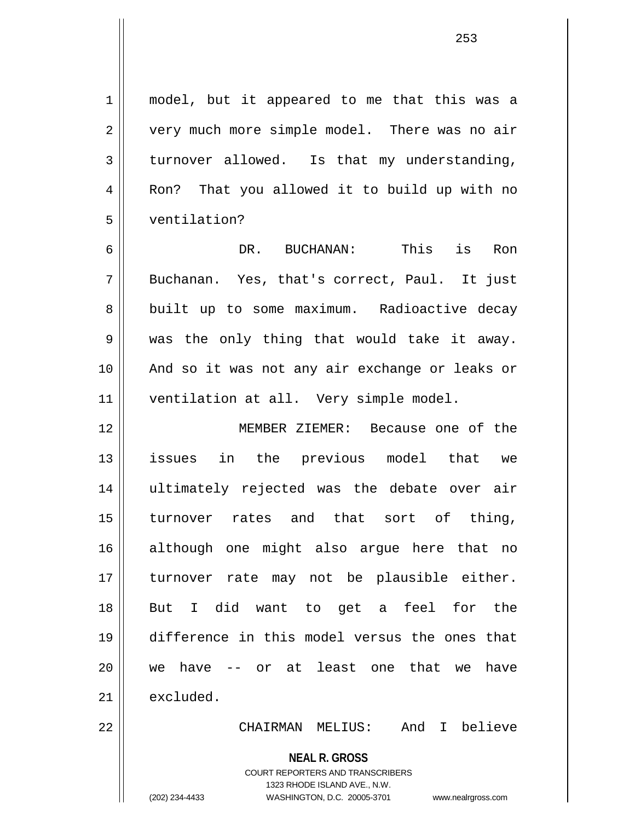1 || model, but it appeared to me that this was a 2 || very much more simple model. There was no air  $3 \parallel$  turnover allowed. Is that my understanding,

4 || Ron? That you allowed it to build up with no 5 ventilation?

6 DR. BUCHANAN: This is Ron 7 Buchanan. Yes, that's correct, Paul. It just 8 built up to some maximum. Radioactive decay  $9 \parallel$  was the only thing that would take it away. 10 And so it was not any air exchange or leaks or 11 | ventilation at all. Very simple model.

12 MEMBER ZIEMER: Because one of the 13 issues in the previous model that we 14 ultimately rejected was the debate over air 15 turnover rates and that sort of thing, 16 although one might also argue here that no 17 || turnover rate may not be plausible either. 18 But I did want to get a feel for the 19 difference in this model versus the ones that 20 we have -- or at least one that we have  $21$  excluded.

22 CHAIRMAN MELIUS: And I believe

**NEAL R. GROSS**

COURT REPORTERS AND TRANSCRIBERS 1323 RHODE ISLAND AVE., N.W. (202) 234-4433 WASHINGTON, D.C. 20005-3701 www.nealrgross.com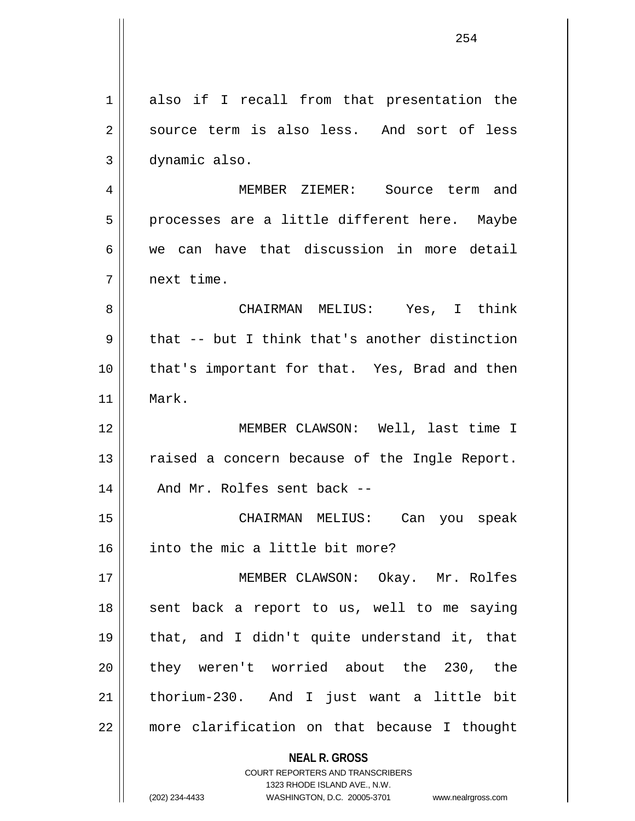| 1  | also if I recall from that presentation the                                                         |
|----|-----------------------------------------------------------------------------------------------------|
| 2  | source term is also less. And sort of less                                                          |
| 3  | dynamic also.                                                                                       |
| 4  | MEMBER ZIEMER: Source term and                                                                      |
| 5  | processes are a little different here. Maybe                                                        |
| 6  | we can have that discussion in more detail                                                          |
| 7  | next time.                                                                                          |
| 8  | CHAIRMAN MELIUS: Yes, I think                                                                       |
| 9  | that -- but I think that's another distinction                                                      |
| 10 | that's important for that. Yes, Brad and then                                                       |
| 11 | Mark.                                                                                               |
| 12 | MEMBER CLAWSON: Well, last time I                                                                   |
| 13 | raised a concern because of the Ingle Report.                                                       |
| 14 | And Mr. Rolfes sent back --                                                                         |
| 15 | CHAIRMAN MELIUS: Can you speak                                                                      |
| 16 | into the mic a little bit more?                                                                     |
| 17 | MEMBER CLAWSON: Okay. Mr. Rolfes                                                                    |
| 18 | sent back a report to us, well to me saying                                                         |
| 19 | that, and I didn't quite understand it, that                                                        |
| 20 | they weren't worried about the 230, the                                                             |
| 21 | thorium-230. And I just want a little bit                                                           |
| 22 | more clarification on that because I thought                                                        |
|    | <b>NEAL R. GROSS</b>                                                                                |
|    | <b>COURT REPORTERS AND TRANSCRIBERS</b>                                                             |
|    | 1323 RHODE ISLAND AVE., N.W.<br>(202) 234-4433<br>WASHINGTON, D.C. 20005-3701<br>www.nealrgross.com |
|    |                                                                                                     |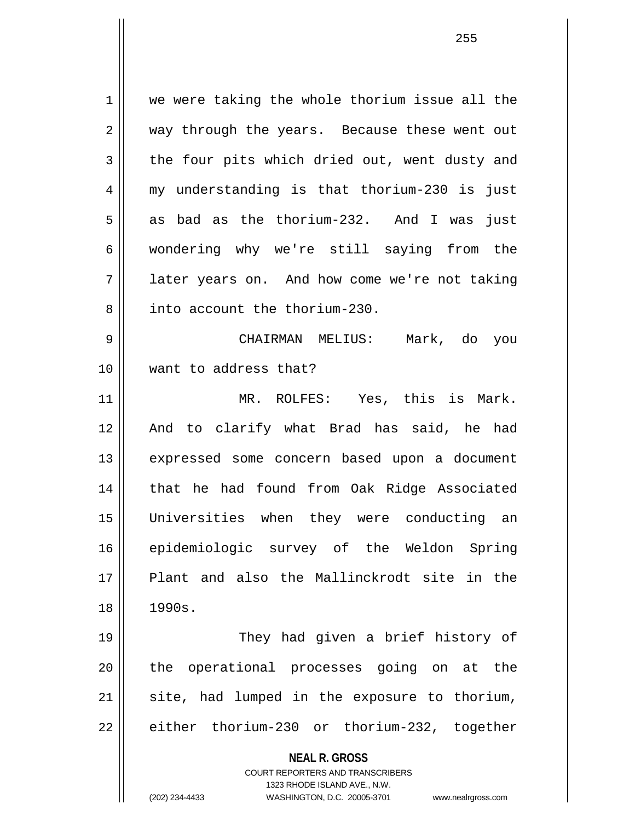**NEAL R. GROSS** COURT REPORTERS AND TRANSCRIBERS 1 we were taking the whole thorium issue all the 2 way through the years. Because these went out  $3 \parallel$  the four pits which dried out, went dusty and 4 my understanding is that thorium-230 is just  $5 \parallel$  as bad as the thorium-232. And I was just 6 wondering why we're still saying from the 7 || later years on. And how come we're not taking 8 **i** into account the thorium-230. 9 CHAIRMAN MELIUS: Mark, do you 10 want to address that? 11 MR. ROLFES: Yes, this is Mark. 12 And to clarify what Brad has said, he had 13 || expressed some concern based upon a document 14 || that he had found from Oak Ridge Associated 15 Universities when they were conducting an 16 epidemiologic survey of the Weldon Spring 17 Plant and also the Mallinckrodt site in the 18 1990s. 19 They had given a brief history of 20 || the operational processes going on at the 21 || site, had lumped in the exposure to thorium, 22 || either thorium-230 or thorium-232, together

1323 RHODE ISLAND AVE., N.W.

(202) 234-4433 WASHINGTON, D.C. 20005-3701 www.nealrgross.com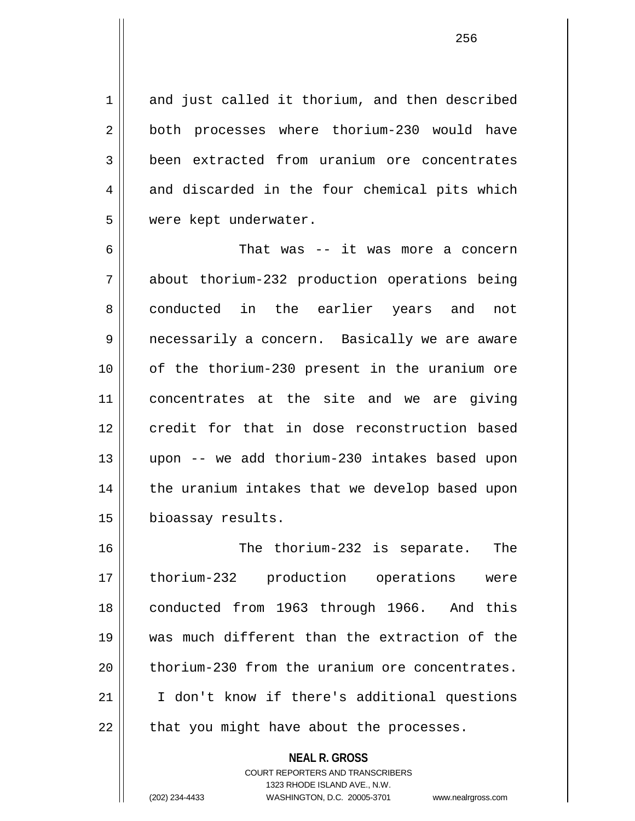1 and just called it thorium, and then described 2 || both processes where thorium-230 would have 3 **been** extracted from uranium ore concentrates  $4 \parallel$  and discarded in the four chemical pits which 5 | were kept underwater.

6 That was -- it was more a concern 7 about thorium-232 production operations being 8 conducted in the earlier years and not 9 || necessarily a concern. Basically we are aware 10 of the thorium-230 present in the uranium ore 11 concentrates at the site and we are giving 12 credit for that in dose reconstruction based 13 upon -- we add thorium-230 intakes based upon 14 || the uranium intakes that we develop based upon 15 | bioassay results.

16 The thorium-232 is separate. The 17 thorium-232 production operations were 18 conducted from 1963 through 1966. And this 19 was much different than the extraction of the 20 thorium-230 from the uranium ore concentrates. 21 I don't know if there's additional questions  $22$  || that you might have about the processes.

> **NEAL R. GROSS** COURT REPORTERS AND TRANSCRIBERS 1323 RHODE ISLAND AVE., N.W. (202) 234-4433 WASHINGTON, D.C. 20005-3701 www.nealrgross.com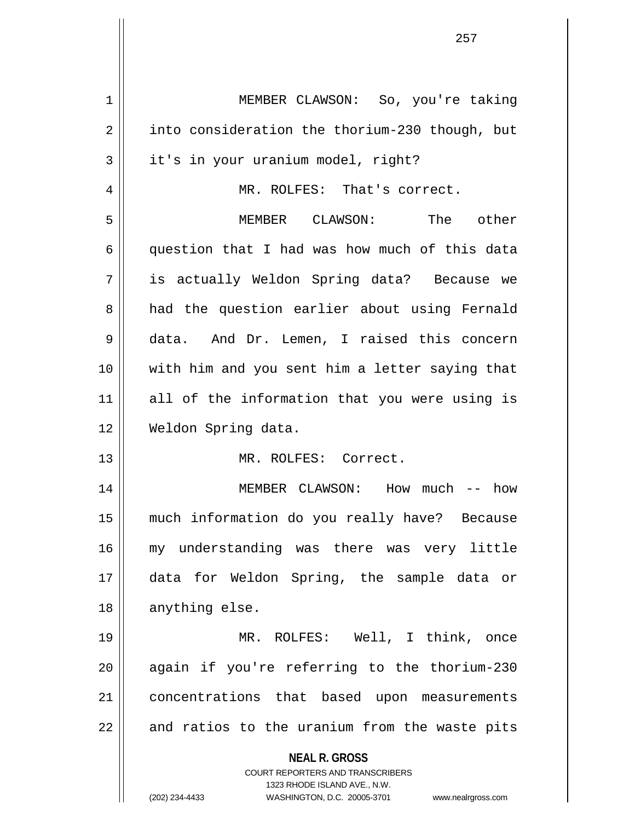| 1  | MEMBER CLAWSON: So, you're taking                                                                   |
|----|-----------------------------------------------------------------------------------------------------|
| 2  | into consideration the thorium-230 though, but                                                      |
| 3  | it's in your uranium model, right?                                                                  |
| 4  | MR. ROLFES: That's correct.                                                                         |
| 5  | MEMBER CLAWSON: The other                                                                           |
| 6  | question that I had was how much of this data                                                       |
| 7  | is actually Weldon Spring data? Because we                                                          |
| 8  | had the question earlier about using Fernald                                                        |
| 9  | data. And Dr. Lemen, I raised this concern                                                          |
| 10 | with him and you sent him a letter saying that                                                      |
| 11 | all of the information that you were using is                                                       |
| 12 | Weldon Spring data.                                                                                 |
| 13 | MR. ROLFES: Correct.                                                                                |
| 14 | MEMBER CLAWSON: How much -- how                                                                     |
| 15 | much information do you really have? Because                                                        |
| 16 | my understanding was there was very little                                                          |
| 17 | data for Weldon Spring, the sample data or                                                          |
| 18 | anything else.                                                                                      |
| 19 | MR. ROLFES: Well, I think, once                                                                     |
| 20 | again if you're referring to the thorium-230                                                        |
| 21 | concentrations that based upon measurements                                                         |
| 22 | and ratios to the uranium from the waste pits                                                       |
|    | <b>NEAL R. GROSS</b>                                                                                |
|    | <b>COURT REPORTERS AND TRANSCRIBERS</b>                                                             |
|    | 1323 RHODE ISLAND AVE., N.W.<br>(202) 234-4433<br>WASHINGTON, D.C. 20005-3701<br>www.nealrgross.com |
|    |                                                                                                     |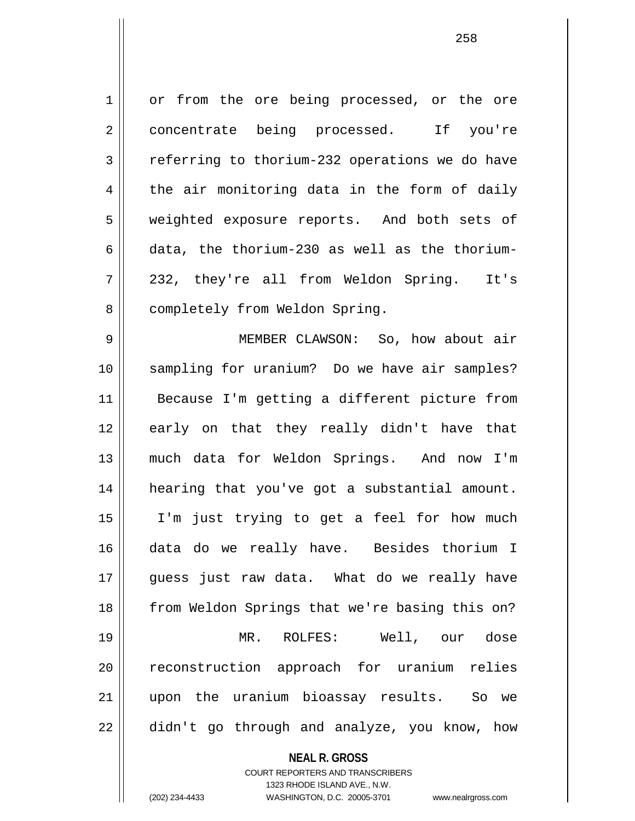1 or from the ore being processed, or the ore 2 concentrate being processed. If you're  $3 \parallel$  referring to thorium-232 operations we do have  $4 \parallel$  the air monitoring data in the form of daily 5 || weighted exposure reports. And both sets of 6 data, the thorium-230 as well as the thorium-7 232, they're all from Weldon Spring. It's 8 | completely from Weldon Spring.

9 MEMBER CLAWSON: So, how about air 10 sampling for uranium? Do we have air samples? 11 Because I'm getting a different picture from 12 early on that they really didn't have that 13 much data for Weldon Springs. And now I'm 14 hearing that you've got a substantial amount. 15 I'm just trying to get a feel for how much 16 data do we really have. Besides thorium I 17 || quess just raw data. What do we really have 18 || from Weldon Springs that we're basing this on? 19 MR. ROLFES: Well, our dose 20 || reconstruction approach for uranium relies 21 upon the uranium bioassay results. So we  $22 \parallel$  didn't go through and analyze, you know, how

**NEAL R. GROSS**

COURT REPORTERS AND TRANSCRIBERS 1323 RHODE ISLAND AVE., N.W. (202) 234-4433 WASHINGTON, D.C. 20005-3701 www.nealrgross.com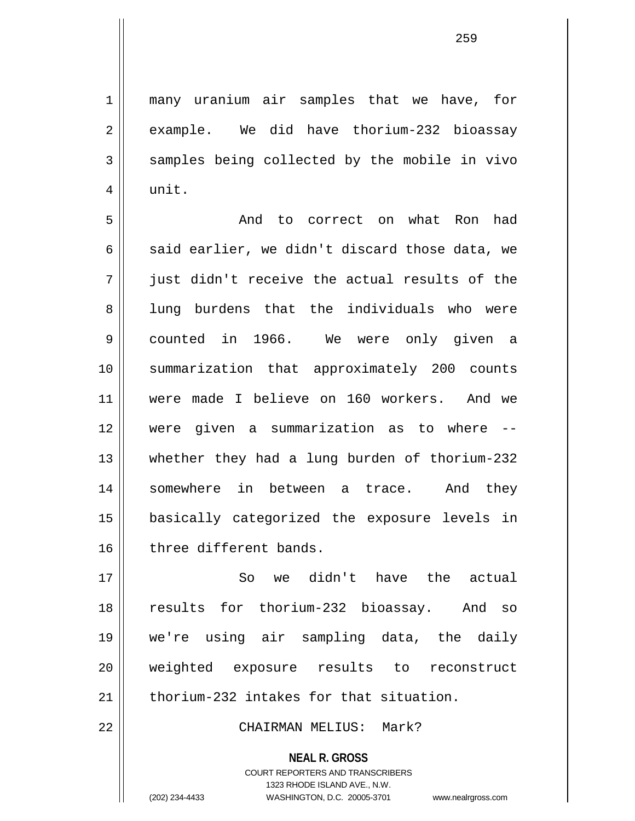1 || many uranium air samples that we have, for  $2 \parallel$  example. We did have thorium-232 bioassay  $3 \parallel$  samples being collected by the mobile in vivo  $4 \parallel$  unit.

5 || The Modison Correct on what Ron had 6  $\parallel$  said earlier, we didn't discard those data, we 7 just didn't receive the actual results of the 8 || lung burdens that the individuals who were 9 counted in 1966. We were only given a 10 summarization that approximately 200 counts 11 were made I believe on 160 workers. And we 12 were given a summarization as to where -- 13 whether they had a lung burden of thorium-232 14 Somewhere in between a trace. And they 15 basically categorized the exposure levels in 16 three different bands.

17 So we didn't have the actual 18 results for thorium-232 bioassay. And so 19 we're using air sampling data, the daily 20 weighted exposure results to reconstruct 21 || thorium-232 intakes for that situation.

22 CHAIRMAN MELIUS: Mark?

**NEAL R. GROSS** COURT REPORTERS AND TRANSCRIBERS 1323 RHODE ISLAND AVE., N.W.

(202) 234-4433 WASHINGTON, D.C. 20005-3701 www.nealrgross.com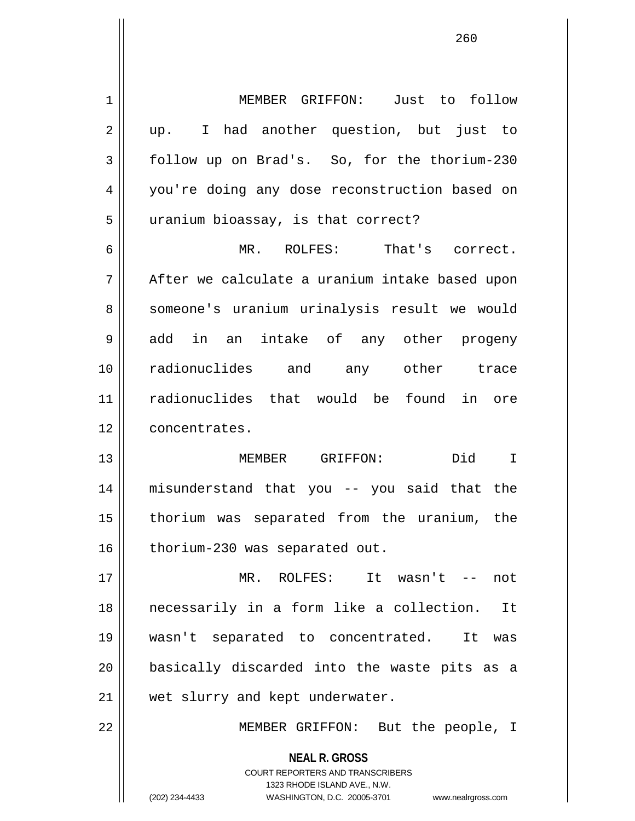**NEAL R. GROSS** COURT REPORTERS AND TRANSCRIBERS 1323 RHODE ISLAND AVE., N.W. (202) 234-4433 WASHINGTON, D.C. 20005-3701 www.nealrgross.com 1 || MEMBER GRIFFON: Just to follow 2 || up. I had another question, but just to 3 follow up on Brad's. So, for the thorium-230 4 || you're doing any dose reconstruction based on 5 || uranium bioassay, is that correct? 6 MR. ROLFES: That's correct. 7 After we calculate a uranium intake based upon 8 || someone's uranium urinalysis result we would 9 add in an intake of any other progeny 10 radionuclides and any other trace 11 radionuclides that would be found in ore 12 | concentrates. 13 MEMBER GRIFFON: Did I 14 misunderstand that you -- you said that the 15 thorium was separated from the uranium, the 16 | thorium-230 was separated out. 17 MR. ROLFES: It wasn't -- not 18 necessarily in a form like a collection. It 19 wasn't separated to concentrated. It was 20 || basically discarded into the waste pits as a 21 || wet slurry and kept underwater. 22 MEMBER GRIFFON: But the people, I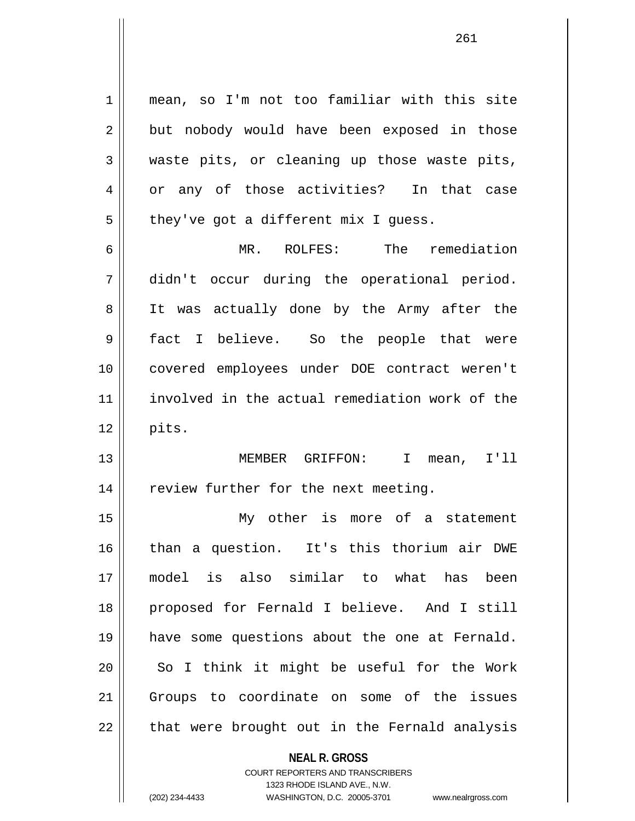**NEAL R. GROSS** 1 mean, so I'm not too familiar with this site  $2 \parallel$  but nobody would have been exposed in those 3 waste pits, or cleaning up those waste pits, 4 or any of those activities? In that case  $5 \parallel$  they've got a different mix I guess. 6 MR. ROLFES: The remediation 7 didn't occur during the operational period. 8 || It was actually done by the Army after the 9 || fact I believe. So the people that were 10 covered employees under DOE contract weren't 11 involved in the actual remediation work of the  $12 \parallel$  pits. 13 MEMBER GRIFFON: I mean, I'll 14 | review further for the next meeting. 15 My other is more of a statement 16 than a question. It's this thorium air DWE 17 model is also similar to what has been 18 proposed for Fernald I believe. And I still 19 have some questions about the one at Fernald. 20 || So I think it might be useful for the Work 21 Groups to coordinate on some of the issues 22 || that were brought out in the Fernald analysis

> COURT REPORTERS AND TRANSCRIBERS 1323 RHODE ISLAND AVE., N.W.

(202) 234-4433 WASHINGTON, D.C. 20005-3701 www.nealrgross.com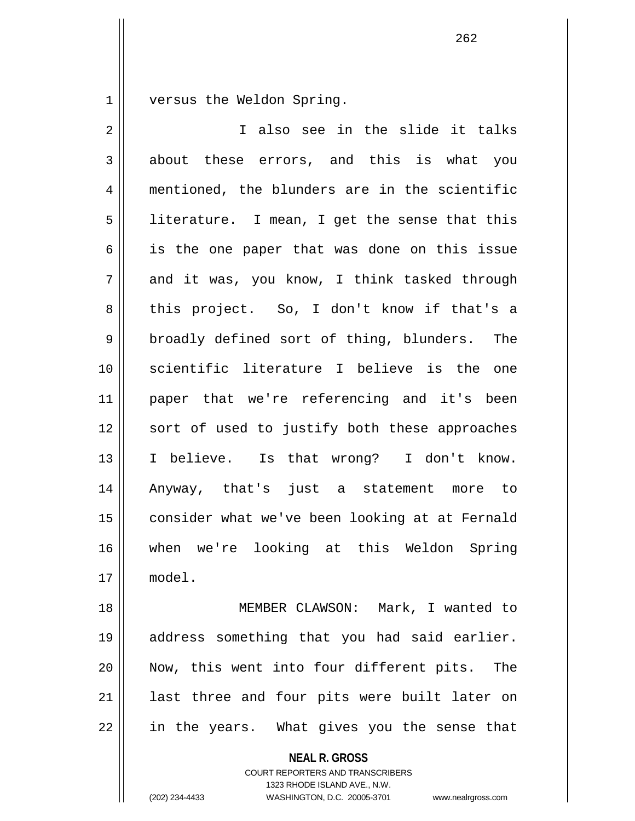1 versus the Weldon Spring.

| $\overline{2}$ | I also see in the slide it talks               |
|----------------|------------------------------------------------|
| 3              | about these errors, and this is what you       |
| $\overline{4}$ | mentioned, the blunders are in the scientific  |
| 5              | literature. I mean, I get the sense that this  |
| 6              | is the one paper that was done on this issue   |
| 7              | and it was, you know, I think tasked through   |
| 8              | this project. So, I don't know if that's a     |
| 9              | broadly defined sort of thing, blunders. The   |
| 10             | scientific literature I believe is the one     |
| 11             | paper that we're referencing and it's been     |
| 12             | sort of used to justify both these approaches  |
| 13             | I believe. Is that wrong? I don't know.        |
| 14             | Anyway, that's just a statement more to        |
| 15             | consider what we've been looking at at Fernald |
| 16             | when we're looking at this Weldon Spring       |
| 17             | model.                                         |
| 18             | MEMBER CLAWSON: Mark, I wanted to              |
| 19             | address something that you had said earlier.   |
| 20             | Now, this went into four different pits. The   |
| 21             | last three and four pits were built later on   |
| 22             | in the years. What gives you the sense that    |
|                | <b>NEAL R. GROSS</b>                           |

COURT REPORTERS AND TRANSCRIBERS 1323 RHODE ISLAND AVE., N.W.

(202) 234-4433 WASHINGTON, D.C. 20005-3701 www.nealrgross.com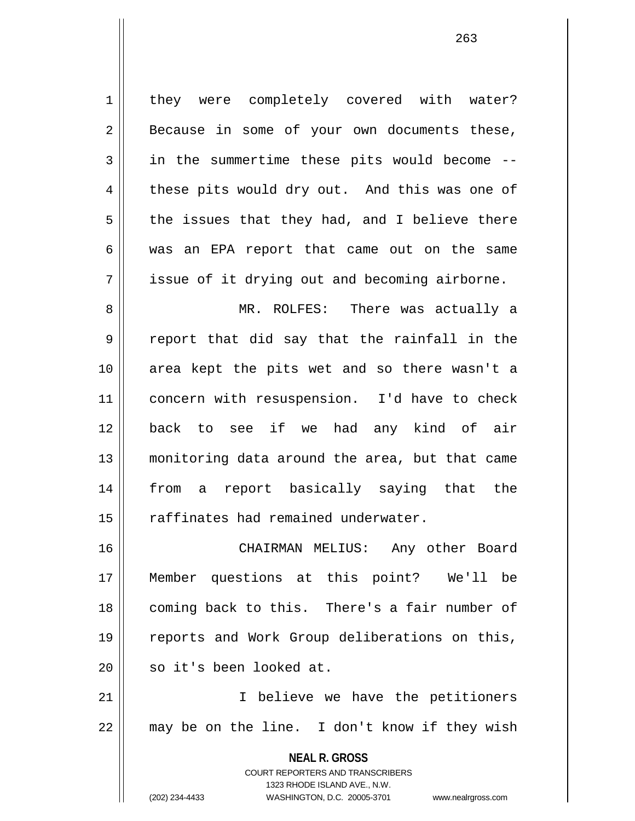**NEAL R. GROSS** COURT REPORTERS AND TRANSCRIBERS 1323 RHODE ISLAND AVE., N.W. 1 | they were completely covered with water?  $2 \parallel$  Because in some of your own documents these, 3 || in the summertime these pits would become -- $4 \parallel$  these pits would dry out. And this was one of  $5 \parallel$  the issues that they had, and I believe there 6 was an EPA report that came out on the same  $7 \parallel$  issue of it drying out and becoming airborne. 8 MR. ROLFES: There was actually a  $9 \parallel$  report that did say that the rainfall in the 10 area kept the pits wet and so there wasn't a 11 || concern with resuspension. I'd have to check 12 back to see if we had any kind of air 13 monitoring data around the area, but that came 14 from a report basically saying that the 15 || raffinates had remained underwater. 16 CHAIRMAN MELIUS: Any other Board 17 Member questions at this point? We'll be 18 coming back to this. There's a fair number of 19 || reports and Work Group deliberations on this, 20 || so it's been looked at. 21 || Thelieve we have the petitioners  $22 \parallel$  may be on the line. I don't know if they wish

(202) 234-4433 WASHINGTON, D.C. 20005-3701 www.nealrgross.com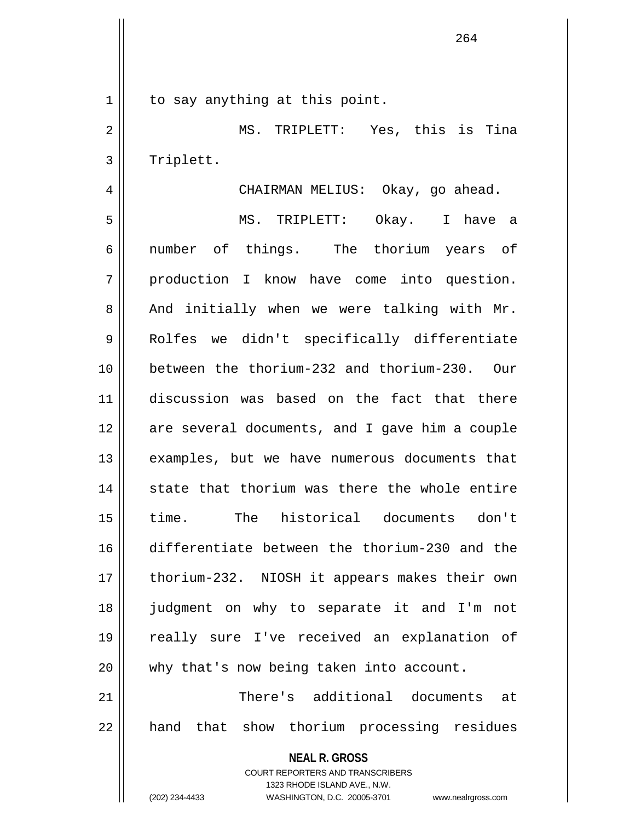1 || to say anything at this point.

2 MS. TRIPLETT: Yes, this is Tina 3 | Triplett.

4 | CHAIRMAN MELIUS: Okay, go ahead. 5 MS. TRIPLETT: Okay. I have a 6 number of things. The thorium years of 7 || production I know have come into question.  $8$  || And initially when we were talking with Mr. 9 || Rolfes we didn't specifically differentiate 10 between the thorium-232 and thorium-230. Our 11 discussion was based on the fact that there 12 are several documents, and I gave him a couple 13 || examples, but we have numerous documents that  $14$   $\parallel$  state that thorium was there the whole entire 15 time. The historical documents don't 16 differentiate between the thorium-230 and the 17 || thorium-232. NIOSH it appears makes their own 18 judgment on why to separate it and I'm not 19 really sure I've received an explanation of 20 why that's now being taken into account. 21 There's additional documents at

22 || hand that show thorium processing residues

**NEAL R. GROSS**

COURT REPORTERS AND TRANSCRIBERS 1323 RHODE ISLAND AVE., N.W. (202) 234-4433 WASHINGTON, D.C. 20005-3701 www.nealrgross.com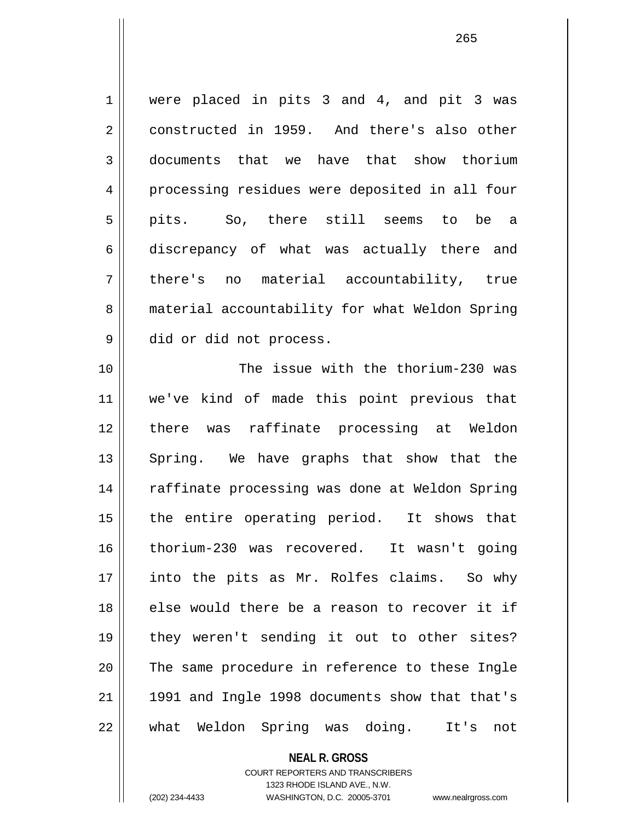1 | were placed in pits 3 and 4, and pit 3 was 2 constructed in 1959. And there's also other 3 documents that we have that show thorium 4 || processing residues were deposited in all four 5 pits. So, there still seems to be a 6 discrepancy of what was actually there and 7 || there's no material accountability, true 8 | material accountability for what Weldon Spring 9 || did or did not process.

10 The issue with the thorium-230 was 11 we've kind of made this point previous that 12 there was raffinate processing at Weldon 13 || Spring. We have graphs that show that the 14 || raffinate processing was done at Weldon Spring 15 || the entire operating period. It shows that 16 thorium-230 was recovered. It wasn't going 17 || into the pits as Mr. Rolfes claims. So why 18 else would there be a reason to recover it if 19 they weren't sending it out to other sites? 20 || The same procedure in reference to these Ingle  $21$  || 1991 and Ingle 1998 documents show that that's 22 what Weldon Spring was doing. It's not

> **NEAL R. GROSS** COURT REPORTERS AND TRANSCRIBERS 1323 RHODE ISLAND AVE., N.W. (202) 234-4433 WASHINGTON, D.C. 20005-3701 www.nealrgross.com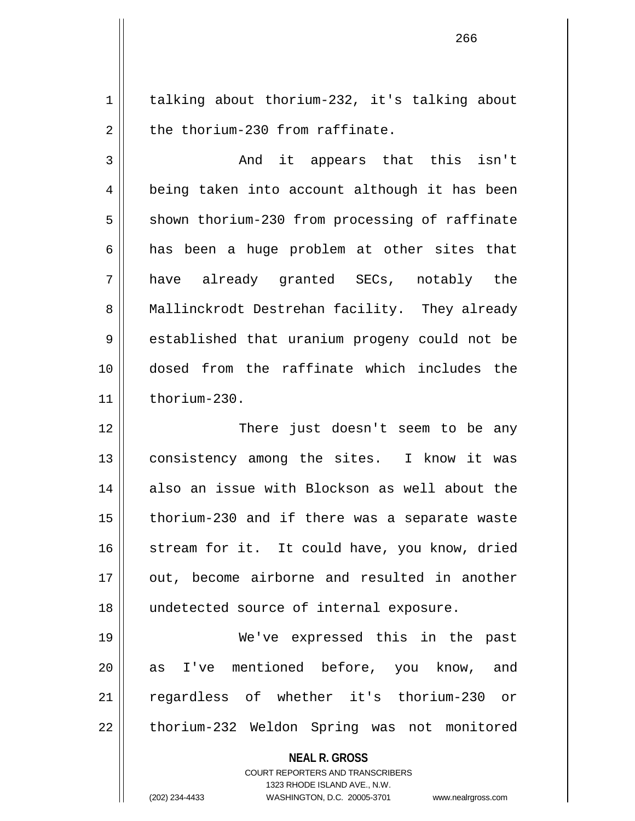1 | talking about thorium-232, it's talking about  $2 \parallel$  the thorium-230 from raffinate.

3 and it appears that this isn't 4 || being taken into account although it has been  $5 \parallel$  shown thorium-230 from processing of raffinate  $6 \parallel$  has been a huge problem at other sites that 7 have already granted SECs, notably the 8 | Mallinckrodt Destrehan facility. They already 9 established that uranium progeny could not be 10 dosed from the raffinate which includes the  $11$  thorium-230.

12 There just doesn't seem to be any 13 || consistency among the sites. I know it was 14 also an issue with Blockson as well about the  $15$  | thorium-230 and if there was a separate waste 16 || stream for it. It could have, you know, dried 17 || out, become airborne and resulted in another 18 || undetected source of internal exposure.

19 We've expressed this in the past 20 || as I've mentioned before, you know, and 21 regardless of whether it's thorium-230 or 22 | thorium-232 Weldon Spring was not monitored

**NEAL R. GROSS**

COURT REPORTERS AND TRANSCRIBERS 1323 RHODE ISLAND AVE., N.W. (202) 234-4433 WASHINGTON, D.C. 20005-3701 www.nealrgross.com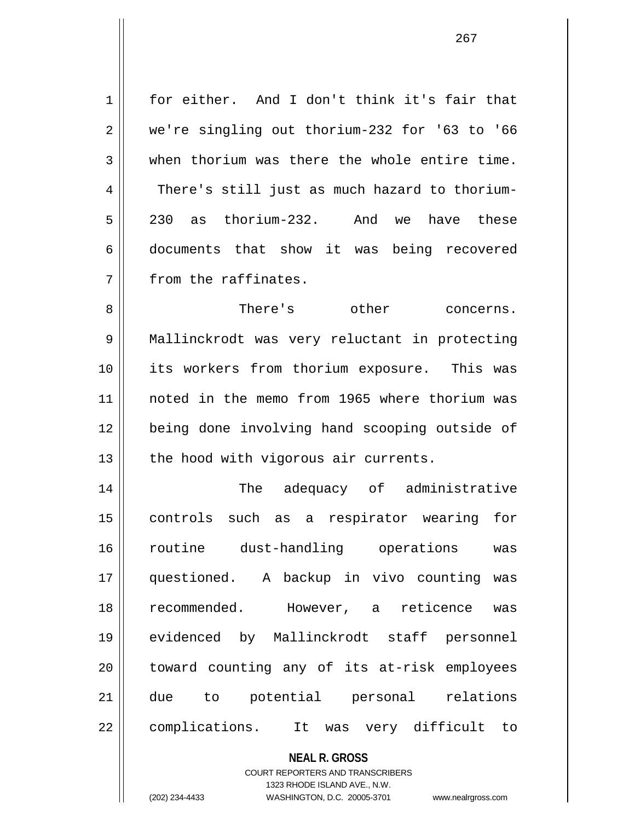1 || for either. And I don't think it's fair that 2 || we're singling out thorium-232 for '63 to '66  $3$   $\parallel$  when thorium was there the whole entire time. 4 There's still just as much hazard to thorium-5 230 as thorium-232. And we have these 6 documents that show it was being recovered  $7$   $\parallel$  from the raffinates.

8 There's other concerns. 9 Mallinckrodt was very reluctant in protecting 10 its workers from thorium exposure. This was 11 noted in the memo from 1965 where thorium was 12 being done involving hand scooping outside of  $13$  | the hood with vigorous air currents.

14 || The adequacy of administrative 15 controls such as a respirator wearing for 16 routine dust-handling operations was 17 questioned. A backup in vivo counting was 18 recommended. However, a reticence was 19 evidenced by Mallinckrodt staff personnel 20 || toward counting any of its at-risk employees 21 due to potential personal relations 22 || complications. It was very difficult to

## **NEAL R. GROSS**

COURT REPORTERS AND TRANSCRIBERS 1323 RHODE ISLAND AVE., N.W. (202) 234-4433 WASHINGTON, D.C. 20005-3701 www.nealrgross.com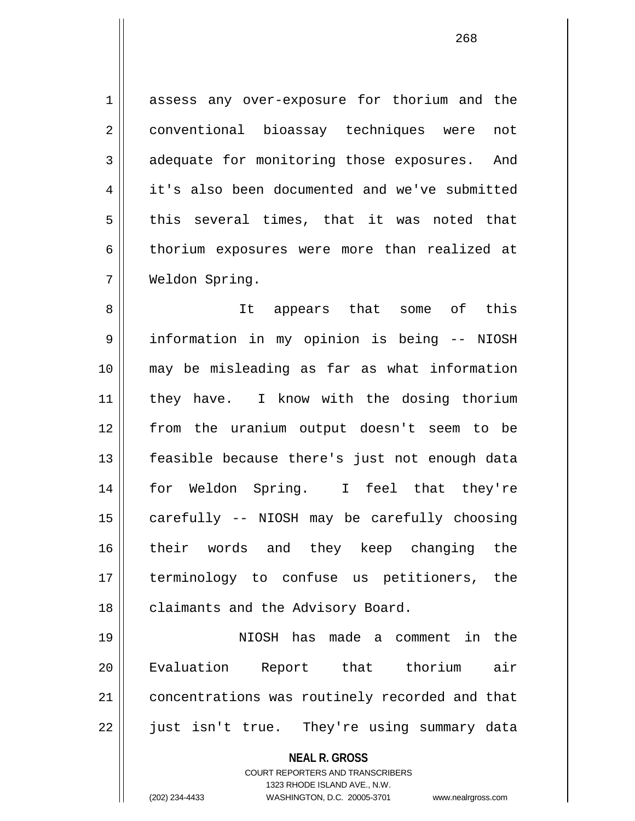1 assess any over-exposure for thorium and the 2 | conventional bioassay techniques were not 3 adequate for monitoring those exposures. And 4 it's also been documented and we've submitted  $5 \parallel$  this several times, that it was noted that 6 thorium exposures were more than realized at 7 Weldon Spring.

8 || It appears that some of this 9 || information in my opinion is being -- NIOSH 10 may be misleading as far as what information 11 || they have. I know with the dosing thorium 12 from the uranium output doesn't seem to be 13 || feasible because there's just not enough data 14 for Weldon Spring. I feel that they're 15 || carefully -- NIOSH may be carefully choosing 16 || their words and they keep changing the 17 terminology to confuse us petitioners, the 18 || claimants and the Advisory Board.

19 NIOSH has made a comment in the 20 Evaluation Report that thorium air 21 | concentrations was routinely recorded and that 22 || just isn't true. They're using summary data

**NEAL R. GROSS**

COURT REPORTERS AND TRANSCRIBERS 1323 RHODE ISLAND AVE., N.W. (202) 234-4433 WASHINGTON, D.C. 20005-3701 www.nealrgross.com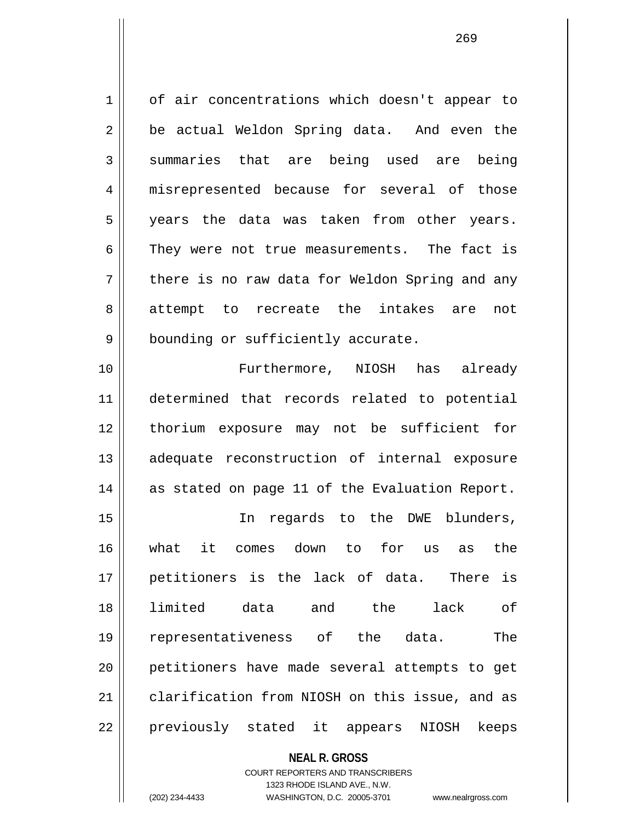1 of air concentrations which doesn't appear to  $2 \parallel$  be actual Weldon Spring data. And even the 3 summaries that are being used are being 4 || misrepresented because for several of those 5 years the data was taken from other years.  $6 \parallel$  They were not true measurements. The fact is  $7 \parallel$  there is no raw data for Weldon Spring and any 8 || attempt to recreate the intakes are not 9 | bounding or sufficiently accurate.

10 Furthermore, NIOSH has already 11 determined that records related to potential 12 thorium exposure may not be sufficient for 13 || adequate reconstruction of internal exposure 14 as stated on page 11 of the Evaluation Report.

15 || The regards to the DWE blunders, 16 what it comes down to for us as the 17 petitioners is the lack of data. There is 18 limited data and the lack of 19 representativeness of the data. The 20 petitioners have made several attempts to get 21 clarification from NIOSH on this issue, and as 22 || previously stated it appears NIOSH keeps

> **NEAL R. GROSS** COURT REPORTERS AND TRANSCRIBERS 1323 RHODE ISLAND AVE., N.W. (202) 234-4433 WASHINGTON, D.C. 20005-3701 www.nealrgross.com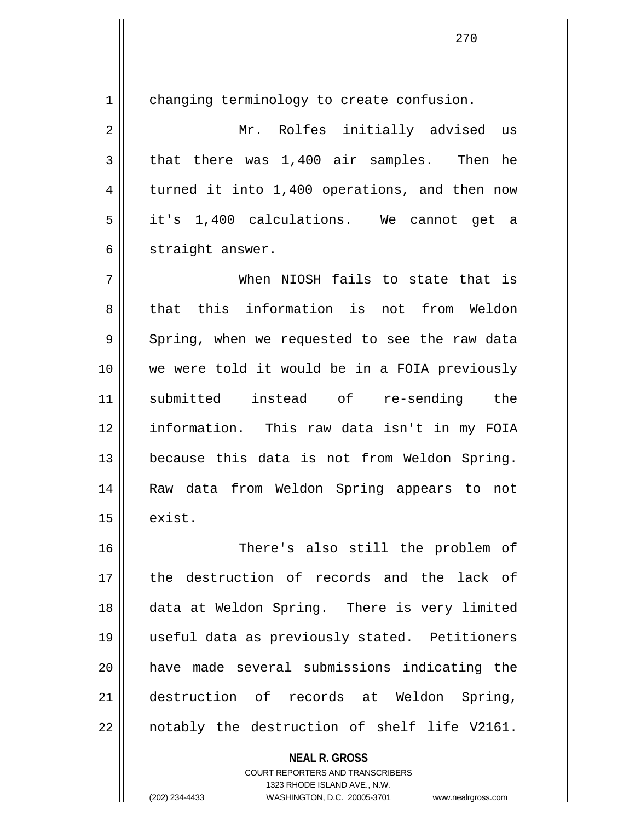1 | changing terminology to create confusion.

2 Mr. Rolfes initially advised us  $3 \parallel$  that there was 1,400 air samples. Then he  $4 \parallel$  turned it into 1,400 operations, and then now 5 it's 1,400 calculations. We cannot get a 6 | straight answer.

7 When NIOSH fails to state that is 8 that this information is not from Weldon  $9 \parallel$  Spring, when we requested to see the raw data 10 we were told it would be in a FOIA previously 11 submitted instead of re-sending the 12 information. This raw data isn't in my FOIA 13 || because this data is not from Weldon Spring. 14 Raw data from Weldon Spring appears to not  $15$   $\parallel$  exist.

16 There's also still the problem of 17 the destruction of records and the lack of 18 data at Weldon Spring. There is very limited 19 useful data as previously stated. Petitioners 20 have made several submissions indicating the 21 destruction of records at Weldon Spring,  $22 \parallel$  notably the destruction of shelf life V2161.

> **NEAL R. GROSS** COURT REPORTERS AND TRANSCRIBERS 1323 RHODE ISLAND AVE., N.W. (202) 234-4433 WASHINGTON, D.C. 20005-3701 www.nealrgross.com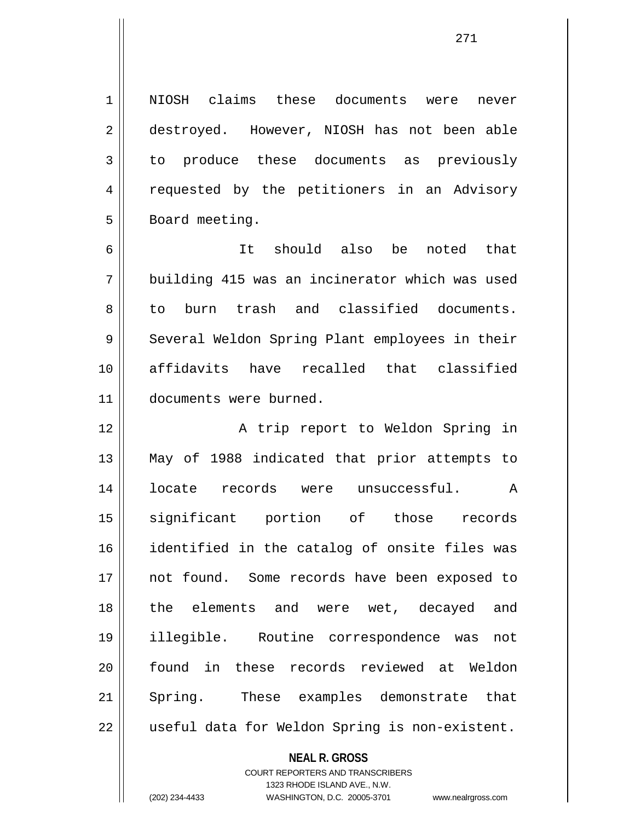1 || NIOSH claims these documents were never 2 destroyed. However, NIOSH has not been able 3 to produce these documents as previously 4 || requested by the petitioners in an Advisory 5 | Board meeting. 6 It should also be noted that 7 building 415 was an incinerator which was used 8 to burn trash and classified documents. 9 || Several Weldon Spring Plant employees in their 10 affidavits have recalled that classified 11 documents were burned. 12 || A trip report to Weldon Spring in 13 May of 1988 indicated that prior attempts to 14 locate records were unsuccessful. A 15 significant portion of those records 16 identified in the catalog of onsite files was 17 || not found. Some records have been exposed to 18 the elements and were wet, decayed and 19 illegible. Routine correspondence was not 20 found in these records reviewed at Weldon 21 Spring. These examples demonstrate that 22 | useful data for Weldon Spring is non-existent.

> **NEAL R. GROSS** COURT REPORTERS AND TRANSCRIBERS

> > 1323 RHODE ISLAND AVE., N.W.

(202) 234-4433 WASHINGTON, D.C. 20005-3701 www.nealrgross.com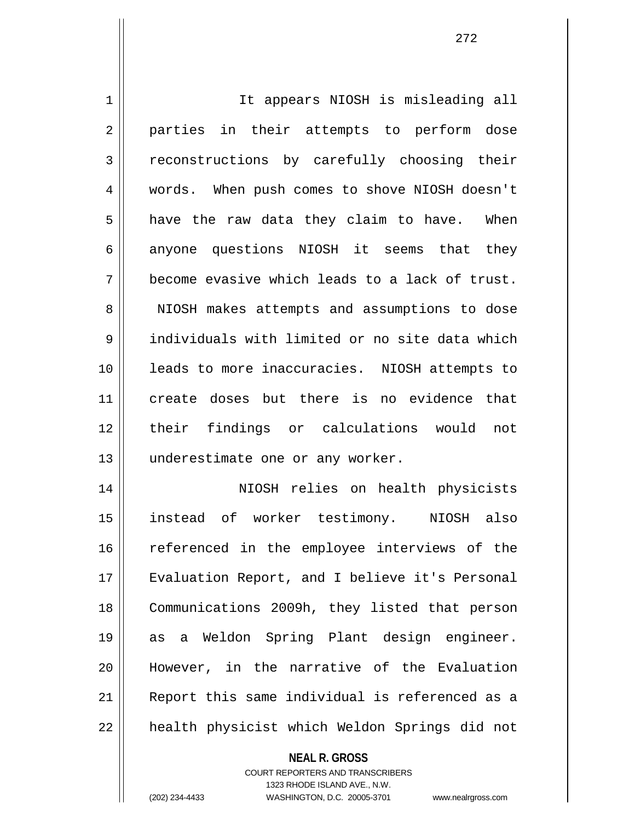1 || It appears NIOSH is misleading all 2 || parties in their attempts to perform dose 3 reconstructions by carefully choosing their 4 words. When push comes to shove NIOSH doesn't  $5 \parallel$  have the raw data they claim to have. When  $6 \parallel$  anyone questions NIOSH it seems that they  $7 \parallel$  become evasive which leads to a lack of trust. 8 || NIOSH makes attempts and assumptions to dose 9 individuals with limited or no site data which 10 leads to more inaccuracies. NIOSH attempts to 11 create doses but there is no evidence that 12 their findings or calculations would not 13 || underestimate one or any worker. 14 NIOSH relies on health physicists 15 instead of worker testimony. NIOSH also 16 || referenced in the employee interviews of the 17 Evaluation Report, and I believe it's Personal 18 || Communications 2009h, they listed that person

19 as a Weldon Spring Plant design engineer. 20 However, in the narrative of the Evaluation 21 Report this same individual is referenced as a 22 || health physicist which Weldon Springs did not

## **NEAL R. GROSS** COURT REPORTERS AND TRANSCRIBERS 1323 RHODE ISLAND AVE., N.W. (202) 234-4433 WASHINGTON, D.C. 20005-3701 www.nealrgross.com

<sup>272</sup>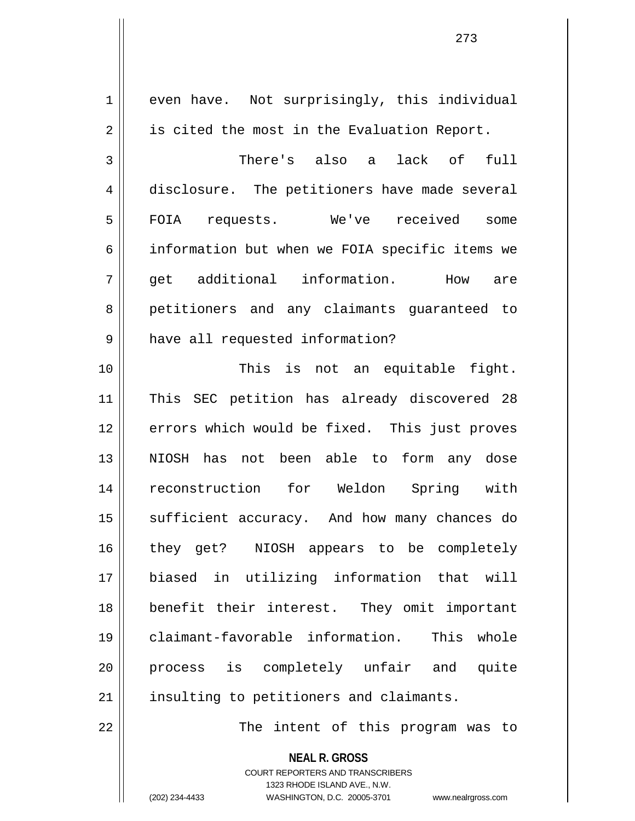1 even have. Not surprisingly, this individual  $2 \parallel$  is cited the most in the Evaluation Report. 3 There's also a lack of full 4 disclosure. The petitioners have made several 5 || FOIA requests. We've received some 6 information but when we FOIA specific items we 7 get additional information. How are 8 || petitioners and any claimants guaranteed to 9 || have all requested information? 10 || This is not an equitable fight. 11 This SEC petition has already discovered 28 12 errors which would be fixed. This just proves 13 NIOSH has not been able to form any dose 14 reconstruction for Weldon Spring with 15 || sufficient accuracy. And how many chances do 16 || they get? NIOSH appears to be completely 17 biased in utilizing information that will 18 benefit their interest. They omit important 19 claimant-favorable information. This whole 20 process is completely unfair and quite 21 || insulting to petitioners and claimants. 22 || The intent of this program was to

> **NEAL R. GROSS** COURT REPORTERS AND TRANSCRIBERS 1323 RHODE ISLAND AVE., N.W.

(202) 234-4433 WASHINGTON, D.C. 20005-3701 www.nealrgross.com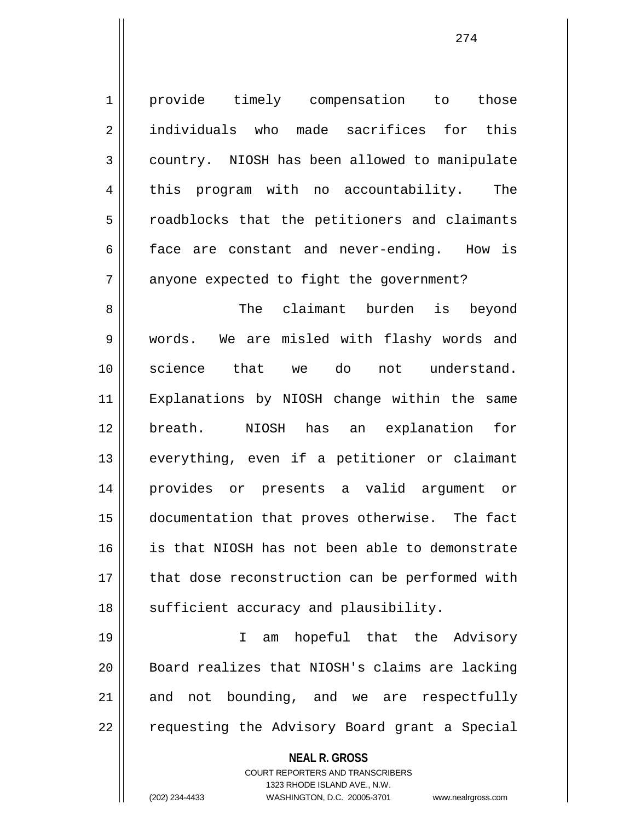1 || provide timely compensation to those 2 individuals who made sacrifices for this 3 country. NIOSH has been allowed to manipulate 4 | this program with no accountability. The 5 || roadblocks that the petitioners and claimants  $6 \parallel$  face are constant and never-ending. How is  $7$  || anyone expected to fight the government?

8 || The claimant burden is beyond 9 words. We are misled with flashy words and 10 science that we do not understand. 11 Explanations by NIOSH change within the same 12 breath. NIOSH has an explanation for 13 || everything, even if a petitioner or claimant 14 provides or presents a valid argument or 15 documentation that proves otherwise. The fact 16 is that NIOSH has not been able to demonstrate 17 || that dose reconstruction can be performed with 18 || sufficient accuracy and plausibility.

19 I am hopeful that the Advisory 20 || Board realizes that NIOSH's claims are lacking  $21$  and not bounding, and we are respectfully 22 || requesting the Advisory Board grant a Special

> **NEAL R. GROSS** COURT REPORTERS AND TRANSCRIBERS 1323 RHODE ISLAND AVE., N.W. (202) 234-4433 WASHINGTON, D.C. 20005-3701 www.nealrgross.com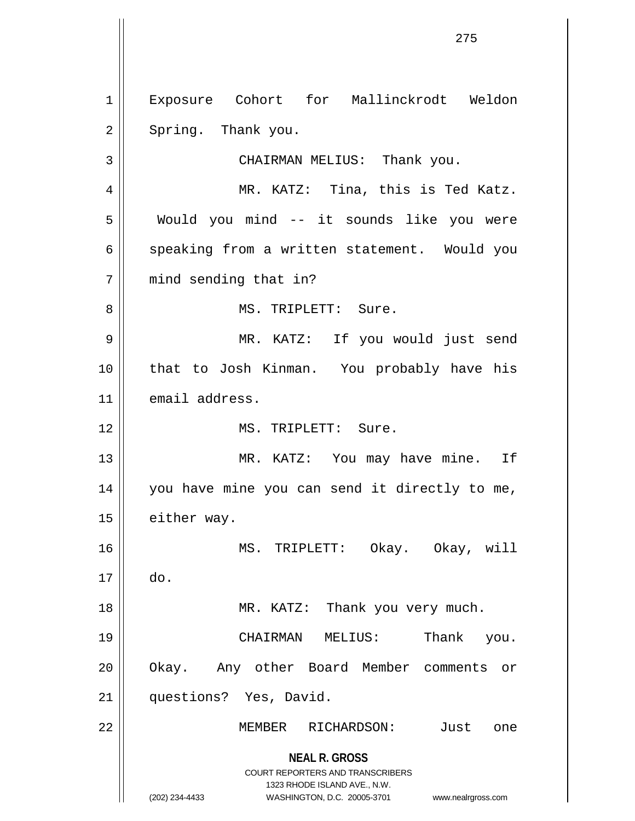**NEAL R. GROSS** COURT REPORTERS AND TRANSCRIBERS 1323 RHODE ISLAND AVE., N.W. (202) 234-4433 WASHINGTON, D.C. 20005-3701 www.nealrgross.com 1 Exposure Cohort for Mallinckrodt Weldon  $2 \parallel$  Spring. Thank you. 3 || CHAIRMAN MELIUS: Thank you. 4 MR. KATZ: Tina, this is Ted Katz. 5 Would you mind -- it sounds like you were 6 || speaking from a written statement. Would you 7 || mind sending that in? 8 MS. TRIPLETT: Sure. 9 MR. KATZ: If you would just send 10 that to Josh Kinman. You probably have his 11 | email address. 12 MS. TRIPLETT: Sure. 13 || MR. KATZ: You may have mine. If 14 you have mine you can send it directly to me, 15 | either way. 16 MS. TRIPLETT: Okay. Okay, will 17 do. 18 || MR. KATZ: Thank you very much. 19 CHAIRMAN MELIUS: Thank you. 20 || Okay. Any other Board Member comments or 21 questions? Yes, David. 22 MEMBER RICHARDSON: Just one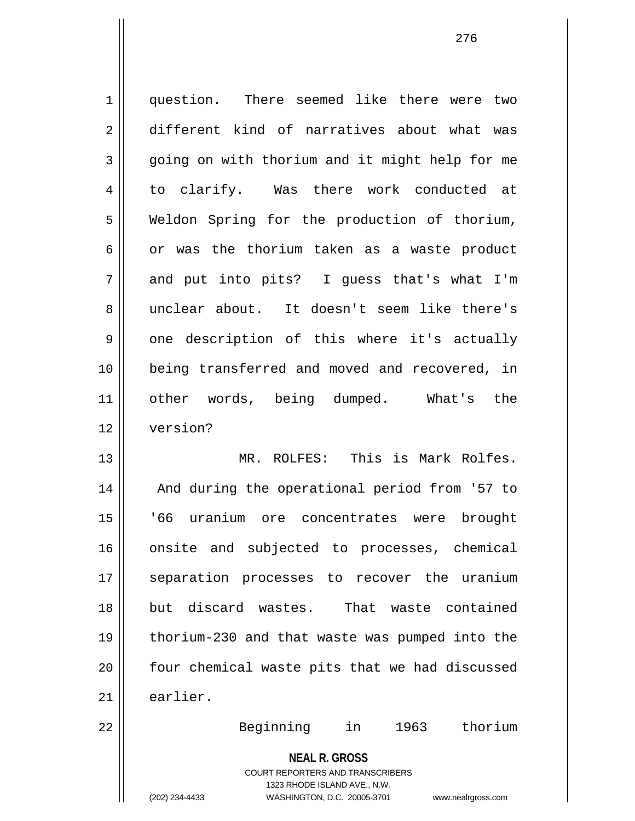1 question. There seemed like there were two 2 different kind of narratives about what was 3 || going on with thorium and it might help for me 4 to clarify. Was there work conducted at 5 Weldon Spring for the production of thorium,  $6 \parallel$  or was the thorium taken as a waste product  $7 \parallel$  and put into pits? I quess that's what I'm 8 unclear about. It doesn't seem like there's  $9 \parallel$  one description of this where it's actually 10 being transferred and moved and recovered, in 11 other words, being dumped. What's the 12 version? 13 MR. ROLFES: This is Mark Rolfes. 14 || And during the operational period from '57 to 15 '66 uranium ore concentrates were brought 16 || onsite and subjected to processes, chemical 17 || separation processes to recover the uranium 18 but discard wastes. That waste contained

20 || four chemical waste pits that we had discussed

21 earlier.

22 Beginning in 1963 thorium

**NEAL R. GROSS** COURT REPORTERS AND TRANSCRIBERS 1323 RHODE ISLAND AVE., N.W. (202) 234-4433 WASHINGTON, D.C. 20005-3701 www.nealrgross.com

19 thorium-230 and that waste was pumped into the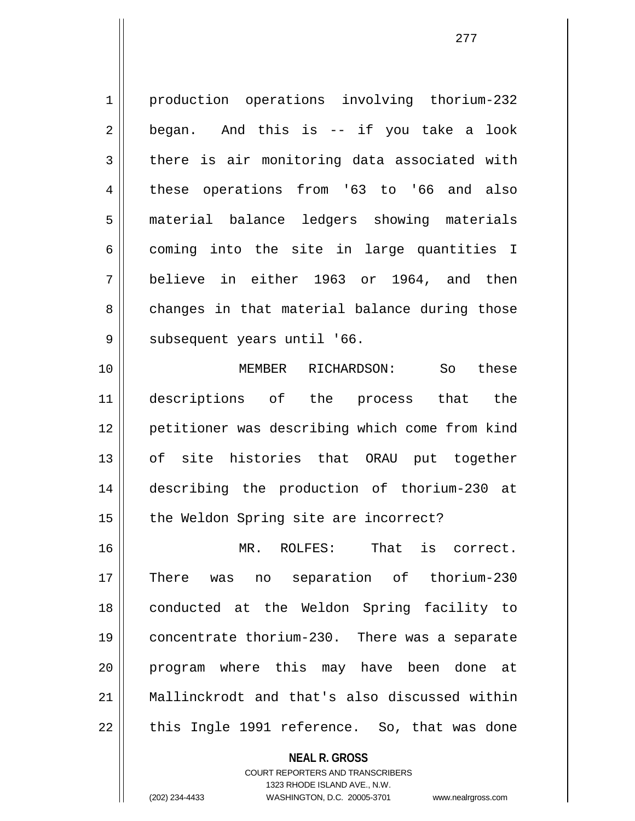1 production operations involving thorium-232 2 began. And this is -- if you take a look  $3 \parallel$  there is air monitoring data associated with 4 these operations from '63 to '66 and also 5 | material balance ledgers showing materials  $6 \parallel$  coming into the site in large quantities I 7 believe in either 1963 or 1964, and then 8 changes in that material balance during those 9 | subsequent years until '66.

10 MEMBER RICHARDSON: So these 11 descriptions of the process that the 12 petitioner was describing which come from kind 13 of site histories that ORAU put together 14 describing the production of thorium-230 at 15 || the Weldon Spring site are incorrect?

16 MR. ROLFES: That is correct. 17 There was no separation of thorium-230 18 conducted at the Weldon Spring facility to 19 concentrate thorium-230. There was a separate 20 || program where this may have been done at 21 Mallinckrodt and that's also discussed within  $22 \parallel$  this Ingle 1991 reference. So, that was done

> **NEAL R. GROSS** COURT REPORTERS AND TRANSCRIBERS 1323 RHODE ISLAND AVE., N.W. (202) 234-4433 WASHINGTON, D.C. 20005-3701 www.nealrgross.com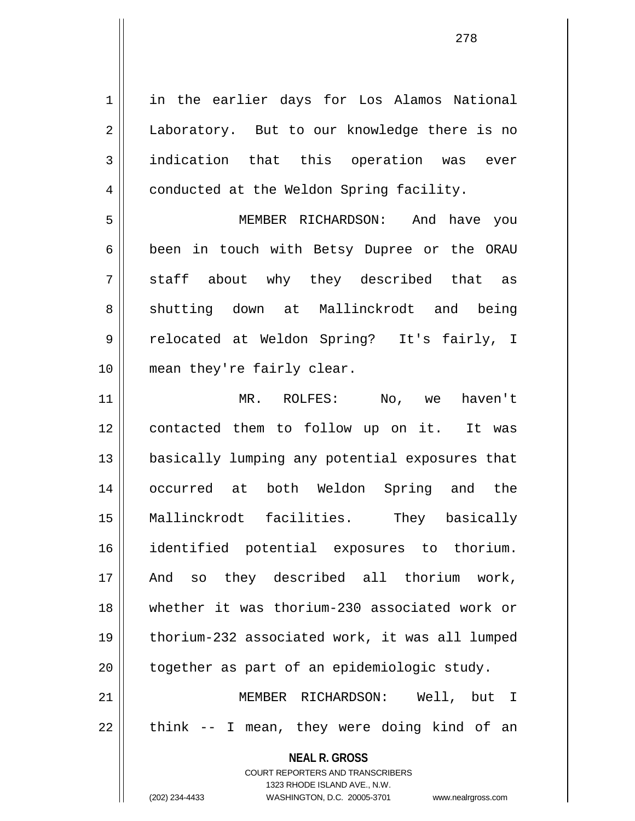**NEAL R. GROSS** COURT REPORTERS AND TRANSCRIBERS 1 || in the earlier days for Los Alamos National 2 | Laboratory. But to our knowledge there is no 3 indication that this operation was ever 4 | conducted at the Weldon Spring facility. 5 MEMBER RICHARDSON: And have you 6 || been in touch with Betsy Dupree or the ORAU  $7 \parallel$  staff about why they described that as 8 shutting down at Mallinckrodt and being 9 relocated at Weldon Spring? It's fairly, I 10 mean they're fairly clear. 11 MR. ROLFES: No, we haven't 12 contacted them to follow up on it. It was 13 basically lumping any potential exposures that 14 occurred at both Weldon Spring and the 15 Mallinckrodt facilities. They basically 16 identified potential exposures to thorium. 17 || And so they described all thorium work, 18 whether it was thorium-230 associated work or 19 thorium-232 associated work, it was all lumped  $20$  | together as part of an epidemiologic study. 21 MEMBER RICHARDSON: Well, but I  $22 \parallel$  think -- I mean, they were doing kind of an

> 1323 RHODE ISLAND AVE., N.W. (202) 234-4433 WASHINGTON, D.C. 20005-3701 www.nealrgross.com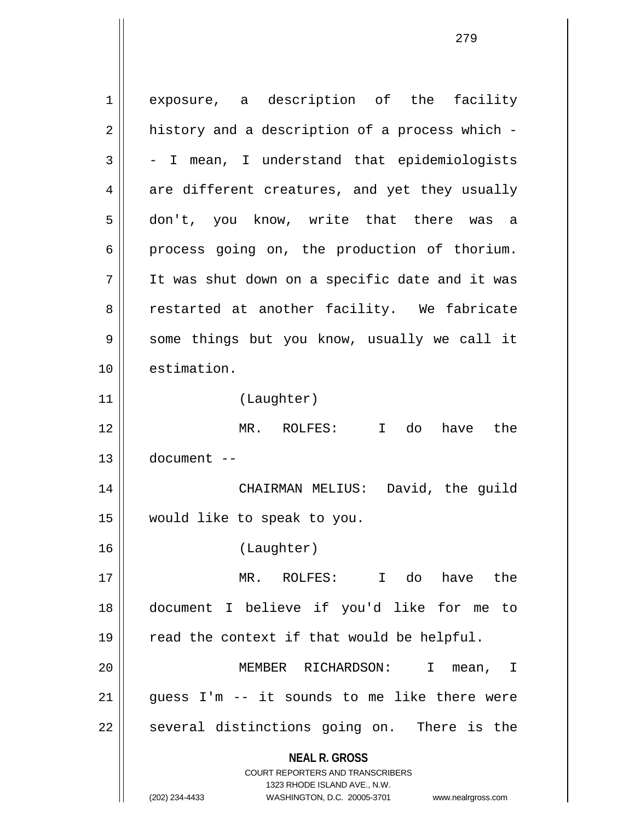**NEAL R. GROSS** COURT REPORTERS AND TRANSCRIBERS 1323 RHODE ISLAND AVE., N.W. (202) 234-4433 WASHINGTON, D.C. 20005-3701 www.nealrgross.com 1 exposure, a description of the facility  $2 \parallel$  history and a description of a process which - $3 \parallel$  - I mean, I understand that epidemiologists  $4 \parallel$  are different creatures, and yet they usually 5 don't, you know, write that there was a 6 process going on, the production of thorium. 7 It was shut down on a specific date and it was 8 || restarted at another facility. We fabricate 9 Some things but you know, usually we call it 10 estimation. 11 (Laughter) 12 MR. ROLFES: I do have the 13 document -- 14 CHAIRMAN MELIUS: David, the guild 15 would like to speak to you. 16 (Laughter) 17 MR. ROLFES: I do have the 18 document I believe if you'd like for me to  $19 \parallel$  read the context if that would be helpful. 20 MEMBER RICHARDSON: I mean, I 21 || guess I'm -- it sounds to me like there were  $22 \parallel$  several distinctions going on. There is the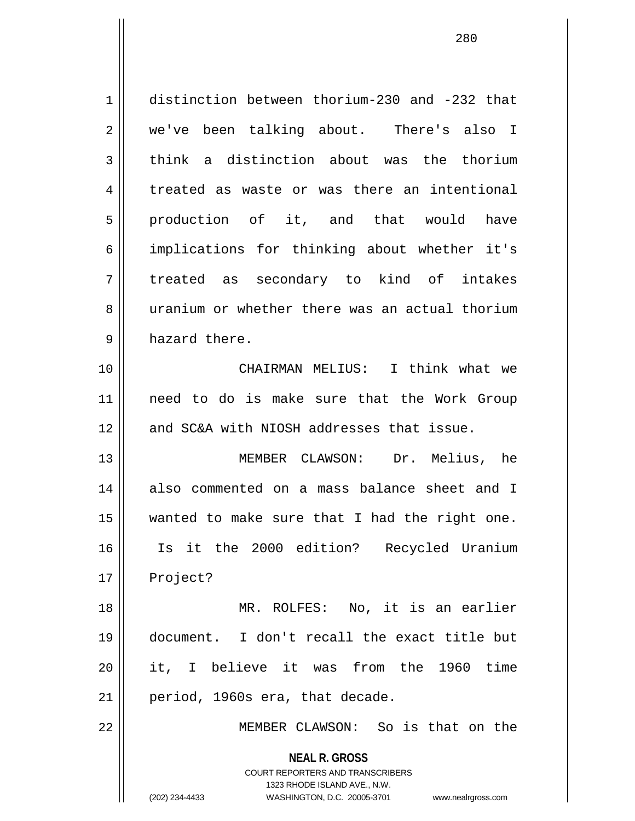| 1  | distinction between thorium-230 and -232 that            |
|----|----------------------------------------------------------|
| 2  | we've been talking about. There's also I                 |
| 3  | think a distinction about was the thorium                |
| 4  | treated as waste or was there an intentional             |
| 5  | production of it, and that would have                    |
| 6  | implications for thinking about whether it's             |
| 7  | treated as secondary to kind of intakes                  |
| 8  | uranium or whether there was an actual thorium           |
| 9  | hazard there.                                            |
| 10 | CHAIRMAN MELIUS: I think what we                         |
| 11 | need to do is make sure that the Work Group              |
| 12 | and SC&A with NIOSH addresses that issue.                |
| 13 | MEMBER CLAWSON: Dr. Melius, he                           |
| 14 | also commented on a mass balance sheet and I             |
| 15 | wanted to make sure that I had the right one.            |
| 16 | Is it the 2000 edition? Recycled Uranium                 |
| 17 | Project?                                                 |
| 18 | MR. ROLFES: No, it is an earlier                         |
| 19 | document. I don't recall the exact title but             |
| 20 | it, I believe it was from the 1960 time                  |
| 21 | period, 1960s era, that decade.                          |
| 22 | MEMBER CLAWSON: So is that on the                        |
|    | <b>NEAL R. GROSS</b><br>COURT REPORTERS AND TRANSCRIBERS |

1323 RHODE ISLAND AVE., N.W.

 $\mathop{\text{||}}$ 

(202) 234-4433 WASHINGTON, D.C. 20005-3701 www.nealrgross.com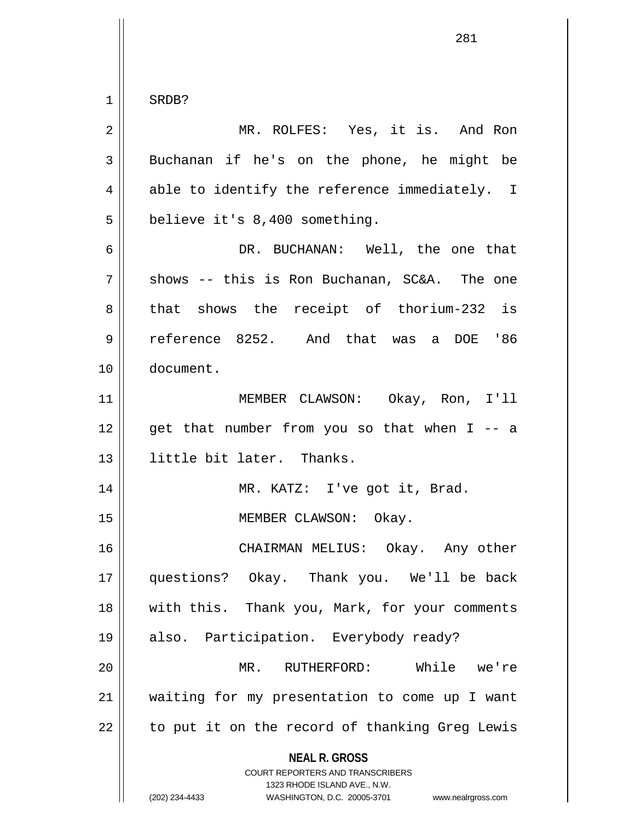$1$  SRDB?

| $\overline{2}$ | MR. ROLFES: Yes, it is. And Ron                                                                                                                                        |
|----------------|------------------------------------------------------------------------------------------------------------------------------------------------------------------------|
| 3              | Buchanan if he's on the phone, he might be                                                                                                                             |
| 4              | able to identify the reference immediately. I                                                                                                                          |
| 5              | believe it's 8,400 something.                                                                                                                                          |
| 6              | DR. BUCHANAN: Well, the one that                                                                                                                                       |
| 7              | shows -- this is Ron Buchanan, SC&A. The one                                                                                                                           |
| $\,8\,$        | that shows the receipt of thorium-232 is                                                                                                                               |
| $\mathsf 9$    | reference 8252. And that was a DOE '86                                                                                                                                 |
| 10             | document.                                                                                                                                                              |
| 11             | MEMBER CLAWSON: Okay, Ron, I'll                                                                                                                                        |
| 12             | get that number from you so that when I -- a                                                                                                                           |
| 13             | little bit later. Thanks.                                                                                                                                              |
| 14             | MR. KATZ: I've got it, Brad.                                                                                                                                           |
| 15             | MEMBER CLAWSON: Okay.                                                                                                                                                  |
| 16             | CHAIRMAN MELIUS: Okay. Any other                                                                                                                                       |
| 17             | questions? Okay. Thank you. We'll be back                                                                                                                              |
| 18             | with this. Thank you, Mark, for your comments                                                                                                                          |
| 19             | also. Participation. Everybody ready?                                                                                                                                  |
| 20             | While we're<br>MR. RUTHERFORD:                                                                                                                                         |
| 21             | waiting for my presentation to come up I want                                                                                                                          |
| 22             | to put it on the record of thanking Greg Lewis                                                                                                                         |
|                | <b>NEAL R. GROSS</b><br><b>COURT REPORTERS AND TRANSCRIBERS</b><br>1323 RHODE ISLAND AVE., N.W.<br>(202) 234-4433<br>WASHINGTON, D.C. 20005-3701<br>www.nealrgross.com |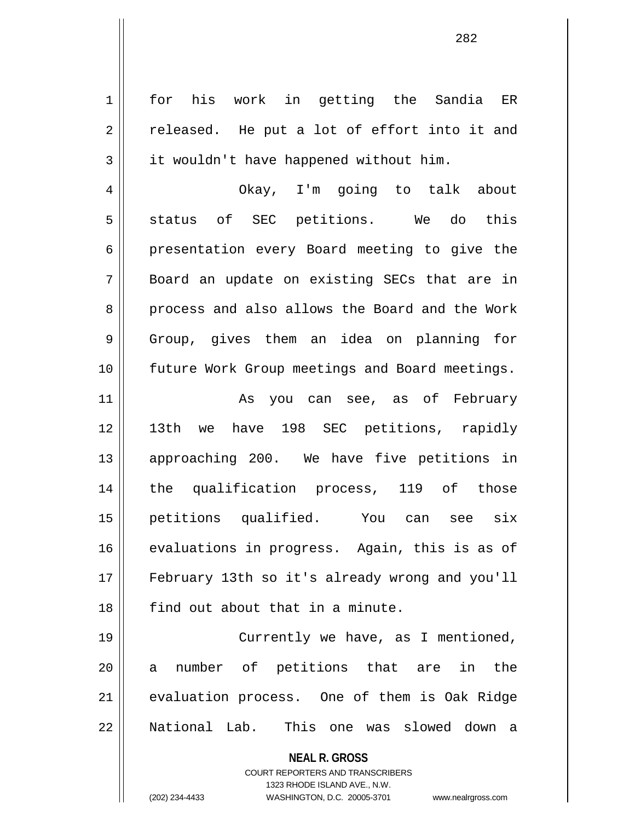**NEAL R. GROSS** COURT REPORTERS AND TRANSCRIBERS 1323 RHODE ISLAND AVE., N.W. 1 || for his work in getting the Sandia ER  $2 \parallel$  released. He put a lot of effort into it and  $3 \parallel$  it wouldn't have happened without him. 4 Okay, I'm going to talk about  $5 \parallel$  status of SEC petitions. We do this 6 presentation every Board meeting to give the 7 Board an update on existing SECs that are in 8 process and also allows the Board and the Work 9 Group, gives them an idea on planning for 10 future Work Group meetings and Board meetings. 11 As you can see, as of February 12 13th we have 198 SEC petitions, rapidly 13 approaching 200. We have five petitions in 14 the qualification process, 119 of those 15 petitions qualified. You can see six 16 evaluations in progress. Again, this is as of 17 February 13th so it's already wrong and you'll 18 **find out about that in a minute.** 19 || Currently we have, as I mentioned, 20 a number of petitions that are in the 21 | evaluation process. One of them is Oak Ridge 22 National Lab. This one was slowed down a

(202) 234-4433 WASHINGTON, D.C. 20005-3701 www.nealrgross.com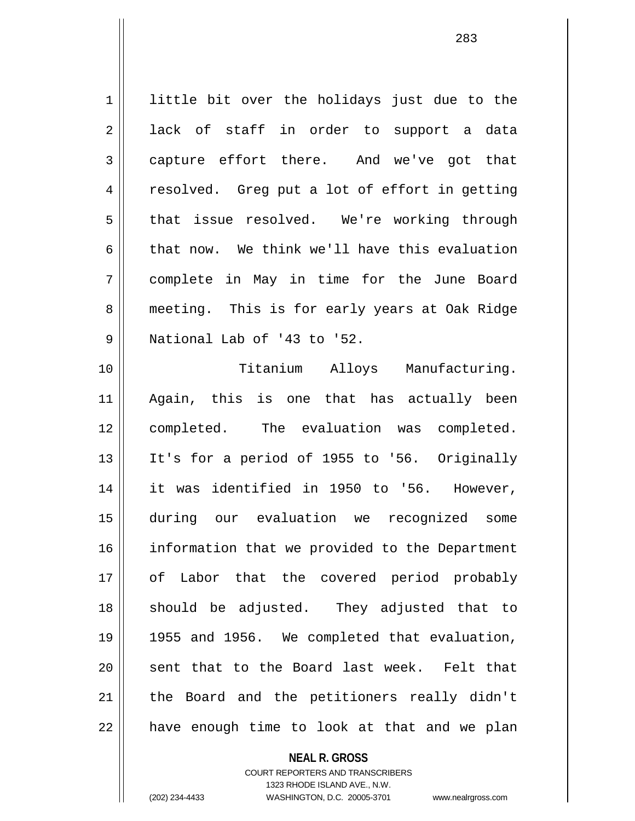1 || little bit over the holidays just due to the 2 ack of staff in order to support a data 3 capture effort there. And we've got that 4 || resolved. Greg put a lot of effort in getting 5 that issue resolved. We're working through 6 that now. We think we'll have this evaluation 7 complete in May in time for the June Board 8 || meeting. This is for early years at Oak Ridge 9 || National Lab of '43 to '52. 10 Titanium Alloys Manufacturing.

11 Again, this is one that has actually been 12 completed. The evaluation was completed. 13 It's for a period of 1955 to '56. Originally 14 it was identified in 1950 to '56. However, 15 during our evaluation we recognized some 16 | information that we provided to the Department 17 || of Labor that the covered period probably 18 should be adjusted. They adjusted that to 19 1955 and 1956. We completed that evaluation, 20 || sent that to the Board last week. Felt that 21 || the Board and the petitioners really didn't  $22$  || have enough time to look at that and we plan

> **NEAL R. GROSS** COURT REPORTERS AND TRANSCRIBERS 1323 RHODE ISLAND AVE., N.W. (202) 234-4433 WASHINGTON, D.C. 20005-3701 www.nealrgross.com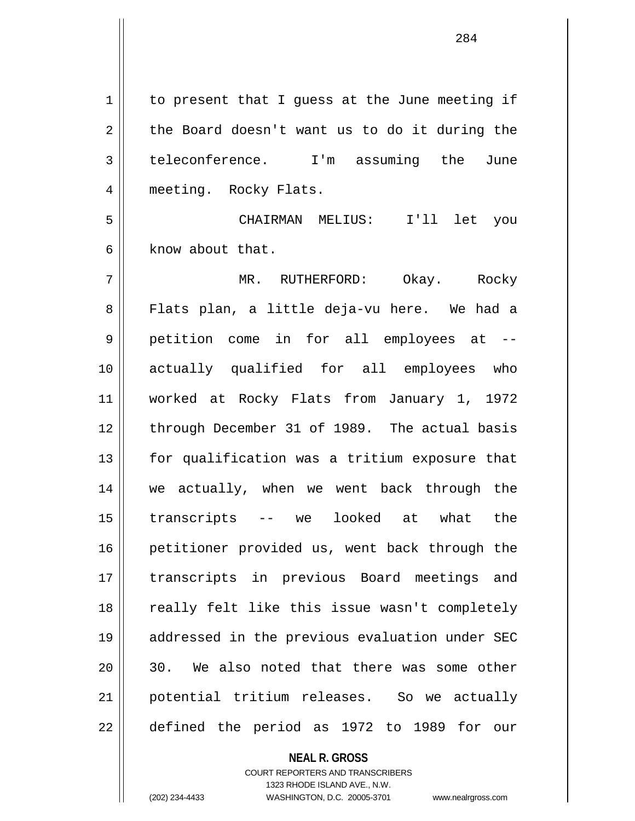1 | to present that I guess at the June meeting if  $2 \parallel$  the Board doesn't want us to do it during the 3 teleconference. I'm assuming the June 4 || meeting. Rocky Flats.

5 CHAIRMAN MELIUS: I'll let you 6 know about that.

7 MR. RUTHERFORD: Okay. Rocky 8 Flats plan, a little deja-vu here. We had a 9 || petition come in for all employees at --10 actually qualified for all employees who 11 worked at Rocky Flats from January 1, 1972 12 || through December 31 of 1989. The actual basis  $13$  | for qualification was a tritium exposure that 14 we actually, when we went back through the 15 transcripts -- we looked at what the 16 || petitioner provided us, went back through the 17 || transcripts in previous Board meetings and 18 || really felt like this issue wasn't completely 19 addressed in the previous evaluation under SEC 20 || 30. We also noted that there was some other 21 potential tritium releases. So we actually 22 || defined the period as 1972 to 1989 for our

## **NEAL R. GROSS**

COURT REPORTERS AND TRANSCRIBERS 1323 RHODE ISLAND AVE., N.W. (202) 234-4433 WASHINGTON, D.C. 20005-3701 www.nealrgross.com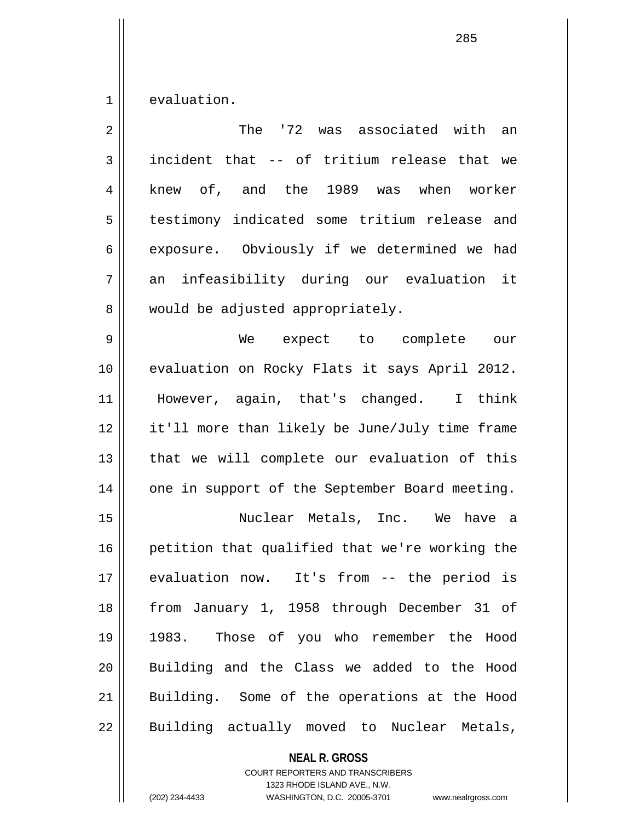$1 \parallel$  evaluation.

| $\overline{2}$ | The '72 was associated with an                 |
|----------------|------------------------------------------------|
| 3              | incident that -- of tritium release that we    |
| 4              | knew of, and the 1989 was when worker          |
| 5              | testimony indicated some tritium release and   |
| 6              | exposure. Obviously if we determined we had    |
| 7              | an infeasibility during our evaluation it      |
| 8              | would be adjusted appropriately.               |
| 9              | We expect to complete<br>our                   |
| 10             | evaluation on Rocky Flats it says April 2012.  |
| 11             | However, again, that's changed. I think        |
| 12             | it'll more than likely be June/July time frame |
| 13             | that we will complete our evaluation of this   |
| 14             | one in support of the September Board meeting. |
| 15             | Nuclear Metals, Inc. We have a                 |
| 16             | petition that qualified that we're working the |
| 17             | evaluation now. It's from -- the period is     |
| 18             | from January 1, 1958 through December 31 of    |
| 19             | 1983. Those of you who remember the Hood       |
| 20             | Building and the Class we added to the Hood    |
| 21             | Building. Some of the operations at the Hood   |
| 22             | Building actually moved to Nuclear Metals,     |

**NEAL R. GROSS** COURT REPORTERS AND TRANSCRIBERS

1323 RHODE ISLAND AVE., N.W.

(202) 234-4433 WASHINGTON, D.C. 20005-3701 www.nealrgross.com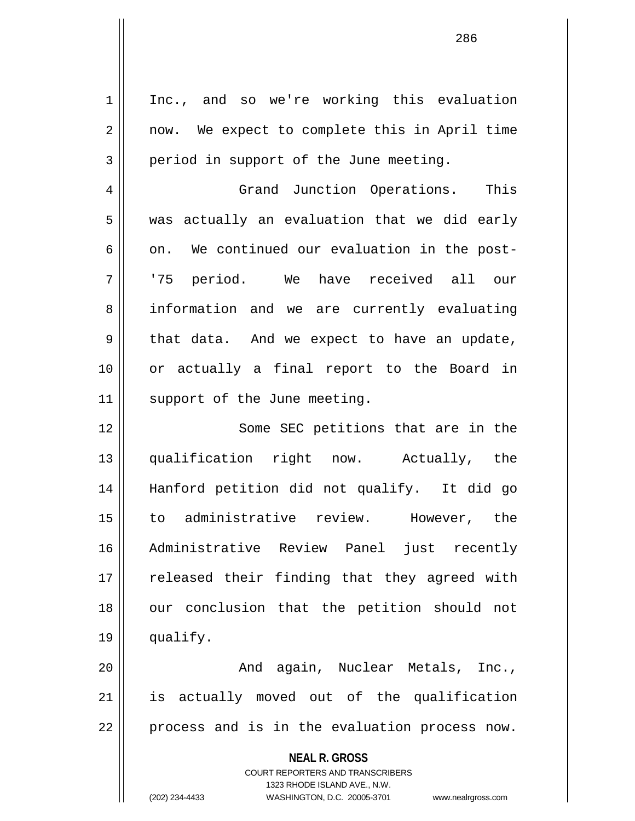**NEAL R. GROSS** COURT REPORTERS AND TRANSCRIBERS 1 | Inc., and so we're working this evaluation 2 || now. We expect to complete this in April time  $3 \parallel$  period in support of the June meeting. 4 || Grand Junction Operations. This  $5 \parallel$  was actually an evaluation that we did early  $6 \parallel$  on. We continued our evaluation in the post-7 '75 period. We have received all our 8 || information and we are currently evaluating  $9 \parallel$  that data. And we expect to have an update, 10 or actually a final report to the Board in 11 || support of the June meeting. 12 || Some SEC petitions that are in the 13 qualification right now. Actually, the 14 Hanford petition did not qualify. It did go 15 to administrative review. However, the 16 Administrative Review Panel just recently 17 || released their finding that they agreed with 18 || our conclusion that the petition should not 19 qualify. 20 And again, Nuclear Metals, Inc., 21 || is actually moved out of the qualification 22 || process and is in the evaluation process now.

1323 RHODE ISLAND AVE., N.W.

(202) 234-4433 WASHINGTON, D.C. 20005-3701 www.nealrgross.com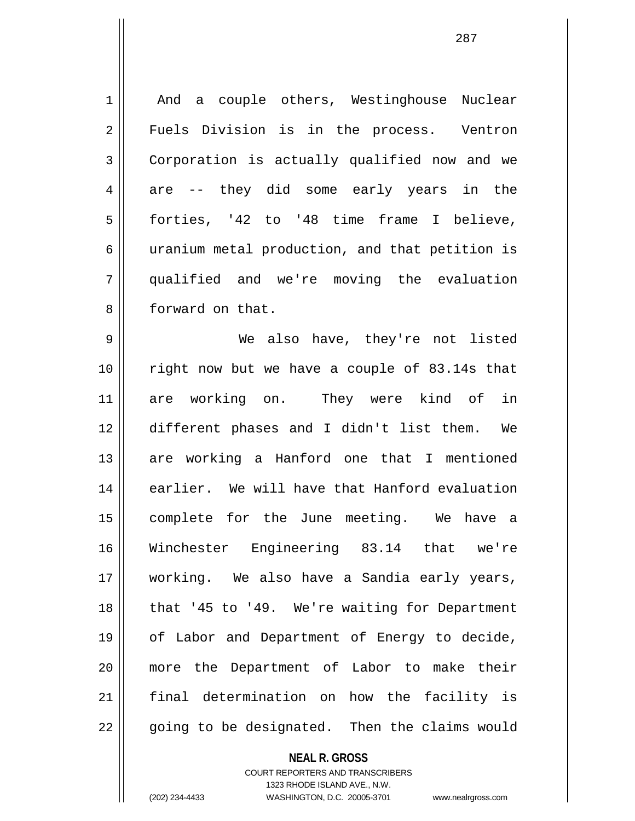1 || And a couple others, Westinghouse Nuclear 2 || Fuels Division is in the process. Ventron 3 Corporation is actually qualified now and we  $4 \parallel$  are -- they did some early years in the 5 forties, '42 to '48 time frame I believe, 6 || uranium metal production, and that petition is 7 qualified and we're moving the evaluation 8 || forward on that. 9 We also have, they're not listed 10 right now but we have a couple of 83.14s that 11 are working on. They were kind of in 12 different phases and I didn't list them. We 13 are working a Hanford one that I mentioned 14 || earlier. We will have that Hanford evaluation 15 complete for the June meeting. We have a 16 Winchester Engineering 83.14 that we're 17 working. We also have a Sandia early years, 18 || that '45 to '49. We're waiting for Department 19 || of Labor and Department of Energy to decide, 20 more the Department of Labor to make their 21 final determination on how the facility is 22 || going to be designated. Then the claims would

> **NEAL R. GROSS** COURT REPORTERS AND TRANSCRIBERS 1323 RHODE ISLAND AVE., N.W.

(202) 234-4433 WASHINGTON, D.C. 20005-3701 www.nealrgross.com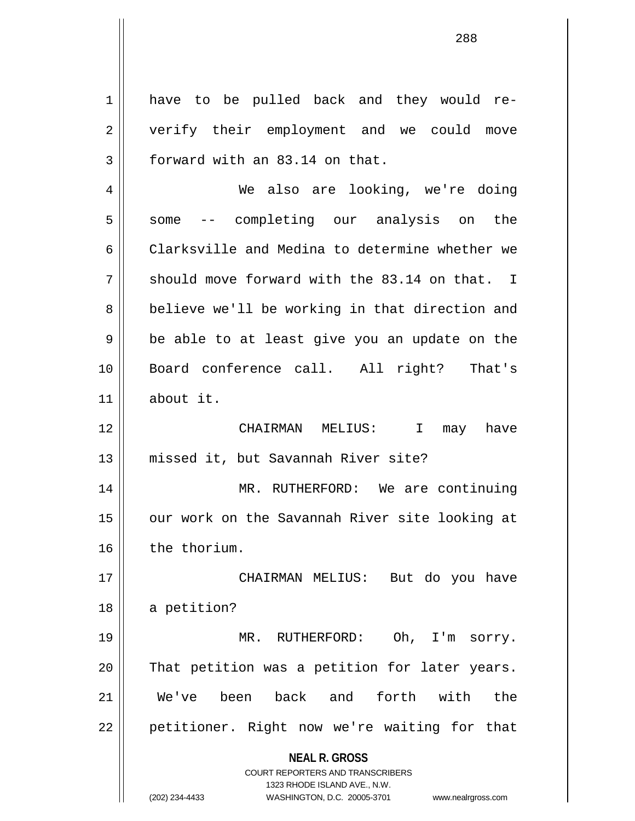**NEAL R. GROSS** COURT REPORTERS AND TRANSCRIBERS 1323 RHODE ISLAND AVE., N.W. (202) 234-4433 WASHINGTON, D.C. 20005-3701 www.nealrgross.com 1 || have to be pulled back and they would re-2 || verify their employment and we could move  $3 \parallel$  forward with an 83.14 on that. 4 We also are looking, we're doing 5 || some -- completing our analysis on the 6 Clarksville and Medina to determine whether we  $7 \parallel$  should move forward with the 83.14 on that. I 8 || believe we'll be working in that direction and  $9 \parallel$  be able to at least give you an update on the 10 Board conference call. All right? That's 11 about it. 12 CHAIRMAN MELIUS: I may have 13 missed it, but Savannah River site? 14 MR. RUTHERFORD: We are continuing 15 || our work on the Savannah River site looking at 16 | the thorium. 17 || CHAIRMAN MELIUS: But do you have 18 | a petition? 19 || MR. RUTHERFORD: Oh, I'm sorry. 20 || That petition was a petition for later years. 21 We've been back and forth with the 22 || petitioner. Right now we're waiting for that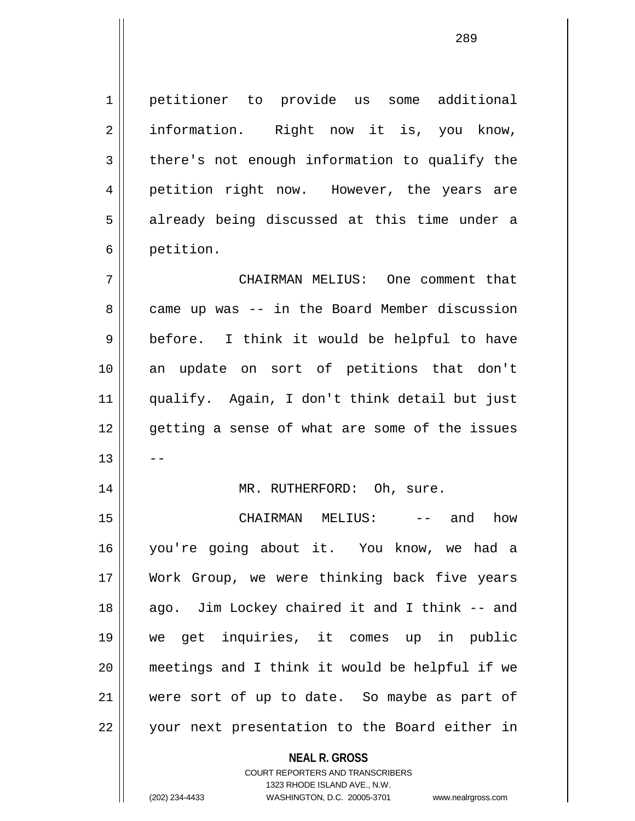1 petitioner to provide us some additional 2 || information. Right now it is, you know,  $3 \parallel$  there's not enough information to qualify the 4 || petition right now. However, the years are 5 || already being discussed at this time under a 6 | petition.

7 CHAIRMAN MELIUS: One comment that 8 came up was -- in the Board Member discussion 9 before. I think it would be helpful to have 10 an update on sort of petitions that don't 11 qualify. Again, I don't think detail but just 12 || qetting a sense of what are some of the issues  $13$   $\parallel$   $-$ 

## 14 || MR. RUTHERFORD: Oh, sure.

15 CHAIRMAN MELIUS: -- and how 16 you're going about it. You know, we had a 17 Work Group, we were thinking back five years 18 || ago. Jim Lockey chaired it and I think -- and 19 we get inquiries, it comes up in public 20 meetings and I think it would be helpful if we 21 || were sort of up to date. So maybe as part of 22 || your next presentation to the Board either in

**NEAL R. GROSS**

COURT REPORTERS AND TRANSCRIBERS 1323 RHODE ISLAND AVE., N.W. (202) 234-4433 WASHINGTON, D.C. 20005-3701 www.nealrgross.com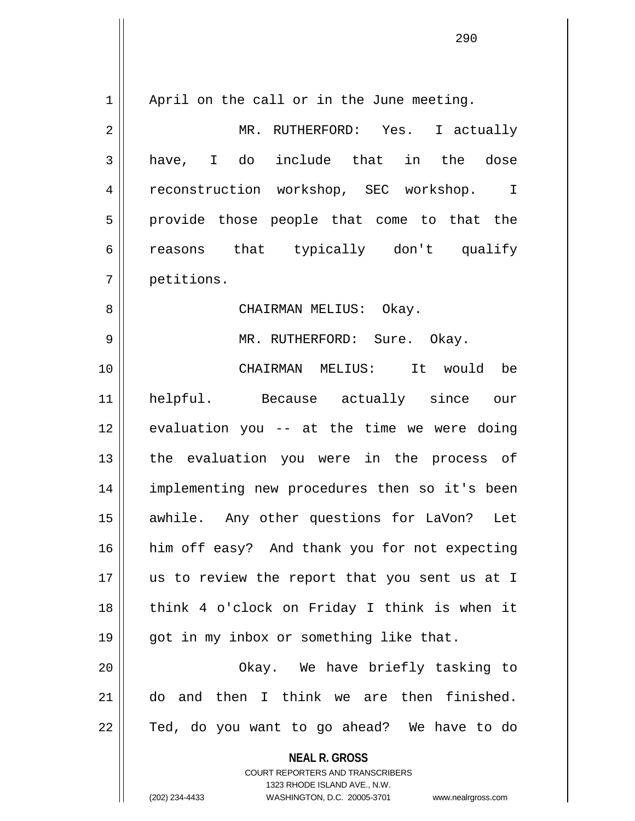| $\mathbf 1$    | April on the call or in the June meeting.                                                           |
|----------------|-----------------------------------------------------------------------------------------------------|
| $\overline{2}$ | MR. RUTHERFORD: Yes. I actually                                                                     |
| 3              | have, I do include that in the dose                                                                 |
| 4              | reconstruction workshop, SEC workshop. I                                                            |
| 5              | provide those people that come to that the                                                          |
| 6              | reasons that typically don't qualify                                                                |
| 7              | petitions.                                                                                          |
| 8              | CHAIRMAN MELIUS: Okay.                                                                              |
| 9              | MR. RUTHERFORD: Sure. Okay.                                                                         |
| 10             | CHAIRMAN MELIUS: It would be                                                                        |
| 11             | helpful. Because actually since our                                                                 |
| 12             | evaluation you -- at the time we were doing                                                         |
| 13             | the evaluation you were in the process of                                                           |
| 14             | implementing new procedures then so it's been                                                       |
| 15             | awhile. Any other questions for LaVon? Let                                                          |
| 16             | him off easy? And thank you for not expecting                                                       |
| 17             | us to review the report that you sent us at I                                                       |
| 18             | think 4 o'clock on Friday I think is when it                                                        |
| 19             | got in my inbox or something like that.                                                             |
| 20             | Okay. We have briefly tasking to                                                                    |
| 21             | do and then I think we are then finished.                                                           |
| 22             | Ted, do you want to go ahead? We have to do                                                         |
|                | <b>NEAL R. GROSS</b>                                                                                |
|                | <b>COURT REPORTERS AND TRANSCRIBERS</b>                                                             |
|                | 1323 RHODE ISLAND AVE., N.W.<br>(202) 234-4433<br>WASHINGTON, D.C. 20005-3701<br>www.nealrgross.com |
|                |                                                                                                     |

 $\mathsf{I}$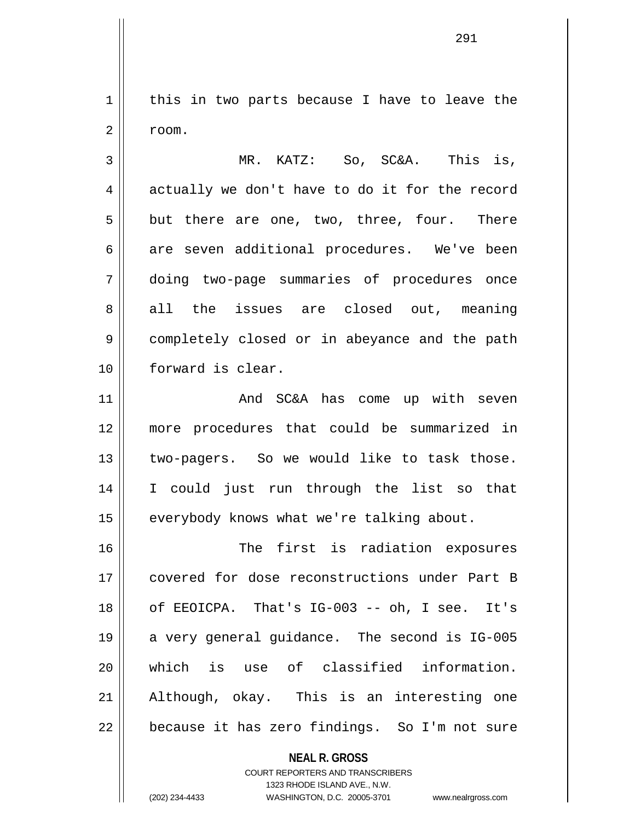1 || this in two parts because I have to leave the  $2 \parallel$  room.

3 MR. KATZ: So, SC&A. This is,  $4 \parallel$  actually we don't have to do it for the record  $5 \parallel$  but there are one, two, three, four. There 6 are seven additional procedures. We've been 7 doing two-page summaries of procedures once 8 all the issues are closed out, meaning 9 completely closed or in abeyance and the path 10 forward is clear.

11 || The CHA COME COME ROOM And SC&A has come up with seven 12 more procedures that could be summarized in 13 || two-pagers. So we would like to task those. 14 I could just run through the list so that 15 | everybody knows what we're talking about.

16 || The first is radiation exposures 17 covered for dose reconstructions under Part B 18 of EEOICPA. That's IG-003 -- oh, I see. It's 19 || a very general guidance. The second is IG-005 20 which is use of classified information. 21 Although, okay. This is an interesting one  $22$  || because it has zero findings. So I'm not sure

> **NEAL R. GROSS** COURT REPORTERS AND TRANSCRIBERS 1323 RHODE ISLAND AVE., N.W.

(202) 234-4433 WASHINGTON, D.C. 20005-3701 www.nealrgross.com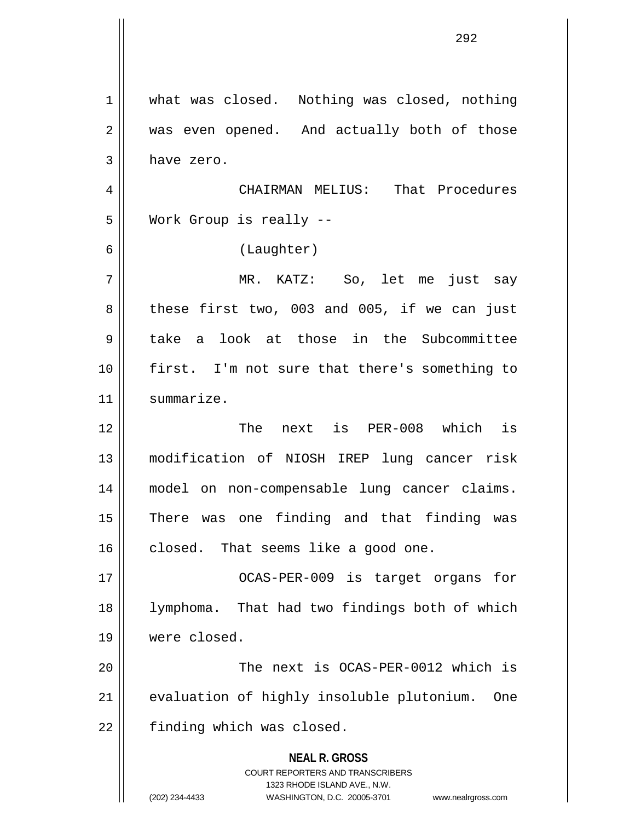**NEAL R. GROSS** COURT REPORTERS AND TRANSCRIBERS 1323 RHODE ISLAND AVE., N.W. (202) 234-4433 WASHINGTON, D.C. 20005-3701 www.nealrgross.com 1 || what was closed. Nothing was closed, nothing 2 || was even opened. And actually both of those  $3 \parallel$  have zero. 4 CHAIRMAN MELIUS: That Procedures 5 Work Group is really -- 6 (Laughter) 7 MR. KATZ: So, let me just say  $8 \parallel$  these first two, 003 and 005, if we can just 9 take a look at those in the Subcommittee 10 first. I'm not sure that there's something to 11 | summarize. 12 The next is PER-008 which is 13 modification of NIOSH IREP lung cancer risk 14 model on non-compensable lung cancer claims. 15 || There was one finding and that finding was 16 closed. That seems like a good one. 17 || CCAS-PER-009 is target organs for 18 lymphoma. That had two findings both of which 19 were closed. 20 The next is OCAS-PER-0012 which is 21 || evaluation of highly insoluble plutonium. One  $22$  | finding which was closed.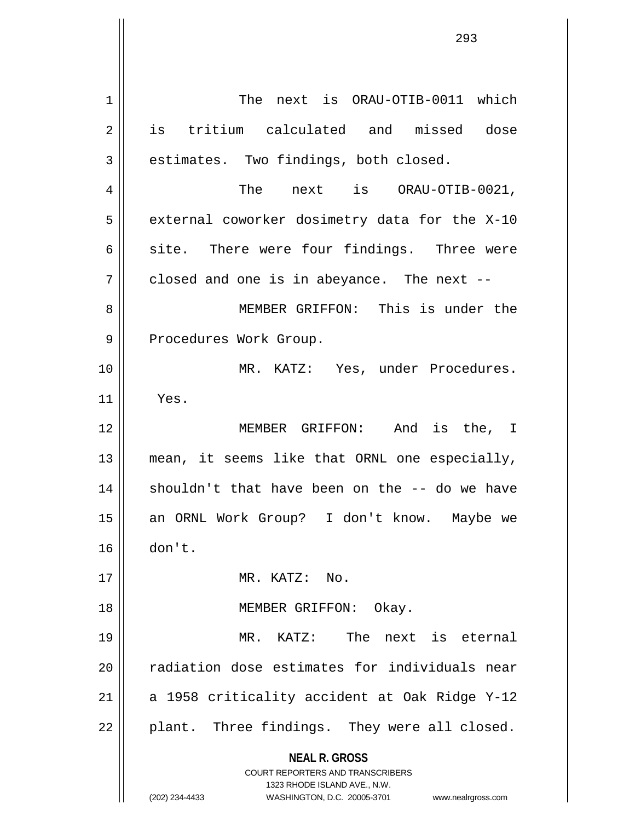**NEAL R. GROSS** COURT REPORTERS AND TRANSCRIBERS 1323 RHODE ISLAND AVE., N.W. (202) 234-4433 WASHINGTON, D.C. 20005-3701 www.nealrgross.com 1 | The next is ORAU-OTIB-0011 which 2 is tritium calculated and missed dose  $3 \parallel$  estimates. Two findings, both closed. 4 The next is ORAU-OTIB-0021,  $5$  | external coworker dosimetry data for the X-10  $6 \parallel$  site. There were four findings. Three were  $7 \parallel$  closed and one is in abeyance. The next --8 MEMBER GRIFFON: This is under the 9 || Procedures Work Group. 10 MR. KATZ: Yes, under Procedures.  $11$  | Yes. 12 MEMBER GRIFFON: And is the, I 13 || mean, it seems like that ORNL one especially, 14 || shouldn't that have been on the -- do we have 15 an ORNL Work Group? I don't know. Maybe we 16 don't. 17 MR. KATZ: No. 18 || MEMBER GRIFFON: Okay. 19 MR. KATZ: The next is eternal 20 || radiation dose estimates for individuals near 21  $\parallel$  a 1958 criticality accident at Oak Ridge Y-12  $22$  | plant. Three findings. They were all closed.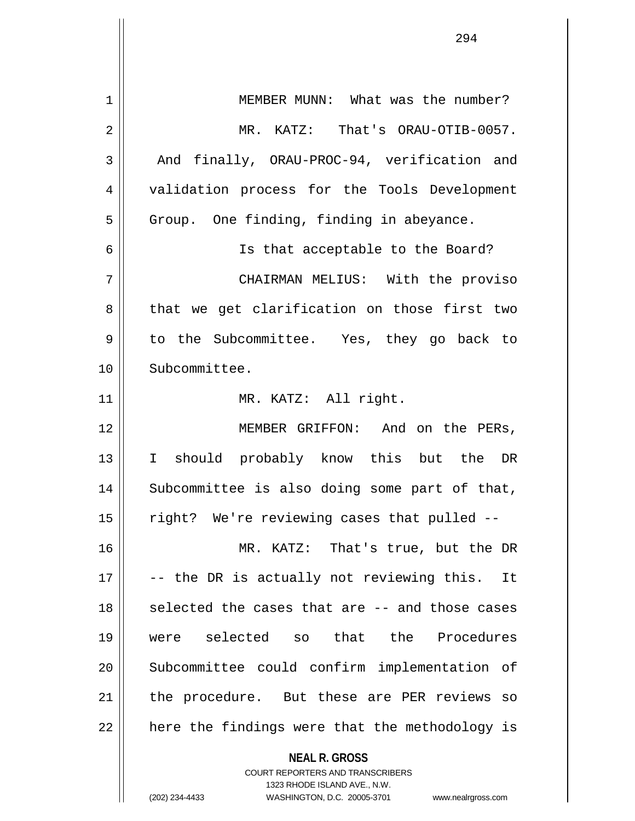| 1  | MEMBER MUNN: What was the number?                                       |
|----|-------------------------------------------------------------------------|
| 2  | MR. KATZ: That's ORAU-OTIB-0057.                                        |
| 3  | And finally, ORAU-PROC-94, verification and                             |
| 4  | validation process for the Tools Development                            |
| 5  | Group. One finding, finding in abeyance.                                |
| 6  | Is that acceptable to the Board?                                        |
| 7  | CHAIRMAN MELIUS: With the proviso                                       |
| 8  | that we get clarification on those first two                            |
| 9  | to the Subcommittee. Yes, they go back to                               |
| 10 | Subcommittee.                                                           |
| 11 | MR. KATZ: All right.                                                    |
| 12 | MEMBER GRIFFON: And on the PERs,                                        |
| 13 | I should probably know this but the DR                                  |
| 14 | Subcommittee is also doing some part of that,                           |
| 15 | right? We're reviewing cases that pulled --                             |
| 16 | MR. KATZ: That's true, but the DR                                       |
| 17 | -- the DR is actually not reviewing this. It                            |
| 18 | selected the cases that are -- and those cases                          |
| 19 | were selected so that the Procedures                                    |
| 20 | Subcommittee could confirm implementation of                            |
| 21 | the procedure. But these are PER reviews so                             |
| 22 | here the findings were that the methodology is                          |
|    | <b>NEAL R. GROSS</b>                                                    |
|    | <b>COURT REPORTERS AND TRANSCRIBERS</b><br>1323 RHODE ISLAND AVE., N.W. |
|    | (202) 234-4433<br>WASHINGTON, D.C. 20005-3701<br>www.nealrgross.com     |

 $\mathsf{I}$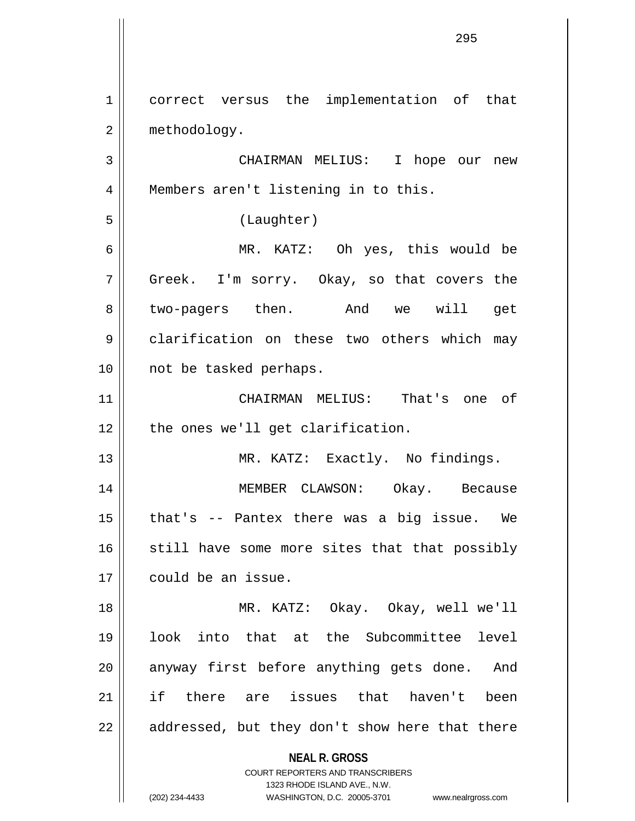**NEAL R. GROSS** COURT REPORTERS AND TRANSCRIBERS 1323 RHODE ISLAND AVE., N.W. (202) 234-4433 WASHINGTON, D.C. 20005-3701 www.nealrgross.com 1 correct versus the implementation of that 2 | methodology. 3 CHAIRMAN MELIUS: I hope our new 4 || Members aren't listening in to this. 5 (Laughter) 6 MR. KATZ: Oh yes, this would be 7 Greek. I'm sorry. Okay, so that covers the 8 two-pagers then. And we will get 9 | clarification on these two others which may 10 || not be tasked perhaps. 11 CHAIRMAN MELIUS: That's one of  $12$  | the ones we'll get clarification. 13 || MR. KATZ: Exactly. No findings. 14 MEMBER CLAWSON: Okay. Because  $15$  | that's -- Pantex there was a big issue. We  $16$  still have some more sites that that possibly 17 | could be an issue. 18 MR. KATZ: Okay. Okay, well we'll 19 look into that at the Subcommittee level 20 || anyway first before anything gets done. And 21 if there are issues that haven't been  $22$  || addressed, but they don't show here that there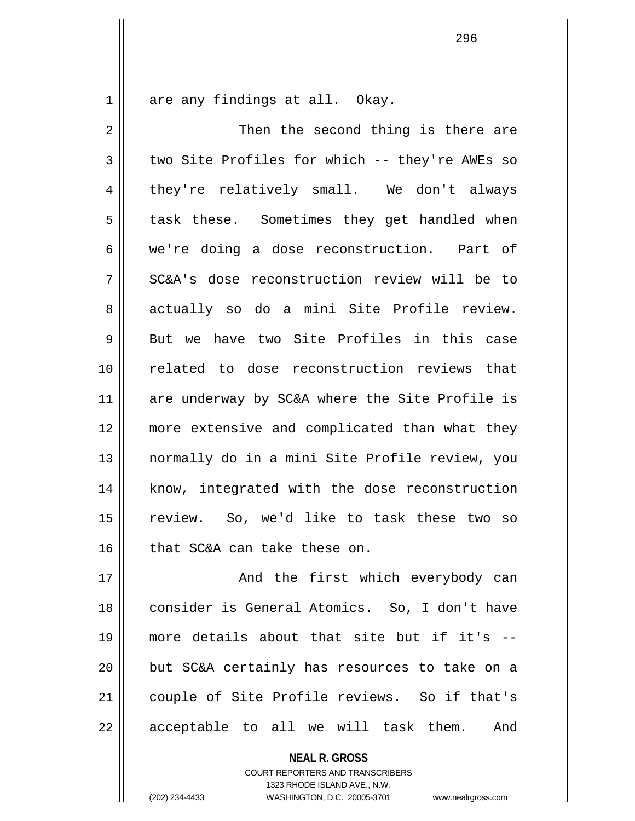1 || are any findings at all. Okay.

2 Then the second thing is there are  $3 \parallel$  two Site Profiles for which -- they're AWEs so 4 they're relatively small. We don't always 5 || task these. Sometimes they get handled when 6 we're doing a dose reconstruction. Part of 7 SC&A's dose reconstruction review will be to 8 actually so do a mini Site Profile review.  $9 \parallel$  But we have two Site Profiles in this case 10 related to dose reconstruction reviews that 11 || are underway by SC&A where the Site Profile is 12 more extensive and complicated than what they 13 normally do in a mini Site Profile review, you 14 || know, integrated with the dose reconstruction 15 review. So, we'd like to task these two so 16 | that SC&A can take these on.

17 || And the first which everybody can 18 consider is General Atomics. So, I don't have 19 more details about that site but if it's -- 20 but SC&A certainly has resources to take on a 21 couple of Site Profile reviews. So if that's 22 || acceptable to all we will task them. And

> **NEAL R. GROSS** COURT REPORTERS AND TRANSCRIBERS 1323 RHODE ISLAND AVE., N.W. (202) 234-4433 WASHINGTON, D.C. 20005-3701 www.nealrgross.com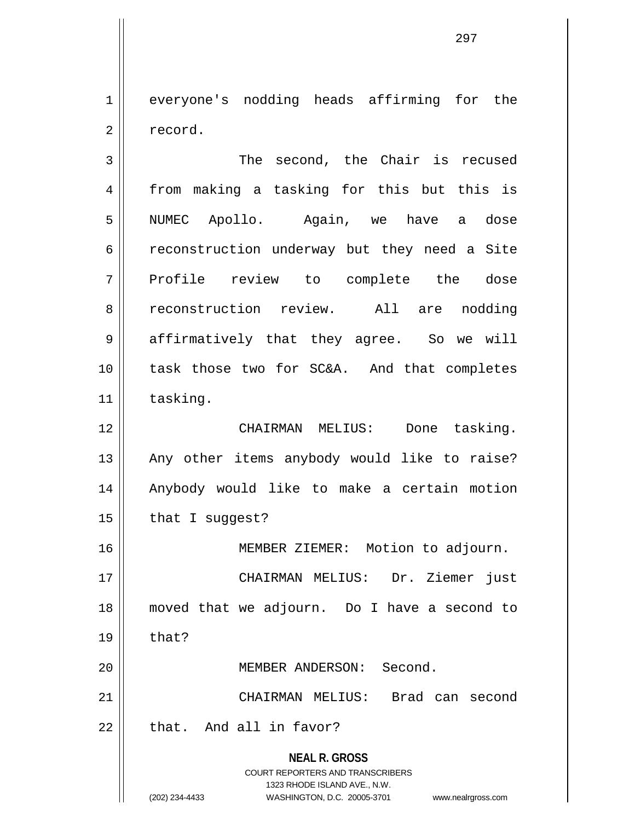1 everyone's nodding heads affirming for the 2 | record.

**NEAL R. GROSS** COURT REPORTERS AND TRANSCRIBERS 1323 RHODE ISLAND AVE., N.W. (202) 234-4433 WASHINGTON, D.C. 20005-3701 www.nealrgross.com 3 || The second, the Chair is recused 4 from making a tasking for this but this is 5 NUMEC Apollo. Again, we have a dose 6 construction underway but they need a Site 7 Profile review to complete the dose 8 reconstruction review. All are nodding 9 affirmatively that they agree. So we will 10 task those two for SC&A. And that completes 11 | tasking. 12 CHAIRMAN MELIUS: Done tasking. 13 || Any other items anybody would like to raise? 14 || Anybody would like to make a certain motion  $15$  | that I suggest? 16 MEMBER ZIEMER: Motion to adjourn. 17 CHAIRMAN MELIUS: Dr. Ziemer just 18 moved that we adjourn. Do I have a second to  $19 \parallel$  that? 20 MEMBER ANDERSON: Second. 21 CHAIRMAN MELIUS: Brad can second  $22$  | that. And all in favor?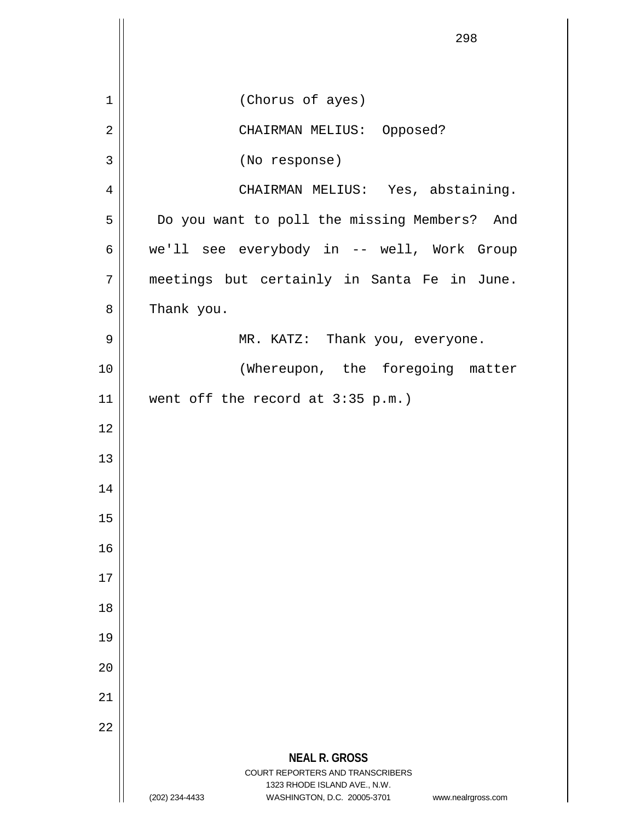|                | 298                                                                                                                                     |
|----------------|-----------------------------------------------------------------------------------------------------------------------------------------|
|                |                                                                                                                                         |
| $\mathbf 1$    | (Chorus of ayes)                                                                                                                        |
| $\overline{2}$ | CHAIRMAN MELIUS: Opposed?                                                                                                               |
| 3              | (No response)                                                                                                                           |
| 4              | CHAIRMAN MELIUS: Yes, abstaining.                                                                                                       |
| 5              | Do you want to poll the missing Members? And                                                                                            |
| 6              | we'll see everybody in -- well, Work Group                                                                                              |
| 7              | meetings but certainly in Santa Fe in June.                                                                                             |
| 8              | Thank you.                                                                                                                              |
| 9              | MR. KATZ: Thank you, everyone.                                                                                                          |
| 10             | (Whereupon, the foregoing matter                                                                                                        |
| 11             | went off the record at $3:35$ p.m.)                                                                                                     |
| 12             |                                                                                                                                         |
| 13             |                                                                                                                                         |
| 14             |                                                                                                                                         |
| 15             |                                                                                                                                         |
| 16             |                                                                                                                                         |
| 17             |                                                                                                                                         |
| 18             |                                                                                                                                         |
| 19             |                                                                                                                                         |
| 20             |                                                                                                                                         |
| 21             |                                                                                                                                         |
| 22             |                                                                                                                                         |
|                | <b>NEAL R. GROSS</b>                                                                                                                    |
|                | COURT REPORTERS AND TRANSCRIBERS<br>1323 RHODE ISLAND AVE., N.W.<br>WASHINGTON, D.C. 20005-3701<br>(202) 234-4433<br>www.nealrgross.com |